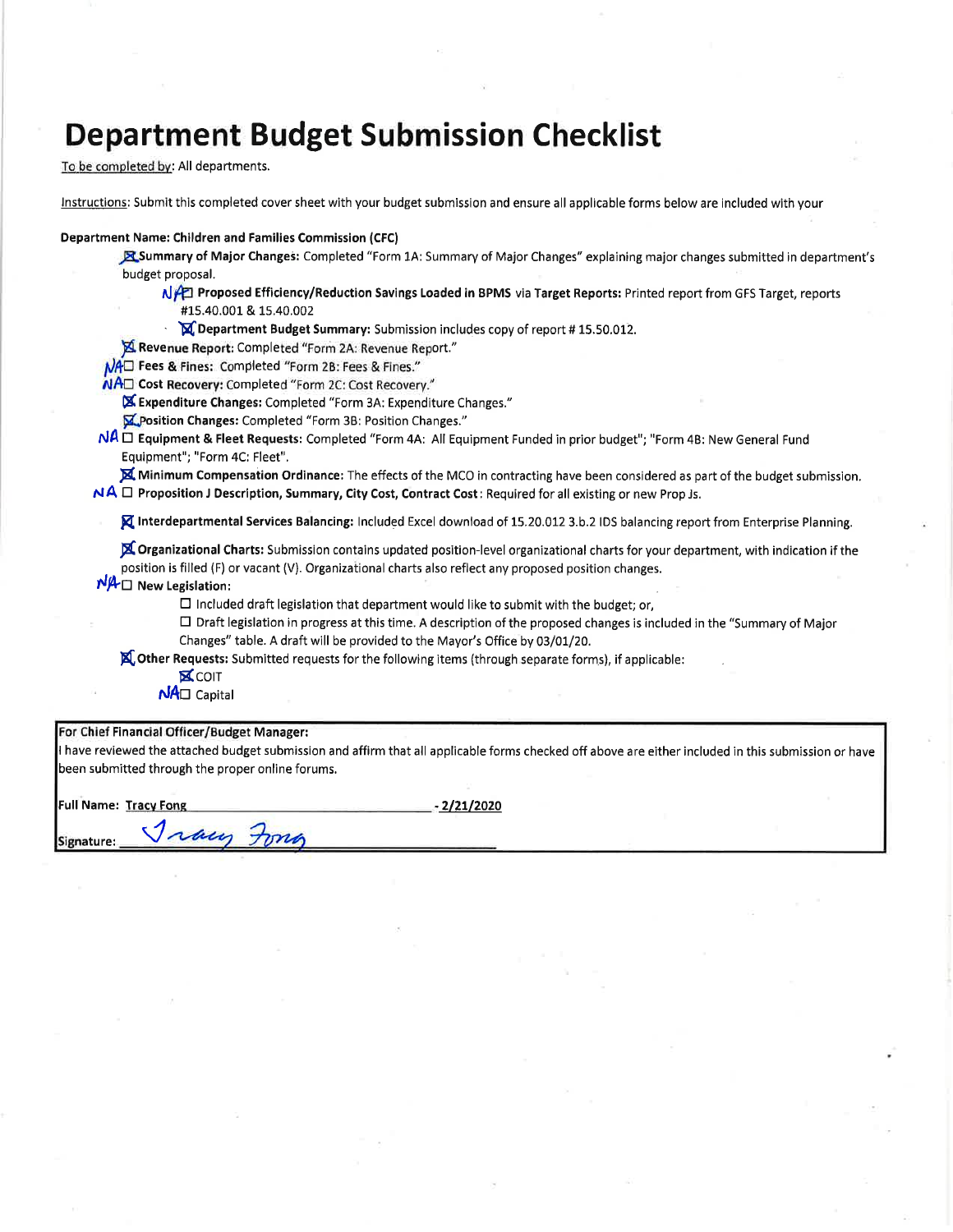# **Department Budget Submission Checklist**

To be completed by: All departments.

Instructions: Submit this completed cover sheet with your budget submission and ensure all applicable forms below are included with your

#### **Department Name: Children and Families Commission (CFC)**

Summary of Major Changes: Completed "Form 1A: Summary of Major Changes" explaining major changes submitted in department's budget proposal.

- NAZI Proposed Efficiency/Reduction Savings Loaded in BPMS via Target Reports: Printed report from GFS Target, reports #15.40.001 & 15.40.002
	- M Department Budget Summary: Submission includes copy of report #15.50.012.
- Revenue Report: Completed "Form 2A: Revenue Report."
- MAD Fees & Fines: Completed "Form 2B: Fees & Fines."
- NAD Cost Recovery: Completed "Form 2C: Cost Recovery."
	- X Expenditure Changes: Completed "Form 3A: Expenditure Changes."
	- M. Position Changes: Completed "Form 3B: Position Changes."
- NA □ Equipment & Fleet Requests: Completed "Form 4A: All Equipment Funded in prior budget"; "Form 4B: New General Fund Equipment"; "Form 4C: Fleet".

Minimum Compensation Ordinance: The effects of the MCO in contracting have been considered as part of the budget submission.

 $NA \Box$  Proposition J Description, Summary, City Cost, Contract Cost: Required for all existing or new Prop Js.

**X** Interdepartmental Services Balancing: Included Excel download of 15.20.012 3.b.2 IDS balancing report from Enterprise Planning.

X Organizational Charts: Submission contains updated position-level organizational charts for your department, with indication if the position is filled (F) or vacant (V). Organizational charts also reflect any proposed position changes.

 $N/A \Box$  New Legislation:

 $\square$  Included draft legislation that department would like to submit with the budget; or,

- $\Box$  Draft legislation in progress at this time. A description of the proposed changes is included in the "Summary of Major Changes" table. A draft will be provided to the Mayor's Office by 03/01/20.
- **X.** Other Requests: Submitted requests for the following items (through separate forms), if applicable:
	- **X**COIT
	- $N$ A $\square$  Capital

Jray Forg

### For Chief Financial Officer/Budget Manager:

I have reviewed the attached budget submission and affirm that all applicable forms checked off above are either included in this submission or have been submitted through the proper online forums.

**Full Name: Tracy Fong** 

 $-2/21/2020$ 

Signature: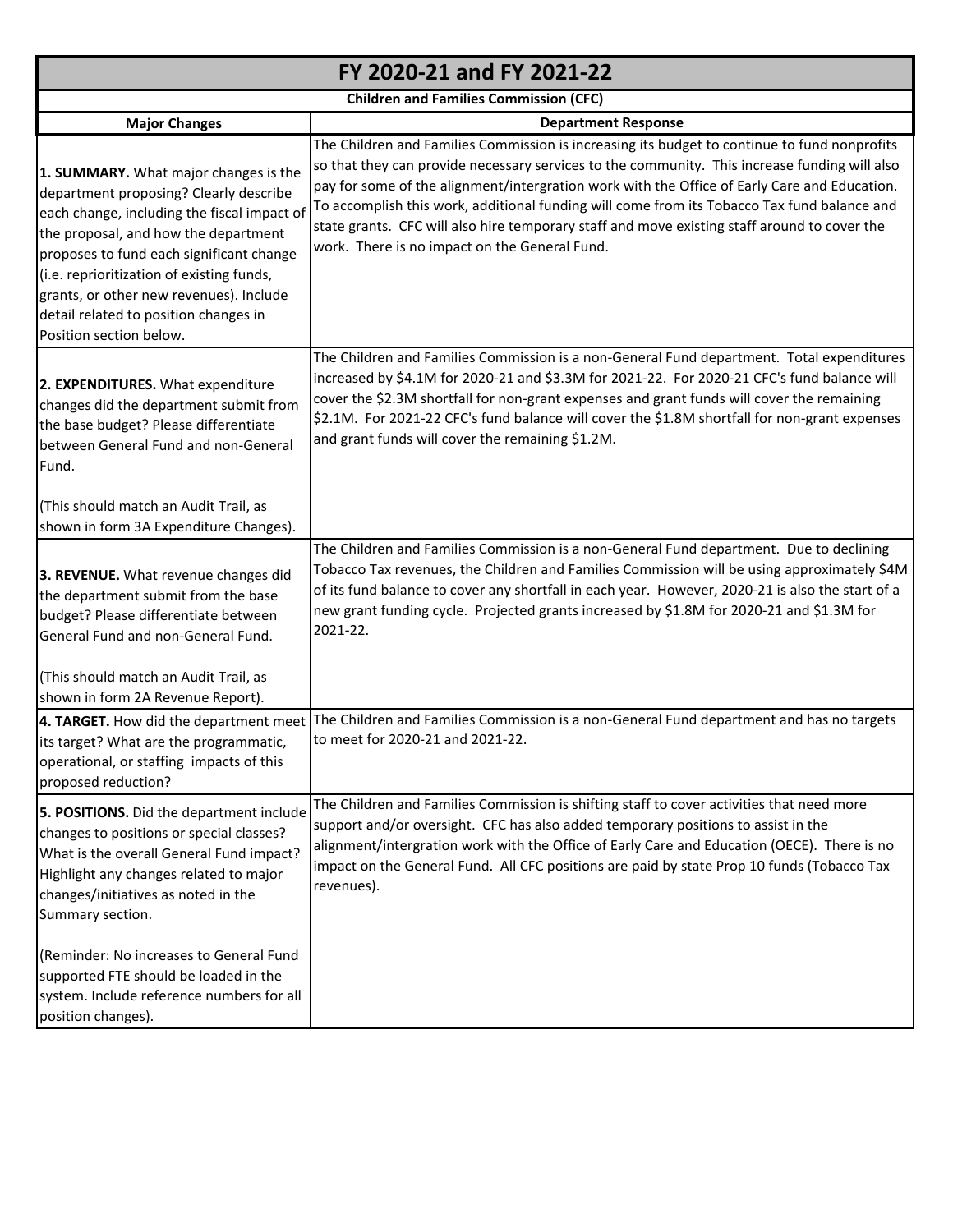|                                                                                                                                                                                                                                                                                                                                                                                | FY 2020-21 and FY 2021-22                                                                                                                                                                                                                                                                                                                                                                                                                                                                                                                     |
|--------------------------------------------------------------------------------------------------------------------------------------------------------------------------------------------------------------------------------------------------------------------------------------------------------------------------------------------------------------------------------|-----------------------------------------------------------------------------------------------------------------------------------------------------------------------------------------------------------------------------------------------------------------------------------------------------------------------------------------------------------------------------------------------------------------------------------------------------------------------------------------------------------------------------------------------|
|                                                                                                                                                                                                                                                                                                                                                                                | <b>Children and Families Commission (CFC)</b>                                                                                                                                                                                                                                                                                                                                                                                                                                                                                                 |
| <b>Major Changes</b>                                                                                                                                                                                                                                                                                                                                                           | <b>Department Response</b>                                                                                                                                                                                                                                                                                                                                                                                                                                                                                                                    |
| 1. SUMMARY. What major changes is the<br>department proposing? Clearly describe<br>each change, including the fiscal impact of<br>the proposal, and how the department<br>proposes to fund each significant change<br>(i.e. reprioritization of existing funds,<br>grants, or other new revenues). Include<br>detail related to position changes in<br>Position section below. | The Children and Families Commission is increasing its budget to continue to fund nonprofits<br>so that they can provide necessary services to the community. This increase funding will also<br>pay for some of the alignment/intergration work with the Office of Early Care and Education.<br>To accomplish this work, additional funding will come from its Tobacco Tax fund balance and<br>state grants. CFC will also hire temporary staff and move existing staff around to cover the<br>work. There is no impact on the General Fund. |
| 2. EXPENDITURES. What expenditure<br>changes did the department submit from<br>the base budget? Please differentiate<br>between General Fund and non-General<br>Fund.                                                                                                                                                                                                          | The Children and Families Commission is a non-General Fund department. Total expenditures<br>increased by \$4.1M for 2020-21 and \$3.3M for 2021-22. For 2020-21 CFC's fund balance will<br>cover the \$2.3M shortfall for non-grant expenses and grant funds will cover the remaining<br>\$2.1M. For 2021-22 CFC's fund balance will cover the \$1.8M shortfall for non-grant expenses<br>and grant funds will cover the remaining \$1.2M.                                                                                                   |
| (This should match an Audit Trail, as<br>shown in form 3A Expenditure Changes).                                                                                                                                                                                                                                                                                                |                                                                                                                                                                                                                                                                                                                                                                                                                                                                                                                                               |
| 3. REVENUE. What revenue changes did<br>the department submit from the base<br>budget? Please differentiate between<br>General Fund and non-General Fund.                                                                                                                                                                                                                      | The Children and Families Commission is a non-General Fund department. Due to declining<br>Tobacco Tax revenues, the Children and Families Commission will be using approximately \$4M<br>of its fund balance to cover any shortfall in each year. However, 2020-21 is also the start of a<br>new grant funding cycle. Projected grants increased by \$1.8M for 2020-21 and \$1.3M for<br>2021-22.                                                                                                                                            |
| (This should match an Audit Trail, as<br>shown in form 2A Revenue Report).                                                                                                                                                                                                                                                                                                     |                                                                                                                                                                                                                                                                                                                                                                                                                                                                                                                                               |
| its target? What are the programmatic,<br>operational, or staffing impacts of this<br>proposed reduction?                                                                                                                                                                                                                                                                      | 4. TARGET. How did the department meet The Children and Families Commission is a non-General Fund department and has no targets<br>to meet for 2020-21 and 2021-22.                                                                                                                                                                                                                                                                                                                                                                           |
| 5. POSITIONS. Did the department include<br>changes to positions or special classes?<br>What is the overall General Fund impact?<br>Highlight any changes related to major<br>changes/initiatives as noted in the<br>Summary section.                                                                                                                                          | The Children and Families Commission is shifting staff to cover activities that need more<br>support and/or oversight. CFC has also added temporary positions to assist in the<br>alignment/intergration work with the Office of Early Care and Education (OECE). There is no<br>impact on the General Fund. All CFC positions are paid by state Prop 10 funds (Tobacco Tax<br>revenues).                                                                                                                                                     |
| (Reminder: No increases to General Fund<br>supported FTE should be loaded in the<br>system. Include reference numbers for all<br>position changes).                                                                                                                                                                                                                            |                                                                                                                                                                                                                                                                                                                                                                                                                                                                                                                                               |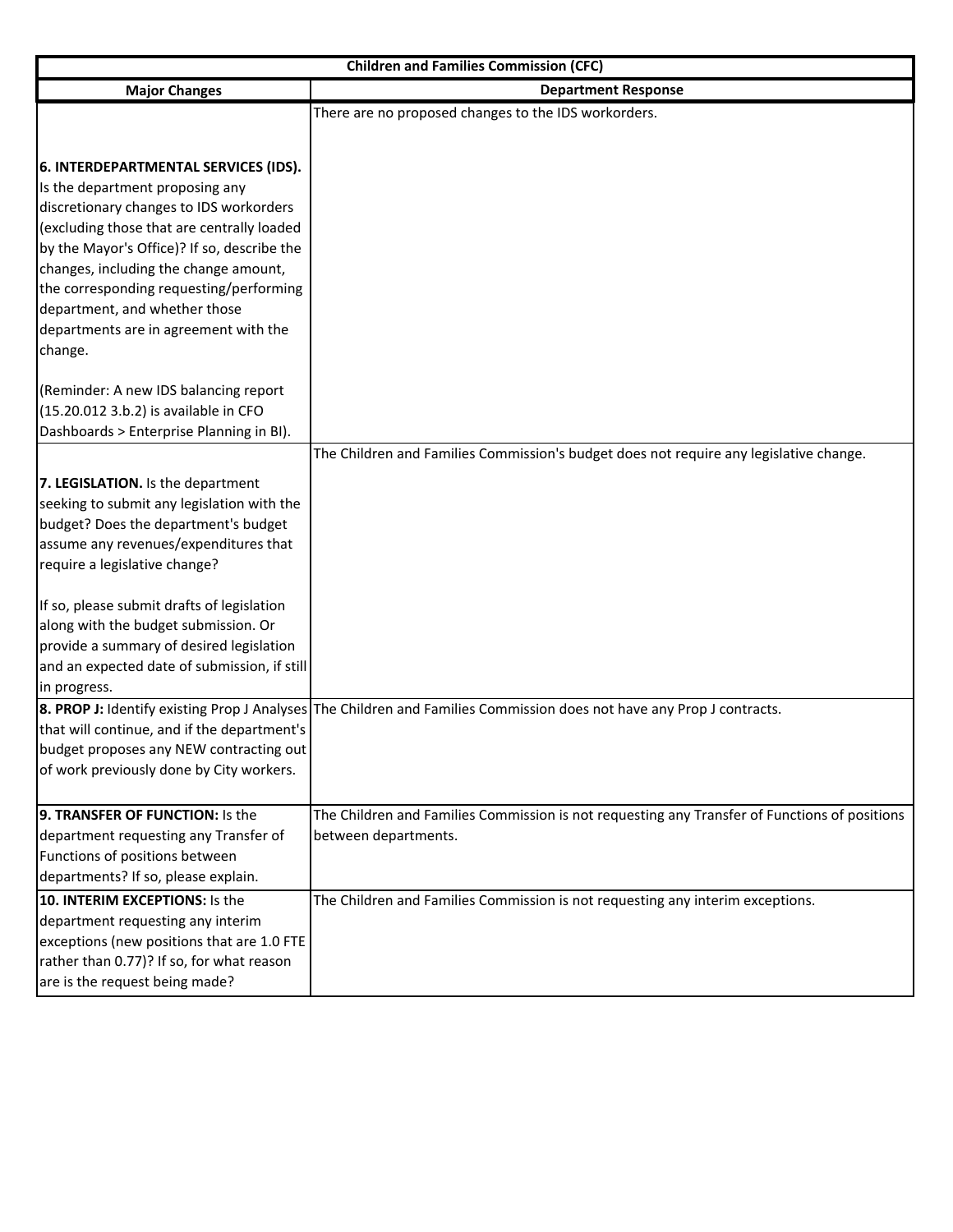|                                              | <b>Children and Families Commission (CFC)</b>                                                                         |
|----------------------------------------------|-----------------------------------------------------------------------------------------------------------------------|
| <b>Major Changes</b>                         | <b>Department Response</b>                                                                                            |
|                                              | There are no proposed changes to the IDS workorders.                                                                  |
|                                              |                                                                                                                       |
| 6. INTERDEPARTMENTAL SERVICES (IDS).         |                                                                                                                       |
| Is the department proposing any              |                                                                                                                       |
| discretionary changes to IDS workorders      |                                                                                                                       |
| (excluding those that are centrally loaded   |                                                                                                                       |
| by the Mayor's Office)? If so, describe the  |                                                                                                                       |
| changes, including the change amount,        |                                                                                                                       |
| the corresponding requesting/performing      |                                                                                                                       |
| department, and whether those                |                                                                                                                       |
| departments are in agreement with the        |                                                                                                                       |
| change.                                      |                                                                                                                       |
| (Reminder: A new IDS balancing report        |                                                                                                                       |
| (15.20.012 3.b.2) is available in CFO        |                                                                                                                       |
| Dashboards > Enterprise Planning in BI).     |                                                                                                                       |
|                                              | The Children and Families Commission's budget does not require any legislative change.                                |
| 7. LEGISLATION. Is the department            |                                                                                                                       |
| seeking to submit any legislation with the   |                                                                                                                       |
| budget? Does the department's budget         |                                                                                                                       |
| assume any revenues/expenditures that        |                                                                                                                       |
| require a legislative change?                |                                                                                                                       |
|                                              |                                                                                                                       |
| If so, please submit drafts of legislation   |                                                                                                                       |
| along with the budget submission. Or         |                                                                                                                       |
| provide a summary of desired legislation     |                                                                                                                       |
| and an expected date of submission, if still |                                                                                                                       |
| in progress.                                 |                                                                                                                       |
|                                              | 8. PROP J: Identify existing Prop J Analyses The Children and Families Commission does not have any Prop J contracts. |
| that will continue, and if the department's  |                                                                                                                       |
| budget proposes any NEW contracting out      |                                                                                                                       |
| of work previously done by City workers.     |                                                                                                                       |
| 9. TRANSFER OF FUNCTION: Is the              | The Children and Families Commission is not requesting any Transfer of Functions of positions                         |
| department requesting any Transfer of        | between departments.                                                                                                  |
| Functions of positions between               |                                                                                                                       |
| departments? If so, please explain.          |                                                                                                                       |
| 10. INTERIM EXCEPTIONS: Is the               | The Children and Families Commission is not requesting any interim exceptions.                                        |
| department requesting any interim            |                                                                                                                       |
| exceptions (new positions that are 1.0 FTE   |                                                                                                                       |
| rather than 0.77)? If so, for what reason    |                                                                                                                       |
| are is the request being made?               |                                                                                                                       |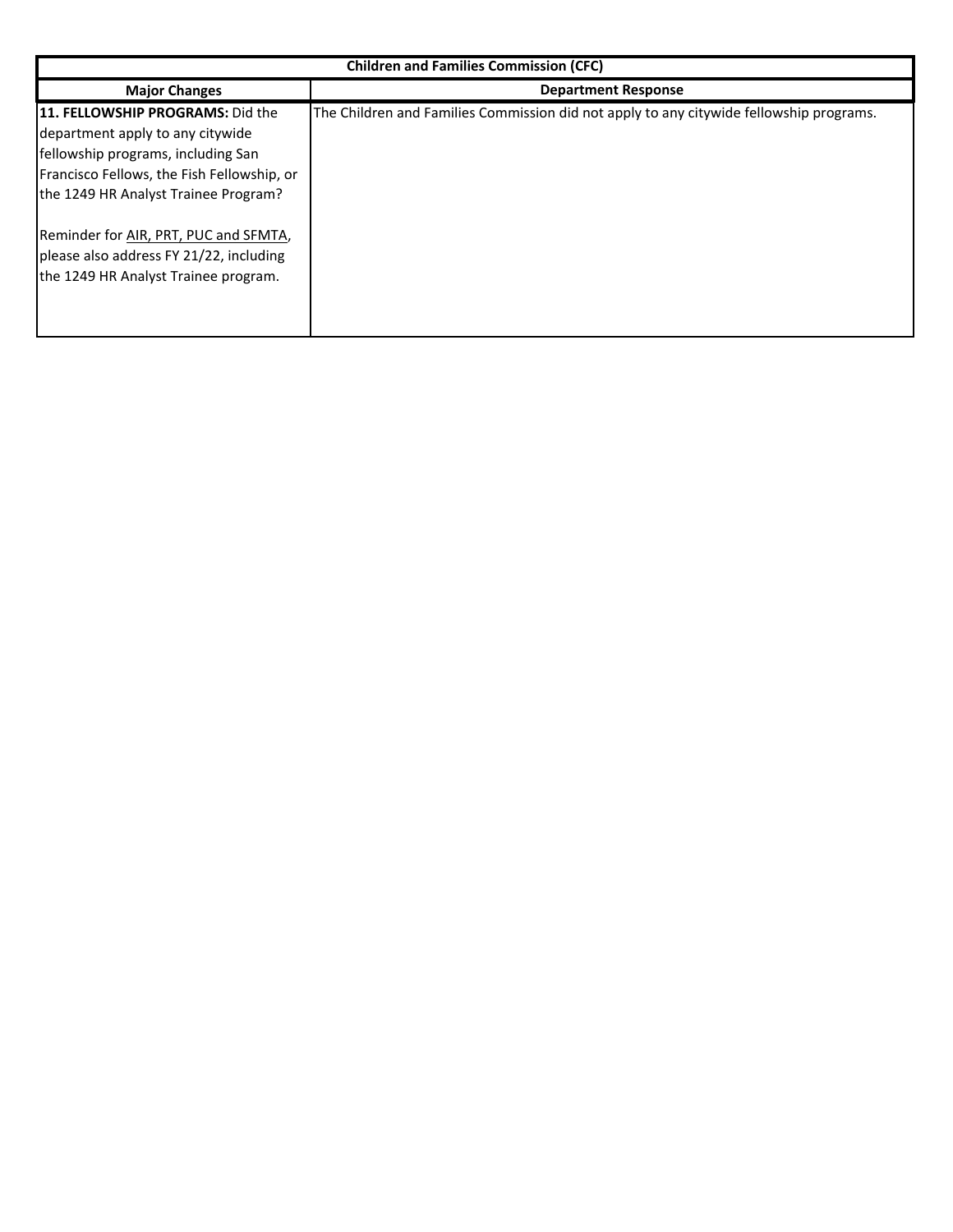|                                                                                                                                                                                                                                                                                                                                      | <b>Children and Families Commission (CFC)</b>                                           |
|--------------------------------------------------------------------------------------------------------------------------------------------------------------------------------------------------------------------------------------------------------------------------------------------------------------------------------------|-----------------------------------------------------------------------------------------|
| <b>Major Changes</b>                                                                                                                                                                                                                                                                                                                 | <b>Department Response</b>                                                              |
| <b>111. FELLOWSHIP PROGRAMS: Did the</b><br>department apply to any citywide<br>fellowship programs, including San<br>Francisco Fellows, the Fish Fellowship, or<br>the 1249 HR Analyst Trainee Program?<br>Reminder for AIR, PRT, PUC and SFMTA,<br>please also address FY 21/22, including<br>the 1249 HR Analyst Trainee program. | The Children and Families Commission did not apply to any citywide fellowship programs. |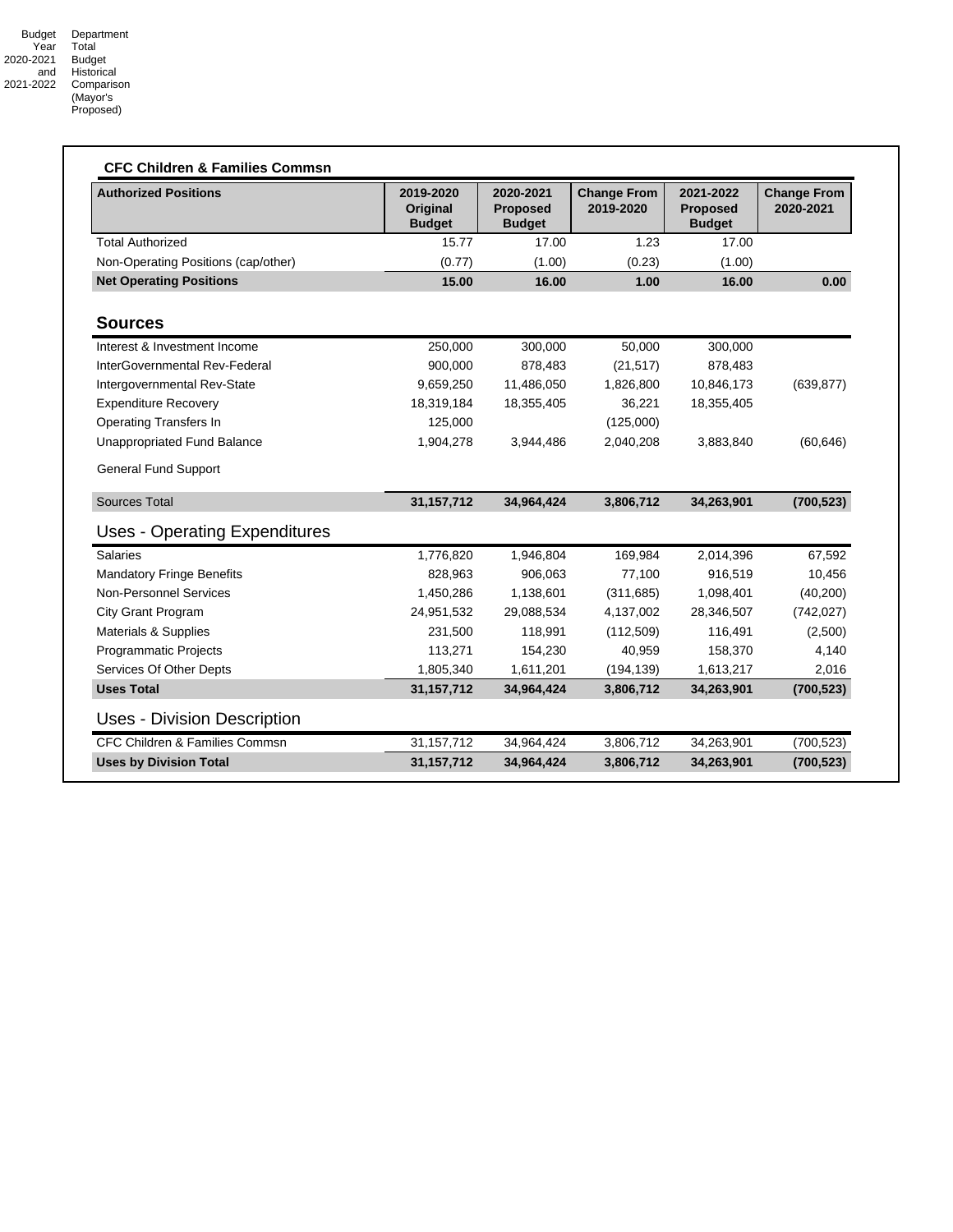| <b>Authorized Positions</b>          | 2019-2020<br>Original<br><b>Budget</b> | 2020-2021<br><b>Proposed</b><br><b>Budget</b> | <b>Change From</b><br>2019-2020 | 2021-2022<br><b>Proposed</b><br><b>Budget</b> | <b>Change From</b><br>2020-2021 |
|--------------------------------------|----------------------------------------|-----------------------------------------------|---------------------------------|-----------------------------------------------|---------------------------------|
| <b>Total Authorized</b>              | 15.77                                  | 17.00                                         | 1.23                            | 17.00                                         |                                 |
| Non-Operating Positions (cap/other)  | (0.77)                                 | (1.00)                                        | (0.23)                          | (1.00)                                        |                                 |
| <b>Net Operating Positions</b>       | 15.00                                  | 16.00                                         | 1.00                            | 16.00                                         | 0.00                            |
| <b>Sources</b>                       |                                        |                                               |                                 |                                               |                                 |
| Interest & Investment Income         | 250,000                                | 300,000                                       | 50,000                          | 300,000                                       |                                 |
| InterGovernmental Rev-Federal        | 900,000                                | 878,483                                       | (21, 517)                       | 878,483                                       |                                 |
| Intergovernmental Rev-State          | 9,659,250                              | 11,486,050                                    | 1,826,800                       | 10,846,173                                    | (639, 877)                      |
| <b>Expenditure Recovery</b>          | 18,319,184                             | 18,355,405                                    | 36,221                          | 18,355,405                                    |                                 |
| <b>Operating Transfers In</b>        | 125,000                                |                                               | (125,000)                       |                                               |                                 |
| Unappropriated Fund Balance          | 1,904,278                              | 3,944,486                                     | 2,040,208                       | 3,883,840                                     | (60, 646)                       |
| <b>General Fund Support</b>          |                                        |                                               |                                 |                                               |                                 |
| <b>Sources Total</b>                 | 31,157,712                             | 34,964,424                                    | 3,806,712                       | 34,263,901                                    | (700, 523)                      |
| <b>Uses - Operating Expenditures</b> |                                        |                                               |                                 |                                               |                                 |
| <b>Salaries</b>                      | 1,776,820                              | 1,946,804                                     | 169,984                         | 2,014,396                                     | 67,592                          |
| <b>Mandatory Fringe Benefits</b>     | 828,963                                | 906,063                                       | 77,100                          | 916,519                                       | 10,456                          |
| <b>Non-Personnel Services</b>        | 1,450,286                              | 1,138,601                                     | (311, 685)                      | 1,098,401                                     | (40, 200)                       |
| City Grant Program                   | 24,951,532                             | 29,088,534                                    | 4,137,002                       | 28,346,507                                    | (742, 027)                      |
| Materials & Supplies                 | 231,500                                | 118,991                                       | (112,509)                       | 116,491                                       | (2,500)                         |
| Programmatic Projects                | 113,271                                | 154,230                                       | 40,959                          | 158,370                                       | 4,140                           |
| Services Of Other Depts              | 1,805,340                              | 1,611,201                                     | (194, 139)                      | 1,613,217                                     | 2,016                           |
| <b>Uses Total</b>                    | 31, 157, 712                           | 34,964,424                                    | 3,806,712                       | 34,263,901                                    | (700, 523)                      |
| <b>Uses - Division Description</b>   |                                        |                                               |                                 |                                               |                                 |
| CFC Children & Families Commsn       | 31, 157, 712                           | 34,964,424                                    | 3,806,712                       | 34,263,901                                    | (700, 523)                      |
| <b>Uses by Division Total</b>        | 31,157,712                             | 34,964,424                                    | 3,806,712                       | 34,263,901                                    | (700, 523)                      |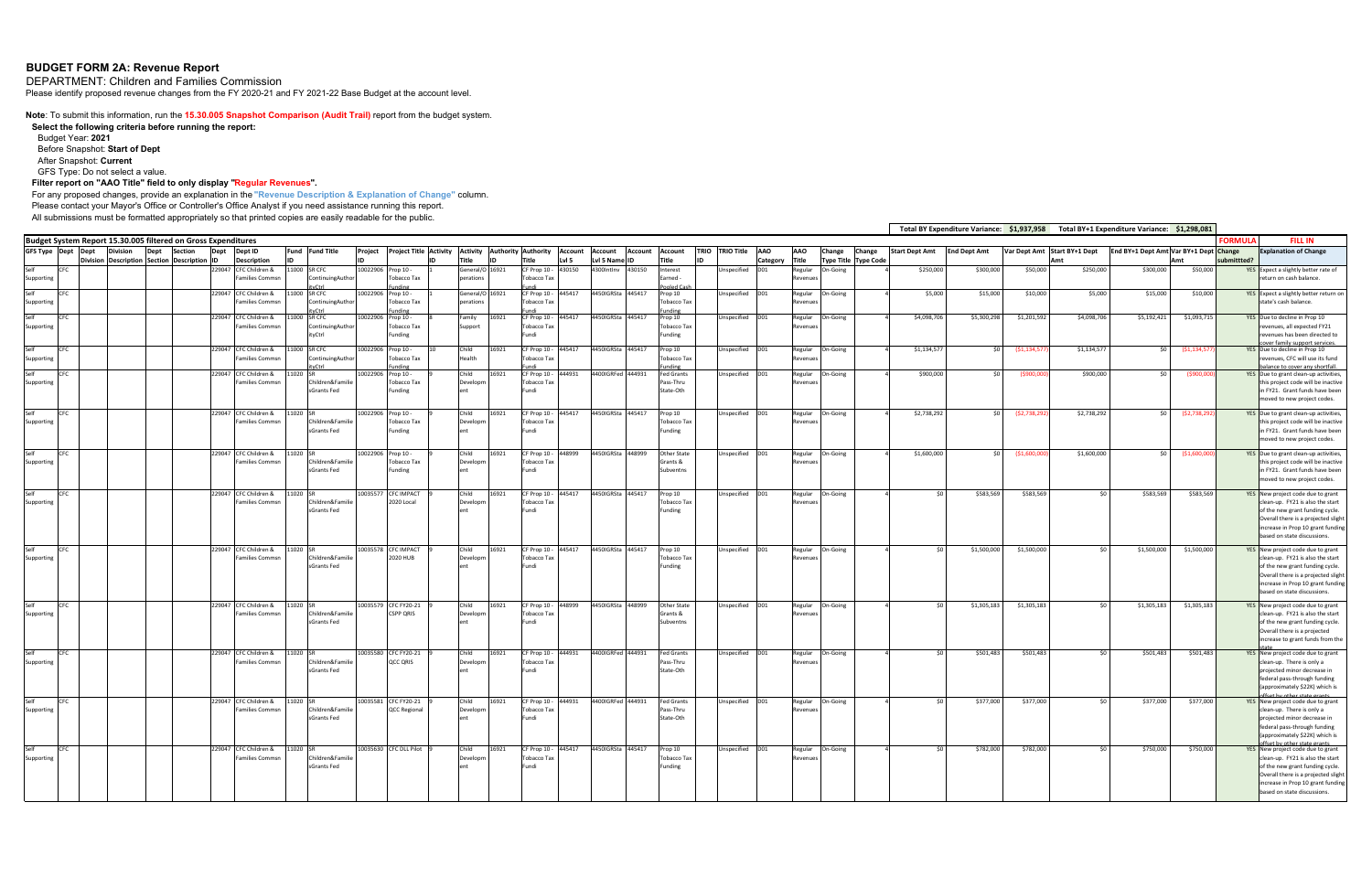# **BUDGET FORM 2A: Revenue Report**

DEPARTMENT: Children and Families Commission

Please identify proposed revenue changes from the FY 2020-21 and FY 2021-22 Base Budget at the account level.

**Note**: To submit this information, run the **15.30.005 Snapshot Comparison (Audit Trail)** report from the budget system.

**Select the following criteria before running the report:**  Budget Year: **2021** Before Snapshot: **Start of Dept**

After Snapshot: **Current**

GFS Type: Do not select a value.

#### **Filter report on "AAO Title" field to only display "Regular Revenues".**

For any proposed changes, provide an explanation in the **"Revenue Description & Explanation of Change"** column.

Please contact your Mayor's Office or Controller's Office Analyst if you need assistance running this report.

All submissions must be formatted appropriately so that printed copies are easily readable for the public.

**Budget System Report 15.30.005 filtered on Gross Expenditures GFS Type Dept Dept DivisionDivisionDescription Dept SectionSection Description Dept IDDept ID Description Fund IDFundProject IDProject Title Activity IDActivity Title Authority Authority IDTitle Account Lvl 5 Account Lvl 5 Name ID Account Account Title TRIO IDTRIO Title AAO Category AAO Title Change Type Title Type Code Change Start Dept Amt End** Dept Amt SelfSupporting CFC 229047 CFC Children & Families Commsn1000 SR CFC ContinuingAuthor ityCtrl 10022906 Prop 10 ‐ Tobacco Tax Prop 10 eneral/C rations 16921 CF Prop 10 ‐ Tobacco Tax Fundi<br>CF Prop 10 -430150 4300IntInv 430150 Interest Earned ‐ Pooled Cash specified D01 Regular RevenuesSelfSupporting CFC 229047 CFCCFC Children & Families Commsn11000 SR CFC ContinuingAuthor ityCtrl 11000 SR CFC 10022906 Tobacco Tax ding 1 General/O rations 5921 Tobacco Tax FundiF Prop 10 -445417 4450IGRSta 445417 Prop 10 Tobacco Tax Funding<br>Prop 10 Unspecified D01 Regular RevenuesSelfSupporting CFC 229047 CFCCFC Children & Families CommsnontinuingAut ityCtrl 022906 Prop 10 -Tobacco Tax ding 8 Family Support 6921 Tobacco Tax Fundi 15417 4450IGRSta 445417 Tobacco Tax Funding Unspecified D01 Regular RevenuesSelfSupporting CFC 229047 CFC Children & Families Commsn11000 SR CFC ContinuingAuthor ityCtrl 0022906 Prop 10 -Tobacco Tax Funding **Child**  Health 6921 CF Prop 10 -Tobacco Tax FundiF Prop 10 -445417 4450IGRSta 445417 Prop 10 Tobacco Tax Funding Unspecified D01 Regular RevenuesSelfSupporting CFC 229047 CFCCFC Children & Families Commsn11020 SRildren&Fami sGrants Fed rop 10 -Tobacco Tax nding Child evelon ent6921 Tobacco Tax Fundi 14931 4400IGRFed **Fed Grants** Pass‐Thru State‐Oth Unspecified D01 Regular RevenuesSelfSupporting CFC 229047 CFC Children & Families Commsn11020 SRildren&Famil sGrants Fed $\overline{0}$ rop 10 -Tobacco Tax nding 9 Child Develop ent16921 CFF Prop 10 -Tobacco Tax ndi  $\gamma$ rop 10 Tobacco Tax inding pecified D01 Regular RevenuesSelfSupporting EFC 229047 CFC Children & Families Commsn1020 ildren&Fami sGrants Fed 122906 Prop 10 · Tobacco Tax nding Child Developm ent5921 CF Prop 10 Tobacco Tax Fundi 8999 4450IGRSta 448999 **Other Stat**  Grants & ubventn Unspecified D01 Regular RevenuesSelfSupporting CFC 229047 CFC Children & Families Commsn11020 SRhildren&Fam sGrants Fed10035577 CFC IMPACT 2020 Local 9 Child Developm ent16921 **CF Prop 10 -**Tobacco Tax FundiProp 10 Tobacco Tax unding specified D01 Regular RevenuesSelfSupporting CFC 229047 CFC Children & Families Commsn11020 SRildren&Famili sGrants Fed10035578 CFC IMPACT 2020 HUBChild evelon ent16921 CF Prop 10 -Tobacco Tax Fundi445417 4450IGRSta 445417 Prop 10 Tobacco Tax Funding nspecified D01 Regular RevenuesSelfSupporting CFC 229047 CFC Children & Families Commsn $1020$ hildren&Fami sGrants Fed135579 CFC FY20-21 CSPP QRIS 9 Child Developm ent6921 CF Prop 10 -Tobacco Tax undi 48999 4450IGRSta 448999 State Grants &Ibventns specified D01 Regular RevenuesSelfSupporting CFC 229047 Children & Families Commsn1020 ildren&Fami sGrants Fed10035580 CFC FY20‐21 QCC QRIS 9 Child Developm ent6921 CF Prop 10 -Tobacco Tax Fundi44931 4400IGRFed 444931 Fed Grants Pass‐Thru State‐Othnspecified D01 Regular RevenuesSelfSupporting CFC 229047 CFC Children & Families Commsn1020 ildren&Fami sGrants Fed10035581 CFC FY20‐21 QCC Regional 9 Child Developm ent6921 CF Prop 10 Tobacco Tax Fundi 4931 4400IGRFed 444931 Fed Grants Pass‐Thru State‐Othnspecified D01 Regular RevenuesSelfSupporting CFC 229047 CFC Children &Families Commsn1020 dren&Fami sGrants Fed 035630 CFC DLL Pilot 9 Child Developm ent6921 CF Prop 10 -Tobacco Tax Fundi 445417 4450IGRSta 445417 Prop 10 Tobacco Tax inding Unspecified D01 Regular Revenues

|                      |                            |                       | <b>Total BY Expenditure Variance:</b> | \$1,937,958    |                        | <b>Total BY+1 Expenditure Variance:</b> | \$1,298,081    |                |                                                                                                                                                                                                                     |
|----------------------|----------------------------|-----------------------|---------------------------------------|----------------|------------------------|-----------------------------------------|----------------|----------------|---------------------------------------------------------------------------------------------------------------------------------------------------------------------------------------------------------------------|
|                      |                            |                       |                                       |                |                        |                                         |                | <b>FORMUL/</b> | <b>FILL IN</b>                                                                                                                                                                                                      |
| Change<br>Type Title | Change<br><b>Type Code</b> | <b>Start Dept Amt</b> | <b>End Dept Amt</b>                   | Var Dept Amt   | Start BY+1 Dept<br>Amt | End BY+1 Dept Amt Var BY+1 Dept Change  | Amt            | submittted?    | <b>Explanation of Change</b>                                                                                                                                                                                        |
| On-Going             |                            | \$250,000             | \$300,000                             | \$50,000       | \$250,000              | \$300,000                               | \$50,000       | YES            | Expect a slightly better rate of<br>return on cash balance.                                                                                                                                                         |
| On-Going             |                            | \$5,000               | \$15,000                              | \$10,000       | \$5,000                | \$15,000                                | \$10,000       | YES            | Expect a slightly better return on<br>state's cash balance.                                                                                                                                                         |
| On-Going             | 4                          | \$4,098,706           | \$5,300,298                           | \$1,201,592    | \$4,098,706            | \$5,192,421                             | \$1,093,715    | YES            | Due to decline in Prop 10<br>revenues, all expected FY21<br>revenues has been directed to<br>over family support service                                                                                            |
| On-Going             | 4                          | \$1,134,577           | \$0                                   | ( \$1,134,577] | \$1,134,577            | \$0                                     | ( \$1,134,577) |                | YES Due to decline in Prop 10<br>revenues, CFC will use its fund<br>palance to cover any shortfall                                                                                                                  |
| On-Going             |                            | \$900,000             | \$0                                   | (\$900,000)    | \$900,000              | \$0                                     | ( \$900,000]   |                | YES Due to grant clean-up activities,<br>this project code will be inactive<br>in FY21. Grant funds have been<br>moved to new project codes.                                                                        |
| On-Going             | 4                          | \$2,738,292           | \$0                                   | (52, 738, 292) | \$2,738,292            | \$0                                     | (52, 738, 292) | YES            | Due to grant clean-up activities,<br>this project code will be inactive<br>in FY21. Grant funds have been<br>moved to new project codes.                                                                            |
| On-Going             | 4                          | \$1,600,000           | \$0                                   | ( \$1,600,000] | \$1,600,000            | \$0                                     | ( \$1,600,000] |                | YES Due to grant clean-up activities,<br>this project code will be inactive<br>in FY21. Grant funds have been<br>moved to new project codes.                                                                        |
| On-Going             | 4                          | \$0                   | \$583,569                             | \$583,569      | \$0                    | \$583,569                               | \$583,569      | <b>YES</b>     | New project code due to grant<br>clean-up. FY21 is also the start<br>of the new grant funding cycle.<br>Overall there is a projected slight<br>increase in Prop 10 grant funding<br>based on state discussions.     |
| On-Going             | 4                          | \$0                   | \$1,500,000                           | \$1,500,000    | \$0                    | \$1,500,000                             | \$1,500,000    |                | YES New project code due to grant<br>clean-up. FY21 is also the start<br>of the new grant funding cycle.<br>Overall there is a projected slight<br>increase in Prop 10 grant funding<br>based on state discussions. |
| On-Going             |                            | \$0                   | \$1,305,183                           | \$1,305,183    | \$0                    | \$1,305,183                             | \$1,305,183    |                | YES New project code due to grant<br>clean-up. FY21 is also the start<br>of the new grant funding cycle.<br>Overall there is a projected<br>increase to grant funds from the                                        |
| On-Going             | 4                          | \$0                   | \$501,483                             | \$501,483      | \$0                    | \$501,483                               | \$501,483      |                | YES New project code due to grant<br>clean-up. There is only a<br>projected minor decrease in<br>federal pass-through funding<br>(approximately \$22K) which is                                                     |
| On-Going             | 4                          | \$0                   | \$377,000                             | \$377,000      | \$0                    | \$377,000                               | \$377,000      | <b>YES</b>     | New project code due to grant<br>clean-up. There is only a<br>projected minor decrease in<br>federal pass-through funding<br>(approximately \$22K) which is                                                         |
| On-Going             | 4                          | \$0                   | \$782,000                             | \$782,000      | \$0                    | \$750,000                               | \$750,000      | <b>YES</b>     | New project code due to grant<br>clean-up. FY21 is also the start<br>of the new grant funding cycle.<br>Overall there is a projected slight<br>increase in Prop 10 grant funding<br>based on state discussions.     |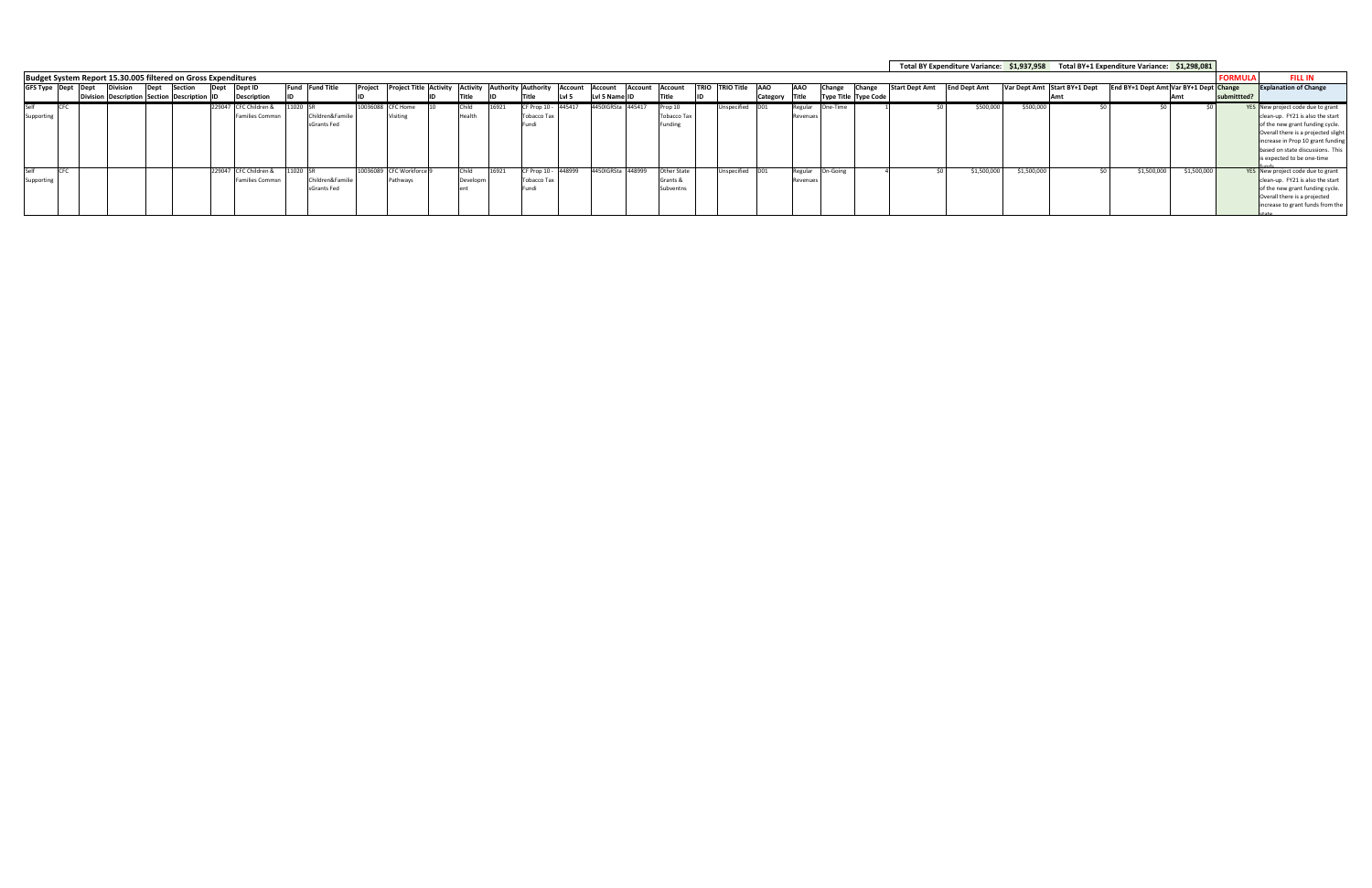|            |                             |  |      |                                                               |      |                        |          |                  |         |                                                     |          |       |                     |            |                        |         |                    |             |                   |            |            |                      |                |                       |                     |            |                              | Total BY Expenditure Variance: \$1,937,958 Total BY+1 Expenditure Variance: \$1,298,081 |             |                                     |
|------------|-----------------------------|--|------|---------------------------------------------------------------|------|------------------------|----------|------------------|---------|-----------------------------------------------------|----------|-------|---------------------|------------|------------------------|---------|--------------------|-------------|-------------------|------------|------------|----------------------|----------------|-----------------------|---------------------|------------|------------------------------|-----------------------------------------------------------------------------------------|-------------|-------------------------------------|
|            |                             |  |      | Budget System Report 15.30.005 filtered on Gross Expenditures |      |                        |          |                  |         |                                                     |          |       |                     |            |                        |         |                    |             |                   |            |            |                      |                |                       |                     |            |                              |                                                                                         |             | <b>FILL IN</b>                      |
|            | GFS Type Dept Dept Division |  | Dept | <b>Section</b>                                                | Dept | Dept ID                |          | Fund Fund Title  | Project | Project Title Activity Activity Authority Authority |          |       |                     |            | <b>Account Account</b> | Account | <b>Account</b>     | <b>TRIO</b> | <b>TRIO Title</b> | <b>AAO</b> | <b>AAO</b> | Change               | <b>IChange</b> | <b>Start Dept Amt</b> | <b>End Dept Amt</b> |            | Var Dept Amt Start BY+1 Dept | End BY+1 Dept Amt Var BY+1 Dept Change                                                  |             | <b>Explanation of Change</b>        |
|            |                             |  |      | Division Description Section Description ID                   |      | <b>Description</b>     |          |                  |         |                                                     |          |       | Title               | Lvl 5      | Lvl 5 Name             |         |                    |             |                   | Category   | Title      | Type Title Type Code |                |                       |                     |            |                              |                                                                                         |             |                                     |
| Self       |                             |  |      |                                                               |      | 229047 CFC Children &  | 11020 SR |                  |         | 10036088 CFC Home                                   | Child    |       | CF Prop 10 -        | $- 445417$ | 4450IGRSta 445417      |         | op 10              |             | Inspecified       |            | Regular    | One-Time             |                |                       | \$500,000           | \$500,00   |                              |                                                                                         |             | YES New project code due to grant   |
| Supporting |                             |  |      |                                                               |      | <b>Families Commsn</b> |          | Children&Familie |         | Visitin <sub>c</sub>                                | Health   |       | Tobacco Ta:         |            |                        |         | Tobacco Tax        |             |                   |            | Revenue    |                      |                |                       |                     |            |                              |                                                                                         |             | clean-up. FY21 is also the start    |
|            |                             |  |      |                                                               |      |                        |          | sGrants Fed      |         |                                                     |          |       | Fundi               |            |                        |         | Funding            |             |                   |            |            |                      |                |                       |                     |            |                              |                                                                                         |             | of the new grant funding cycle.     |
|            |                             |  |      |                                                               |      |                        |          |                  |         |                                                     |          |       |                     |            |                        |         |                    |             |                   |            |            |                      |                |                       |                     |            |                              |                                                                                         |             | Overall there is a projected slight |
|            |                             |  |      |                                                               |      |                        |          |                  |         |                                                     |          |       |                     |            |                        |         |                    |             |                   |            |            |                      |                |                       |                     |            |                              |                                                                                         |             | increase in Prop 10 grant funding   |
|            |                             |  |      |                                                               |      |                        |          |                  |         |                                                     |          |       |                     |            |                        |         |                    |             |                   |            |            |                      |                |                       |                     |            |                              |                                                                                         |             | based on state discussions. This    |
|            |                             |  |      |                                                               |      |                        |          |                  |         |                                                     |          |       |                     |            |                        |         |                    |             |                   |            |            |                      |                |                       |                     |            |                              |                                                                                         |             | is expected to be one-time          |
| Self       |                             |  |      |                                                               |      | 229047 CFC Children &  | 11020 SR |                  |         | 10036089 CFC Workforce 9                            | Child    | 16921 | CF Prop 10 - 448999 |            | 4450IGRSta 448999      |         | <b>Other State</b> |             | Inspecified       |            | Regular    | n-Going              |                |                       | \$1,500,000         | \$1,500,00 |                              | \$1,500,000                                                                             | \$1,500,000 | YES New project code due to grant   |
| Supporting |                             |  |      |                                                               |      | <b>Families Commsn</b> |          | Children&Familie |         | Pathways                                            | Developm |       | <b>Tobacco Tax</b>  |            |                        |         | Grants &           |             |                   |            | Revenue    |                      |                |                       |                     |            |                              |                                                                                         |             | clean-up. FY21 is also the start    |
|            |                             |  |      |                                                               |      |                        |          | sGrants Fed      |         |                                                     |          |       | Fundi               |            |                        |         | subventr           |             |                   |            |            |                      |                |                       |                     |            |                              |                                                                                         |             | of the new grant funding cycle.     |
|            |                             |  |      |                                                               |      |                        |          |                  |         |                                                     |          |       |                     |            |                        |         |                    |             |                   |            |            |                      |                |                       |                     |            |                              |                                                                                         |             | Overall there is a projected        |
|            |                             |  |      |                                                               |      |                        |          |                  |         |                                                     |          |       |                     |            |                        |         |                    |             |                   |            |            |                      |                |                       |                     |            |                              |                                                                                         |             | increase to grant funds from the    |
|            |                             |  |      |                                                               |      |                        |          |                  |         |                                                     |          |       |                     |            |                        |         |                    |             |                   |            |            |                      |                |                       |                     |            |                              |                                                                                         |             |                                     |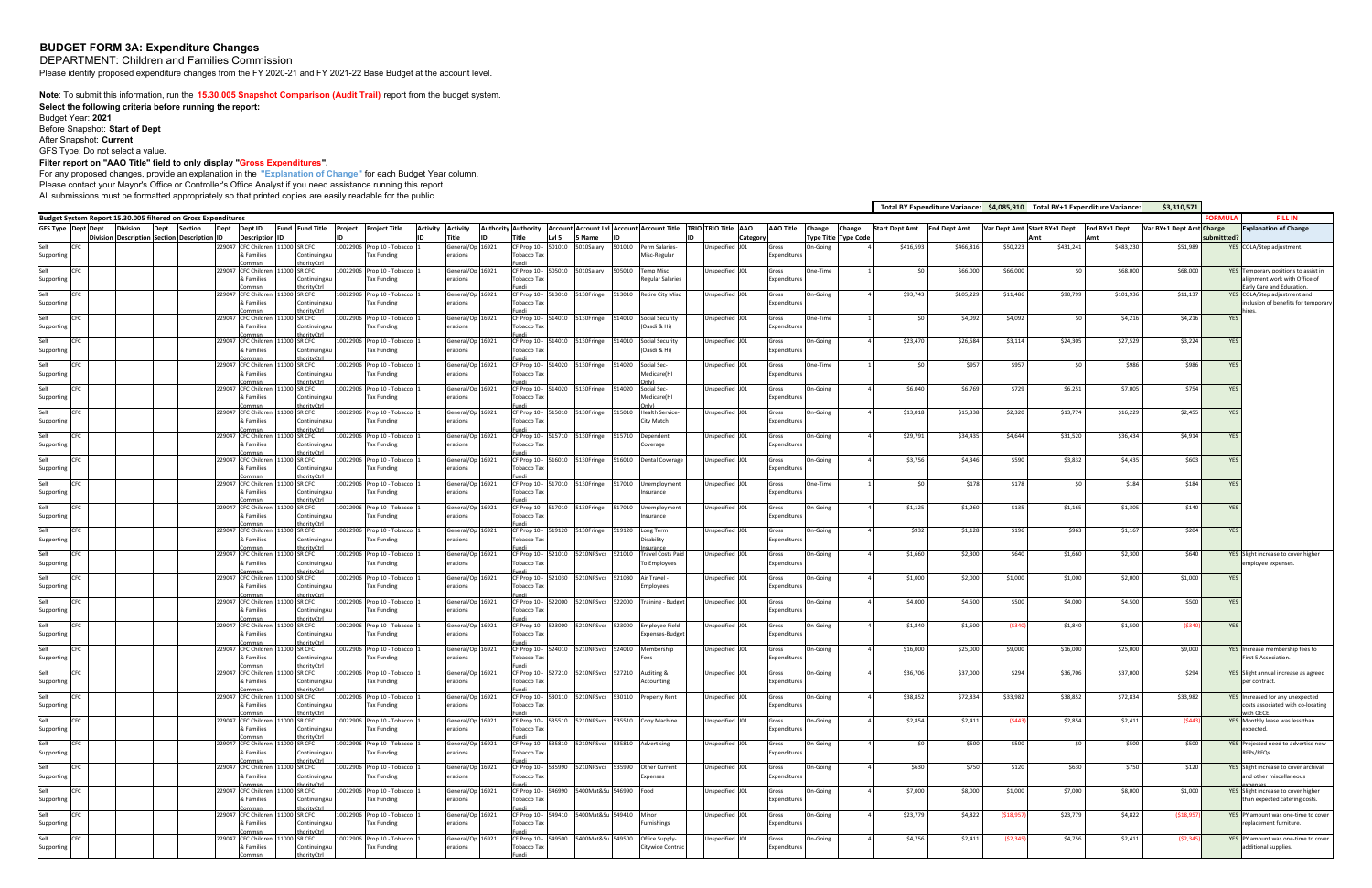# **BUDGET FORM 3A: Expenditure Changes**

DEPARTMENT: Children and Families Commission

Please identify proposed expenditure changes from the FY 2020-21 and FY 2021-22 Base Budget at the account level.

**Note**: To submit this information, run the **15.30.005 Snapshot Comparison (Audit Trail)** report from the budget system.

**Select the following criteria before running the report:**  Budget Year: **2021** Before Snapshot: **Start of Dept** After Snapshot: **Current** GFS Type: Do not select a value.

#### **Filter report on "AAO Title" field to only display "Gross Expenditures".**

For any proposed changes, provide an explanation in the **"Explanation of Change"** for each Budget Year column. Please contact your Mayor's Office or Controller's Office Analyst if you need assistance running this report. All submissions must be formatted appropriately so that printed copies are easily readable for the public.

|                    | \$3,310,571<br>Total BY Expenditure Variance: \$4,085,910 Total BY+1 Expenditure Variance:<br>Budget System Report 15.30.005 filtered on Gross Expenditures                                                                                                                                                                                                                                                                                                                  |                                                                                                                                                                                                                                                                                                                                                                                                    |  |  |  |                                   |  |                                    |  |                    |                            |  |                              |                             |                           |                                       |        |                                                                          |                 |       |                     |          |          |           |             |          |           |            |            |                                                                  |
|--------------------|------------------------------------------------------------------------------------------------------------------------------------------------------------------------------------------------------------------------------------------------------------------------------------------------------------------------------------------------------------------------------------------------------------------------------------------------------------------------------|----------------------------------------------------------------------------------------------------------------------------------------------------------------------------------------------------------------------------------------------------------------------------------------------------------------------------------------------------------------------------------------------------|--|--|--|-----------------------------------|--|------------------------------------|--|--------------------|----------------------------|--|------------------------------|-----------------------------|---------------------------|---------------------------------------|--------|--------------------------------------------------------------------------|-----------------|-------|---------------------|----------|----------|-----------|-------------|----------|-----------|------------|------------|------------------------------------------------------------------|
|                    | Authority Authority   Account   Account Lvl   Account   Account Title   TRIO   TRIO Title   AAO<br><b>Division</b><br>Dept ID<br>Fund Fund Title Project Project Title<br><b>Activity</b><br><b>Activity</b><br><b>AAO Title</b><br>Start Dept Amt End Dept Amt<br>Var Dept Amt Start BY+1 Dept<br>Var BY+1 Dept Amt Change<br>GFS Type Dept Dept<br><b>Section</b><br>Dept<br>Change Change<br>End BY+1 Dept<br>Dept<br>Title<br>Lvl 5<br>5 Name<br>ïtle<br><b>Division</b> |                                                                                                                                                                                                                                                                                                                                                                                                    |  |  |  |                                   |  |                                    |  |                    |                            |  |                              |                             | ORMULA                    | <b>FILL IN</b>                        |        |                                                                          |                 |       |                     |          |          |           |             |          |           |            |            |                                                                  |
|                    |                                                                                                                                                                                                                                                                                                                                                                                                                                                                              |                                                                                                                                                                                                                                                                                                                                                                                                    |  |  |  |                                   |  |                                    |  |                    |                            |  |                              |                             |                           |                                       |        |                                                                          |                 |       |                     |          |          |           |             |          |           |            |            | <b>Explanation of Change</b>                                     |
|                    |                                                                                                                                                                                                                                                                                                                                                                                                                                                                              | <b>Description Section Description ID</b><br><b>Description ID</b><br>Category<br>Type Title  Type Code<br>ubmittted?<br>\$416,593<br>229047 CFC Children<br>11000 SR CFC<br>501010<br>\$466,816<br>\$50,223<br>\$431,241<br>\$483,230<br>\$51,989<br>10022906 Prop 10 - Tobacco<br>General/Op 16921<br>CF Prop 10<br>01010<br>5010Salary<br>Perm Salaries-<br>nspecified J01<br>On-Going<br>Gross |  |  |  |                                   |  |                                    |  |                    |                            |  |                              |                             | YES COLA/Step adjustment. |                                       |        |                                                                          |                 |       |                     |          |          |           |             |          |           |            |            |                                                                  |
| Supporting         |                                                                                                                                                                                                                                                                                                                                                                                                                                                                              |                                                                                                                                                                                                                                                                                                                                                                                                    |  |  |  | & Families                        |  | ContinuingAu                       |  | Tax Funding        |                            |  | erations                     | Tobacco Tax                 |                           |                                       |        | Misc-Regular                                                             |                 |       | Expenditures        |          |          |           |             |          |           |            |            |                                                                  |
| Self               | <b>CFC</b>                                                                                                                                                                                                                                                                                                                                                                                                                                                                   |                                                                                                                                                                                                                                                                                                                                                                                                    |  |  |  | 229047 CFC Children               |  | orityCtr<br>1000 SR CFC            |  |                    | 10022906 Prop 10 - Tobacco |  | General/Op 16921             | CF Prop 10 -                |                           | 505010 5010Salary                     | 505010 | <b>Temp Misc</b>                                                         | Unspecified J01 | Gross |                     | One-Time | -50      | \$66,000  | \$66,000    | \$0      | \$68,000  | \$68,000   |            | YES Temporary positions to assist in                             |
| Supporting         |                                                                                                                                                                                                                                                                                                                                                                                                                                                                              |                                                                                                                                                                                                                                                                                                                                                                                                    |  |  |  | & Families                        |  | ContinuingAu                       |  | <b>Tax Funding</b> |                            |  | erations                     | Tobacco Tax                 |                           |                                       |        | Regular Salaries                                                         |                 |       | Expenditures        |          |          |           |             |          |           |            |            | ilignment work with Office of                                    |
| Self               | <b>CFC</b>                                                                                                                                                                                                                                                                                                                                                                                                                                                                   |                                                                                                                                                                                                                                                                                                                                                                                                    |  |  |  | 229047 CFC Children               |  | <b>OrityCtrl</b><br>SR CFC<br>1000 |  |                    | 10022906 Prop 10 - Tobacco |  | General/Op 16921             | CF Prop 10 -                |                           | 513010 5130Fringe 513010              |        | <b>Retire City Misc</b>                                                  | Unspecified J01 | Gross |                     | On-Going | \$93,743 | \$105,229 | \$11,486    | \$90,799 | \$101,936 | \$11,137   |            | arly Care and Education<br>YES COLA/Step adjustment and          |
| Supporting         |                                                                                                                                                                                                                                                                                                                                                                                                                                                                              |                                                                                                                                                                                                                                                                                                                                                                                                    |  |  |  | ramilies ا                        |  | ContinuingAu                       |  | Tax Funding        |                            |  | erations                     | Tobacco Ta:                 |                           |                                       |        |                                                                          |                 |       | Expenditures        |          |          |           |             |          |           |            |            | inclusion of benefits for temporary                              |
| Self               | <b>CFC</b>                                                                                                                                                                                                                                                                                                                                                                                                                                                                   |                                                                                                                                                                                                                                                                                                                                                                                                    |  |  |  | 229047 CFC Children               |  | 1000 SR CFC                        |  |                    | 10022906 Prop 10 - Tobacco |  | General/Op 16921             |                             |                           | CF Prop 10 - 514010 5130Fringe 514010 |        | Social Security                                                          | Unspecified J01 | Gross |                     | One-Time | \$0      | \$4,092   | \$4,092     | \$0      | \$4,216   | \$4,216    | YES        |                                                                  |
| Supporting         |                                                                                                                                                                                                                                                                                                                                                                                                                                                                              |                                                                                                                                                                                                                                                                                                                                                                                                    |  |  |  | & Families                        |  | ContinuingAu                       |  | <b>Tax Funding</b> |                            |  | erations                     | Tobacco Tax                 |                           |                                       |        | Oasdi & Hi)                                                              |                 |       | Expenditures        |          |          |           |             |          |           |            |            |                                                                  |
| Self               | CFC                                                                                                                                                                                                                                                                                                                                                                                                                                                                          |                                                                                                                                                                                                                                                                                                                                                                                                    |  |  |  | 229047 CFC Children               |  | orityCtrl<br>1000 SR CFC           |  |                    | 10022906 Prop 10 - Tobacco |  | General/Op 16921             |                             |                           | CF Prop 10 - 514010 5130Fringe 514010 |        | Social Security                                                          | Unspecified J01 | Gross |                     | On-Going | \$23,470 | \$26,584  | \$3,114     | \$24,305 | \$27,529  | \$3,224    | YES        |                                                                  |
| Supporting         |                                                                                                                                                                                                                                                                                                                                                                                                                                                                              |                                                                                                                                                                                                                                                                                                                                                                                                    |  |  |  | & Families                        |  | ContinuingAu<br>orityCtrl          |  | Tax Funding        |                            |  | erations                     | Tobacco Tax                 |                           |                                       |        | Oasdi & Hi)                                                              |                 |       | Expenditures        |          |          |           |             |          |           |            |            |                                                                  |
| Self               | <b>CFC</b>                                                                                                                                                                                                                                                                                                                                                                                                                                                                   |                                                                                                                                                                                                                                                                                                                                                                                                    |  |  |  | 229047 CFC Children               |  | 1000 SR CFC                        |  |                    | 10022906 Prop 10 - Tobacco |  | General/Op 16921             |                             |                           | CF Prop 10 - 514020 5130Fringe 514020 |        | Social Sec-                                                              | Inspecified J01 | Gross |                     | One-Time | \$0      | \$957     | \$957       | \$0      | \$986     | \$986      | YES        |                                                                  |
| Supporting         |                                                                                                                                                                                                                                                                                                                                                                                                                                                                              |                                                                                                                                                                                                                                                                                                                                                                                                    |  |  |  | & Families                        |  | ContinuingAu<br>rityCtrl           |  | <b>Tax Funding</b> |                            |  | erations                     | <b>Tobacco Tax</b>          |                           |                                       |        | Medicare(HI                                                              |                 |       | Expenditures        |          |          |           |             |          |           |            |            |                                                                  |
| Self               | <b>CFC</b>                                                                                                                                                                                                                                                                                                                                                                                                                                                                   |                                                                                                                                                                                                                                                                                                                                                                                                    |  |  |  | 229047 CFC Children               |  | 1000 SR CFC                        |  |                    | 10022906 Prop 10 - Tobacco |  | General/Op 16921             |                             |                           | CF Prop 10 - 514020 5130Fringe 514020 |        | Social Sec-                                                              | Jnspecified J01 | Gross |                     | On-Going | \$6,040  | \$6,769   | \$729       | \$6,251  | \$7,005   | \$754      | YES        |                                                                  |
| Supporting         |                                                                                                                                                                                                                                                                                                                                                                                                                                                                              |                                                                                                                                                                                                                                                                                                                                                                                                    |  |  |  | & Families                        |  | ContinuingAu<br>orityCtrl          |  | <b>Tax Funding</b> |                            |  | erations                     | Tobacco Ta:                 |                           |                                       |        | Medicare(HI                                                              |                 |       | Expenditures        |          |          |           |             |          |           |            |            |                                                                  |
| Self               | <b>CFC</b>                                                                                                                                                                                                                                                                                                                                                                                                                                                                   |                                                                                                                                                                                                                                                                                                                                                                                                    |  |  |  | 229047 CFC Children               |  | 1000 SR CFC                        |  |                    | 10022906 Prop 10 - Tobacco |  | General/Op 16921             |                             |                           |                                       |        | CF Prop 10 - 515010 5130Fringe 515010 Health Service-                    | Unspecified J01 | Gross |                     | On-Going | \$13,018 | \$15,338  | \$2,320     | \$13,774 | \$16,229  | \$2,455    | YES        |                                                                  |
| Supporting         |                                                                                                                                                                                                                                                                                                                                                                                                                                                                              |                                                                                                                                                                                                                                                                                                                                                                                                    |  |  |  | & Families                        |  | ContinuingAu                       |  | Tax Funding        |                            |  | erations                     | Tobacco Tax                 |                           |                                       |        | City Match                                                               |                 |       | Expenditures        |          |          |           |             |          |           |            |            |                                                                  |
| Self               | <b>CFC</b>                                                                                                                                                                                                                                                                                                                                                                                                                                                                   |                                                                                                                                                                                                                                                                                                                                                                                                    |  |  |  | 229047 CFC Children               |  | 1000 SR CFC                        |  |                    | 10022906 Prop 10 - Tobacco |  | General/Op 16921             |                             |                           |                                       |        | CF Prop 10 - 515710 5130Fringe 515710 Dependent                          | Unspecified J01 | Gross |                     | On-Going | \$29,791 | \$34,435  | \$4,644     | \$31,520 | \$36,434  | \$4,914    | YES        |                                                                  |
| Supporting         |                                                                                                                                                                                                                                                                                                                                                                                                                                                                              |                                                                                                                                                                                                                                                                                                                                                                                                    |  |  |  | & Families                        |  | ContinuingAu                       |  | Tax Funding        |                            |  | erations                     | Tobacco Tax                 |                           |                                       |        | overage                                                                  |                 |       | <b>Expenditures</b> |          |          |           |             |          |           |            |            |                                                                  |
| Self               | <b>CFC</b>                                                                                                                                                                                                                                                                                                                                                                                                                                                                   |                                                                                                                                                                                                                                                                                                                                                                                                    |  |  |  | 229047 CFC Children               |  | 1000 SR CFC                        |  |                    | 10022906 Prop 10 - Tobacco |  | General/Op 16921             |                             |                           |                                       |        | CF Prop 10 - 516010 5130Fringe 516010 Dental Coverage                    | Unspecified J01 | Gross |                     | On-Going | \$3,756  | \$4,346   | \$590       | \$3,832  | \$4,435   | \$603      | YES        |                                                                  |
| Supporting         |                                                                                                                                                                                                                                                                                                                                                                                                                                                                              |                                                                                                                                                                                                                                                                                                                                                                                                    |  |  |  | & Families                        |  | ContinuingAu                       |  | Tax Funding        |                            |  | erations                     | Tobacco Tax                 |                           |                                       |        |                                                                          |                 |       | Expenditures        |          |          |           |             |          |           |            |            |                                                                  |
| Self               | <b>CFC</b>                                                                                                                                                                                                                                                                                                                                                                                                                                                                   |                                                                                                                                                                                                                                                                                                                                                                                                    |  |  |  | 229047 CFC Children<br>& Families |  | 1000 SR CFC<br>ContinuingAu        |  | Tax Funding        | 10022906 Prop 10 - Tobacco |  | General/Op 16921<br>erations | Tobacco Ta:                 |                           |                                       |        | CF Prop 10 - 517010 5130Fringe 517010 Unemployment<br>nsurance           | Unspecified J01 | Gross | Expenditure         | One-Time | \$0      | \$178     | \$178       | \$0      | \$184     | \$184      | YES        |                                                                  |
| Supporting         |                                                                                                                                                                                                                                                                                                                                                                                                                                                                              |                                                                                                                                                                                                                                                                                                                                                                                                    |  |  |  |                                   |  | rityCtr                            |  |                    |                            |  |                              |                             |                           |                                       |        |                                                                          |                 |       |                     |          |          |           |             |          |           |            |            |                                                                  |
| Self<br>Supporting | <b>CFC</b>                                                                                                                                                                                                                                                                                                                                                                                                                                                                   |                                                                                                                                                                                                                                                                                                                                                                                                    |  |  |  | 229047 CFC Children<br>& Families |  | 1000 SR CFC<br><b>ContinuingAu</b> |  | <b>Tax Funding</b> | 10022906 Prop 10 - Tobacco |  | General/Op 16921<br>erations | Tobacco Tax                 |                           |                                       |        | CF Prop 10 - 517010 5130Fringe 517010 Unemployment<br>hsurance           | Unspecified J01 | Gross | Expenditures        | On-Going | \$1,125  | \$1,260   | \$135       | \$1,165  | \$1,305   | \$140      | YES        |                                                                  |
|                    |                                                                                                                                                                                                                                                                                                                                                                                                                                                                              |                                                                                                                                                                                                                                                                                                                                                                                                    |  |  |  |                                   |  |                                    |  |                    |                            |  |                              |                             |                           |                                       |        |                                                                          |                 |       |                     |          |          |           |             |          |           |            |            |                                                                  |
| Self<br>Supporting | <b>CFC</b>                                                                                                                                                                                                                                                                                                                                                                                                                                                                   |                                                                                                                                                                                                                                                                                                                                                                                                    |  |  |  | 229047 CFC Children<br>& Families |  | 1000 SR CFC<br>ContinuingAu        |  | Tax Funding        | 10022906 Prop 10 - Tobacco |  | General/Op 16921<br>erations | Tobacco Ta:                 |                           | CF Prop 10 - 519120 5130Fringe 519120 |        | Long Term<br>Disability                                                  | Unspecified J01 | Gross | Expenditures        | On-Going | \$932    | \$1,128   | \$196       | \$963    | \$1,167   | \$204      | <b>YES</b> |                                                                  |
|                    |                                                                                                                                                                                                                                                                                                                                                                                                                                                                              |                                                                                                                                                                                                                                                                                                                                                                                                    |  |  |  |                                   |  | prityCtrl                          |  |                    |                            |  |                              |                             |                           |                                       |        |                                                                          |                 |       |                     |          |          |           |             |          |           |            |            |                                                                  |
| Self<br>Supporting | <b>CFC</b>                                                                                                                                                                                                                                                                                                                                                                                                                                                                   |                                                                                                                                                                                                                                                                                                                                                                                                    |  |  |  | 229047 CFC Children<br>& Families |  | 1000 SR CFC<br>Continuing Au       |  | Tax Funding        | 10022906 Prop 10 - Tobacco |  | General/Op 16921<br>erations | CF Prop 10 -<br>Tobacco Tax |                           | 521010 5210NPSvcs 521010              |        | <b>Travel Costs Pai</b><br>To Employees                                  | Unspecified J01 | Gross | Expenditures        | On-Going | \$1,660  | \$2,300   | \$640       | \$1,660  | \$2,300   | \$640      |            | YES Slight increase to cover higher<br>employee expenses.        |
| Self               | ICFC                                                                                                                                                                                                                                                                                                                                                                                                                                                                         |                                                                                                                                                                                                                                                                                                                                                                                                    |  |  |  | 229047 CFC Children               |  | SR CFC                             |  |                    | 0022906 Prop 10 - Tobacco  |  | General/Op 16921             | CF Prop 10 -                |                           | 521030   5210NPSvcs   521030          |        | Air Travel                                                               | Unspecified J01 | Gross |                     | On-Going | \$1,000  | \$2,000   | \$1,000     | \$1,000  | \$2,000   | \$1,000    | YES        |                                                                  |
| Supporting         |                                                                                                                                                                                                                                                                                                                                                                                                                                                                              |                                                                                                                                                                                                                                                                                                                                                                                                    |  |  |  | & Families                        |  | ContinuingAu                       |  | Tax Funding        |                            |  | erations                     | Tobacco Ta:                 |                           |                                       |        | <i>mployees</i>                                                          |                 |       | Expenditures        |          |          |           |             |          |           |            |            |                                                                  |
| Self               | <b>CFC</b>                                                                                                                                                                                                                                                                                                                                                                                                                                                                   |                                                                                                                                                                                                                                                                                                                                                                                                    |  |  |  | 229047 CFC Children               |  | prityCtrl<br>1000 SR CFC           |  |                    | 10022906 Prop 10 - Tobacco |  | General/Op 16921             | CF Prop 10 -                |                           | 522000   5210NPSvcs   522000          |        | <b>Training - Budget</b>                                                 | Unspecified J01 | Gross |                     | On-Going | \$4,000  | \$4,500   | \$500       | \$4,000  | \$4,500   | \$500      | YES        |                                                                  |
| Supporting         |                                                                                                                                                                                                                                                                                                                                                                                                                                                                              |                                                                                                                                                                                                                                                                                                                                                                                                    |  |  |  | Families                          |  | Continuing Au                      |  | <b>Tax Funding</b> |                            |  | erations                     | Tobacco Tax                 |                           |                                       |        |                                                                          |                 |       | Expenditures        |          |          |           |             |          |           |            |            |                                                                  |
| Self               | CFC.                                                                                                                                                                                                                                                                                                                                                                                                                                                                         |                                                                                                                                                                                                                                                                                                                                                                                                    |  |  |  | 229047 CFC Children               |  | nrityCtr<br>1000 SR CFC            |  |                    | 10022906 Prop 10 - Tobacco |  | General/Op 16921             |                             |                           | CF Prop 10 - 523000 5210NPSvcs 523000 |        | <b>Employee Field</b>                                                    | Jnspecified J01 | Gross |                     | On-Going | \$1,840  | \$1,500   | (\$340      | \$1,840  | \$1,500   | (\$340     | <b>YES</b> |                                                                  |
| Supporting         |                                                                                                                                                                                                                                                                                                                                                                                                                                                                              |                                                                                                                                                                                                                                                                                                                                                                                                    |  |  |  | & Families                        |  | ContinuingAu                       |  | Tax Funding        |                            |  | erations                     | <b>Tobacco Tax</b>          |                           |                                       |        | Expenses-Budge                                                           |                 |       | Expenditures        |          |          |           |             |          |           |            |            |                                                                  |
| Self               | CFC.                                                                                                                                                                                                                                                                                                                                                                                                                                                                         |                                                                                                                                                                                                                                                                                                                                                                                                    |  |  |  | 229047 CFC Children               |  | oritvCtrl<br>1000 SR CFC           |  |                    | 10022906 Prop 10 - Tobacco |  | General/Op 16921             | CF Prop 10 -                |                           | 524010 5210NPSvcs 524010              |        | Membership                                                               | Unspecified J01 | Gross |                     | On-Going | \$16,000 | \$25,000  | \$9,000     | \$16,000 | \$25,000  | \$9,000    |            | YES Increase membership fees to                                  |
| Supporting         |                                                                                                                                                                                                                                                                                                                                                                                                                                                                              |                                                                                                                                                                                                                                                                                                                                                                                                    |  |  |  | Families                          |  | Continuing Au<br>nrityCtr          |  | Tax Funding        |                            |  | erations                     | <b>Tobacco Tax</b>          |                           |                                       |        |                                                                          |                 |       | Expenditures        |          |          |           |             |          |           |            |            | First 5 Association.                                             |
| Self               | CFC.                                                                                                                                                                                                                                                                                                                                                                                                                                                                         |                                                                                                                                                                                                                                                                                                                                                                                                    |  |  |  | 229047 CFC Children               |  | SR CFC                             |  |                    | 0022906 Prop 10 - Tobacco  |  | General/Op 16921             | CF Prop 10 -                |                           | 527210 5210NPSvcs 527210              |        | Auditing &                                                               | Inspecified J01 | Gross |                     | On-Going | \$36,706 | \$37,000  | \$294       | \$36,706 | \$37,000  | \$294      |            | YES Slight annual increase as agreed                             |
| Supporting         |                                                                                                                                                                                                                                                                                                                                                                                                                                                                              |                                                                                                                                                                                                                                                                                                                                                                                                    |  |  |  | & Families                        |  | ContinuingAu<br>orityCtrl          |  | <b>Tax Funding</b> |                            |  | erations                     | Tobacco Tax                 |                           |                                       |        | Accounting                                                               |                 |       | Expenditures        |          |          |           |             |          |           |            |            | per contract                                                     |
| Self               | CFC                                                                                                                                                                                                                                                                                                                                                                                                                                                                          |                                                                                                                                                                                                                                                                                                                                                                                                    |  |  |  | 229047 CFC Children               |  | 11000 SR CFC                       |  |                    | 10022906 Prop 10 - Tobacco |  | General/Op 16921             |                             |                           |                                       |        | CF Prop 10 - 530110 5210NPSvcs 530110 Property Rent                      | Unspecified J01 | Gross |                     | On-Going | \$38,852 | \$72,834  | \$33,982    | \$38,852 | \$72,834  | \$33,982   |            | YES Increased for any unexpected                                 |
| Supporting         |                                                                                                                                                                                                                                                                                                                                                                                                                                                                              |                                                                                                                                                                                                                                                                                                                                                                                                    |  |  |  | & Families<br>ammsi               |  | ontinuingAu<br><b>orityCtrl</b>    |  | Tax Funding        |                            |  | erations                     | obacco Ta:                  |                           |                                       |        |                                                                          |                 |       | Expenditures        |          |          |           |             |          |           |            |            | costs associated with co-locating<br>vith OECE.                  |
| Self<br>Supporting | <b>CFC</b>                                                                                                                                                                                                                                                                                                                                                                                                                                                                   |                                                                                                                                                                                                                                                                                                                                                                                                    |  |  |  | 229047 CFC Children<br>& Families |  | 11000 SR CFC<br>ContinuingAu       |  | Tax Funding        | 10022906 Prop 10 - Tobacco |  | General/Op 16921<br>erations | Tobacco Tax                 |                           |                                       |        | CF Prop 10 - 535510 5210NPSvcs 535510 Copy Machine                       | Unspecified J01 | Gross | Expenditures        | On-Going | \$2,854  | \$2,411   | (\$443      | \$2,854  | \$2,411   | (\$443     |            | YES Monthly lease was less than<br>expected.                     |
|                    |                                                                                                                                                                                                                                                                                                                                                                                                                                                                              |                                                                                                                                                                                                                                                                                                                                                                                                    |  |  |  | commsn                            |  | <b>noritvCtrl</b>                  |  |                    |                            |  |                              |                             |                           |                                       |        |                                                                          |                 |       |                     |          |          |           |             |          |           |            |            |                                                                  |
| Self<br>Supporting | <b>CFC</b>                                                                                                                                                                                                                                                                                                                                                                                                                                                                   |                                                                                                                                                                                                                                                                                                                                                                                                    |  |  |  | 229047 CFC Children<br>& Families |  | 11000 SR CFC<br>ContinuingAu       |  | Tax Funding        | 10022906 Prop 10 - Tobacco |  | General/Op 16921<br>erations | Tobacco Tax                 |                           |                                       |        | CF Prop 10 - 535810 5210NPSvcs 535810 Advertising                        | Unspecified J01 | Gross | Expenditures        | On-Going | \$0      | \$500     | \$500       | \$0      | \$500     | \$500      |            | YES Projected need to advertise new<br>RFPs/RFQs.                |
|                    |                                                                                                                                                                                                                                                                                                                                                                                                                                                                              |                                                                                                                                                                                                                                                                                                                                                                                                    |  |  |  |                                   |  | <b>orityCtrl</b>                   |  |                    |                            |  |                              |                             |                           |                                       |        |                                                                          |                 |       |                     |          |          |           |             |          |           |            |            |                                                                  |
| Self<br>Supporting | <b>CFC</b>                                                                                                                                                                                                                                                                                                                                                                                                                                                                   |                                                                                                                                                                                                                                                                                                                                                                                                    |  |  |  | 229047 CFC Children<br>& Families |  | 11000 SR CFC<br>ContinuingAu       |  | Tax Funding        | 10022906 Prop 10 - Tobacco |  | General/Op 16921<br>erations | Tobacco Tax                 |                           |                                       |        | CF Prop 10 - 535990    5210NPSvcs    535990    Other Current<br>Expenses | Unspecified J01 | Gross | Expenditures        | On-Going | \$630    | \$750     | \$120       | \$630    | \$750     | \$120      |            | YES Slight increase to cover archival<br>and other miscellaneous |
| Self               | <b>CFC</b>                                                                                                                                                                                                                                                                                                                                                                                                                                                                   |                                                                                                                                                                                                                                                                                                                                                                                                    |  |  |  | mmer<br>229047 CFC Children       |  | norityCtrl<br>1000 SR CFC          |  |                    | 10022906 Prop 10 - Tobacco |  | General/Op 16921             |                             |                           | CF Prop 10 - 546990 5400Mat&Su 546990 |        | Food                                                                     | Unspecified J01 | Gross |                     | On-Going | \$7,000  | \$8,000   | \$1,000     | \$7,000  | \$8,000   | \$1,000    |            | YES Slight increase to cover higher                              |
| Supporting         |                                                                                                                                                                                                                                                                                                                                                                                                                                                                              |                                                                                                                                                                                                                                                                                                                                                                                                    |  |  |  | & Families                        |  | ContinuingAu                       |  | <b>Tax Funding</b> |                            |  | erations                     | Tobacco Tax                 |                           |                                       |        |                                                                          |                 |       | Expenditures        |          |          |           |             |          |           |            |            | than expected catering costs.                                    |
| Self               | <b>CFC</b>                                                                                                                                                                                                                                                                                                                                                                                                                                                                   |                                                                                                                                                                                                                                                                                                                                                                                                    |  |  |  | 229047 CFC Children               |  | orityCtrl<br>11000 SR CFC          |  |                    | 10022906 Prop 10 - Tobacco |  | General/Op 16921             | CF Prop 10 -                |                           | 549410  5400Mat&Su  549410  Minor     |        |                                                                          | Jnspecified J01 | Gross |                     | On-Going | \$23,779 | \$4,822   | ( \$18, 95] | \$23,779 | \$4,822   | (518, 957) |            | YES PY amount was one-time to cover                              |
| Supporting         |                                                                                                                                                                                                                                                                                                                                                                                                                                                                              |                                                                                                                                                                                                                                                                                                                                                                                                    |  |  |  | & Families                        |  | ContinuingAu                       |  | Tax Funding        |                            |  | erations                     | Tobacco Tax                 |                           |                                       |        | Furnishings                                                              |                 |       | Expenditures        |          |          |           |             |          |           |            |            | replacement furniture.                                           |
| Self               | <b>CFC</b>                                                                                                                                                                                                                                                                                                                                                                                                                                                                   |                                                                                                                                                                                                                                                                                                                                                                                                    |  |  |  | mmsr<br>229047 CFC Children       |  | <b>orityCtrl</b><br>11000 SR CFC   |  |                    | 10022906 Prop 10 - Tobacco |  | General/Op 16921             |                             |                           | CF Prop 10 - 549500 5400Mat&Su 549500 |        | Office Supply-                                                           | Unspecified J01 | Gross |                     | On-Going | \$4,756  | \$2,411   | (52, 345)   | \$4,756  | \$2,411   | (52, 345)  |            | YES PY amount was one-time to cover                              |
| Supporting         |                                                                                                                                                                                                                                                                                                                                                                                                                                                                              |                                                                                                                                                                                                                                                                                                                                                                                                    |  |  |  | & Families                        |  | ContinuingAu<br>rityCtrl           |  | Tax Funding        |                            |  | erations                     | Tobacco Tax                 |                           |                                       |        | Citywide Contrac                                                         |                 |       | Expenditures        |          |          |           |             |          |           |            |            | additional supplies.                                             |
|                    |                                                                                                                                                                                                                                                                                                                                                                                                                                                                              |                                                                                                                                                                                                                                                                                                                                                                                                    |  |  |  |                                   |  |                                    |  |                    |                            |  |                              |                             |                           |                                       |        |                                                                          |                 |       |                     |          |          |           |             |          |           |            |            |                                                                  |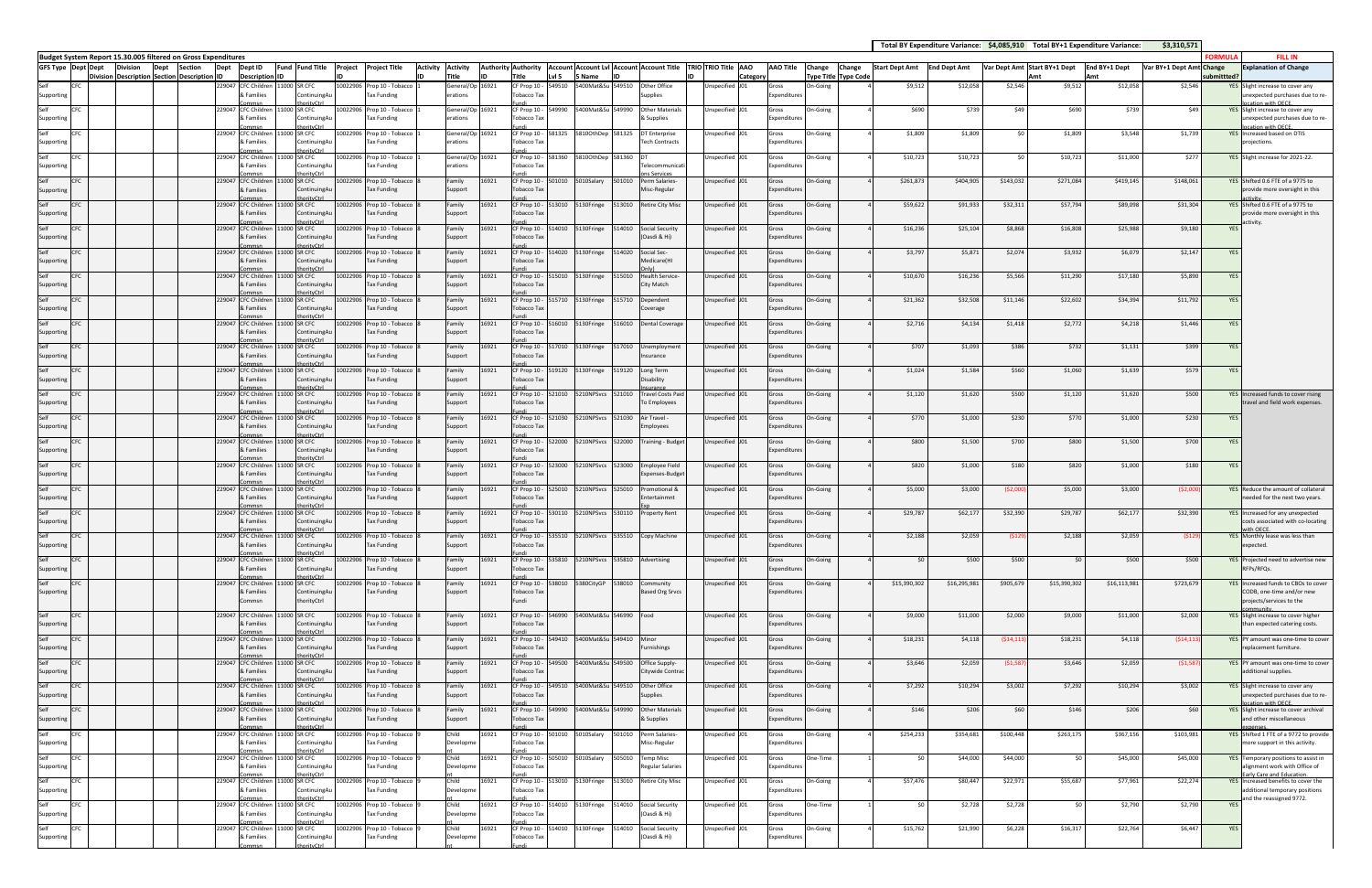|                                                                                     |          |                 |      |                                           |                     |                                   |                                                                     |  |                                                  |                              |       |                                                                     |        |                                       |                   |                                                                  |                        |         |                  |          |                             |                       |                     |             |                              | Total BY Expenditure Variance: \$4,085,910 Total BY+1 Expenditure Variance: | \$3,310,571              |               |                                                                                       |
|-------------------------------------------------------------------------------------|----------|-----------------|------|-------------------------------------------|---------------------|-----------------------------------|---------------------------------------------------------------------|--|--------------------------------------------------|------------------------------|-------|---------------------------------------------------------------------|--------|---------------------------------------|-------------------|------------------------------------------------------------------|------------------------|---------|------------------|----------|-----------------------------|-----------------------|---------------------|-------------|------------------------------|-----------------------------------------------------------------------------|--------------------------|---------------|---------------------------------------------------------------------------------------|
| Budget System Report 15.30.005 filtered on Gross Expenditures<br>GFS Type Dept Dept |          | <b>Division</b> | Dept | <b>Section</b>                            | Dept                | Dept ID                           | Fund Fund Title                                                     |  | Project Project Title<br><b>Activity</b>         | <b>Activity</b>              |       | Authority Authority   Account Account Lvl   Account   Account Title |        |                                       |                   |                                                                  | TRIO TRIO Title AAO    |         | <b>AAO Title</b> | Change   | Change                      | <b>Start Dept Amt</b> | <b>End Dept Amt</b> |             | Var Dept Amt Start BY+1 Dept | End BY+1 Dept                                                               | Var BY+1 Dept Amt Change | <b>FORMUL</b> | <b>FILL IN</b><br><b>Explanation of Change</b>                                        |
|                                                                                     | Division |                 |      | <b>Description Section Description ID</b> |                     | <b>Description</b>                |                                                                     |  |                                                  | Title                        |       | Title                                                               | Lvl 5  | Name                                  |                   |                                                                  |                        | Categor |                  |          | <b>Type Title Type Code</b> |                       |                     |             |                              | Amt                                                                         |                          | ubmittted?    |                                                                                       |
| Self<br><b>CEC</b><br>Supporting                                                    |          |                 |      |                                           | 229047              | & Families                        | CFC Children 11000 SR CFC<br>ContinuingAu                           |  | 10022906 Prop 10 - Tobacco<br>Tax Funding        | General/Op 16921<br>erations |       | CF Prop 10 - 549510<br>obacco Tax                                   |        |                                       | 5400Mat&Su 549510 | Other Office<br><b>Supplies</b>                                  | Jnspecified J01        | Gross   | Expenditure      | On-Going |                             | \$9,512               | \$12,058            | \$2,546     | \$9,512                      | \$12,058                                                                    | \$2,546                  |               | YES Slight increase to cover any<br>unexpected purchases due to re<br>ation with OFCF |
| Self<br>Supporting                                                                  |          |                 |      |                                           | 229047 CFC Children | & Families                        | 000 SR CFC<br>ContinuingAu                                          |  | 10022906 Prop 10 - Tobacco<br>Tax Funding        | General/Op<br>erations       | 16921 | CF Prop 10 -<br>Tobacco Tax                                         | 549990 |                                       | 5400Mat&Su 549990 | <b>Other Materials</b><br>& Supplies                             | Inspecified J01        | Gross   | Expenditures     | On-Going |                             | \$690                 | \$739               | \$49        | \$690                        | \$739                                                                       | \$49                     |               | YES Slight increase to cover any<br>unexpected purchases due to re-                   |
| Supporting                                                                          |          |                 |      |                                           | 229047              | <b>CFC Children</b><br>& Families | orityCtrl<br>1000 SR CFC<br>ContinuingAu                            |  | 10022906 Prop 10 - Tobacco<br>Tax Funding        | General/Op<br>erations       | 16921 | obacco Tax                                                          |        | CF Prop 10 - 581325 5810OthDep 581325 |                   | DT Enterprise<br><b>Tech Contracts</b>                           | Inspecified J01        | Gross   | Expenditures     | On-Going |                             | \$1,809               | \$1,809             | -SC         | \$1,809                      | \$3,548                                                                     | \$1,739                  |               | cation with OECE<br>YES Increased based on DTIS<br>projections.                       |
| Self<br>Supporting                                                                  |          |                 |      |                                           | 229047 CFC Children | & Families                        | 11000 SR CFC<br>ContinuingAu                                        |  | 10022906 Prop 10 - Tobacco<br>Tax Funding        | General/Op<br>erations       | 16921 | CF Prop 10 - 581360<br>Tobacco Tax                                  |        | 5810OthDep 581360                     |                   | Telecommunicati                                                  | Jnspecified J01        | Gross   | Expenditures     | On-Going |                             | \$10,723              | \$10,723            |             | \$10,723                     | \$11,000                                                                    | \$277                    |               | YES Slight increase for 2021-22.                                                      |
|                                                                                     |          |                 |      |                                           | 229047              | <b>CFC Children</b>               | $r$ ity $r$ tr<br>11000 SR CFC                                      |  | 10022906 Prop 10 - Tobacco                       | Family                       | 16921 | CF Prop 10 - 501010                                                 |        | 5010Salary                            | 501010            | Perm Salaries-                                                   | Unspecified J01        | Gross   |                  | On-Going |                             | \$261,873             | \$404,905           | \$143,032   | \$271,084                    | \$419,145                                                                   | \$148,061                |               | YES Shifted 0.6 FTE of a 9775 to                                                      |
| Supporting<br>Self                                                                  |          |                 |      |                                           | 229047              | & Families<br><b>CFC Children</b> | ContinuingAu<br>$\alpha$ rity $C$ trl<br>000 SR CFC                 |  | Tax Funding<br>10022906 Prop 10 - Tobacco        | Support<br>Family            | 16921 | Tobacco Tax                                                         |        | CF Prop 10 - 513010 5130Fringe        |                   | Misc-Regular<br>513010 Retire City Misc                          | Unspecified J01        | Gross   | Expenditures     | On-Going |                             | \$59,622              | \$91,933            | \$32,311    | \$57,794                     | \$89,098                                                                    | \$31,304                 |               | provide more oversight in this<br>YES Shifted 0.6 FTE of a 9775 to                    |
| Supporting<br>Self<br><b>ICEC</b>                                                   |          |                 |      |                                           | 229047 CFC Children | & Families                        | ContinuingAu<br>$\alpha$ rity $C$ trl<br>1000 SR CFC                |  | Tax Funding<br>10022906 Prop 10 - Tobacco        | Support<br>Family            | 16921 | <b>Tobacco Tax</b>                                                  |        | CF Prop 10 - 514010 5130Fringe 514010 |                   | Social Security                                                  | Unspecified J01        | Gross   | Expenditures     | On-Going |                             | \$16,236              | \$25,104            | \$8,868     | \$16,808                     | \$25,988                                                                    | \$9,180                  | <b>YES</b>    | provide more oversight in this<br>activity.                                           |
| Supporting                                                                          |          |                 |      |                                           |                     | & Families                        | ContinuingAu<br>rityCtrl                                            |  | Tax Funding                                      | Support                      |       | Tobacco Tax                                                         |        |                                       |                   | (Oasdi & Hi)                                                     |                        |         | Expenditures     |          |                             |                       |                     |             |                              |                                                                             |                          |               |                                                                                       |
| Self<br><b>CFC</b><br>Supporting                                                    |          |                 |      |                                           | 229047 CFC Children | & Families                        | 11000 SR CFC<br>ContinuingAu<br>righter                             |  | 10022906 Prop 10 - Tobacco<br>Tax Funding        | Family<br>Support            | 16921 | <b>Tobacco Tax</b>                                                  |        |                                       |                   | CF Prop 10 - 514020 5130Fringe 514020 Social Sec-<br>Medicare(HI | Unspecified J01        | Gross   | Expenditures     | On-Going |                             | \$3,797               | \$5,871             | \$2,074     | \$3,932                      | \$6,079                                                                     | \$2,147                  | YES           |                                                                                       |
| Self<br>C <sub>E</sub> C<br>Supporting                                              |          |                 |      |                                           | 229047              | <b>CFC Children</b><br>& Families | 1000 SR CFC<br>ContinuingAu<br>$r$ ity $C$ trl                      |  | 10022906 Prop 10 - Tobacco<br>Tax Funding        | Family<br>Support            | 16921 | <b>Tobacco Tax</b>                                                  |        | CF Prop 10 - 515010 5130Fringe 515010 |                   | <b>Health Service-</b><br><b>City Match</b>                      | Unspecified J01        | Gross   | Expenditures     | On-Going |                             | \$10,670              | \$16,236            | \$5,566     | \$11,290                     | \$17,180                                                                    | \$5,890                  | YES           |                                                                                       |
| Self<br>Supporting                                                                  |          |                 |      |                                           | 229047              | <b>CFC Children</b><br>& Families | 000 SR CFC<br>ContinuingAu                                          |  | 10022906 Prop 10 - Tobacco<br>Tax Funding        | Family<br>Support            | 16921 | <b>Tobacco Tax</b>                                                  |        | CF Prop 10 - 515710 5130Fringe        | 515710            | Dependent<br>Coverage                                            | Unspecified J01        | Gross   | Expenditure      | On-Going |                             | \$21,362              | \$32,508            | \$11,146    | \$22,602                     | \$34,394                                                                    | \$11,792                 | YES           |                                                                                       |
| Self<br>CFC<br>Supporting                                                           |          |                 |      |                                           | 229047              | <b>CFC Childrer</b><br>& Families | 1000 SR CFC<br>ContinuingA                                          |  | 10022906 Prop 10 - Tobacco<br>Tax Funding        | Family<br>Support            | 6921  | CF Prop 10 -<br><b>Tobacco Tax</b>                                  | 516010 | 5130Fringe                            | 516010            | <b>Dental Coverage</b>                                           | Unspecified J01        | Gross   | Expenditure      | On-Going |                             | \$2,716               | \$4,134             | \$1,418     | \$2,772                      | \$4,218                                                                     | \$1,446                  | YES           |                                                                                       |
| Self<br>Supporting                                                                  |          |                 |      |                                           | 229047 CFC Children | & Families                        | 1000 SR CFC<br>ContinuingAt                                         |  | 10022906 Prop 10 - Tobacco<br>Tax Funding        | Family<br>Support            | 16921 | <b>Tobacco Tax</b>                                                  |        |                                       |                   | CF Prop 10 - 517010 5130Fringe 517010 Unemployment<br>nsurance   | Unspecified J01        | Gross   | Expenditures     | On-Going |                             | \$707                 | \$1,093             | \$386       | \$732                        | \$1,131                                                                     | \$399                    | YES           |                                                                                       |
| Self                                                                                |          |                 |      |                                           | 229047              | <b>CFC Children</b>               | 1000 SR CFC                                                         |  | 10022906 Prop 10 - Tobacco                       | Family                       | 6921  | CF Prop 10 -                                                        | 519120 | 5130Fringe                            | 519120            | Long Term                                                        | Unspecified J01        | Gross   |                  | On-Going |                             | \$1,024               | \$1,584             | \$560       | \$1,060                      | \$1,639                                                                     | \$579                    | YES           |                                                                                       |
| Supporting<br>Self                                                                  |          |                 |      |                                           | 229047 CFC Children | & Families                        | ContinuingAu<br>11000 SR CFC                                        |  | ax Funding<br>10022906 Prop 10 - Tobacco         | Support<br>Family            | 16921 | Tobacco Tax<br>CF Prop 10 - 521010                                  |        | 5210NPSvcs 521010                     |                   | Disability<br><b>Travel Costs Paid</b>                           | Unspecified J01        | Gross   | Expenditures     | On-Going |                             | \$1,120               | \$1,620             | \$500       | \$1,120                      | \$1,620                                                                     | \$500                    |               | YES Increased funds to cover rising                                                   |
| Supporting<br>Self                                                                  |          |                 |      |                                           | 229047 CFC Children | & Families                        | ContinuingAu<br>1000 SR CFC                                         |  | Tax Funding<br>10022906 Prop 10 - Tobacco        | Support<br>Family            | 16921 | <b>Tobacco Tax</b><br>CF Prop 10 - 521030                           |        |                                       | 5210NPSvcs 521030 | To Employees<br>Air Travel                                       | Inspecified J01        | Gross   | Expenditure      | On-Going |                             | \$770                 | \$1,000             | \$230       | \$770                        | \$1,000                                                                     | \$230                    | YES           | travel and field work expenses.                                                       |
| Supporting<br><b>CFC</b>                                                            |          |                 |      |                                           | 229047 CFC Children | & Families                        | ContinuingAu<br>rityCtrl<br>11000 SR CFC                            |  | <b>Tax Funding</b><br>10022906 Prop 10 - Tobacco | Support                      | 16921 | <b>Tobacco Tax</b><br>CF Prop 10 - 522000                           |        |                                       |                   | Employees<br>5210NPSvcs 522000 Training - Budget                 | Unspecified J01        |         | Expenditures     | On-Going |                             | \$800                 | \$1,500             | \$700       | \$800                        | \$1,500                                                                     | \$700                    |               |                                                                                       |
| Supporting                                                                          |          |                 |      |                                           |                     | & Families                        | ContinuingAu                                                        |  | <b>Tax Funding</b>                               | Family<br>Support            |       | obacco Tax                                                          |        |                                       |                   |                                                                  |                        | Gross   | Expenditure      |          |                             |                       |                     |             |                              |                                                                             |                          | YES           |                                                                                       |
| Self<br>C <sub>E</sub> C<br>Supporting                                              |          |                 |      |                                           | 229047 CFC Children | & Families                        | 11000 SR CFC<br>ContinuingAu<br><b>vrityCtrl</b>                    |  | 10022906 Prop 10 - Tobacco<br>Tax Funding        | Family<br>Support            | 16921 | CF Prop 10 - 523000<br>Tobacco Tax                                  |        |                                       | 5210NPSvcs 523000 | <b>Employee Field</b><br>Expenses-Budget                         | Jnspecified J01        | Gross   | Expenditures     | On-Going |                             | \$820                 | \$1,000             | \$180       | \$820                        | \$1,000                                                                     | \$180                    | YES           |                                                                                       |
| Supporting                                                                          |          |                 |      |                                           | 229047              | <b>CFC Children</b><br>& Families | 1000 SR CFC<br>ContinuingAu<br>vrityCtrl                            |  | 10022906 Prop 10 - Tobacco<br>Tax Funding        | Family<br>Support            | 16921 | CF Prop 10 - 525010<br>Tobacco Tax                                  |        |                                       | 5210NPSvcs 525010 | Promotional &<br>ntertainmnt                                     | Jnspecified J01        | Gross   | Expenditures     | In-Going |                             | \$5,000               | \$3,000             | (52,000)    | \$5,000                      | \$3,000                                                                     | (52,000)                 |               | YES Reduce the amount of collateral<br>needed for the next two years.                 |
| Self<br>Supporting                                                                  |          |                 |      |                                           | 229047              | <b>CFC Childre</b><br>& Families  | 000 SR CFC<br>ContinuingAu                                          |  | 0022906 Prop 10 - Tobacco<br>ax Funding          | Family<br>Support            | 6921  | CF Prop 10 -<br><b>Tobacco Tax</b>                                  | 530110 |                                       | 5210NPSvcs 530110 | <b>Property Rent</b>                                             | Inspecified J01        | Gross   | Expenditures     | On-Going |                             | \$29,787              | \$62,177            | \$32,390    | \$29,787                     | \$62,177                                                                    | \$32,390                 |               | YES Increased for any unexpected<br>costs associated with co-locating                 |
| Self<br><b>CFC</b><br>Supporting                                                    |          |                 |      |                                           |                     | & Families                        | <b>nrityCtrl</b><br>229047 CFC Children 11000 SR CFC<br>LontinuingA |  | 10022906 Prop 10 - Tobacco<br>Tax Funding        | Family<br>support            | 16921 | эрассо Тах                                                          |        |                                       |                   | CF Prop 10 - 535510 5210NPSvcs 535510 Copy Machine               | Unspecified J01        | Gross   | :xpenditure      | On-Going |                             | \$2,188               | \$2,059             | (\$129      | \$2,188                      | \$2,059                                                                     | (\$129                   |               | th OFCF.<br>YES Monthly lease was less than<br>expected                               |
| Self<br><b>CFC</b><br>Supporting                                                    |          |                 |      |                                           | 229047 CFC Children | & Families                        | orityCtrl<br>11000 SR CFC<br>ContinuingAt                           |  | 10022906 Prop 10 - Tobacco<br>Tax Funding        | Family<br>Support            | 16921 | Tobacco Tax                                                         |        | CF Prop 10 - 535810 5210NPSvcs 535810 |                   | Advertising                                                      | Jnspecified J01        | Gross   | Expenditures     | On-Going |                             | \$0                   | \$500               | \$500       |                              | \$500<br>\$0                                                                | \$500                    |               | YES Projected need to advertise new<br>RFPs/RFQs.                                     |
| Self<br>C <sub>E</sub> C<br>Supporting                                              |          |                 |      |                                           | 229047 CFC Children | & Families                        | <b>orityCtrl</b><br>1000 SR CFC<br>ContinuingAu                     |  | 10022906 Prop 10 - Tobacco<br>Tax Funding        | Family<br>Support            | 16921 | CF Prop 10 - 538010<br>Tobacco Tax                                  |        |                                       |                   | Community<br><b>Based Org Srvcs</b>                              | <b>Jnspecified J01</b> | Gross   | Expenditures     | On-Going |                             | \$15,390,302          | \$16,295,981        | \$905,679   | \$15,390,302                 | \$16,113,981                                                                | \$723,679                |               | YES Increased funds to CBOs to cover<br>CODB, one-time and/or new                     |
|                                                                                     |          |                 |      |                                           |                     | Commsn                            | thorityCtrl                                                         |  |                                                  |                              |       | Fundi                                                               |        |                                       |                   |                                                                  |                        |         |                  |          |                             |                       |                     |             |                              |                                                                             |                          |               | projects/services to the                                                              |
| Self<br><b>ICEC</b><br>Supporting                                                   |          |                 |      |                                           | 229047 CFC Children | & Families                        | 11000 SR CFC<br>ContinuingAu<br>orityCtrl                           |  | 10022906 Prop 10 - Tobacco<br><b>Tax Funding</b> | Family<br>Support            | 16921 | CF Prop 10 - 546990<br><b>Tobacco Tax</b>                           |        | 5400Mat&Su 546990 Food                |                   |                                                                  | Unspecified J01        | Gross   | Expenditures     | On-Going |                             | \$9,000               | \$11,000            | \$2,000     | \$9,000                      | \$11,000                                                                    | \$2,000                  |               | YES Slight increase to cover higher<br>than expected catering costs.                  |
| Self<br>C <sub>E</sub> C<br>Supporting                                              |          |                 |      |                                           | 229047 CFC Children | & Families                        | 1000 SR CFC<br>ContinuingAu                                         |  | 10022906 Prop 10 - Tobacco<br>Tax Funding        | Family<br>Support            | 16921 | CF Prop 10 -<br><b>Tobacco Tax</b>                                  | 549410 | 5400Mat&Su 549410 Minor               |                   | Furnishings                                                      | Unspecified J01        | Gross   | Expenditures     | On-Going |                             | \$18,231              | \$4,118             | ( \$14, 113 | \$18,231                     | \$4,118                                                                     | (514, 113)               |               | YES PY amount was one-time to cover<br>replacement furniture.                         |
| Self<br><b>CFC</b><br>Supporting                                                    |          |                 |      |                                           |                     | & Families                        | 229047 CFC Children 11000 SR CFC<br>ContinuingAu<br>rityCtrl        |  | 10022906 Prop 10 - Tobacco<br>Tax Funding        | Family<br>Support            | 16921 | CF Prop 10 - 549500<br>Tobacco Tax                                  |        |                                       |                   | 5400Mat&Su 549500 Office Supply-<br>Citywide Contra              | Unspecified J01        | Gross   | Expenditures     | On-Going |                             | \$3,646               | \$2,059             | (51,58)     | \$3,646                      | \$2,059                                                                     | (51, 587)                |               | YES PY amount was one-time to cover<br>additional supplies.                           |
| Self<br>C <sub>E</sub> C<br>Supporting                                              |          |                 |      |                                           | 229047 CFC Children | & Families                        | 1000 SR CFC<br>ContinuingAt                                         |  | 10022906 Prop 10 - Tobacco<br>Tax Funding        | Family<br>Support            | 16921 | CF Prop 10 - 549510<br>Tobacco Tax                                  |        |                                       |                   | 5400Mat&Su 549510 Other Office<br><b>Supplies</b>                | Unspecified J01        | Gross   | Expenditures     | On-Going |                             | \$7,292               | \$10,294            | \$3,002     | \$7,292                      | \$10,294                                                                    | \$3,002                  |               | YES Slight increase to cover any<br>unexpected purchases due to re-                   |
| Self<br>CFC<br>Supporting                                                           |          |                 |      |                                           | 229047 CFC Children | & Families                        | vrityCtrl<br>11000 SR CFC<br>ContinuingAu                           |  | 10022906 Prop 10 - Tobacco<br>Tax Funding        | Family<br>Support            | 16921 | CF Prop 10 - 549990<br>Tobacco Tax                                  |        |                                       | 5400Mat&Su 549990 | <b>Other Materials</b><br>& Supplies                             | Unspecified J01        | Gross   | Expenditures     | On-Going |                             | \$146                 | \$206               | \$60        | \$146                        | \$206                                                                       | \$60                     |               | cation with OECE.<br>YES Slight increase to cover archival<br>and other miscellaneous |
| Self<br>Supporting                                                                  |          |                 |      |                                           | 229047 CFC Children | & Families                        | 1000 SR CFC<br>ContinuingAu                                         |  | 10022906 Prop 10 - Tobacco<br>Tax Funding        | Child<br>Developme           | 16921 | CF Prop 10 -<br>Tobacco Tax                                         | 501010 | 5010Salary                            | 501010            | Perm Salaries<br>Misc-Regular                                    | nspecified J01         | Gross   | Expenditures     | On-Going |                             | \$254,233             | \$354,681           | \$100,448   | \$263,175                    | \$367,156                                                                   | \$103,981                |               | YES Shifted 1 FTE of a 9772 to provide<br>nore support in this activity.              |
| Self<br>CFC<br>Supporting                                                           |          |                 |      |                                           |                     | & Families                        | rityCtrl<br>229047 CFC Children 11000 SR CFC<br>ContinuingAu        |  | 10022906 Prop 10 - Tobacco<br>Tax Funding        | Child<br>Developme           | 16921 | CF Prop 10 - 505010<br>obacco Tax                                   |        | 5010Salary                            | 505010            | <b>Temp Misc</b><br><b>Regular Salaries</b>                      | Inspecified J01        | Gross   | Expenditures     | One-Time |                             | \$0                   | \$44,000            | \$44,000    |                              | \$0<br>\$45,000                                                             | \$45,000                 |               | YES Temporary positions to assist in<br>alignment work with Office of                 |
| Self<br>CFC                                                                         |          |                 |      |                                           | 229047 CFC Children |                                   | 11000 SR CFC                                                        |  | 10022906 Prop 10 - Tobacco                       | Child                        | 16921 |                                                                     |        | CF Prop 10 - 513010 5130Fringe        | 513010            | <b>Retire City Misc</b>                                          | Inspecified J01        | Gross   |                  | On-Going |                             | \$57,476              | \$80,447            | \$22,971    | \$55,687                     | \$77,961                                                                    | \$22,274                 |               | arly Care and Education<br>YES Increased benefits to cover the                        |
| Supporting<br>Self<br>CFC                                                           |          |                 |      |                                           | 229047 CFC Children | & Families                        | ContinuingAu<br><b>vrityCtrl</b><br>11000 SR CFC                    |  | Tax Funding<br>10022906 Prop 10 - Tobacco        | Developme<br>Child           | 16921 | Tobacco Tax                                                         |        | CF Prop 10 - 514010 5130Fringe        | 514010            | <b>Social Security</b>                                           | Inspecified J01        | Gross   | Expenditures     | One-Time |                             | \$0                   | \$2,728             | \$2,728     |                              | \$0<br>\$2,790                                                              | \$2,790                  | YES           | additional temporary positions<br>and the reassigned 9772.                            |
| Supporting<br>Self                                                                  |          |                 |      |                                           | 229047              | & Families<br><b>CFC Children</b> | ContinuingAu<br>vrityCtrl<br>1000 SR CFC                            |  | Tax Funding<br>10022906 Prop 10 - Tobacco        | Developme<br>Child           | 16921 | obacco Tax<br>CF Prop 10 - 514010                                   |        | 5130Fringe                            | 514010            | (Oasdi & Hi)<br><b>Social Security</b>                           | Inspecified J01        | Gross   | Expenditures     | On-Going |                             | \$15,762              | \$21,990            | \$6,228     | \$16,317                     | \$22,764                                                                    | \$6,447                  | YES           |                                                                                       |
| Supporting                                                                          |          |                 |      |                                           |                     | & Families                        | ContinuingAu<br>rityCtrl                                            |  | Tax Funding                                      | Developme                    |       | obacco Tax                                                          |        |                                       |                   | (Oasdi & Hi)                                                     |                        |         | Expenditures     |          |                             |                       |                     |             |                              |                                                                             |                          |               |                                                                                       |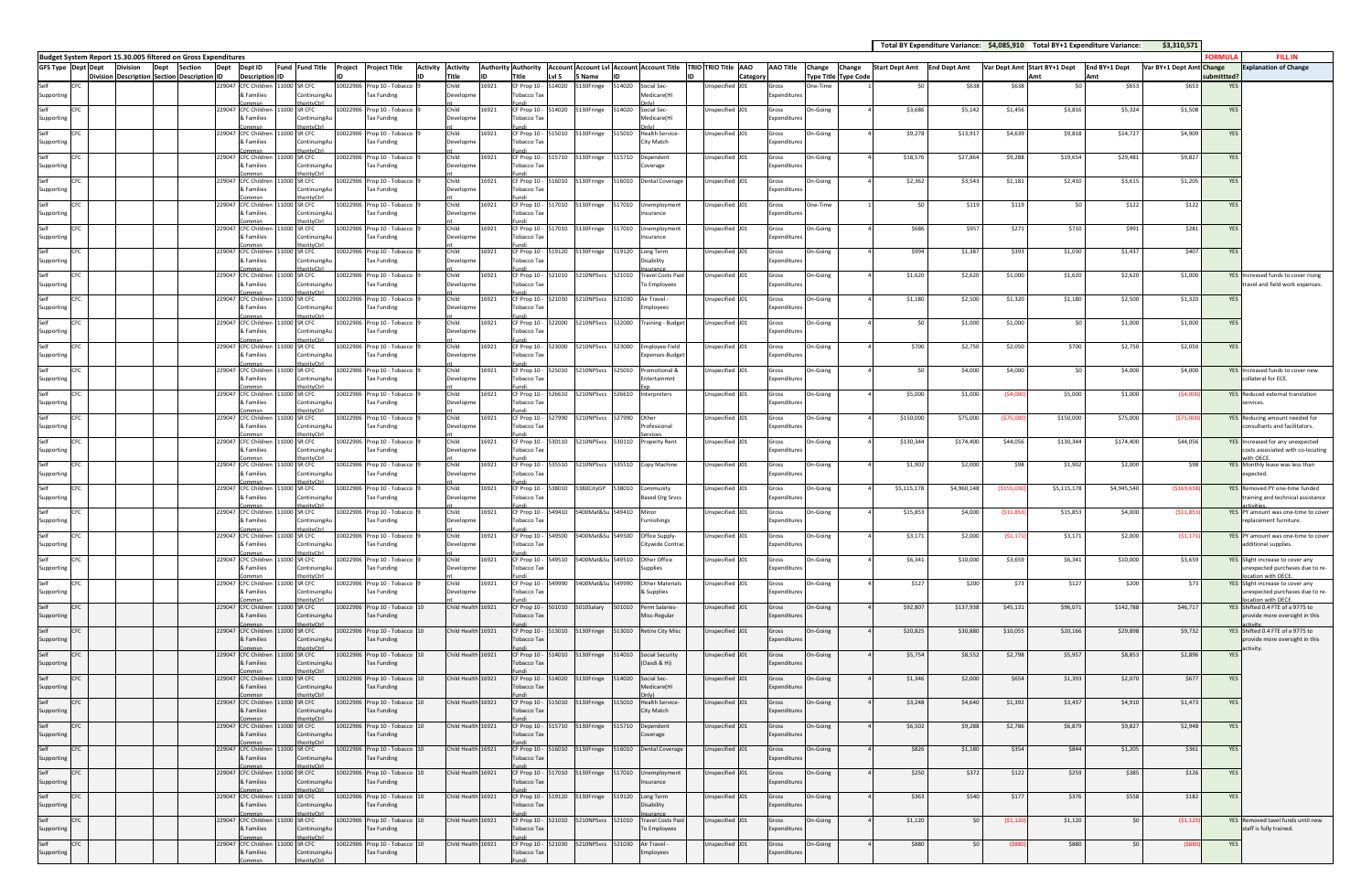|                                                                                            |                                           |             |         |                                                |                                            |                            |                                                  |                               |                    |       |                                    |        |                                                      |        |                                     |                          |                                                               |                              |                             |                       | Total BY Expenditure Variance: \$4,085,910 Total BY+1 Expenditure Variance: |            |                              |               | \$3,310,571              |            |                                                                          |
|--------------------------------------------------------------------------------------------|-------------------------------------------|-------------|---------|------------------------------------------------|--------------------------------------------|----------------------------|--------------------------------------------------|-------------------------------|--------------------|-------|------------------------------------|--------|------------------------------------------------------|--------|-------------------------------------|--------------------------|---------------------------------------------------------------|------------------------------|-----------------------------|-----------------------|-----------------------------------------------------------------------------|------------|------------------------------|---------------|--------------------------|------------|--------------------------------------------------------------------------|
| Budget System Report 15.30.005 filtered on Gross Expenditures<br><b>GFS Type Dept Dept</b> | <b>Division</b>                           | <b>Dept</b> | Section | Dept ID<br>Dept                                | Fund Fund Title                            | Project Project Title      |                                                  | <b>Activity</b>               | <b>Activity</b>    |       | <b>Authority Authority</b>         |        |                                                      |        |                                     |                          | Account Account Lvl Account Account Title TRIO TRIO Title AAO | <b>AAO Title</b>             | Change<br>Change            | <b>Start Dept Amt</b> | <b>End Dept Amt</b>                                                         |            | Var Dept Amt Start BY+1 Dept | End BY+1 Dept | Var BY+1 Dept Amt Change | ORMULA     | <b>FILL IN</b><br><b>Explanation of Change</b>                           |
| Division                                                                                   | <b>Description Section Description ID</b> |             |         | <b>Description ID</b>                          |                                            |                            |                                                  |                               | Title              |       | Title                              | LvI 5  | S Name                                               |        |                                     |                          | Category                                                      |                              | <b>Type Title Type Code</b> |                       |                                                                             |            | Δm                           | Amt           |                          | ubmittted? |                                                                          |
| Self<br>Supporting                                                                         |                                           |             |         | 229047<br><b>CFC Children</b><br>& Families    | 11000 SR CFC<br>ContinuingAu               |                            | 10022906 Prop 10 - Tobacco<br>ax Funding         |                               | Child<br>Developme | 16921 | CF Prop 10 -<br>obacco Tax         | 14020  | 5130Fringe                                           | 514020 | Social Sec-<br>Medicare(HI          |                          | Unspecified J01                                               | Gross<br>Expenditure         | One-Time                    | \$0                   | \$638                                                                       | \$638      | \$0                          | \$653         | \$653                    | <b>YES</b> |                                                                          |
| Self                                                                                       |                                           |             |         | 229047 CFC Children                            | nrityCtr<br>1000 SR CFC                    |                            | 10022906 Prop 10 - Tobacco                       |                               | Child              | 16921 | CF Prop 10 -                       | 14020  | 5130Fringe                                           | 514020 | Social Sec-                         |                          | Unspecified J01                                               | Gross                        | On-Going                    | \$3,686               | \$5,142                                                                     | \$1,456    | \$3,816                      | \$5,324       | \$1,508                  | <b>YES</b> |                                                                          |
| Supporting                                                                                 |                                           |             |         | & Families                                     | ContinuingA                                |                            | Tax Funding                                      |                               | Developme          |       | Fobacco Tax                        |        |                                                      |        | Medicare(HI                         |                          |                                                               | <b>Expenditure</b>           |                             |                       |                                                                             |            |                              |               |                          |            |                                                                          |
| Self<br>CFC<br>Supporting                                                                  |                                           |             |         | 229047 CFC Children<br>& Families              | 1000 SR CFC<br>ContinuingAu                |                            | 10022906 Prop 10 - Tobacco<br>Tax Funding        |                               | Child<br>Developme | 16921 | CF Prop 10 -<br>Fobacco Tax        | 15010  | 5130Fringe                                           | 515010 | <b>Health Service</b><br>City Match |                          | Unspecified J01                                               | Gross<br>Expenditure         | On-Going                    | \$9,278               | \$13,917                                                                    | \$4,639    | \$9,818                      | \$14,727      | \$4,909                  | <b>YES</b> |                                                                          |
| CFC                                                                                        |                                           |             |         | 229047 CFC Children                            | 1000 SR CFC                                |                            | 10022906 Prop 10 - Tobacco                       |                               | Child              | 16921 | CF Prop 10 -                       | 515710 | 5130Fringe                                           | 515710 | Dependent                           |                          | Unspecified J01                                               | Gross                        | On-Going                    | \$18,576              | \$27,864                                                                    | \$9,288    | \$19,654                     | \$29,481      | \$9,827                  | <b>YES</b> |                                                                          |
| Supporting                                                                                 |                                           |             |         | & Families                                     | ContinuingAu<br>$r$ ity $C$ trl            |                            | ax Funding                                       |                               | Developme          |       | obacco Tax                         |        |                                                      |        | Coverage                            |                          |                                                               | Expenditure                  |                             |                       |                                                                             |            |                              |               |                          |            |                                                                          |
| Self<br>Supporting                                                                         |                                           |             |         | 229047<br><b>CFC Children</b><br>& Families    | 1000 SR CFC<br>ContinuingAu                |                            | 10022906 Prop 10 - Tobacco<br>Tax Funding        |                               | Child<br>Developme | 16921 | CF Prop 10 -<br><b>Fobacco Tax</b> | 16010  | 5130Fringe                                           | 516010 |                                     | <b>Dental Coverage</b>   | Unspecified J01                                               | Gross<br>Expenditure         | On-Going                    | \$2,362               | \$3,543                                                                     | \$1,181    | \$2,410                      | \$3,615       | \$1,205                  | <b>YES</b> |                                                                          |
|                                                                                            |                                           |             |         | 229047<br><b>CFC Children</b>                  | orityCtrl<br>1000 SR CFC                   |                            | 10022906 Prop 10 - Tobacco                       |                               | Child              | 16921 | CF Prop 10 -                       | 517010 | 5130Fringe                                           | 517010 |                                     | Unemployment             | Unspecified J01                                               | Gross                        | One-Time                    | \$0                   | \$119                                                                       | \$119      | \$0                          | \$122         | \$122                    | <b>YES</b> |                                                                          |
| Supporting                                                                                 |                                           |             |         | & Families                                     | ContinuingAu<br>rityCtr                    |                            | ax Funding                                       |                               | Developme          |       | <b>Fobacco Tax</b>                 |        |                                                      |        | Insurance                           |                          |                                                               | Expenditures                 |                             |                       |                                                                             |            |                              |               |                          |            |                                                                          |
| Self<br>Supporting                                                                         |                                           |             |         | 229047 CFC Children<br>& Families              | 000 SR CFC<br>ContinuingAu                 |                            | 10022906 Prop 10 - Tobacco<br>Tax Funding        |                               | Child<br>Developme | 16921 | CF Prop 10 -<br><b>Fobacco Tax</b> | 517010 | 5130Fringe                                           | 517010 | Unemployment<br>Insurance           |                          | Unspecified J01                                               | Gross<br>Expenditures        | On-Going                    | \$686                 | \$957                                                                       | \$271      | \$710                        | \$991         | \$281                    | <b>YES</b> |                                                                          |
| Self                                                                                       |                                           |             |         | 229047 CFC Children                            | oritvCtrl<br>1000 SR CFC                   |                            | 10022906 Prop 10 - Tobacco                       |                               | Child              | 16921 | CF Prop 10 -                       |        | 519120 5130Fringe                                    | 519120 | Long Term                           |                          | Unspecified J01                                               | Gross                        | On-Going                    | \$994                 | \$1,387                                                                     | \$393      | \$1,030                      | \$1,437       | \$407                    | <b>YES</b> |                                                                          |
| Supporting                                                                                 |                                           |             |         | & Families                                     | ContinuingAu<br>vrityCtrl                  |                            | Tax Funding                                      |                               | Developme          |       | <b>Fobacco Tax</b>                 |        |                                                      |        | Disability<br>suranci               |                          |                                                               | Expenditure                  |                             |                       |                                                                             |            |                              |               |                          |            |                                                                          |
| Self<br>CEC<br>Supporting                                                                  |                                           |             |         | 229047 CFC Children<br>& Families              | 1000 SR CFC<br>ContinuingAu                |                            | 0022906 Prop 10 - Tobacco<br>Tax Funding         |                               | Child<br>Developme | 16921 | CF Prop 10 -<br>Tobacco Tax        |        | 521010 5210NPSvcs 521010                             |        | <b>To Employees</b>                 | <b>Travel Costs Paid</b> | Unspecified J01                                               | Gross<br>Expenditures        | On-Going                    | \$1,620               | \$2,620                                                                     | \$1,000    | \$1,620                      | \$2,620       | \$1,000                  |            | YES Increased funds to cover rising<br>travel and field work expenses.   |
|                                                                                            |                                           |             |         | CFC Children<br>229047                         | orityCtrl<br>1000 SR CFC                   |                            | 10022906 Prop 10 - Tobacco                       |                               | Child              | 16921 | CF Prop 10 -                       | 521030 | 5210NPSvcs 521030                                    |        | Air Travel -                        |                          | Unspecified J01                                               | Gross                        | On-Going                    | \$1,180               | \$2,500                                                                     | \$1,320    | \$1,180                      | \$2,500       | \$1,320                  | <b>YES</b> |                                                                          |
| Supporting                                                                                 |                                           |             |         | ል Families                                     | ContinuingAu<br>nrityCtr                   |                            | Tax Funding                                      |                               | Developme          |       | Fobacco Tax                        |        |                                                      |        | mployees                            |                          |                                                               | Expenditures                 |                             |                       |                                                                             |            |                              |               |                          |            |                                                                          |
| Self<br>Supporting                                                                         |                                           |             |         | 29047 CFC Childre<br>& Families                | 000 SR CFC<br>ContinuingAu                 |                            | 10022906 Prop 10 - Tobacco<br>Tax Funding        |                               | Child<br>Developme | 16921 | CF Prop 10<br>Tobacco Tax          | 22000  | 5210NPSvcs 522000                                    |        |                                     | Training - Budge         | Unspecified J01                                               | Gross<br>Expenditures        | On-Going                    |                       | \$1,000                                                                     | \$1,000    | \$0                          | \$1,000       | \$1,000                  | YES        |                                                                          |
|                                                                                            |                                           |             |         | 229047<br><b>CFC Childrer</b>                  | orityCtrl<br>000 SR CFC                    |                            | 10022906 Prop 10 - Tobacco                       |                               | Child              | 16921 | CF Prop 10                         | 23000  | 5210NPSvcs 523000                                    |        |                                     | Employee Field           | Unspecified J01                                               | Gross                        | On-Going                    | \$700                 | \$2,750                                                                     | \$2,050    | \$700                        | \$2,750       | \$2,050                  | YES        |                                                                          |
| Supporting                                                                                 |                                           |             |         | & Families                                     | ContinuingAu<br>rityCt                     |                            | Tax Funding                                      |                               | Developme          |       | Fobacco Tax                        |        |                                                      |        |                                     | xpenses-Budget           |                                                               | Expenditures                 |                             |                       |                                                                             |            |                              |               |                          |            |                                                                          |
| Self<br>Supporting                                                                         |                                           |             |         | 229047 CFC Children<br>& Families              | 1000 SR CFC<br>ContinuingAu                |                            | 10022906 Prop 10 - Tobacco<br>Tax Funding        |                               | Child<br>Developme | 16921 | CF Prop 10 -<br>Tobacco Tax        | 525010 | 5210NPSvcs 525010                                    |        | Promotional &<br>Entertainmnt       |                          | Unspecified J01                                               | Gross<br>Expenditures        | On-Going                    |                       | \$4,000                                                                     | \$4,000    | \$0                          | \$4,000       | \$4,000                  |            | YES Increased funds to cover new<br>collateral for ECE.                  |
|                                                                                            |                                           |             |         | <b>CFC Children</b><br>229047                  | orityCtrl<br>1000 SR CFC                   | 10022906 Prop 10 - Tobacco |                                                  |                               | Child              | 16921 | CF Prop 10 -                       |        | 526610 5210NPSvcs 526610 Interpreters                |        |                                     |                          | Unspecified J01                                               | Gross                        | On-Going                    | \$5,000               | \$1,000                                                                     | (54,000)   | \$5,000                      | \$1,000       | (54,000)                 |            | YES Reduced external translation                                         |
| Supporting                                                                                 |                                           |             |         | & Families                                     | ContinuingAu<br>crit of                    |                            | Tax Funding                                      |                               | Developme          |       | Fobacco Tax                        |        |                                                      |        |                                     |                          |                                                               | <b>Expenditures</b>          |                             |                       |                                                                             |            |                              |               |                          |            | services.                                                                |
| Self<br>CFC<br>Supporting                                                                  |                                           |             |         | 229047 CFC Childrer<br>& Families              | 1000 SR CFC<br>ContinuingAu                |                            | 10022906 Prop 10 - Tobacco<br>Tax Funding        |                               | Child<br>Developme | 16921 | CF Prop 10 -<br>Tobacco Tax        | 527990 | 5210NPSvcs 527990                                    |        | Other<br>Professional               |                          | Unspecified J01                                               | Gross<br>Expenditures        | On-Going                    | \$150,000             | \$75,000                                                                    | (575,00)   | \$150,000                    | \$75,000      | (\$75,00                 |            | YES Reducing amount needed for<br>consultants and facilitators.          |
|                                                                                            |                                           |             |         | <b>CFC Children</b><br>229047                  | orityCtrl<br>000 SR CFC                    |                            | 10022906 Prop 10 - Tobacco                       |                               | Child              | 16921 | CF Prop 10                         | 530110 | 5210NPSvcs 530110                                    |        | <b>Property Rent</b>                |                          | Unspecified J01                                               | Gross                        | On-Going                    | \$130,344             | \$174,400                                                                   | \$44,056   | \$130,344                    | \$174,400     | \$44,056                 |            | YES Increased for any unexpected                                         |
| Supporting                                                                                 |                                           |             |         | & Families                                     | ContinuingAu                               |                            | Tax Funding                                      |                               | Developme          |       | <b>Fobacco Tax</b>                 |        |                                                      |        |                                     |                          |                                                               | Expenditures                 |                             |                       |                                                                             |            |                              |               |                          |            | costs associated with co-locating<br>th OFCI                             |
| Self<br>Supporting                                                                         |                                           |             |         | 229047 CFC Children<br>& Families              | 1000 SR CFC<br>ContinuingAu                |                            | 10022906 Prop 10 - Tobacco<br><b>Tax Funding</b> |                               | Child<br>Developme | 16921 | CF Prop 10 -<br><b>Tobacco Tax</b> |        | 535510 5210NPSvcs 535510 Copy Machine                |        |                                     |                          | Unspecified J01                                               | Gross<br>Expenditures        | On-Going                    | \$1,902               | \$2,000                                                                     | \$98       | \$1,902                      | \$2,000       | \$98                     |            | YES Monthly lease was less than<br>expected                              |
|                                                                                            |                                           |             |         | 229047<br><b>CFC Children</b>                  | orityCtrl<br>000 SR CFC                    |                            | 10022906 Prop 10 - Tobacco                       |                               | Child              | 16921 | CF Prop 10 -                       |        | 538010 5380CityGP 538010                             |        | Community                           |                          | Unspecified J01                                               | Gross                        | On-Going                    | \$5,115,178           | $\frac{1}{5}4,960,148$                                                      | (5155,03)  | \$5,115,178                  | \$4,945,540   | (5169, 638)              |            | YES Removed PY one-time funded                                           |
| Supporting<br>Self<br><b>CFC</b>                                                           |                                           |             |         | & Families<br>229047 CFC Children              | ContinuingAu<br>$crit_0$ Cti<br>000 SR CFC | 10022906 Prop 10 - Tobacco | Tax Funding                                      |                               | Developme<br>Child | 16921 | <b>Fobacco Tax</b><br>CF Prop 10 - |        | 549410 5400Mat&Su 549410                             |        | Minor                               | <b>Based Org Srvcs</b>   | Unspecified J01                                               | Expenditures<br>Gross        | On-Going                    | \$15,853              | \$4,000                                                                     | ( \$11,853 | \$15,853                     | \$4,000       | ( \$11,85                |            | training and technical assistance<br>YES PY amount was one-time to cover |
| Supporting                                                                                 |                                           |             |         | & Families                                     | ContinuingAu                               |                            | Tax Funding                                      |                               | Developme          |       | <b>Fobacco Tax</b>                 |        |                                                      |        | Furnishings                         |                          |                                                               | Expenditures                 |                             |                       |                                                                             |            |                              |               |                          |            | replacement furniture.                                                   |
| Self<br><b>CFC</b>                                                                         |                                           |             |         | 229047 CFC Children 11000 SR CFC<br>& Families | ContinuingAu                               | 10022906 Prop 10 - Tobacco | <b>Tax Funding</b>                               |                               | Child              | 16921 | Tobacco Tax                        |        | CF Prop 10 - 549500 5400Mat&Su 549500 Office Supply- |        |                                     | Citywide Contrac         | Unspecified J01                                               | Gross<br>Expenditures        | On-Going                    | \$3,171               | \$2,000                                                                     | (51, 171)  | \$3,171                      | \$2,000       | (51, 171)                |            | YES PY amount was one-time to cover<br>additional supplies.              |
| Supporting<br>Self<br><b>CFC</b>                                                           |                                           |             |         | 229047 CFC Children                            | vrityCtrl<br>1000 SR CFC                   |                            | 10022906 Prop 10 - Tobacco                       |                               | Developme<br>Child | 16921 |                                    |        | CF Prop 10 - 549510 5400Mat&Su 549510                |        | Other Office                        |                          | Unspecified J01                                               | Gross                        | On-Going                    | \$6,341               | \$10,000                                                                    | \$3,659    | \$6,341                      | \$10,000      | \$3,659                  |            | YES Slight increase to cover any                                         |
| Supporting                                                                                 |                                           |             |         | & Families                                     | ContinuingAu<br>$r$ ity $C$ trl            |                            | Tax Funding                                      |                               | Developme          |       | Tobacco Tax                        |        |                                                      |        | Supplies                            |                          |                                                               | Expenditures                 |                             |                       |                                                                             |            |                              |               |                          |            | unexpected purchases due to re-<br>ation with OFCF.                      |
| Self<br><b>CFC</b><br>Supporting                                                           |                                           |             |         | 229047 CFC Children<br>& Families              | 1000 SR CFC<br>ContinuingAu                |                            | 10022906 Prop 10 - Tobacco<br>Tax Funding        |                               | Child<br>Developme | 16921 | CF Prop 10 -<br><b>Fobacco Tax</b> |        | 549990 5400Mat&Su 549990                             |        | & Supplies                          | <b>Other Materials</b>   | Unspecified J01                                               | Gross<br>Expenditures        | On-Going                    | \$127                 | \$200                                                                       | \$73       | \$127                        | \$200         | \$73                     |            | YES Slight increase to cover any<br>unexpected purchases due to re-      |
| Self<br>ICFC                                                                               |                                           |             |         | 229047 CFC Children 11000 SR CFC               |                                            |                            | 10022906 Prop 10 - Tobacco                       |                               | Child Health 16921 |       | CF Prop 10 -                       | 501010 | 5010Salary                                           | 501010 | Perm Salaries-                      |                          | Unspecified J01                                               | Gross                        | On-Going                    | \$92,807              | \$137,938                                                                   | \$45,131   | \$96,071                     | \$142,788     | \$46,717                 |            | tion with OFCF.<br>YES Shifted 0.4 FTE of a 9775 to                      |
| Supporting                                                                                 |                                           |             |         | & Families                                     | ContinuingAu<br>vrityCtrl                  |                            | <b>Tax Funding</b>                               |                               |                    |       | Fobacco Tax                        |        |                                                      |        | Misc-Regular                        |                          |                                                               | Expenditures                 |                             |                       |                                                                             |            |                              |               |                          |            | provide more oversight in this                                           |
| Self<br>CFC<br>Supporting                                                                  |                                           |             |         | 229047 CFC Children<br>& Families              | 11000 SR CFC<br>ContinuingAu               |                            | 10022906 Prop 10 - Tobacco<br>Tax Funding        |                               | Child Health 16921 |       | CF Prop 10 -<br>Tobacco Tax        | 513010 | 5130Fringe                                           | 513010 |                                     | <b>Retire City Misc</b>  | Unspecified J01                                               | Gross<br><b>Expenditures</b> | On-Going                    | \$20,825              | \$30,880                                                                    | \$10,055   | \$20,166                     | \$29,898      | \$9,732                  |            | YES Shifted 0.4 FTE of a 9775 to<br>provide more oversight in this       |
| Self                                                                                       |                                           |             |         | 229047 CFC Children                            | orityCtrl<br>11000 SR CFC                  |                            | 10022906 Prop 10 - Tobacco                       |                               | Child Health 16921 |       | CF Prop 10 -                       | 14010  | 5130Fringe                                           | 514010 | <b>Social Security</b>              |                          | Unspecified J01                                               | Gross                        | On-Going                    | \$5,754               | \$8,552                                                                     | \$2,798    | \$5,957                      | \$8,853       | \$2,896                  | <b>YES</b> | activity                                                                 |
| Supporting                                                                                 |                                           |             |         | & Families                                     | ContinuingAu                               |                            | Tax Funding                                      |                               |                    |       | Fobacco Tax                        |        |                                                      |        | (Oasdi & Hi)                        |                          |                                                               | <b>Expenditures</b>          |                             |                       |                                                                             |            |                              |               |                          |            |                                                                          |
| Self<br>Supporting                                                                         |                                           |             |         | 229047 CFC Children<br>& Families              | 11000 SR CFC<br>ContinuingAu               |                            | 10022906 Prop 10 - Tobacco<br><b>Tax Funding</b> |                               | Child Health 16921 |       | CF Prop 10 -<br><b>Fobacco Tax</b> | 14020  | 5130Fringe                                           | 514020 | Social Sec-<br>Medicare(HI          |                          | Unspecified J01                                               | Gross<br>Expenditures        | On-Going                    | \$1,346               | \$2,000                                                                     | \$654      | \$1,393                      | \$2,070       | \$677                    | <b>YES</b> |                                                                          |
| Self                                                                                       |                                           |             |         | 229047 CFC Children                            | <b>oritvCtrl</b><br>11000 SR CFC           |                            | 10022906 Prop 10 - Tobacco                       |                               | Child Health 16921 |       | CF Prop 10 -                       | 515010 | 5130Fringe                                           | 515010 | <b>Health Service-</b>              |                          | Unspecified J01                                               | Gross                        | On-Going                    | \$3,248               | \$4,640                                                                     | \$1,392    | \$3,437                      | \$4,910       | \$1,473                  | YES        |                                                                          |
| Supporting                                                                                 |                                           |             |         | & Families                                     | ContinuingAu<br>nrityCtrl                  |                            | <b>Tax Funding</b>                               |                               |                    |       | <b>Fobacco Tax</b>                 |        |                                                      |        | City Match                          |                          |                                                               | Expenditures                 |                             |                       |                                                                             |            |                              |               |                          |            |                                                                          |
| Self<br>C <sub>E</sub> C<br>Supporting                                                     |                                           |             |         | 229047 CFC Children<br>& Families              | 11000 SR CFC<br>ContinuingAu               |                            | Tax Funding                                      | 10022906 Prop 10 - Tobacco 10 | Child Health 16921 |       | CF Prop 10 -<br>Tobacco Tax        |        | 515710 5130Fringe                                    |        | 515710 Dependent<br>Coverage        |                          | Unspecified J01                                               | Gross<br>Expenditures        | On-Going                    | \$6,502               | \$9,288                                                                     | \$2,786    | \$6,879                      | \$9,827       | \$2,948                  | <b>YES</b> |                                                                          |
| Self                                                                                       |                                           |             |         | 229047 CFC Children                            | <b>orityCtrl</b><br>11000 SR CFC           |                            | 10022906 Prop 10 - Tobacco                       |                               | Child Health 16921 |       | CF Prop 10 -                       | 516010 | 5130Fringe                                           |        | 516010 Dental Coverage              |                          | Unspecified J01                                               | Gross                        | On-Going                    | \$826                 | \$1,180                                                                     | \$354      | \$844                        | \$1,205       | \$361                    | YES        |                                                                          |
| Supporting                                                                                 |                                           |             |         | & Families                                     | ContinuingAu<br>prityCtrl                  |                            | Tax Funding                                      |                               |                    |       | Tobacco Tax                        |        |                                                      |        |                                     |                          |                                                               | Expenditures                 |                             |                       |                                                                             |            |                              |               |                          |            |                                                                          |
| Self<br>Supporting                                                                         |                                           |             |         | 229047 CFC Children<br>& Families              | 1000 SR CFC<br>ContinuingAu                |                            | 10022906 Prop 10 - Tobacco<br>Tax Funding        |                               | Child Health 16921 |       | CF Prop 10 -<br>Tobacco Tax        |        | 517010 5130Fringe                                    | 517010 | Unemployment<br>Insurance           |                          | Unspecified J01                                               | Gross<br>Expenditures        | On-Going                    | \$250                 | \$372                                                                       | \$122      | \$259                        | \$385         | \$126                    | YES        |                                                                          |
| Self                                                                                       |                                           |             |         | 229047 CFC Children                            | <b>orityCtrl</b><br>11000 SR CFC           |                            | 10022906 Prop 10 - Tobacco                       |                               | Child Health 16921 |       | CF Prop 10 -                       |        | 519120 5130Fringe                                    | 519120 | Long Term                           |                          | Unspecified J01                                               | Gross                        | On-Going                    | \$363                 | \$540                                                                       | \$177      | \$376                        | \$558         | \$182                    | YES        |                                                                          |
| Supporting                                                                                 |                                           |             |         | & Families                                     | ContinuingAu<br>orityCtrl                  |                            | <b>Tax Funding</b>                               |                               |                    |       | <b>Fobacco Tax</b>                 |        |                                                      |        | Disability<br>surance               |                          |                                                               | Expenditures                 |                             |                       |                                                                             |            |                              |               |                          |            |                                                                          |
| Self<br>CEC<br>Supporting                                                                  |                                           |             |         | 229047 CFC Children<br>& Families              | 11000 SR CFC<br>ContinuingAu               |                            | 10022906 Prop 10 - Tobacco<br>Tax Funding        |                               | Child Health 16921 |       | CF Prop 10 -<br>Tobacco Tax        |        | 521010    5210NPSvcs    521010                       |        | To Employees                        | <b>Travel Costs Paid</b> | Unspecified J01                                               | Gross<br>Expenditures        | On-Going                    | \$1,120               | \$0                                                                         | (51, 120)  | \$1,120                      | SO.           | (51, 120)                |            | YES Removed tavel funds until new<br>staff is fully trained.             |
|                                                                                            |                                           |             |         | 229047 CFC Children                            | <b>orityCtrl</b><br>1000 SR CFC            |                            | 10022906 Prop 10 - Tobacco                       |                               | Child Health 16921 |       | CF Prop 10 -                       | 521030 | 5210NPSvcs 521030                                    |        | Air Travel -                        |                          | Unspecified J01                                               | Gross                        | On-Going                    | \$880                 | \$0                                                                         | (5880      | \$880                        |               | (\$880                   | <b>YES</b> |                                                                          |
| Supporting                                                                                 |                                           |             |         | & Families                                     | ContinuingAu<br>nrityCtrl                  |                            | <b>Tax Funding</b>                               |                               |                    |       | Tobacco Tax                        |        |                                                      |        | Employees                           |                          |                                                               | Expenditures                 |                             |                       |                                                                             |            |                              |               |                          |            |                                                                          |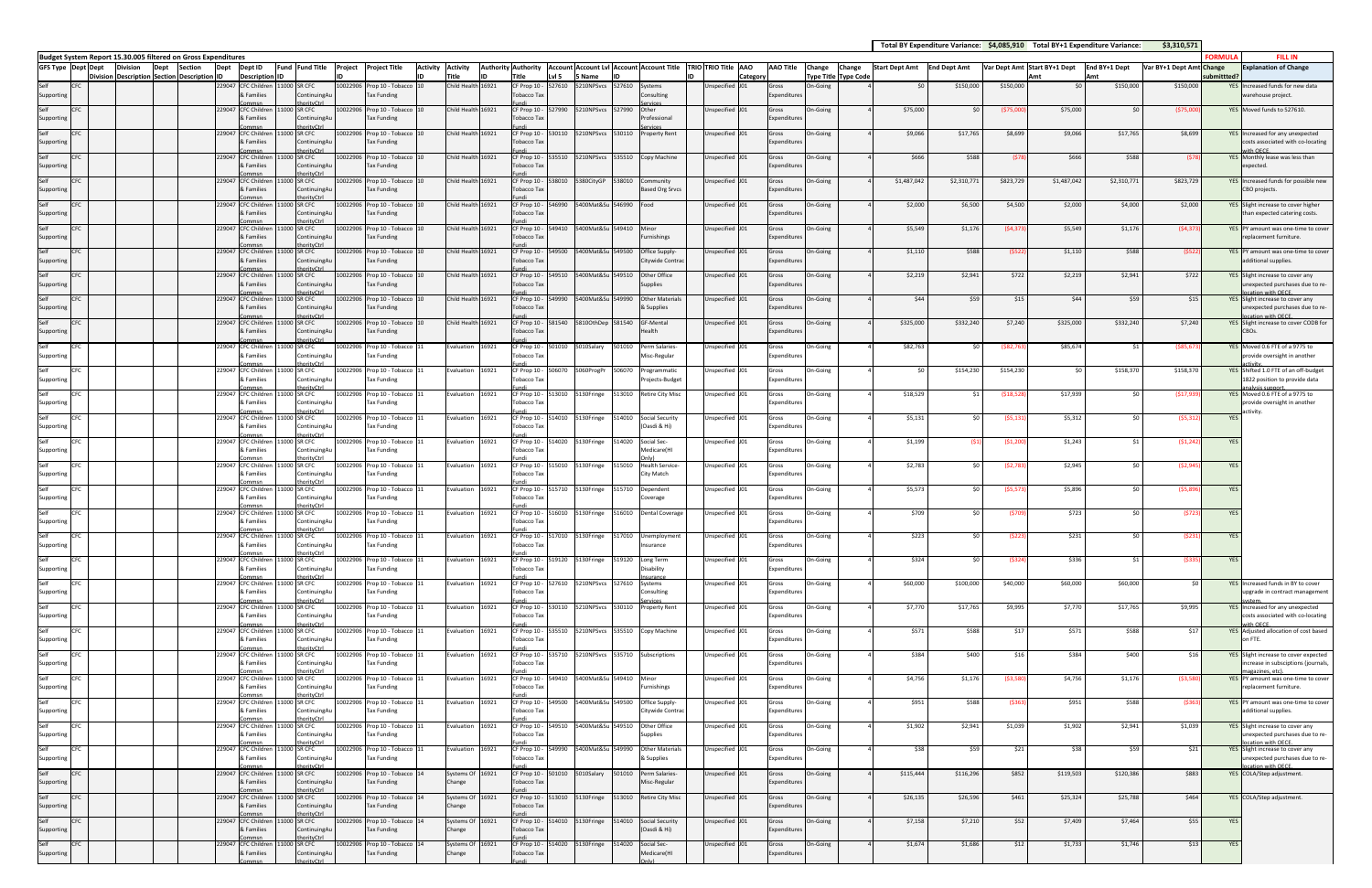|            |                  |                       |                     |              | Total BY Expenditure Variance: \$4,085,910 Total BY+1 Expenditure Variance: |               | \$3,310,571              |                |                                                                                             |
|------------|------------------|-----------------------|---------------------|--------------|-----------------------------------------------------------------------------|---------------|--------------------------|----------------|---------------------------------------------------------------------------------------------|
| Change     | Change           | <b>Start Dept Amt</b> | <b>End Dept Amt</b> |              | Var Dept Amt Start BY+1 Dept                                                | End BY+1 Dept | Var BY+1 Dept Amt Change | <b>FORMULA</b> | <b>FILL IN</b><br><b>Explanation of Change</b>                                              |
| Type Title | <b>Type Code</b> |                       |                     |              | Amt                                                                         | Amt           |                          | submittted?    |                                                                                             |
| On-Going   |                  | \$0                   | \$150,000           | \$150,000    | \$0                                                                         | \$150,000     | \$150,000                |                | YES Increased funds for new data<br>warehouse project.                                      |
| On-Going   | 4                | \$75,000              | \$0                 | (\$75,000]   | \$75,000                                                                    | \$0           | ( \$75,000               | <b>YES</b>     | Moved funds to 527610.                                                                      |
| On-Going   | $\sqrt{4}$       | \$9,066               | \$17,765            | \$8,699      | \$9,066                                                                     | \$17,765      | \$8,699                  |                | YES Increased for any unexpected<br>costs associated with co-locating                       |
| On-Going   | 4                | \$666                 | \$588               | (578)        | \$666                                                                       | \$588         | (578)                    |                | with OFCF<br>YES Monthly lease was less than<br>expected.                                   |
| On-Going   | $\overline{a}$   | \$1,487,042           | \$2,310,771         | \$823,729    | \$1,487,042                                                                 | \$2,310,771   | \$823,729                | <b>YES</b>     | Increased funds for possible new<br>CBO projects.                                           |
| On-Going   | $\overline{a}$   | \$2,000               | \$6,500             | \$4,500      | \$2,000                                                                     | \$4,000       | \$2,000                  | <b>YES</b>     | Slight increase to cover higher<br>than expected catering costs.                            |
| On-Going   | $\overline{4}$   | \$5,549               | \$1,176             | (54, 373)    | \$5,549                                                                     | \$1,176       | (54, 373)                |                | YES PY amount was one-time to cover<br>replacement furniture.                               |
| On-Going   | $\overline{4}$   | \$1,110               | \$588               | (5522)       | \$1,110                                                                     | \$588         | (5522)                   | YES            | PY amount was one-time to cover<br>additional supplies.                                     |
| On-Going   | $\overline{4}$   | \$2,219               | \$2,941             | \$722        | \$2,219                                                                     | \$2,941       | \$722                    |                | YES Slight increase to cover any<br>unexpected purchases due to re-<br>location with OECE.  |
| On-Going   | $\overline{4}$   | \$44                  | \$59                | \$15         | \$44                                                                        | \$59          | \$15                     |                | YES Slight increase to cover any<br>unexpected purchases due to re-<br>location with OECE   |
| On-Going   | $\overline{4}$   | \$325,000             | \$332,240           | \$7,240      | \$325,000                                                                   | \$332,240     | \$7,240                  |                | YES Slight increase to cover CODB for<br>CBOs.                                              |
| On-Going   | 4                | \$82,763              | \$0                 | ( \$82, 763] | \$85,674                                                                    | \$1           | ( \$85, 673)             |                | YES Moved 0.6 FTE of a 9775 to<br>provide oversight in another<br>activity                  |
| On-Going   | 4                | \$0                   | \$154,230           | \$154,230    | \$0                                                                         | \$158,370     | \$158,370                |                | YES Shifted 1.0 FTE of an off-budget<br>1822 position to provide data<br>analysis support.  |
| On-Going   | $\overline{4}$   | \$18,529              | \$1                 | (\$18,528)   | \$17,939                                                                    | \$0           | (517, 939)               | <b>YES</b>     | Moved 0.6 FTE of a 9775 to<br>provide oversight in another<br>activity.                     |
| On-Going   | 4                | \$5,131               | \$0                 | (55, 131)    | \$5,312                                                                     | \$0           | (55, 312)                | <b>YES</b>     |                                                                                             |
| On-Going   | 4                | \$1,199               | (S1)                | (51, 200)    | \$1,243                                                                     | \$1           | (51, 242)                | <b>YES</b>     |                                                                                             |
| On-Going   | 4                | \$2,783               | \$0                 | (52, 783)    | \$2,945                                                                     | \$0           | (52, 945)                | <b>YES</b>     |                                                                                             |
| On-Going   | 4                | \$5,573               | \$0                 | (55, 573)    | \$5,896                                                                     | \$0           | (55,896)                 | <b>YES</b>     |                                                                                             |
| On-Going   | 4                | \$709                 | \$0                 | (5709        | \$723                                                                       | \$0           | (5723)                   | YES            |                                                                                             |
| On-Going   | 4                | \$223                 | \$0                 | (5223)       | \$231                                                                       | \$0           | (5231)                   | <b>YES</b>     |                                                                                             |
| On-Going   | 4                | \$324                 | \$0                 | (5324)       | \$336                                                                       | \$1           | ( \$335]                 | <b>YES</b>     |                                                                                             |
| On-Going   | 4                | \$60,000              | \$100,000           | \$40,000     | \$60,000                                                                    | \$60,000      | \$0                      | <b>YES</b>     | Increased funds in BY to cover<br>upgrade in contract management                            |
| On-Going   | 4                | \$7,770               | \$17,765            | \$9,995      | \$7,770                                                                     | \$17,765      | \$9,995                  |                | YES Increased for any unexpected<br>costs associated with co-locating<br>with OECE.         |
| On-Going   | 4                | \$571                 | \$588               | \$17         | \$571                                                                       | \$588         | \$17                     |                | YES Adjusted allocation of cost based<br>on FTE.                                            |
| On-Going   | 4                | \$384                 | \$400               | \$16         | \$384                                                                       | \$400         | \$16                     | <b>YES</b>     | Slight increase to cover expected<br>increase in subsciptions (journals,<br>nagazines, etc) |
| On-Going   | 4                | \$4,756               | \$1,176             | ( \$3,580]   | \$4,756                                                                     | \$1,176       | ( \$3,580]               |                | YES PY amount was one-time to cover<br>replacement furniture.                               |
| On-Going   | 4                | \$951                 | \$588               | ( \$363]     | \$951                                                                       | \$588         | ( \$363]                 |                | YES PY amount was one-time to cover<br>additional supplies.                                 |
| On-Going   | 4                | \$1,902               | \$2,941             | \$1,039      | \$1,902                                                                     | \$2,941       | \$1,039                  |                | YES Slight increase to cover any<br>unexpected purchases due to re-<br>location with OECE.  |
| On-Going   | $\overline{4}$   | \$38                  | \$59                | \$21         | \$38                                                                        | \$59          | \$21                     |                | YES Slight increase to cover any<br>unexpected purchases due to re-<br>ocation with OFCE.   |
| On-Going   | 4                | \$115,444             | \$116,296           | \$852        | \$119,503                                                                   | \$120,386     | \$883                    |                | YES COLA/Step adjustment.                                                                   |
| On-Going   | $\overline{4}$   | \$26,135              | \$26,596            | \$461        | \$25,324                                                                    | \$25,788      | \$464                    |                | YES COLA/Step adjustment.                                                                   |
| On-Going   | $\sqrt{4}$       | \$7,158               | \$7,210             | \$52         | \$7,409                                                                     | \$7,464       | \$55                     | <b>YES</b>     |                                                                                             |
| On-Going   | 4                | \$1,674               | \$1,686             | \$12         | \$1,733                                                                     | \$1,746       | \$13                     | YES            |                                                                                             |

Commsn

thorityCtrl

**Budget System Report 15.30.005 filtered on Gross Expenditures GFS Type Dept Dept DivisionDivision Description Dept SectionSectionDescription Dept IDDept ID Description Fund Fund Title Project Project Title Activity IDIDIDActivity Title Authority IDAuthority TitleAccount Account Lvl Account Account Title TRIO TRIO Title AAO Lvl 5 5 Name IDIDCategory AAO Title Change Type Title Type Code Change Start Dept Amt End Dept Amt Var Dept Amt Start BY+1 Dept** SelfSupporting CFC 229047 CFCFC Childre & Families CommsnC Children 11000 SR CFC ..<br>ContinuingA orityCtrl 10022906 Prop 10 - Tobacco Tax Funding hild Hea 6921 CF Prop 10 Tobacco Tax Fundi Health 16921 CF Prop 10 ‐ 527990 5210NPSvcs 527990 Other527610 5210NPSvcs 527610 Systems sulting ServicesUnspecified J01 Gross Expenditures Selfporti CFC 229047 CFC& Families CommsnC Children 11000 SR CFC **ContinuingAเ** thorityCtrl 10022906 Prop 10 ‐ Tobacco Tax Funding Child Health Tobacco Tax Fundid Health 16921 CF Prop 10 - 530110 S210NPSvcs 530110 Property Rent Unspecified J01 Gross Professional Services**Property Rent** Unspecified J01 Gross penditur Selfporti CFC 229047 CFC& Families CommsnCFC 229047 CFC Children 11000 SR CFC ContinuingAu thorityCtrl 10022906 Prop 10 ‐ Tobacco Tax Funding **Child Healt** Tobacco Tax Fundid Health 16921 CF Prop 10 - 535510 S210NPSvcs 535510 Copy Machine Unspecified J01 Gross enditur Selfıporti & Families CommsnC Children 11000 SR CFC **ContinuingA** thorityCtrl 10022906 Prop 10 ‐ Tobacco Tax Funding Child Health Tobacco Tax Fundid Health 16921 CF Prop 10 enditu Selfıporti CFC 229047 CFC& Families CommsnC Children 11000 SR CFC **ContinuingA** thorityCtrl 10022906 Prop 10 ‐ Tobacco Tax Funding Child Healt Tobacco Tax Fundid Health 16921 CF Prop 10 -5380CityGP 538010 Community Based Org Srvcs Unspecified J01 Gross enditu SelfSupporting CFC 229047 CFC& Families CommsnC Children 11000 SR CFC **ContinuingA** thorityCtrl 11000 SR CFC 10022906 Prop 10 ‐ Tobacco Tax Funding Child Healt Tobacco Tax Fundi Health 16921 CF Prop 10 ‐ 549410 5400Mat&Su 549410 Minor546990 5400Mat&Su 546990 Food Unspecified J01 Gross Expenditures SelfSupporting CFC 229047 CFC& Families CommsnC Children **ContinuingAu** thorityCtrl 10022906 Prop 10 ‐ Tobacco Tax Funding Child Healt Tobacco Tax Fundi Health 16921 CF Prop 10 ‐ 549500 5400Mat&Su 549500 Office Supply‐ Minor rnishings Unspecified J01 Gross Expenditures SelfSupporting CFC 229047 CFC& Families Commsn CFC 229047 CFC Children 11000 SR CFC **ContinuingAu** thorityCtrl 11000 SR CFC 10022906 Prop 10 - Tobacco 10 Tax Funding Child Healt Tobacco Tax Fundi Health 16921 CF Prop 10 ‐ 549510 5400Mat&Su 549510 OtherCitywide Contrac Unspecified J01 Gross enditi<br>e Selfporti & Families Commsn CFC 229047 CFC Children **ContinuingAu** thorityCtrl 10022906 Prop 10 ‐ Tobacco Tax Funding Child Health Tobacco Tax Fundid Health 16921 CF Prop 10 -Other Office Supplies Unspecified J01 Gross penditur SelfSupporting & Families CommsnC Children 11000 SR CFC **ContinuingA** thorityCtrl 10022906 Prop 10 ‐ Tobacco Tax Funding Child Health Tobacco Tax Fundid Health 16921 CF Prop 10 -5400Mat&Su 549990 **Other Materials** & Supplies Unspecified J01 Gross enditu Selfportin CFC 229047 CFC& Families Commsn000 SR CFC **ContinuingAu** thorityCtrl 10022906 Prop 10 ‐ Tobacco Tax Funding Child Health Tobacco Tax Fundi581540 5810OthDep 581540 GF‐Mental Health Unspecified J01 Gross enditur Selfnortin CFC 229047 CFC**CFC Childre** & Families Commsn CFC 229047 CFC Children 11000 SR CFC **ContinuingAu** thorityCtrl 10022906 Prop 10 ‐ Tobacco Tax Funding valuation 16921 CF Prop 10 - 50 Tobacco Tax Fundi Prop 10 ‐ 5010Salary 501010 Perm Salaries Misc‐Regular **Ispecified** penditure Selfoportin & Families CommsnCFC **229047** CFC Children 11000 SR CFC **ContinuingAu** rityCtrl 10022906 Prop 10 ‐ Tobacco Tax Funding  $E$ valuation 16921 Tobacco Tax Fundi Prop 10 ‐ 513010 5130Fringe 513010 Retire City Misc Unspecified J01 Gross 506070 5060ProgPr 506070 Programmatic rojects-Budget Unspecified J01 Gross menditure Selfportin & Families Commsn CFC 229047 CFC Children 11000 SR CFC **ContinuingAu** thorityCtrl 10022906 Prop 10 ‐ Tobacco Tax Funding Evaluation 16921 Tobacco Tax Fundi Prop 10 ‐ penditur Selfportin & Families Commsn CFC 229047 CFC Children 11000 SR CFC **ContinuingAu** thorityCtrl 10022906 Prop 10 ‐ Tobacco Tax Funding  $E$ valuation 16921 Tobacco Tax Fundi Prop 10 ‐ 514020 5130Fringe 514020 Social Sec‐ 514010 5130Fringe 514010 Social Security (Oasdi & Hi) Unspecified J01 Gross penditur Selfporti & Families CommsnCFC **229047** CFC Children 11000 SR CFC **ContinuingAu** thorityCtrl 10022906 Prop 10 ‐ Tobacco Tax Funding Evaluation 16921 Tobacco Tax Fundi Prop 10 ‐ 515010 5130Fringe 515010 Health Service‐ Medicare(HI Only) Unspecified J01 Gross enditur Selfnortin & Families Commsn CFC 229047 CFC Children 11000 SR CFC ContinuingAu orityCtr 10022906 Prop 10 ‐ Tobacco Tax Funding Evaluation 16921 Tobacco Tax Fundi Prop 10 ‐ 515710 5130Fringe 515710 Dependent City Match Unspecified J01 Gross enditur Selfnortin & Families CommsnC Children 11000 SR CFC **ContinuingAu** thorityCtrl 10022906 Prop 10 ‐ Tobacco Tax Funding Evaluation 16921 Tobacco Tax Fundi Prop 10 ‐ Coverage Unspecified J01 Gross penditur Selfoportin CFC 229047 CFC& Families CommsnCFC **229047** CFC Children 11000 SR CFC **ContinuingAu** thorityCtrl 10022906 Prop 10 ‐ Tobacco Tax Funding  $E$ valuation 16921 Tobacco Tax Fundi Prop 10 ‐ 517010 5130Fringe 517010 Unemployment 516010 5130Fringe 516010 Dental Coverage Unspecified J01 Gross penditure Selfoportin & Families Commsn CFC 229047 CFC Children 11000 SR CFC **ContinuingAu** rityCtrl 10022906 Prop 10 ‐ Tobacco Tax Funding Evaluation 16921 Tobacco Tax Fundi Prop 10 ‐ 519120 5130Fringe 519120 Long Term Insurance Unspecified J01 Gross penditur Selfportin & Families Commsn CFC 229047 CFC Children 11000 SR CFC **ContinuingAu** thorityCtrl 10022906 Prop 10 ‐ Tobacco Tax Funding Evaluation 16921 Tobacco Tax Fundi Prop 10 ‐ 527610 5210NPSvcs 527610 Systems Disability InsuranceSystems Unspecified J01 Gross denditur Selfportin & Families CommsnCFC 229047 CFC Children 11000 SR CFC **ContinuingAu** thorityCtrl 10022906 Prop 10 ‐ Tobacco Tax Funding Evaluation 16921 Tobacco Tax Fundi Prop 10 ‐ 530110 5210NPSvcs 530110 Property Rent Unspecified J01 Gross nsulting ServicesUnspecified J01 Gross penditur Selfnorti & Families CommsnC Children 11000 SR CFC ContinuingAu thorityCtrl 10022906 Prop 10 ‐ Tobacco Tax Funding Evaluation 16921 Tobacco Tax Fundi Prop 10 ‐ 535510 5210NPSvcs 535510 Copy Machine Unspecified J01 Gross enditu Selfoportin CFC 229047 CFC& Families CommsnC Children 11000 SR CFC **ContinuingAu** rityCtrl 10022906 Prop 10 ‐ Tobacco Tax Funding Evaluation 16921 Tobacco Tax Fundi Prop 10 ‐ 535710 5210NPSvcs 535710 Subscriptions Unspecified J01 Gross **c**penditure Selfoportin CFC 229047 CFC& Families CommsnCFC 229047 CFC Children 11000 SR CFC **ContinuingAu** thorityCtrl 10022906 Prop 10 ‐ Tobacco Tax Funding Evaluation 16921 Tobacco Tax Fundi Prop 10 ‐ 549410 5400Mat&Su 549410 Minorpenditure Selfoportin & Families Commsn CFC 229047 CFC Children 11000 SR CFC **ContinuingAu** rityCtrl 10022906 Prop 10 ‐ Tobacco Tax Funding Evaluation 16921 Tobacco Tax Fundi Prop 10 ‐ 549500 5400Mat&Su 549500 Office Supply‐ Furnishings Unspecified J01 Gross *spenditure* Selfportin & Families Commsn CFC 229047 CFC Children 11000 SR CFC **ContinuingAu** thorityCtrl 10022906 Prop 10 ‐ Tobacco Tax Funding Evaluation 16921 Tobacco Tax Fundi Prop 10 ‐ Citywide Contra Unspecified J01 Gross denditur Selfportin & Families Commsn CFC 229047 CFC Children 11000 SR CFC **ContinuingAu** thorityCtrl 11000 SR CFC 10022906 Prop 10 ‐ Tobacco Tax Funding Evaluation 16921 Tobacco Tax Fundi Prop 10 ‐ 5400Mat&Su 549510 Other Office Supplies Unspecified J01 Gross penditur SelfSupporting & Families CommsnCFC 229047 CFC Children ContinuingAu thorityCtrl 11000 SR CFC 10022906 Prop 10 ‐ Tobacco Tax Funding Evaluation 16921 Tobacco Tax Fundi Prop 10 ‐ 5400Mat&Su 549990 **Other Materials** & Supplies Unspecified J01 Gross enditur Selfnortin & Families CommsnC Children **ContinuingAu** rityCtrl 10022906 Prop 10 ‐ Tobacco Tax Funding Systems Of Change 16921 Tobacco Tax Fundi Prop 10 ‐ 513010 5130Fringe 513010 Retire City Misc Unspecified J01 Gross 5010Salary 501010 Perm Salaries-Misc‐Regular Unspecified J01 Gross menditure Selfnortin CFC 229047 CFC& Families CommsnC Children 11000 SR CFC ContinuingAu thorityCtrl 10022906 Prop 10 ‐ Tobacco Tax Funding Systems Of Change 6921 Tobacco Tax Fundi**F** Prop 10 penditur Selfnortin CFC 229047 CFC& Families Commsn CFC 229047 CFC Children 11000 SR CFC **ContinuingAu** thorityCtrl 0022906 Prop 10 - Tobaco Tax Funding Systems Of Change 6921 Tobacco Tax Fundi Prop 10 ‐ 514010 5130Fringe 514010 Social Security (Oasdi & Hi) specified J01 Gross penditur SelfSupporting & Families 11000 SR CFC **phtinuingA** 10022906 Prop 10 ‐ Tobacco Tax Funding Systems Of Change 16921 Tobacco Tax 514020 5130Fringe 514020 Social Sec‐ Medicare(HI Unspecified J01 Gross nenditur

Fundi

Only)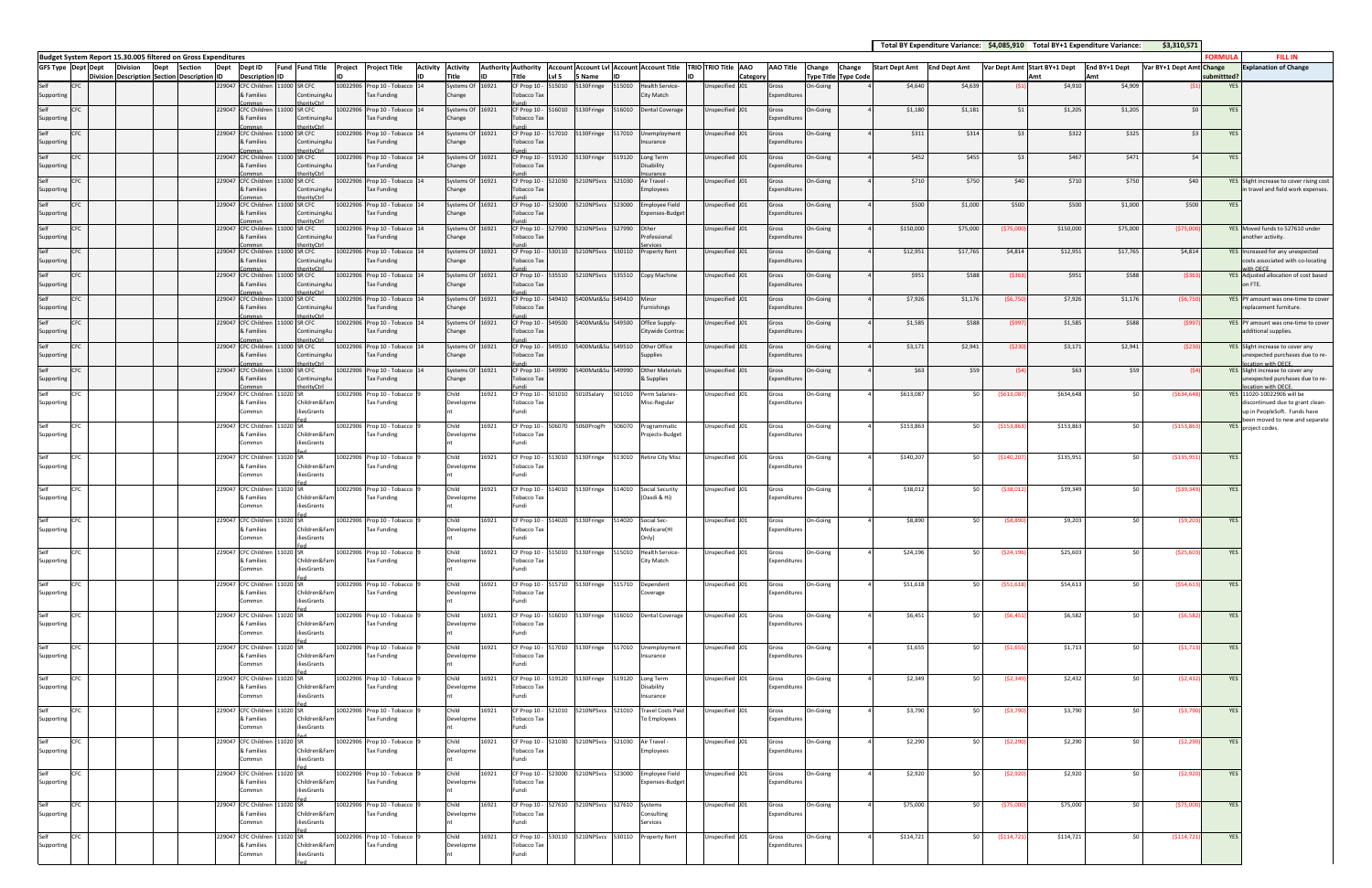|          |                             |                       |                     |               | Total BY Expenditure Variance: \$4,085,910 Total BY+1 Expenditure Variance: |               | \$3,310,571              |                |                                                                                                |
|----------|-----------------------------|-----------------------|---------------------|---------------|-----------------------------------------------------------------------------|---------------|--------------------------|----------------|------------------------------------------------------------------------------------------------|
| Change   | Change                      | <b>Start Dept Amt</b> | <b>End Dept Amt</b> |               | Var Dept Amt Start BY+1 Dept                                                | End BY+1 Dept | Var BY+1 Dept Amt Change | <b>FORMULA</b> | <b>FILL IN</b><br><b>Explanation of Change</b>                                                 |
|          | <b>Type Title Type Code</b> |                       |                     |               | Amt                                                                         | Amt           |                          | submittted?    |                                                                                                |
| On-Going | 4                           | \$4,640               | \$4,639             | (51)          | \$4,910                                                                     | \$4,909       | (S <sub>1</sub> )        | <b>YES</b>     |                                                                                                |
| On-Going | $\overline{4}$              | \$1,180               | \$1,181             | \$1           | \$1,205                                                                     | \$1,205       | \$0                      | <b>YES</b>     |                                                                                                |
| On-Going | $\overline{4}$              | \$311                 | \$314               | \$3           | \$322                                                                       | \$325         | \$3                      | YES            |                                                                                                |
| On-Going | $\overline{4}$              | \$452                 | \$455               | \$3           | \$467                                                                       | \$471         | \$4                      | YES            |                                                                                                |
| On-Going | 4                           | \$710                 | \$750               | \$40          | \$710                                                                       | \$750         | \$40                     | YES            | Slight increase to cover rising cost<br>in travel and field work expenses.                     |
| On-Going | $\overline{4}$              | \$500                 | \$1,000             | \$500         | \$500                                                                       | \$1,000       | \$500                    | <b>YES</b>     |                                                                                                |
| On-Going | 4                           | \$150,000             | \$75,000            | (\$75,000]    | \$150,000                                                                   | \$75,000      | ( \$75,000               | <b>YES</b>     | Moved funds to 527610 under<br>another activity.                                               |
| On-Going | $\overline{4}$              | \$12,951              | \$17,765            | \$4,814       | \$12,951                                                                    | \$17,765      | \$4,814                  |                | YES Increased for any unexpected<br>costs associated with co-locating<br>with OECE.            |
| On-Going | $\overline{4}$              | \$951                 | \$588               | ( \$363]      | \$951                                                                       | \$588         | ( \$363]                 |                | YES Adjusted allocation of cost based<br>on FTE.                                               |
| On-Going | $\overline{a}$              | \$7,926               | \$1,176             | ( \$6,750]    | \$7,926                                                                     | \$1,176       | (56, 750)                | <b>YES</b>     | PY amount was one-time to cover<br>replacement furniture.                                      |
| On-Going | 4                           | \$1,585               | \$588               | (5997)        | \$1,585                                                                     | \$588         | (5997)                   |                | YES PY amount was one-time to cover<br>additional supplies.                                    |
| On-Going | $\overline{4}$              | \$3,171               | \$2,941             | (5230)        | \$3,171                                                                     | \$2,941       | (5230)                   |                | YES Slight increase to cover any<br>unexpected purchases due to re-<br>ocation with OECE       |
| On-Going | $\overline{4}$              | \$63                  | \$59                | (54)          | \$63                                                                        | \$59          | (54)                     |                | YES Slight increase to cover any<br>unexpected purchases due to re-<br>ocation with OFCF.      |
| On-Going | 4                           | \$613,087             | \$0                 | (5613,087)    | \$634,648                                                                   | \$0           | (5634, 648)              |                | YES 11020-10022906 will be<br>discontinued due to grant clean-<br>up in PeopleSoft. Funds have |
| On-Going | 4                           | \$153,863             | \$0                 | ( \$153, 863] | \$153,863                                                                   | \$0           | ( \$153, 863             | YES            | been moved to new and separate<br>project codes.                                               |
| On-Going | 4                           | \$140,207             | \$0                 | ( \$140, 207) | \$135,951                                                                   | \$0           | ( \$135, 951)            | YES            |                                                                                                |
| On-Going | $\overline{4}$              | \$38,012              | \$0                 | (538, 012)    | \$39,349                                                                    | \$0           | (539, 349)               | YES            |                                                                                                |
| On-Going | 4                           | \$8,890               | \$0                 | ( \$8,890]    | \$9,203                                                                     | \$0           | (59, 203)                | <b>YES</b>     |                                                                                                |
| On-Going | 4                           | \$24,196              | \$0                 | (524, 196)    | \$25,603                                                                    | \$0           | ( \$25,603)              | YES            |                                                                                                |
| On-Going | 4                           | \$51,618              | \$0                 | ( \$51,618)   | \$54,613                                                                    | \$0           | ( \$54, 613)             | YES            |                                                                                                |
| On-Going | 4                           | \$6,451               | \$0                 | (56, 451)     | \$6,582                                                                     | \$0           | (56, 582)                | YES            |                                                                                                |
| On-Going | $\sqrt{4}$                  | \$1,655               | \$0                 | ( \$1,655)    | \$1,713                                                                     | \$0           | (51, 713)                | YES            |                                                                                                |
| On-Going | 4                           | \$2,349               | \$0                 | (52, 349)     | \$2,432                                                                     | \$0           | (52, 432)                | YES            |                                                                                                |
| On-Going | 4                           | \$3,790               | \$0                 | ( \$3,790)    | \$3,790                                                                     | \$0           | ( \$3,790)               | YES            |                                                                                                |
| On-Going | 4                           | \$2,290               | \$0                 | (\$2,290)     | \$2,290                                                                     | \$0           | ( \$2, 290]              | YES            |                                                                                                |
| On-Going | 4                           | \$2,920               | \$0                 | (52,920)      | \$2,920                                                                     | \$0           | ( \$2,920)               | YES            |                                                                                                |
| On-Going | 4                           | \$75,000              | \$0                 | ( \$75,000    | \$75,000                                                                    | \$0           | ( \$75,000)              | YES            |                                                                                                |
| On-Going | 4                           | \$114,721             | \$0                 | (5114, 721)   | \$114,721                                                                   | \$0           | (5114, 721)              | YES            |                                                                                                |

**Budget System Report 15.30.005 filtered on Gross Expenditures GFS Type Dept Dept DivisionDivision Description Dept Section SectionDescription Dept IDDept ID Description ID Fund Fund Title Project Project Title Activity IDIDActivity Title Authority Authority IDTitle Account Account Lvl Account Account Title TRIO TRIO Title AAO Lvl 5 5 Name IDIDCategory AAO Title Change Change Type Title Type Code Start Dept Amt End Dept Amt Var Dept Amt Start BY+1 Dept** SelfSupporting CFC 229047 CFC**C**Childre & Families Commsn<br>CFC Children 11000 SR CFC ContinuingAu thorityCtrl 10022906 Prop 10 - Tobacc Tax Funding  $5$ vstems Of Change 6921 CF Prop 10 Tobacco Tax Fundi Prop 10 ‐ 516010 5130Fringe 516010 Dental Coverage Unspecified J01 Gross 515010 5130Fringe 515010 Health Service City Match Unspecified J01 Gross Expenditures Selfportin CFC 229047 CFC& Families Commsn CFC 229047 CFC Children 11000 SR CFC **ContinuingAu** thorityCtrl 10022906 Prop 10 ‐ Tobacco Tax Funding Systems Of Change 16921 Tobacco Tax Fundi Prop 10 ‐ 517010 5130Fringe 517010 Unemployment penditur Selfoportin & Families CommsnCFC 229047 CFC Children 11000 SR CFC **ContinuingAu** rityCtrl 10022906 Prop 10 ‐ Tobacco Tax Funding Systems Of Change 6921 Tobacco Tax Fundi Prop 10 ‐ 519120 5130Fringe 519120 Long Term Insurance Unspecified J01 Gross enditur Selfoportin & Families Commsn CFC 229047 CFC Children 11000 SR CFC **ContinuingAu** thorityCtrl 10022906 Prop 10 ‐ Tobacco Tax Funding Systems Of Change 6921 Tobacco Tax Fundi Prop 10 ‐ 521030 5210NPSvcs 521030 Air Travel ‐ ability uranc Unspecified J01 Gross enditur Selfoportin & Families Commsn CFC 229047 CFC Children 11000 SR CFC ContinuingA thorityCtrl 10022906 Prop 10 ‐ Tobacco Tax Funding Systems Of Change 6921 Tobacco Tax Fundi Prop 10 ‐ 523000 5210NPSvcs 523000 Employee Field nployees Unspecified J01 Gross enditu Selfporti & Families CommsnC Children 11000 SR CFC **ContinuingAu** nrityCtrl 10022906 Prop 10 ‐ Tobacco Tax Funding Systems Of Change 6921 Tobacco Tax Fundi Prop 10 ‐ 527990 5210NPSvcs 527990 Other.<br>penses-Budge Unspecified J01 Gross enditu SelfSupporting CFC 229047 CFC& Families CommsnC Children 11000 SR CFC ContinuingAu thorityCtrl 10022906 Prop 10 ‐ Tobacco Tax Funding Systems Of Change 6921 Tobacco Tax Fundi Prop 10 ‐ 530110 5210NPSvcs 530110 Property Rent Unspecified J01 Gross Other Professional Services**Property Rent** Unspecified J01 Gross ienditu SelfSupporting CFC 229047 CFC& Families Commsn CFC 229047 CFC Children 11000 SR CFC ContinuingA thorityCtrl 11000 SR CFC 10022906 Prop 10 ‐ Tobacco Tax Funding Systems Of Change 16921 Tobacco Tax Fundi Prop 10 ‐ 535510 5210NPSvcs 535510 Copy Machine Unspecified J01 Gross enditu Selfportin & Families Commsn CFC 229047 CFC Children **ContinuingAu** thorityCtrl 10022906 Prop 10 ‐ Tobacco Tax Funding Systems Of Change 16921 Tobacco Tax Fundi Prop 10 ‐ 549410 5400Mat&Su 549410 Minorpenditur Selfporti & Families Commsn CFC 229047 CFC Children 11000 SR CFC **ContinuingAu** thorityCtrl 10022906 Prop 10 ‐ Tobacco Tax Funding Systems Of Change 6921 Tobacco Tax Fundi Prop 10 ‐ Furnishings Unspecified J01 Gross enditu Selfoportin & Families Commsn CFC 229047 CFC Children 11000 SR CFC **ContinuingA** prityCtrl 10022906 Prop 10 ‐ Tobacco Tax Funding Systems Of Change 6921 Tobacco Tax Fundi Prop 10 ‐ 5400Mat&Su 549500 Office Supply-Citywide Contra Unspecified J01 Gross enditur Selfporti & Families Commsn CFC 229047 CFC Children 11000 SR CFC ContinuingAu thorityCtrl 11000 SR CFC 10022906 Prop 10 ‐ Tobacco Tax Funding Systems Of Change 6921 Tobacco Tax Fundi**F** Prop 10 -549510 5400Mat&Su 549510 Other Office upplies Unspecified J01 Gross enditu Selfoportin & Families CommsnC Children **ContinuingAu** thorityCtrl 10022906 Prop 10 ‐ Tobacco Tax Funding Systems Of Change 6921 Tobacco Tax Fundi5400Mat&Su 549990 Materials & Supplies Unspecified J01 Gross Expenditures Selfpportin CFC 229047 CFC& Families hmsn 11020 SR Children&Fam iliesGrants Fed0022906 Prop 10 - Tobacco Tax Funding **Child** Developn nt6921 CF Prop 10 - 501010 Tobacco Tax undi 5010Salary 501010 Perm Salaries-Misc‐Regular Unspecified J01 Gross *spenditure* SelfSupporting CFC 229047 CFCCFC Childr &Familie Commsn11020 SR Children&Fam iliesGrants Fed10022906 Prop 10 ‐ Tobacco Tax Funding **Child** Developme nt16921 CF Prop 10 - 506070 Tobacco Tax Fundi 506070 5060ProgPr 506070 Programmatic rojects-Budget specified J01 Gross penditi Selfpportin CFC 229047 CFC Children & Families nmsn 11020 SRChildren&FamiliesGrantsFed10022906 Prop 10 ‐ Tobacco Tax Funding 9 Child Developp nt16921 Prop 10 ‐ 513010 5130Fringe 513010 Retire City Misc Unspecified J01 Gross Tobacco Tax Fundipenditur Selfipportin CFC 229047 CFC Children & Families Commsn 11020 SR Children&Fam iliesGrants Fed10022906 Prop 10 ‐ Tobacco Tax Funding **Child** Developm nt16921 Prop 10 ‐ 514010 5130Fringe 514010 Social Security Tobacco Tax Fundi (Oasdi & Hi) Unspecified J01 Gross kpenditure Selfnoortin CFC 229047 CFCFC Childre & Families mer 11020 SR Children&FamesGrants Fed022906 Prop 10 - Tobacco Tax Funding **Child**  Developme nt6921 CF Prop 10 -Tobacco Tax ndi 514020 5130Fringe 514020 Social Sec‐ Medicare(HI Only) specified J01 Gross menditu Selfnorti CFC 229047 CFC Children & Families nmsn 11020 SRChildren&FamliesGrants Fed10022906 Prop 10 ‐ Tobacco Tax Funding 9 Child Developm nt16921 Prop 10 ‐ 515010 5130Fringe 515010 Health Service‐ Tobacco Tax FundiCity Match Unspecified J01 Gross nenditur Selfipportin CFC 229047 CFC Children & Families nmsn 11020 SR Children&FamliesGrants Fed10022906 Prop 10 ‐ Tobacco Tax Funding 9 ChildDevelopm nt6921 Prop 10 ‐ 515710 5130Fringe 515710 Dependent Tobacco Tax undi Coverage Unspecified J01 Gross kpenditure Selfipporti CFC 229047 CFCCFC Childre &Familie Commsn11020 SR Children&Fam iliesGrants Fed10022906 Prop 10 ‐ Tobacco Tax Funding **Child**  Developme nt16921 CF Prop 10 -Tobacco Tax ndi 516010 5130Fringe 516010 Dental Coverage Unspecified J01 Gross penditu SelfSupporting CFC 229047 CFCFC Childre & Families nmsn 11020 SRChildren&Fa iliesGrantsFed10022906 Prop 10 ‐ Tobacco Tax Funding 9 Child Developme nt16921 Prop 10 ‐ 517010 5130Fringe 517010 Unemployment Tobacco Tax FundiInsurance Unspecified J01 Gross enditure. Selfipportin CFC 229047 CFC Children & Families hmsn 11020 SR Children&FamesGrants Fed 11020 SR10022906 Prop 10 ‐ Tobacco Tax Funding **Child** Developme nt16921 Prop 10 ‐ 519120 5130Fringe 519120 Long Term Tobacco Tax FundiDisability surance Unspecified J01 Gross menditure SelfIpportin CFC 229047 CFC Children &Families Commsn Children&FamiliesGrants Fed10022906 Prop 10 ‐ Tobacco Tax Funding 9 Child Developme nt16921 Prop 10 ‐ 521010 5210NPSvcs 521010 TravelTobacco Tax ndi Costs Paid To Employees Unspecified J01 Gross *e*nditures Selfoporti CFC 229047 CFC Children & Families nmer 11020 SR Children&FamliesGrants Fed10022906 Prop 10 ‐ Tobacco Tax Funding **Child** Developme nt16921 Prop 10 ‐ 521030 5210NPSvcs 521030 Air Travel ‐ Tobacco Tax Fundinployees nspecified J01 Gross enditure<br>Penditu Selfipportin CFC 229047 CFC Children & Families nmsn 11020 SR Children&FamiliesGrants Fed 11020 SR10022906 Prop 10 ‐ Tobacco Tax Funding **Child** Developme nt6921 Prop 10 ‐ 523000 5210NPSvcs 523000 Employee Field Tobacco Tax Fundi Expenses‐Budget Unspecified J01 Gross kpenditure SelfIpportin CFC 229047 CFC Children & Families Commsn Children&Fam iliesGrants Fed10022906 Prop 10 ‐ Tobacco Tax Funding **Child** Developme nt16921 Prop 10 ‐ 527610 5210NPSvcs 527610 Systems Tobacco Tax Fundi nsulting Services Unspecified J01 Gross kpenditur SelfSupporting CFC 229047 CFC Children & Families nmsn 11020 SR Children&FamliesGrants 10022906 Prop 10 ‐ Tobacco Tax Funding 9 Child Developme nt6921 Prop 10 ‐ 530110 5210NPSvcs 530110 Property Rent Unspecified J01 Gross Tobacco Tax Fundinenditur

Fed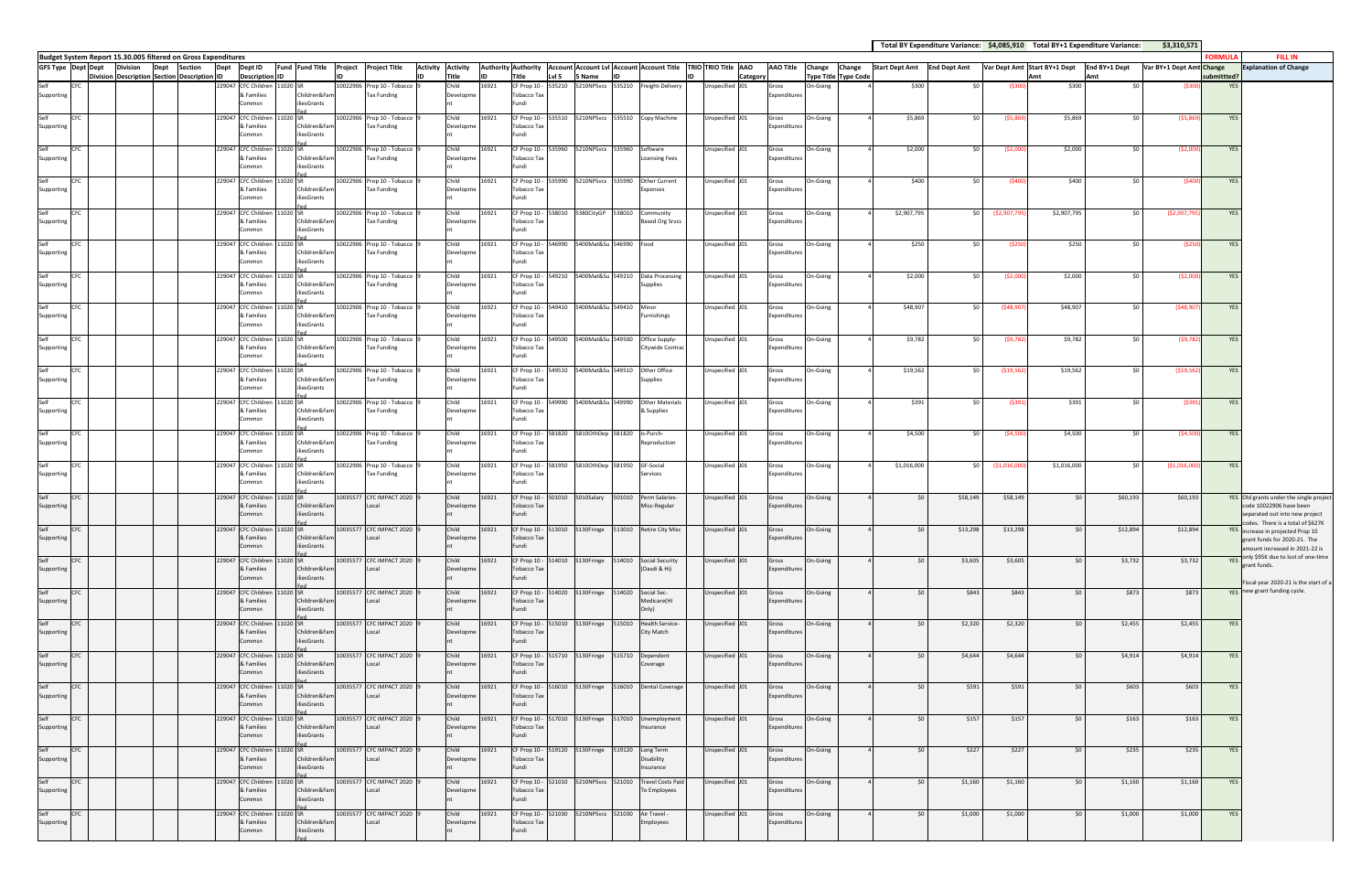|                           |            |                                                                                          |                |        |                                            |          |                             |                                                  |                          |                    |       |                                           |        |                                       |        |                                                                 |                                                                                               |                       |          |                             | Total BY Expenditure Variance: \$4,085,910 Total BY+1 Expenditure Variance: |                     |               |                              |                 | \$3,310,571              |                |                                                                       |
|---------------------------|------------|------------------------------------------------------------------------------------------|----------------|--------|--------------------------------------------|----------|-----------------------------|--------------------------------------------------|--------------------------|--------------------|-------|-------------------------------------------|--------|---------------------------------------|--------|-----------------------------------------------------------------|-----------------------------------------------------------------------------------------------|-----------------------|----------|-----------------------------|-----------------------------------------------------------------------------|---------------------|---------------|------------------------------|-----------------|--------------------------|----------------|-----------------------------------------------------------------------|
| <b>GFS Type Dept Dept</b> |            | Budget System Report 15.30.005 filtered on Gross Expenditures<br><b>Division</b><br>Dept | <b>Section</b> | Dept   | Dept ID                                    |          | <b>Fund Fund Title</b>      | Project Project Title                            | <b>Activity Activity</b> |                    |       |                                           |        |                                       |        |                                                                 | Authority Authority   Account Account Lvl   Account   Account Title   TRIO   TRIO Title   AAO | <b>AAO Title</b>      | Change   | Change                      | <b>Start Dept Amt</b>                                                       | <b>End Dept Amt</b> |               | Var Dept Amt Start BY+1 Dept | End BY+1 Dept   | Var BY+1 Dept Amt Change | <b>FORMULA</b> | <b>FILL IN</b><br><b>Explanation of Change</b>                        |
|                           |            | Division Description Section Description ID                                              |                |        | <b>Description</b>                         |          |                             |                                                  |                          | Title              |       | <b>Title</b>                              | Lvl 5  | Name                                  |        |                                                                 | Category                                                                                      |                       |          | <b>Type Title Type Code</b> |                                                                             |                     |               | Δm <sup>i</sup>              | Amt             |                          | ubmittted?     |                                                                       |
| Supporting                | <b>CFC</b> |                                                                                          |                |        | 229047 CFC Children 11020 SF<br>& Families |          | Children&Fam                | 10022906 Prop 10 - Tobacco<br>Tax Funding        |                          | Child<br>Developme | 16921 | CF Prop 10 -<br>Tobacco Tax               | 535210 |                                       |        | 5210NPSvcs 535210 Freight-Delivery                              | Jnspecified J01                                                                               | Gross<br>Expenditures | On-Going |                             | \$300                                                                       | <b>SO</b>           | (\$30)        | \$300                        | \$0             | (\$300                   | <b>YES</b>     |                                                                       |
|                           |            |                                                                                          |                |        | Commsn                                     |          | liesGrants                  |                                                  |                          |                    |       | Fundi                                     |        |                                       |        |                                                                 |                                                                                               |                       |          |                             |                                                                             |                     |               |                              |                 |                          |                |                                                                       |
| Self                      | <b>CFC</b> |                                                                                          |                |        | 229047 CFC Children 11020 SR               |          |                             | 10022906 Prop 10 - Tobacco                       |                          | Child              | 16921 | CF Prop 10 -                              |        |                                       |        | 535510 5210NPSvcs 535510 Copy Machine                           | Unspecified J01                                                                               | Gross                 | On-Going |                             | \$5,869                                                                     | \$0                 | (55,869)      | \$5,869                      | \$0             | (55, 869)                | <b>YES</b>     |                                                                       |
| Supporting                |            |                                                                                          |                |        | & Families<br>Commsn                       |          | Children&Far<br>iliesGrants | Tax Funding                                      |                          | Developme          |       | Tobacco Ta:<br>Fundi                      |        |                                       |        |                                                                 |                                                                                               | Expenditures          |          |                             |                                                                             |                     |               |                              |                 |                          |                |                                                                       |
| Self                      | CFC        |                                                                                          |                |        | 229047 CFC Children                        | 11020 SR |                             | 0022906 Prop 10 - Tobacco                        |                          | Child              | 16921 | CF Prop 10 -                              | 535960 | 5210NPSvcs 535960                     |        | Software                                                        | Jnspecified J01                                                                               | Gross                 | On-Going |                             | \$2,000                                                                     | \$0                 | (52,00)       | \$2,000                      | ςU              | (52,000)                 | <b>YES</b>     |                                                                       |
| Supporting                |            |                                                                                          |                |        | & Families<br>Commsn                       |          | Children&Fam<br>iliesGrants | Tax Funding                                      |                          | Developme          |       | <b>Tobacco Tax</b><br>Fundi               |        |                                       |        | <b>Licensing Fees</b>                                           |                                                                                               | Expenditures          |          |                             |                                                                             |                     |               |                              |                 |                          |                |                                                                       |
|                           | <b>CFC</b> |                                                                                          |                |        | 229047 CFC Children 11020 SR               |          |                             | 10022906 Prop 10 - Tobacco                       |                          | Child              | 16921 | CF Prop 10 -                              | 535990 |                                       |        | 5210NPSvcs 535990 Other Current                                 | Unspecified J01                                                                               | Gross                 | On-Going |                             | \$400                                                                       | \$0                 | (\$400        | \$400                        | 50 <sup>1</sup> | (\$400                   | <b>YES</b>     |                                                                       |
| Supporting                |            |                                                                                          |                |        | & Families                                 |          | Children&Fam                | <b>Tax Funding</b>                               |                          | Developme          |       | Tobacco Tax                               |        |                                       |        | Expenses                                                        |                                                                                               | Expenditures          |          |                             |                                                                             |                     |               |                              |                 |                          |                |                                                                       |
|                           |            |                                                                                          |                |        | Commsn                                     |          | liesGrants                  |                                                  |                          |                    |       | Fundi                                     |        |                                       |        |                                                                 |                                                                                               |                       |          |                             |                                                                             |                     |               |                              |                 |                          |                |                                                                       |
| Self<br>Supporting        | <b>CFC</b> |                                                                                          |                |        | 229047 CFC Children<br>& Families          | 11020 SR | Children&Far                | 10022906 Prop 10 - Tobacco<br>Tax Funding        |                          | Child<br>Developme | 16921 | CF Prop 10 -<br>Tobacco Tax               | 538010 |                                       |        | Community<br><b>Based Org Srvcs</b>                             | Inspecified J01                                                                               | Gross<br>Expenditures | On-Going |                             | \$2,907,795                                                                 | <b>SO</b>           | (\$2,907,79   | \$2,907,795                  | \$0             | (52,907,79)              | <b>YES</b>     |                                                                       |
|                           |            |                                                                                          |                |        | Commsn                                     |          | iliesGrants                 |                                                  |                          |                    |       | Fundi                                     |        |                                       |        |                                                                 |                                                                                               |                       |          |                             |                                                                             |                     |               |                              |                 |                          |                |                                                                       |
| Self                      | CFC        |                                                                                          |                |        | 229047 CFC Children 11020 SR               |          |                             | 0022906 Prop 10 - Tobacco                        |                          | Child              | 16921 | CF Prop 10 -                              | 546990 | 5400Mat&Su 546990                     |        | Food                                                            | Unspecified J01                                                                               | Gross                 | On-Going |                             | \$250                                                                       | \$0                 | (\$250        | \$250                        | \$0             | (\$250                   | <b>YES</b>     |                                                                       |
| Supporting                |            |                                                                                          |                |        | & Families<br>Commsn                       |          | Children&Fam<br>liesGrants  | <b>Tax Funding</b>                               |                          | Developme          |       | Tobacco Tax<br>Fundi                      |        |                                       |        |                                                                 |                                                                                               | Expenditures          |          |                             |                                                                             |                     |               |                              |                 |                          |                |                                                                       |
| Self                      | <b>CFC</b> |                                                                                          |                |        | 229047 CFC Children 11020 SR               |          |                             | 10022906 Prop 10 - Tobacco                       |                          | Child              | 16921 | CF Prop 10 -                              | 549210 |                                       |        | 5400Mat&Su 549210 Data Processing                               | Jnspecified J01                                                                               | Gross                 | On-Going |                             | \$2,000                                                                     | \$0                 | (52,00)       | \$2,000                      | \$0             | (52,000)                 | <b>YES</b>     |                                                                       |
| Supporting                |            |                                                                                          |                |        | & Families<br>Commsn                       |          | Children&Fam<br>iliesGrants | <b>Tax Funding</b>                               |                          | Developme          |       | Tobacco Tax<br>Fundi                      |        |                                       |        | Supplies                                                        |                                                                                               | Expenditures          |          |                             |                                                                             |                     |               |                              |                 |                          |                |                                                                       |
| ∱ام؟                      | CFC        |                                                                                          |                |        | 229047 CFC Children                        | 1020 SR  |                             | 10022906 Prop 10 - Tobacco                       |                          | Child              | 16921 | CF Prop 10 -                              | 549410 | 5400Mat&Su 549410                     |        | Minor                                                           | Jnspecified J01                                                                               | Gross                 | On-Going |                             | \$48,907                                                                    | \$0                 | (548, 907)    | \$48,907                     | S∩              | (548, 90)                | YES            |                                                                       |
| Supporting                |            |                                                                                          |                |        | & Families                                 |          | Children&Fan                | <b>Tax Funding</b>                               |                          | Developme          |       | Tobacco Tax                               |        |                                       |        | Furnishings                                                     |                                                                                               | Expenditures          |          |                             |                                                                             |                     |               |                              |                 |                          |                |                                                                       |
|                           |            |                                                                                          |                |        | Commsn                                     |          | iliesGrants                 |                                                  |                          |                    |       | Fundi                                     |        |                                       |        |                                                                 |                                                                                               |                       |          |                             |                                                                             |                     |               |                              |                 |                          |                |                                                                       |
| Self<br>Supporting        | <b>CFC</b> |                                                                                          |                |        | 229047 CFC Children 11020 SR<br>& Families |          | Children&Fam                | 10022906 Prop 10 - Tobacco<br><b>Tax Funding</b> |                          | Child<br>Developme | 16921 | CF Prop 10 -<br>Tobacco Tax               | 549500 | 5400Mat&Su 549500                     |        | Office Supply-<br>Citywide Contrac                              | Unspecified J01                                                                               | Gross<br>Expenditures | On-Going |                             | \$9,782                                                                     | \$0                 | (59, 782)     | \$9,782                      | 50 <sub>1</sub> | (59, 782)                | <b>YES</b>     |                                                                       |
|                           |            |                                                                                          |                |        | Commsn                                     |          | liesGrants                  |                                                  |                          |                    |       | Fundi                                     |        |                                       |        |                                                                 |                                                                                               |                       |          |                             |                                                                             |                     |               |                              |                 |                          |                |                                                                       |
| Self                      | <b>CFC</b> |                                                                                          |                |        | 229047 CFC Children                        | 11020 SR |                             | 0022906 Prop 10 - Tobacco                        |                          | Child              | 16921 | CF Prop 10 -                              | 549510 | 5400Mat&Su 549510                     |        | Other Office                                                    | Inspecified J01                                                                               | Gross                 | On-Going |                             | \$19,562                                                                    | \$0                 | (519,56)      | \$19,562                     | \$0             | ( \$19, 56               | <b>YES</b>     |                                                                       |
| Supporting                |            |                                                                                          |                |        | & Families<br>Commsn                       |          | Children&Fam<br>iliesGrants | Tax Funding                                      |                          | Developme          |       | Tobacco Tax<br>Fundi                      |        |                                       |        | Supplies                                                        |                                                                                               | Expenditures          |          |                             |                                                                             |                     |               |                              |                 |                          |                |                                                                       |
| Self                      | <b>CFC</b> |                                                                                          |                |        | 229047 CFC Children                        | 11020 SR |                             | 10022906 Prop 10 - Tobacco                       |                          | Child              | 16921 | CF Prop 10                                | 549990 | 5400Mat&Su 549990                     |        | <b>Other Materials</b>                                          | Jnspecified J01                                                                               | Gross                 | On-Going |                             | \$391                                                                       | \$0                 | (\$391        | \$391                        | \$0             | (\$39:                   | YES            |                                                                       |
| Supporting                |            |                                                                                          |                |        | & Families<br>Commsn                       |          | Children&Fam<br>liesGrants  | <b>Tax Funding</b>                               |                          | Developme          |       | Tobacco Tax<br>Fundi                      |        |                                       |        | & Supplies                                                      |                                                                                               | Expenditures          |          |                             |                                                                             |                     |               |                              |                 |                          |                |                                                                       |
| Self                      | <b>CFC</b> |                                                                                          |                |        | 229047 CFC Children 11020 SR               |          |                             | 10022906 Prop 10 - Tobacco                       |                          | Child              | 16921 | CF Prop 10 -                              | 581820 | 5810OthDep 581820                     |        | Is-Purch-                                                       | Jnspecified J01                                                                               | Gross                 | On-Going |                             | \$4,500                                                                     | \$0                 | (54, 500)     | \$4,500                      | \$0             | (54, 500)                | <b>YES</b>     |                                                                       |
| Supporting                |            |                                                                                          |                |        | & Families                                 |          | Children&Far                | Tax Funding                                      |                          | Developme          |       | Tobacco Tax                               |        |                                       |        | Reproduction                                                    |                                                                                               | Expenditures          |          |                             |                                                                             |                     |               |                              |                 |                          |                |                                                                       |
|                           |            |                                                                                          |                |        | Commsn                                     |          | liesGrants                  |                                                  |                          |                    |       | Fundi                                     |        |                                       |        |                                                                 |                                                                                               |                       |          |                             |                                                                             |                     |               |                              |                 |                          |                |                                                                       |
| Self<br>Supporting        | CFC        |                                                                                          |                |        | 229047 CFC Children 11020 SR<br>& Families |          | Children&Fam                | 10022906 Prop 10 - Tobacco<br><b>Tax Funding</b> |                          | Child<br>Developme | 16921 | CF Prop 10 - 581950<br><b>Tobacco Tax</b> |        | 5810OthDep 581950                     |        | GF-Social<br>Services                                           | Unspecified J01                                                                               | Gross<br>Expenditures | On-Going |                             | \$1,016,000                                                                 | <b>SO</b>           | ( \$1,016,00] | \$1,016,000                  | S∩              | ( \$1,016,000            | <b>YES</b>     |                                                                       |
|                           |            |                                                                                          |                |        | Commsn                                     |          | iliesGrants                 |                                                  |                          |                    |       | Fundi                                     |        |                                       |        |                                                                 |                                                                                               |                       |          |                             |                                                                             |                     |               |                              |                 |                          |                |                                                                       |
|                           | CFC        |                                                                                          |                | 229047 | <b>CFC Children</b><br>& Families          |          | Children&Fan                | 10035577 CFC IMPACT 2020<br>Local                |                          | Child<br>Developme | 16921 | CF Prop 10<br>Tobacco Ta:                 | 01010  | 5010Salary                            | 501010 | Perm Salaries<br>Misc-Regular                                   | Jnspecified J01                                                                               | Gross<br>Expenditures | On-Going |                             |                                                                             | \$58,149            | \$58,149      | \$0                          | \$60,193        | \$60,193                 |                | YES Old grants under the single project<br>code 10022906 have been    |
| Supporting                |            |                                                                                          |                |        | Commsn                                     |          | iliesGrants                 |                                                  |                          |                    |       | Fundi                                     |        |                                       |        |                                                                 |                                                                                               |                       |          |                             |                                                                             |                     |               |                              |                 |                          |                | separated out into new project                                        |
| Self                      | <b>CFC</b> |                                                                                          |                |        | 229047 CFC Children                        | 1020 SR  |                             | 10035577 CFC IMPACT 2020                         |                          | Child              | 16921 |                                           |        | CF Prop 10 - 513010 5130Fringe        |        | 513010 Retire City Misc                                         | Unspecified J01                                                                               | Gross                 | On-Going |                             | \$0                                                                         | \$13,298            | \$13,298      | \$0                          | \$12,894        | \$12,894                 |                | odes. There is a total of \$627K<br>YES increase in projected Prop 10 |
| Supporting                |            |                                                                                          |                |        | & Families<br>Commsn                       |          | Children&Fam<br>iliesGrants | Local                                            |                          | Developme          |       | Tobacco Tax<br>Fundi                      |        |                                       |        |                                                                 |                                                                                               | Expenditures          |          |                             |                                                                             |                     |               |                              |                 |                          |                | grant funds for 2020-21. The<br>amount increased in 2021-22 is        |
| Self                      | <b>CFC</b> |                                                                                          |                |        | 229047 CFC Children 11020 SR               |          |                             | 10035577 CFC IMPACT 2020                         |                          | Child              | 16921 |                                           |        | CF Prop 10 - 514010 5130Fringe        |        | 514010 Social Security                                          | Unspecified J01                                                                               | Gross                 | On-Going |                             | \$0                                                                         | \$3,605             | \$3,605       | \$0                          | \$3,732         | \$3,732                  |                | VES only \$95K due to lost of one-time                                |
| Supporting                |            |                                                                                          |                |        | & Families                                 |          | Children&Fam                | Local                                            |                          | Developme          |       | Tobacco Tax                               |        |                                       |        | (Oasdi & Hi)                                                    |                                                                                               | Expenditures          |          |                             |                                                                             |                     |               |                              |                 |                          |                | grant funds.                                                          |
|                           |            |                                                                                          |                |        | Commsn                                     |          | iliesGrants                 |                                                  |                          |                    |       | Fundi                                     |        |                                       |        |                                                                 |                                                                                               |                       |          |                             |                                                                             |                     |               |                              |                 |                          |                | Fiscal year 2020-21 is the start of a                                 |
| Self<br>Supporting        | <b>CFC</b> |                                                                                          |                |        | 229047 CFC Children 11020 SR<br>& Families |          | Children&Fam                | 10035577 CFC IMPACT 2020<br>Local                |                          | Child<br>Developme | 16921 | Tobacco Tax                               |        | CF Prop 10 - 514020 5130Fringe 514020 |        | Social Sec-<br>Medicare(HI                                      | Unspecified J01                                                                               | Gross<br>Expenditures | On-Going |                             | \$0                                                                         | \$843               | \$843         | \$0                          | \$873           | \$873                    |                | YES new grant funding cycle.                                          |
|                           |            |                                                                                          |                |        | Commsn                                     |          | iliesGrants                 |                                                  |                          |                    |       | Fundi                                     |        |                                       |        | Only)                                                           |                                                                                               |                       |          |                             |                                                                             |                     |               |                              |                 |                          |                |                                                                       |
| Self<br>Supporting        | <b>CFC</b> |                                                                                          |                |        | 229047 CFC Children 11020 SR<br>& Families |          | Children&Fam                | 10035577 CFC IMPACT 2020<br>Local                |                          | Child<br>Developme | 16921 | Tobacco Tax                               |        | CF Prop 10 - 515010 5130Fringe        | 515010 | Health Service-<br>City Match                                   | Unspecified J01                                                                               | Gross<br>Expenditures | On-Going |                             | \$0                                                                         | \$2,320             | \$2,320       | \$0                          | \$2,455         | \$2,455                  | <b>YES</b>     |                                                                       |
|                           |            |                                                                                          |                |        | Commsn                                     |          | iliesGrants                 |                                                  |                          |                    |       | Fundi                                     |        |                                       |        |                                                                 |                                                                                               |                       |          |                             |                                                                             |                     |               |                              |                 |                          |                |                                                                       |
| Self                      | <b>CFC</b> |                                                                                          |                |        | 229047 CFC Children 11020 SR               |          |                             | 10035577 CFC IMPACT 2020                         |                          | Child              | 16921 |                                           |        | CF Prop 10 - 515710 5130Fringe        |        | 515710 Dependent                                                | Unspecified J01                                                                               | Gross                 | On-Going |                             | \$0                                                                         | \$4,644             | \$4,644       | \$0                          | \$4,914         | \$4,914                  | YES            |                                                                       |
| Supporting                |            |                                                                                          |                |        | & Families<br>Commsn                       |          | Children&Fam<br>iliesGrants | Local                                            |                          | Developme          |       | Tobacco Tax<br>Fundi                      |        |                                       |        | Coverage                                                        |                                                                                               | Expenditures          |          |                             |                                                                             |                     |               |                              |                 |                          |                |                                                                       |
| Self                      | <b>CFC</b> |                                                                                          |                |        | 229047 CFC Children 11020 SR               |          |                             | 10035577 CFC IMPACT 2020                         |                          | Child              | 16921 |                                           |        | CF Prop 10 - 516010 5130Fringe        |        | 516010 Dental Coverage                                          | Unspecified J01                                                                               | Gross                 | On-Going |                             | \$0                                                                         | \$591               | \$591         | \$0                          | \$603           | \$603                    | YES            |                                                                       |
| Supporting                |            |                                                                                          |                |        | & Families<br>Commsn                       |          | Children&Fam<br>iliesGrants | Local                                            |                          | Developme          |       | Tobacco Tax<br>Fundi                      |        |                                       |        |                                                                 |                                                                                               | Expenditures          |          |                             |                                                                             |                     |               |                              |                 |                          |                |                                                                       |
| Self                      |            |                                                                                          |                |        |                                            |          |                             |                                                  |                          | Child              |       |                                           |        |                                       |        |                                                                 |                                                                                               |                       |          |                             |                                                                             |                     |               |                              |                 |                          |                |                                                                       |
| Supporting                | <b>CFC</b> |                                                                                          |                |        | 229047 CFC Children 11020 SR<br>& Families |          | Children&Fam                | 10035577 CFC IMPACT 2020<br>Local                |                          | Developme          | 16921 | <b>Tobacco Tax</b>                        |        |                                       |        | CF Prop 10 - 517010 5130Fringe 517010 Unemployment<br>Insurance | Unspecified J01                                                                               | Gross<br>Expenditures | On-Going |                             | \$0                                                                         | \$157               | \$157         | \$0                          | \$163           | \$163                    | YES            |                                                                       |
|                           |            |                                                                                          |                |        | Commsn                                     |          | iliesGrants                 |                                                  |                          |                    |       | Fundi                                     |        |                                       |        |                                                                 |                                                                                               |                       |          |                             |                                                                             |                     |               |                              |                 |                          |                |                                                                       |
| Self<br>Supporting        | <b>CFC</b> |                                                                                          |                |        | 229047 CFC Children<br>& Families          | 11020 SR | Children&Fam                | 10035577 CFC IMPACT 2020<br>Local                |                          | Child<br>Developme | 16921 | CF Prop 10 - 519120<br>Tobacco Tax        |        | 5130Fringe                            | 519120 | Long Term<br>Disability                                         | Unspecified J01                                                                               | Gross<br>Expenditures | On-Going |                             | \$0                                                                         | \$227               | \$227         | \$0                          | \$235           | \$235                    | YES            |                                                                       |
|                           |            |                                                                                          |                |        | Commsn                                     |          | iliesGrants                 |                                                  |                          |                    |       | Fundi                                     |        |                                       |        | Insurance                                                       |                                                                                               |                       |          |                             |                                                                             |                     |               |                              |                 |                          |                |                                                                       |
| Self                      | <b>CFC</b> |                                                                                          |                |        | 229047 CFC Children 11020 SR               |          |                             | 10035577 CFC IMPACT 2020                         |                          | Child              | 16921 |                                           |        |                                       |        | CF Prop 10 - 521010 5210NPSvcs 521010 Travel Costs Paid         | Unspecified J01                                                                               | Gross                 | On-Going |                             | \$0                                                                         | \$1,160             | \$1,160       | \$0                          | \$1,160         | \$1,160                  | YES            |                                                                       |
| Supporting                |            |                                                                                          |                |        | & Families<br>Commsn                       |          | Children&Fam<br>iliesGrants | Local                                            |                          | Developme          |       | <b>Tobacco Tax</b><br>Fundi               |        |                                       |        | To Employees                                                    |                                                                                               | Expenditures          |          |                             |                                                                             |                     |               |                              |                 |                          |                |                                                                       |
| Self                      | <b>CFC</b> |                                                                                          |                |        | 229047 CFC Children                        | 11020 SR |                             | 10035577 CFC IMPACT 2020                         |                          | Child              | 16921 | CF Prop 10 -                              | 521030 | 5210NPSvcs 521030                     |        | Air Travel -                                                    | Unspecified J01                                                                               | Gross                 | On-Going |                             | S0                                                                          | \$1,000             | \$1,000       | \$0                          | \$1,000         | \$1,000                  | YES            |                                                                       |
| Supporting                |            |                                                                                          |                |        | & Families<br>Commsn                       |          | Children&Fam<br>iliesGrants | Local                                            |                          | Developme          |       | Tobacco Tax<br>Fundi                      |        |                                       |        | Employees                                                       |                                                                                               | Expenditures          |          |                             |                                                                             |                     |               |                              |                 |                          |                |                                                                       |
|                           |            |                                                                                          |                |        |                                            |          |                             |                                                  |                          |                    |       |                                           |        |                                       |        |                                                                 |                                                                                               |                       |          |                             |                                                                             |                     |               |                              |                 |                          |                |                                                                       |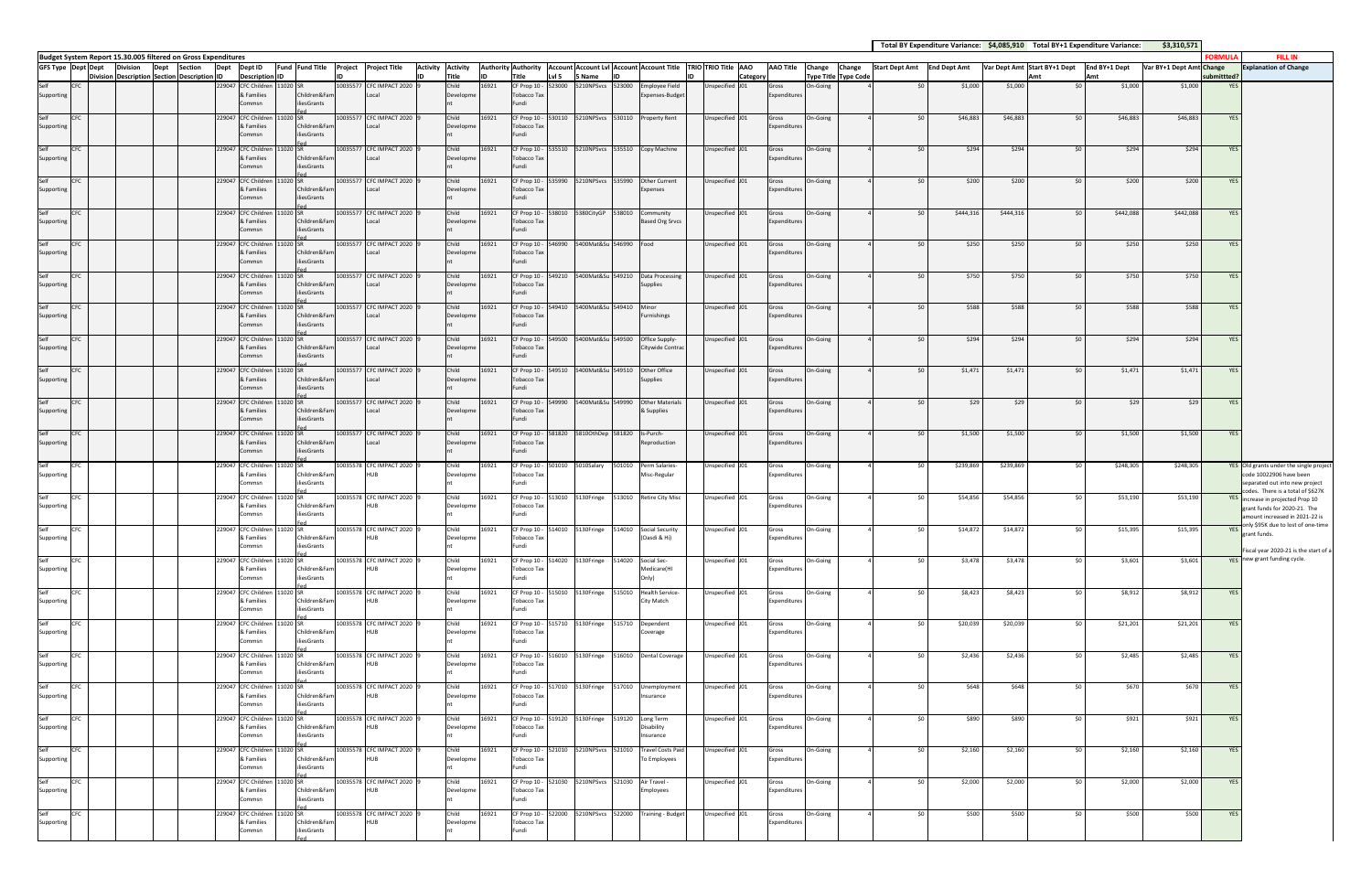|                    |            |                 |      |                                                                          |      |                                            |          |                             |                                       |                          |                    |       |                                    |        |                                                    |        |                                                                 |                                                                                                 |                       |          |                             | Total BY Expenditure Variance: \$4,085,910 Total BY+1 Expenditure Variance: |           |           |                              |                              | \$3,310,571              |               |                                                                       |
|--------------------|------------|-----------------|------|--------------------------------------------------------------------------|------|--------------------------------------------|----------|-----------------------------|---------------------------------------|--------------------------|--------------------|-------|------------------------------------|--------|----------------------------------------------------|--------|-----------------------------------------------------------------|-------------------------------------------------------------------------------------------------|-----------------------|----------|-----------------------------|-----------------------------------------------------------------------------|-----------|-----------|------------------------------|------------------------------|--------------------------|---------------|-----------------------------------------------------------------------|
| GFS Type Dept Dept |            | <b>Division</b> | Dept | Budget System Report 15.30.005 filtered on Gross Expenditures<br>Section | Dept | Dept ID                                    |          |                             | Fund Fund Title Project Project Title | <b>Activity Activity</b> |                    |       |                                    |        |                                                    |        |                                                                 | Authority Authority   Account   Account Lvl   Account   Account Title   TRIO   TRIO Title   AAO | <b>AAO Title</b>      | Change   | Change                      | Start Dept Amt End Dept Amt                                                 |           |           | Var Dept Amt Start BY+1 Dept | End BY+1 Dept                | Var BY+1 Dept Amt Change | <b>FORMUL</b> | <b>FILL IN</b><br><b>Explanation of Change</b>                        |
|                    |            |                 |      | Division Description Section Description ID                              |      | <b>Description</b>                         |          |                             |                                       |                          | Title              | lın   | Title                              | LvI 5  | 5 Name                                             |        |                                                                 | Category                                                                                        |                       |          | <b>Type Title Type Code</b> |                                                                             |           |           | Δmi                          | Amt                          |                          | submittted i  |                                                                       |
| Self<br>Supporting | CFC        |                 |      |                                                                          |      | 229047 CFC Children 11020 SR<br>& Families |          | Children&Fam                | 10035577 CFC IMPACT 2020<br>Local     |                          | Child<br>Developme | 16921 | CF Prop 10 -<br>Tobacco Tax        | 523000 | 5210NPSvcs 523000                                  |        | <b>Employee Field</b><br>Expenses-Budget                        | Inspecified J01                                                                                 | Gross<br>Expenditures | On-Going |                             | \$0                                                                         | \$1,000   | \$1,000   |                              | 50 <sup>1</sup>              | \$1,000<br>\$1,000       | <b>YES</b>    |                                                                       |
|                    |            |                 |      |                                                                          |      | Commsn                                     |          | iliesGrants                 |                                       |                          |                    |       | Fundi                              |        |                                                    |        |                                                                 |                                                                                                 |                       |          |                             |                                                                             |           |           |                              |                              |                          |               |                                                                       |
| Self<br>Supporting | <b>CFC</b> |                 |      |                                                                          |      | 229047 CFC Children 11020 SR<br>& Families |          | Children&Fam                | 10035577 CFC IMPACT 2020<br>Local     |                          | Child<br>Developme | 16921 | CF Prop 10 -<br><b>Tobacco Tax</b> |        |                                                    |        | 530110 5210NPSvcs 530110 Property Rent                          | Unspecified J01                                                                                 | Gross<br>Expenditures | On-Going |                             | \$0                                                                         | \$46,883  | \$46,883  |                              | 50 <sup>1</sup><br>\$46,883  | \$46,883                 | <b>YES</b>    |                                                                       |
|                    |            |                 |      |                                                                          |      | Commsn                                     |          | liesGrants                  |                                       |                          |                    |       | Fundi                              |        |                                                    |        |                                                                 |                                                                                                 |                       |          |                             |                                                                             |           |           |                              |                              |                          |               |                                                                       |
| Self<br>Supporting | <b>CFC</b> |                 |      |                                                                          |      | 229047 CFC Children<br>& Families          |          | 1020 SR<br>Children&Fam     | 10035577 CFC IMPACT 2020<br>Local     |                          | Child<br>Developme | 16921 | CF Prop 10<br>Tobacco Ta:          | 535510 |                                                    |        | 5210NPSvcs 535510 Copy Machine                                  | Jnspecified J01                                                                                 | Gross<br>Expenditures | On-Going |                             | \$0                                                                         | \$294     | \$294     |                              | \$0                          | \$294<br>\$294           | <b>YES</b>    |                                                                       |
|                    |            |                 |      |                                                                          |      | Commsn                                     |          | iliesGrants                 |                                       |                          |                    |       | Fundi                              |        |                                                    |        |                                                                 |                                                                                                 |                       |          |                             |                                                                             |           |           |                              |                              |                          |               |                                                                       |
| Self               | <b>CFC</b> |                 |      |                                                                          |      | 229047 CFC Children<br>& Families          | 1020 SR  | Children&Fan                | 10035577 CFC IMPACT 2020<br>Local     |                          | Child<br>Developme | 16921 | CF Prop 10<br>Tobacco Tax          | 535990 | 5210NPSvcs 535990                                  |        | <b>Other Current</b>                                            | Jnspecified J01                                                                                 | Gross<br>Expenditures | On-Going |                             | \$0                                                                         | \$200     | \$200     |                              | \$0                          | \$200<br>\$200           | YES           |                                                                       |
| Supporting         |            |                 |      |                                                                          |      | Commsn                                     |          | iliesGrants                 |                                       |                          |                    |       | Fundi                              |        |                                                    |        | Expenses                                                        |                                                                                                 |                       |          |                             |                                                                             |           |           |                              |                              |                          |               |                                                                       |
| Self               | <b>CFC</b> |                 |      |                                                                          |      | 229047 CFC Children 11020 SR               |          |                             | 10035577 CFC IMPACT 2020              |                          | Child              | 16921 | CF Prop 10 -                       |        | 538010  5380CityGP  538010  Community              |        |                                                                 | Unspecified J01                                                                                 | Gross                 | On-Going |                             | \$0                                                                         | \$444,316 | \$444,316 |                              | \$0<br>\$442,088             | \$442,088                | <b>YES</b>    |                                                                       |
| Supporting         |            |                 |      |                                                                          |      | & Families<br>Commsn                       |          | Children&Fan<br>iliesGrants | Local                                 |                          | Developme          |       | Tobacco Ta:<br>Fundi               |        |                                                    |        | <b>Based Org Srvcs</b>                                          |                                                                                                 | Expenditures          |          |                             |                                                                             |           |           |                              |                              |                          |               |                                                                       |
| Self               | <b>CFC</b> |                 |      |                                                                          |      | 229047 CFC Children                        |          | 1020 SR                     | 10035577 CFC IMPACT 2020              |                          | Child              | 16921 | CF Prop 10 -                       | 546990 | 5400Mat&Su 546990                                  |        | Food                                                            | Unspecified J01                                                                                 | Gross                 | On-Going |                             | \$0                                                                         | \$250     | \$250     |                              | \$0                          | \$250<br>\$250           | <b>YES</b>    |                                                                       |
| Supporting         |            |                 |      |                                                                          |      | & Families<br>Commsn                       |          | Children&Fam<br>iliesGrants | Local                                 |                          | Developme          |       | <b>Tobacco Tax</b><br>Fundi        |        |                                                    |        |                                                                 |                                                                                                 | Expenditures          |          |                             |                                                                             |           |           |                              |                              |                          |               |                                                                       |
| Self               | <b>CFC</b> |                 |      |                                                                          |      | 229047 CFC Children 11020 SR               |          |                             | 10035577 CFC IMPACT 2020              |                          | Child              | 16921 | CF Prop 10 -                       |        |                                                    |        | 549210 5400Mat&Su 549210 Data Processing                        | Unspecified J01                                                                                 | Gross                 | On-Going |                             | \$0                                                                         | \$750     | \$750     |                              | \$0                          | \$750<br>\$750           | <b>YES</b>    |                                                                       |
| Supporting         |            |                 |      |                                                                          |      | & Families<br>Commsn                       |          | Children&Fam<br>liesGrants  | Local                                 |                          | Developme          |       | <b>Tobacco Tax</b><br>Fundi        |        |                                                    |        | <b>Supplies</b>                                                 |                                                                                                 | Expenditures          |          |                             |                                                                             |           |           |                              |                              |                          |               |                                                                       |
| Self               | <b>CFC</b> |                 |      |                                                                          |      | 229047 CFC Children 11020 SR               |          |                             | 10035577 CFC IMPACT 2020              |                          | Child              | 16921 | CF Prop 10 -                       | 549410 | 5400Mat&Su 549410 Minor                            |        |                                                                 | Unspecified J01                                                                                 | Gross                 | On-Going |                             | \$0                                                                         | \$588     | \$588     |                              | \$0                          | \$588<br>\$588           | <b>YES</b>    |                                                                       |
| Supporting         |            |                 |      |                                                                          |      | & Families                                 |          | Children&Fan<br>iliesGrants | Local                                 |                          | Developme          |       | Tobacco Tax<br>Fundi               |        |                                                    |        | Furnishings                                                     |                                                                                                 | Expenditures          |          |                             |                                                                             |           |           |                              |                              |                          |               |                                                                       |
| Self               | <b>CFC</b> |                 |      |                                                                          |      | Commsn<br>229047 CFC Children              | 11020 SR |                             | 10035577 CFC IMPACT 2020              |                          | Child              | 16921 | CF Prop 10                         | 549500 | 5400Mat&Su 549500                                  |        | Office Supply-                                                  | Unspecified J01                                                                                 |                       | On-Going |                             | 50                                                                          | \$294     | \$294     |                              | \$0                          | \$294<br>\$294           | <b>YES</b>    |                                                                       |
| Supporting         |            |                 |      |                                                                          |      | & Families                                 |          | Children&Fam                | Local                                 |                          | Developme          |       | <b>Tobacco Tax</b>                 |        |                                                    |        | Citywide Contrac                                                |                                                                                                 | Gross<br>Expenditures |          |                             |                                                                             |           |           |                              |                              |                          |               |                                                                       |
|                    |            |                 |      |                                                                          |      | Commsn                                     |          | iliesGrants                 |                                       |                          |                    |       | Fundi                              |        |                                                    |        |                                                                 |                                                                                                 |                       |          |                             |                                                                             |           |           |                              |                              |                          |               |                                                                       |
| Self<br>Supporting | <b>CFC</b> |                 |      |                                                                          |      | 229047 CFC Children<br>& Families          | 11020 SR | Children&Fan                | 10035577 CFC IMPACT 2020<br>Local     |                          | Child<br>Developme | 16921 | CF Prop 10 -<br>Tobacco Ta:        |        |                                                    |        | <b>Supplies</b>                                                 | Unspecified J01                                                                                 | Gross<br>Expenditures | On-Going |                             | \$0                                                                         | \$1,471   | \$1,471   |                              | \$0                          | \$1,471<br>\$1,471       | <b>YES</b>    |                                                                       |
|                    |            |                 |      |                                                                          |      | Commsn                                     |          | iliesGrants                 |                                       |                          |                    |       | Fundi                              |        |                                                    |        |                                                                 |                                                                                                 |                       |          |                             |                                                                             |           |           |                              |                              |                          |               |                                                                       |
| Self<br>Supporting | <b>CFC</b> |                 |      |                                                                          |      | 229047 CFC Children<br>& Families          | 11020 SR | Children&Fan                | 10035577 CFC IMPACT 2020<br>Local     |                          | Child<br>Developme | 16921 | CF Prop 10 -<br>Tobacco Tax        | 549990 | 5400Mat&Su 549990                                  |        | <b>Other Materials</b><br>& Supplies                            | Unspecified J01                                                                                 | Gross<br>Expenditures | On-Going |                             | \$0                                                                         | \$29      | \$29      |                              | \$0                          | \$29<br>\$29             | YES           |                                                                       |
|                    |            |                 |      |                                                                          |      | Commsn                                     |          | iliesGrants                 |                                       |                          |                    |       | Fundi                              |        |                                                    |        |                                                                 |                                                                                                 |                       |          |                             |                                                                             |           |           |                              |                              |                          |               |                                                                       |
| Self<br>Supporting | <b>CFC</b> |                 |      |                                                                          |      | 229047 CFC Children 11020 SR<br>& Families |          | Children&Fan                | 10035577 CFC IMPACT 2020<br>Local     |                          | Child<br>Developme | 16921 | CF Prop 10 -<br><b>Tobacco Tax</b> | 581820 | 5810OthDep 581820                                  |        | Is-Purch-<br>Reproduction                                       | Unspecified J01                                                                                 | Gross<br>Expenditures | On-Going |                             | \$0                                                                         | \$1,500   | \$1,500   |                              | \$0                          | \$1,500<br>\$1,500       | YES           |                                                                       |
|                    |            |                 |      |                                                                          |      | Commsn                                     |          | liesGrants                  |                                       |                          |                    |       | Fundi                              |        |                                                    |        |                                                                 |                                                                                                 |                       |          |                             |                                                                             |           |           |                              |                              |                          |               |                                                                       |
| Self               | CFC        |                 |      |                                                                          |      | 229047 CFC Children                        |          |                             | 0035578 CFC IMPACT 2020               |                          | Child              | 16921 | CF Prop 10 -                       | 501010 | 5010Salary                                         | 501010 | <b>Perm Salaries</b>                                            | Inspecified J01                                                                                 | Gross                 | On-Going |                             |                                                                             | \$239,869 | \$239,869 |                              | \$248,305<br>50 <sub>1</sub> | \$248,305                |               | YES Old grants under the single project                               |
| Supporting         |            |                 |      |                                                                          |      | & Families<br>Commsn                       |          | Children&Fam<br>iliesGrants | HUB                                   |                          | Developme          |       | Tobacco Tax<br>Fundi               |        |                                                    |        | Misc-Regular                                                    |                                                                                                 | Expenditures          |          |                             |                                                                             |           |           |                              |                              |                          |               | code 10022906 have been<br>separated out into new project             |
| Self               | CFC        |                 |      |                                                                          |      | 229047 CFC Children                        | 1020 SR  |                             | 10035578 CFC IMPACT 2020              |                          | Child              | 16921 | CF Prop 10                         |        | 513010 5130Fringe                                  | 513010 | <b>Retire City Misc</b>                                         | Unspecified J01                                                                                 | Gross                 | On-Going |                             | - \$0                                                                       | \$54,856  | \$54,856  |                              | \$53,190<br>\$0              | \$53,190                 |               | odes. There is a total of \$627K<br>YES increase in projected Prop 10 |
| Supporting         |            |                 |      |                                                                          |      | & Families<br>Commsn                       |          | Children&Fam<br>iliesGrants |                                       |                          | Developme          |       | Tobacco Tax<br>Fundi               |        |                                                    |        |                                                                 |                                                                                                 | Expenditures          |          |                             |                                                                             |           |           |                              |                              |                          |               | grant funds for 2020-21. The<br>amount increased in 2021-22 is        |
| Self               | <b>CFC</b> |                 |      |                                                                          |      | 229047 CFC Children 11020 SR               |          |                             | 10035578 CFC IMPACT 2020              |                          | Child              | 16921 | CF Prop 10 -                       | 514010 | 5130Fringe                                         | 514010 | <b>Social Security</b>                                          | Unspecified J01                                                                                 | Gross                 | On-Going |                             |                                                                             | \$14,872  | \$14,872  |                              | \$0<br>\$15,395              | \$15,395                 | YES           | only \$95K due to lost of one-time<br>grant funds.                    |
| Supporting         |            |                 |      |                                                                          |      | & Families<br>Commsn                       |          | Children&Fam<br>iliesGrants | HUB                                   |                          | Developme          |       | Tobacco Tax<br>Fundi               |        |                                                    |        | (Oasdi & Hi)                                                    |                                                                                                 | Expenditures          |          |                             |                                                                             |           |           |                              |                              |                          |               |                                                                       |
| Self               | <b>CFC</b> |                 |      |                                                                          |      | 229047 CFC Children 11020 SR               |          |                             | 10035578 CFC IMPACT 2020              |                          | Child              | 16921 |                                    |        | CF Prop 10 - 514020 5130Fringe 514020 Social Sec-  |        |                                                                 | Unspecified J01                                                                                 | Gross                 | On-Going |                             | \$0                                                                         | \$3,478   | \$3,478   |                              | \$0                          | \$3,601<br>\$3,601       |               | Fiscal year 2020-21 is the start of a<br>YES new grant funding cycle. |
| Supporting         |            |                 |      |                                                                          |      | & Families<br>Commsn                       |          | Children&Fam<br>iliesGrants | HUB                                   |                          | Developme          |       | Tobacco Tax<br>Fundi               |        |                                                    |        | Medicare(HI<br>Only)                                            |                                                                                                 | Expenditures          |          |                             |                                                                             |           |           |                              |                              |                          |               |                                                                       |
| Self               | <b>CFC</b> |                 |      |                                                                          |      | 229047 CFC Children 11020 SR               |          |                             | 10035578 CFC IMPACT 2020              |                          | Child              | 16921 |                                    |        |                                                    |        | CF Prop 10 - 515010 5130Fringe 515010 Health Service-           | Unspecified J01                                                                                 | Gross                 | On-Going |                             | \$0                                                                         | \$8,423   | \$8,423   |                              | \$0                          | \$8,912<br>\$8,912       | YES           |                                                                       |
| Supporting         |            |                 |      |                                                                          |      | & Families                                 |          | Children&Fam                | HUB                                   |                          | Developme          |       | Tobacco Tax                        |        |                                                    |        | City Match                                                      |                                                                                                 | Expenditures          |          |                             |                                                                             |           |           |                              |                              |                          |               |                                                                       |
| Self               |            |                 |      |                                                                          |      | Commsn                                     |          | iliesGrants                 |                                       |                          |                    |       | Fundi                              |        |                                                    |        |                                                                 |                                                                                                 |                       |          |                             |                                                                             |           |           |                              |                              |                          |               |                                                                       |
| Supporting         | <b>CFC</b> |                 |      |                                                                          |      | 229047 CFC Children 11020 SR<br>& Families |          | Children&Fam                | 10035578 CFC IMPACT 2020<br>HUB       |                          | Child<br>Developme | 16921 | Tobacco Tax                        |        | CF Prop 10 - 515710 5130Fringe 515710 Dependent    |        | Coverage                                                        | Unspecified J01                                                                                 | Gross<br>Expenditures | On-Going |                             | \$0                                                                         | \$20,039  | \$20,039  |                              | \$0<br>\$21,201              | \$21,201                 | YES           |                                                                       |
|                    |            |                 |      |                                                                          |      | Commsn                                     |          | iliesGrants                 |                                       |                          |                    |       | Fundi                              |        |                                                    |        |                                                                 |                                                                                                 |                       |          |                             |                                                                             |           |           |                              |                              |                          |               |                                                                       |
| Self<br>Supporting | <b>CFC</b> |                 |      |                                                                          |      | 229047 CFC Children 11020 SR<br>& Families |          | Children&Fam                | 10035578 CFC IMPACT 2020<br>HUB       |                          | Child<br>Developme | 16921 | CF Prop 10 -<br>Tobacco Tax        |        |                                                    |        | 516010 5130Fringe 516010 Dental Coverage                        | Unspecified J01                                                                                 | Gross<br>Expenditures | On-Going |                             | \$0                                                                         | \$2,436   | \$2,436   |                              | \$0                          | \$2,485<br>\$2,485       | YES           |                                                                       |
|                    |            |                 |      |                                                                          |      | Commsn                                     |          | iliesGrants                 |                                       |                          |                    |       | Fundi                              |        |                                                    |        |                                                                 |                                                                                                 |                       |          |                             |                                                                             |           |           |                              |                              |                          |               |                                                                       |
| Self<br>Supporting | <b>CFC</b> |                 |      |                                                                          |      | 229047 CFC Children 11020 SR<br>& Families |          | Children&Fam                | 10035578 CFC IMPACT 2020<br>HUB       |                          | Child<br>Developme | 16921 | Tobacco Tax                        |        |                                                    |        | CF Prop 10 - 517010 5130Fringe 517010 Unemployment<br>Insurance | Unspecified J01                                                                                 | Gross<br>Expenditures | On-Going |                             | \$0                                                                         | \$648     | \$648     |                              | \$0                          | \$670<br>\$670           | YES           |                                                                       |
|                    |            |                 |      |                                                                          |      | Commsn                                     |          | iliesGrants                 |                                       |                          |                    |       | Fundi                              |        |                                                    |        |                                                                 |                                                                                                 |                       |          |                             |                                                                             |           |           |                              |                              |                          |               |                                                                       |
| Self               | <b>CFC</b> |                 |      |                                                                          |      | 229047 CFC Children 11020 SR<br>& Families |          | Children&Fam                | 10035578 CFC IMPACT 2020<br>HUB       |                          | Child<br>Developme | 16921 | Tobacco Tax                        |        | CF Prop 10 - 519120 5130Fringe 519120 Long Term    |        | Disability                                                      | Unspecified J01                                                                                 | Gross<br>Expenditures | On-Going |                             | \$0                                                                         | \$890     | \$890     |                              | \$0                          | \$921<br>\$921           | YES           |                                                                       |
| Supporting         |            |                 |      |                                                                          |      | Commsn                                     |          | iliesGrants                 |                                       |                          |                    |       | Fundi                              |        |                                                    |        | Insurance                                                       |                                                                                                 |                       |          |                             |                                                                             |           |           |                              |                              |                          |               |                                                                       |
| Self               | <b>CFC</b> |                 |      |                                                                          |      | 229047 CFC Children 11020 SR               |          |                             | 10035578 CFC IMPACT 2020              |                          | Child              | 16921 |                                    |        | CF Prop 10 - 521010 5210NPSvcs 521010              |        | <b>Travel Costs Paid</b>                                        | Unspecified J01                                                                                 | Gross                 | On-Going |                             | \$0                                                                         | \$2,160   | \$2,160   |                              | \$0                          | \$2,160<br>\$2,160       | YES           |                                                                       |
| Supporting         |            |                 |      |                                                                          |      | & Families<br>Commsn                       |          | Children&Fam<br>iliesGrants | HUB                                   |                          | Developme          |       | Tobacco Tax<br>Fundi               |        |                                                    |        | To Employees                                                    |                                                                                                 | Expenditures          |          |                             |                                                                             |           |           |                              |                              |                          |               |                                                                       |
| Self               | <b>CFC</b> |                 |      |                                                                          |      | 229047 CFC Children 11020 SR               |          |                             | 10035578 CFC IMPACT 2020              |                          | Child              | 16921 |                                    |        | CF Prop 10 - 521030 5210NPSvcs 521030 Air Travel - |        |                                                                 | Unspecified J01                                                                                 | Gross                 | On-Going |                             | \$0                                                                         | \$2,000   | \$2,000   |                              | \$0                          | \$2,000<br>\$2,000       | YES           |                                                                       |
| Supporting         |            |                 |      |                                                                          |      | & Families<br>Commsn                       |          | Children&Fam<br>iliesGrants | HUB                                   |                          | Developme          |       | Tobacco Tax<br>Fundi               |        |                                                    |        | Employees                                                       |                                                                                                 | Expenditures          |          |                             |                                                                             |           |           |                              |                              |                          |               |                                                                       |
| Self               | <b>CFC</b> |                 |      |                                                                          |      | 229047 CFC Children 11020 SR               |          |                             | 10035578 CFC IMPACT 2020              |                          | Child              | 16921 | CF Prop 10 -                       |        |                                                    |        | 522000    5210NPSvcs    522000    Training - Budget             | Unspecified J01                                                                                 | Gross                 | On-Going |                             | \$0                                                                         | \$500     | \$500     |                              | \$0                          | \$500<br>\$500           | YES           |                                                                       |
| Supporting         |            |                 |      |                                                                          |      | & Families<br>Commsn                       |          | Children&Fam<br>iliesGrants | HUB                                   |                          | Developme          |       | Tobacco Tax<br>Fundi               |        |                                                    |        |                                                                 |                                                                                                 | Expenditures          |          |                             |                                                                             |           |           |                              |                              |                          |               |                                                                       |
|                    |            |                 |      |                                                                          |      |                                            |          |                             |                                       |                          |                    |       |                                    |        |                                                    |        |                                                                 |                                                                                                 |                       |          |                             |                                                                             |           |           |                              |                              |                          |               |                                                                       |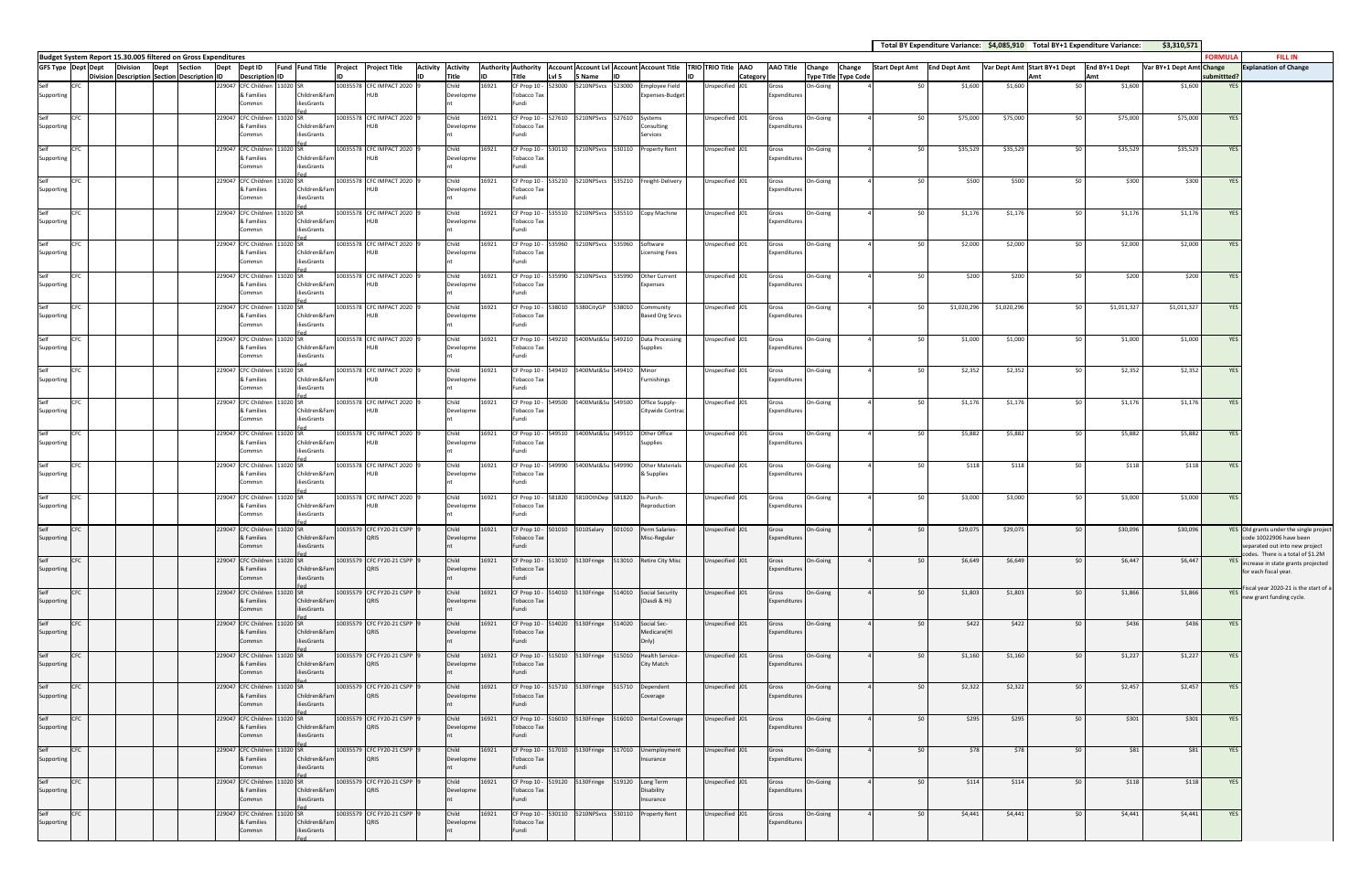|                                                                                                     |                                             |      |         |        |                                            |                                              |  |                                   |                          |       |                             |        |                                               |        |                                                        |                                                                                                 |                       |                             |                             |             |             |                              | Total BY Expenditure Variance: \$4,085,910 Total BY+1 Expenditure Variance: | \$3,310,571              |            |                                                                                    |
|-----------------------------------------------------------------------------------------------------|---------------------------------------------|------|---------|--------|--------------------------------------------|----------------------------------------------|--|-----------------------------------|--------------------------|-------|-----------------------------|--------|-----------------------------------------------|--------|--------------------------------------------------------|-------------------------------------------------------------------------------------------------|-----------------------|-----------------------------|-----------------------------|-------------|-------------|------------------------------|-----------------------------------------------------------------------------|--------------------------|------------|------------------------------------------------------------------------------------|
| Budget System Report 15.30.005 filtered on Gross Expenditures<br><b>GFS Type Dept Dept Division</b> |                                             | Dept | Section | Dept   | Dept ID                                    | Fund Fund Title Project Project Title        |  |                                   | <b>Activity Activity</b> |       |                             |        |                                               |        |                                                        | Authority Authority   Account   Account Lvl   Account   Account Title   TRIO   TRIO Title   AAO | AAO Title Change      | Change                      | Start Dept Amt End Dept Amt |             |             | Var Dept Amt Start BY+1 Dept | End BY+1 Dept                                                               | Var BY+1 Dept Amt Change | ORMULA     | <b>FILL IN</b><br><b>Explanation of Change</b>                                     |
|                                                                                                     | Division Description Section Description ID |      |         |        | <b>Description ID</b>                      |                                              |  | lın                               | Title                    |       | Title                       | Lvl 5  | Mame                                          |        |                                                        | Category                                                                                        |                       | <b>Type Title Type Code</b> |                             |             |             | Amt                          | Amt                                                                         |                          | ubmittted? |                                                                                    |
| Self<br>CFC<br>Supporting                                                                           |                                             |      |         | 229047 | & Families                                 | CFC Children 11020 SR<br>Children&Fam        |  | 10035578 CFC IMPACT 2020<br>HUB   | Child<br>Developme       | 16921 | CF Prop 10 -<br>Tobacco Tax | 523000 | 5210NPSvcs 523000                             |        | <b>Employee Field</b><br>Expenses-Budget               | Jnspecified J01                                                                                 | Gross<br>Expenditures | On-Going                    | .so                         | \$1,600     | \$1,600     | \$0                          | \$1,600                                                                     | \$1,600                  | <b>YES</b> |                                                                                    |
|                                                                                                     |                                             |      |         |        | Commsn                                     | <b>iliesGrants</b>                           |  |                                   |                          |       | Fundi                       |        |                                               |        |                                                        |                                                                                                 |                       |                             |                             |             |             |                              |                                                                             |                          |            |                                                                                    |
| Self<br><b>CFC</b><br>Supporting                                                                    |                                             |      |         |        | & Families                                 | 229047 CFC Children 11020 SR<br>Children&Fam |  | 10035578 CFC IMPACT 2020<br>HUB   | Child<br>Developme       | 16921 | Tobacco Tax                 |        | CF Prop 10 - 527610 5210NPSvcs 527610 Systems |        | Consulting                                             | Unspecified J01                                                                                 | Gross<br>Expenditures | On-Going                    | 50 <sup>1</sup>             | \$75,000    | \$75,000    | \$0                          | \$75,000                                                                    | \$75,000                 | YES        |                                                                                    |
|                                                                                                     |                                             |      |         |        | Commsn                                     | <b>iliesGrants</b>                           |  |                                   |                          |       | Fundi                       |        |                                               |        | Services                                               |                                                                                                 |                       |                             |                             |             |             |                              |                                                                             |                          |            |                                                                                    |
| Self<br>CFC                                                                                         |                                             |      |         |        |                                            | 229047 CFC Children 11020 SR                 |  | 10035578 CFC IMPACT 2020          | Child                    | 16921 |                             |        | CF Prop 10 - 530110 5210NPSvcs 530110         |        | <b>Property Rent</b>                                   | Unspecified J01                                                                                 | Gross                 | On-Going                    | 50                          | \$35,529    | \$35,529    | \$0                          | \$35,529                                                                    | \$35,529                 | <b>YES</b> |                                                                                    |
| Supporting                                                                                          |                                             |      |         |        | & Families<br>Commsn                       | Children&Fam<br>iliesGrants                  |  | HUB                               | Developme                |       | Tobacco Tax<br>Fundi        |        |                                               |        |                                                        |                                                                                                 | Expenditures          |                             |                             |             |             |                              |                                                                             |                          |            |                                                                                    |
| <b>CFC</b>                                                                                          |                                             |      |         |        |                                            | 229047 CFC Children 11020 SR                 |  | 10035578 CFC IMPACT 2020          | Child                    | 16921 |                             |        |                                               |        | CF Prop 10 - 535210 5210NPSvcs 535210 Freight-Delivery | Unspecified J01                                                                                 | Gross                 | On-Going                    | \$0                         | \$500       | \$500       | \$0                          | \$300                                                                       | \$300                    | <b>YES</b> |                                                                                    |
| Supporting                                                                                          |                                             |      |         |        | & Families<br>Commsn                       | Children&Fam<br>liesGrants                   |  | HUB                               | Developme                |       | Tobacco Tax<br>Fundi        |        |                                               |        |                                                        |                                                                                                 | Expenditures          |                             |                             |             |             |                              |                                                                             |                          |            |                                                                                    |
| Self<br><b>CFC</b>                                                                                  |                                             |      |         |        |                                            | 229047 CFC Children 11020 SR                 |  | 10035578 CFC IMPACT 2020          | Child                    | 16921 |                             |        |                                               |        | CF Prop 10 - 535510 5210NPSvcs 535510 Copy Machine     | Unspecified J01                                                                                 |                       | On-Going                    | 50 <sup>1</sup>             | \$1,176     | \$1,176     | \$0                          | \$1,176                                                                     | \$1,176                  | <b>YES</b> |                                                                                    |
| Supporting                                                                                          |                                             |      |         |        | & Families                                 | Children&Fam                                 |  |                                   | Developme                |       | Tobacco Tax                 |        |                                               |        |                                                        |                                                                                                 | Gross<br>Expenditures |                             |                             |             |             |                              |                                                                             |                          |            |                                                                                    |
|                                                                                                     |                                             |      |         |        | Commsn                                     | iliesGrants                                  |  |                                   |                          |       | Fundi                       |        |                                               |        |                                                        |                                                                                                 |                       |                             |                             |             |             |                              |                                                                             |                          |            |                                                                                    |
| Self<br>CFC<br>Supporting                                                                           |                                             |      |         | 229047 | & Families                                 | CFC Children 11020 SR<br>Children&Fam        |  | 10035578 CFC IMPACT 2020<br>HUB   | Child<br>Developme       | 16921 | CF Prop 10 -<br>Tobacco Tax | 535960 | 5210NPSvcs 535960                             |        | Software<br><b>Licensing Fees</b>                      | Unspecified J01                                                                                 | Gross<br>Expenditures | On-Going                    | \$0                         | \$2,000     | \$2,000     | \$0                          | \$2,000                                                                     | \$2,000                  | <b>YES</b> |                                                                                    |
|                                                                                                     |                                             |      |         |        | Commsn                                     | <b>iliesGrants</b>                           |  |                                   |                          |       | Fundi                       |        |                                               |        |                                                        |                                                                                                 |                       |                             |                             |             |             |                              |                                                                             |                          |            |                                                                                    |
| CFC                                                                                                 |                                             |      |         |        |                                            | 229047 CFC Children 11020 SR                 |  | 10035578 CFC IMPACT 2020          | Child                    | 16921 |                             |        |                                               |        | CF Prop 10 - 535990 5210NPSvcs 535990 Other Current    | Unspecified J01                                                                                 | Gross                 | On-Going                    | \$0                         | \$200       | \$200       | \$0                          | \$200                                                                       | \$200                    | <b>YES</b> |                                                                                    |
| Supporting                                                                                          |                                             |      |         |        | & Families<br>Commsn                       | Children&Fam<br>iliesGrants                  |  | HUB                               | Developme                |       | <b>Tobacco Tax</b><br>Fundi |        |                                               |        | Expenses                                               |                                                                                                 | Expenditures          |                             |                             |             |             |                              |                                                                             |                          |            |                                                                                    |
| Self<br><b>CFC</b>                                                                                  |                                             |      |         |        |                                            | 229047 CFC Children 11020 SR                 |  | 10035578 CFC IMPACT 2020          | Child                    | 16921 | CF Prop 10 -                |        | 538010 5380CityGP 538010                      |        | Community                                              | Unspecified J01                                                                                 | Gross                 | On-Going                    | \$0                         | \$1,020,296 | \$1,020,296 | \$0                          | \$1,011,327                                                                 | \$1,011,327              | <b>YES</b> |                                                                                    |
| Supporting                                                                                          |                                             |      |         |        | & Families<br>Commsn                       | Children&Fam<br>iliesGrants                  |  | HUB                               | Developme                |       | Tobacco Tax<br>Fundi        |        |                                               |        | <b>Based Org Srvcs</b>                                 |                                                                                                 | Expenditures          |                             |                             |             |             |                              |                                                                             |                          |            |                                                                                    |
| <b>CFC</b>                                                                                          |                                             |      |         |        |                                            | 229047 CFC Children 11020 SR                 |  | 10035578 CFC IMPACT 2020          | Child                    | 16921 |                             |        |                                               |        | CF Prop 10 - 549210 5400Mat&Su 549210 Data Processing  | Unspecified J01                                                                                 | Gross                 | On-Going                    | \$0                         | \$1,000     | \$1,000     | \$0                          | \$1,000                                                                     | \$1,000                  | <b>YES</b> |                                                                                    |
| Supporting                                                                                          |                                             |      |         |        | & Families                                 | Children&Fam                                 |  | HUB                               | Developme                |       | Tobacco Tax                 |        |                                               |        | <b>Supplies</b>                                        |                                                                                                 | Expenditures          |                             |                             |             |             |                              |                                                                             |                          |            |                                                                                    |
|                                                                                                     |                                             |      |         |        | Commsn                                     | liesGrants                                   |  |                                   |                          |       | Fundi                       |        |                                               |        |                                                        |                                                                                                 |                       |                             |                             |             |             |                              |                                                                             |                          |            |                                                                                    |
| Self<br><b>CFC</b><br>Supporting                                                                    |                                             |      |         |        | 229047 CFC Children 11020 SR<br>& Families | Children&Fam                                 |  | 10035578 CFC IMPACT 2020<br>HUB   | Child<br>Developme       | 16921 | Tobacco Tax                 |        | CF Prop 10 - 549410 5400Mat&Su 549410         |        | Minor<br>Furnishings                                   | Unspecified J01                                                                                 | Gross<br>Expenditures | On-Going                    | SO I                        | \$2,352     | \$2,352     | \$0                          | \$2,352                                                                     | \$2,352                  | <b>YES</b> |                                                                                    |
|                                                                                                     |                                             |      |         |        | Commsn                                     | iliesGrants                                  |  |                                   |                          |       | Fundi                       |        |                                               |        |                                                        |                                                                                                 |                       |                             |                             |             |             |                              |                                                                             |                          |            |                                                                                    |
| CFC                                                                                                 |                                             |      |         | 229047 |                                            | CFC Children 11020 SR                        |  | 10035578 CFC IMPACT 2020          | Child                    | 16921 | CF Prop 10 -                | 549500 | 5400Mat&Su 549500                             |        | Office Supply-                                         | Jnspecified J01                                                                                 | Gross                 | On-Going                    | \$0                         | \$1,176     | \$1,176     | \$0                          | \$1,176                                                                     | \$1,176                  | YES        |                                                                                    |
| Supporting                                                                                          |                                             |      |         |        | & Families<br>Commsn                       | Children&Fam<br>iliesGrants                  |  | HUB                               | Developme                |       | Tobacco Tax<br>Fundi        |        |                                               |        | Citywide Contrac                                       |                                                                                                 | Expenditures          |                             |                             |             |             |                              |                                                                             |                          |            |                                                                                    |
| CFC                                                                                                 |                                             |      |         |        |                                            | 229047 CFC Children 11020 SR                 |  | 10035578 CFC IMPACT 2020          | Child                    | 16921 | CF Prop 10 - 549510         |        | 5400Mat&Su 549510                             |        | Other Office                                           | Unspecified J01                                                                                 | Gross                 | On-Going                    | \$0                         | \$5,882     | \$5,882     | \$0                          | \$5,882                                                                     | \$5,882                  | YES        |                                                                                    |
| Supporting                                                                                          |                                             |      |         |        | & Families<br>Commsn                       | Children&Fam<br><b>iliesGrants</b>           |  | HUB                               | Developme                |       | Tobacco Tax<br>Fundi        |        |                                               |        | Supplies                                               |                                                                                                 | Expenditures          |                             |                             |             |             |                              |                                                                             |                          |            |                                                                                    |
| Self<br><b>CFC</b>                                                                                  |                                             |      |         |        |                                            | 229047 CFC Children 11020 SR                 |  | 10035578 CFC IMPACT 2020          | Child                    | 16921 | CF Prop 10 - 549990         |        | 5400Mat&Su 549990                             |        | <b>Other Materials</b>                                 | Unspecified J01                                                                                 | Gross                 | On-Going                    | 50 <sup>1</sup>             | \$118       | \$118       | \$0                          | \$118                                                                       | \$118                    | YES        |                                                                                    |
| Supporting                                                                                          |                                             |      |         |        | & Families                                 | Children&Fam                                 |  | HUB                               | Developme                |       | Tobacco Tax                 |        |                                               |        | & Supplies                                             |                                                                                                 | Expenditures          |                             |                             |             |             |                              |                                                                             |                          |            |                                                                                    |
|                                                                                                     |                                             |      |         |        | Commsn                                     | iliesGrants                                  |  |                                   |                          |       | Fundi                       |        |                                               |        |                                                        |                                                                                                 |                       |                             |                             |             |             |                              |                                                                             |                          |            |                                                                                    |
| CFC<br>Supporting                                                                                   |                                             |      |         | 229047 | & Families                                 | CFC Children 11020 SR<br>Children&Fam        |  | 10035578 CFC IMPACT 2020<br>HUB.  | Child<br>Developme       | 16921 | CF Prop 10 -<br>Tobacco Tax |        | 581820 5810OthDep 581820                      |        | Is-Purch-<br>Reproduction                              | Unspecified J01                                                                                 | Gross<br>Expenditures | On-Going                    | \$0                         | \$3,000     | \$3,000     | \$0                          | \$3,000                                                                     | \$3,000                  | YES        |                                                                                    |
|                                                                                                     |                                             |      |         |        | commsn                                     | liesGrants                                   |  |                                   |                          |       | Fundi                       |        |                                               |        |                                                        |                                                                                                 |                       |                             |                             |             |             |                              |                                                                             |                          |            |                                                                                    |
| CFC                                                                                                 |                                             |      |         |        |                                            | 229047 CFC Children 11020 SR                 |  | 10035579 CFC FY20-21 CSPP         | Child                    | 16921 |                             |        | CF Prop 10 - 501010 5010Salary                | 501010 | Perm Salaries-                                         | Unspecified J01                                                                                 | Gross                 | On-Going                    |                             | \$29,075    | \$29,075    | \$0                          | \$30,096                                                                    | \$30,096                 |            | YES Old grants under the single project                                            |
| Supporting                                                                                          |                                             |      |         |        | & Families<br>Commsn                       | Children&Fam<br>iliesGrants                  |  | QRIS                              | Developme                |       | Tobacco Tax<br>Fundi        |        |                                               |        | Misc-Regular                                           |                                                                                                 | Expenditures          |                             |                             |             |             |                              |                                                                             |                          |            | code 10022906 have been<br>separated out into new project                          |
| Self<br><b>CFC</b>                                                                                  |                                             |      |         |        |                                            | 229047 CFC Children 11020 SR                 |  | 10035579 CFC FY20-21 CSPP         | Child                    | 16921 | CF Prop 10 -                |        | 513010 5130Fringe                             |        | 513010 Retire City Misc                                | Unspecified J01                                                                                 | Gross                 | On-Going                    | \$0                         | \$6,649     | \$6,649     | \$0                          | \$6,447                                                                     | \$6,447                  |            | codes. There is a total of \$1.2M<br><b>YES</b> increase in state grants projected |
| Supporting                                                                                          |                                             |      |         |        | & Families<br>Commsn                       | Children&Fam<br>iliesGrants                  |  | QRIS                              | Developme                |       | Tobacco Tax<br>Fundi        |        |                                               |        |                                                        |                                                                                                 | Expenditures          |                             |                             |             |             |                              |                                                                             |                          |            | for each fiscal year.                                                              |
| Self<br><b>CFC</b>                                                                                  |                                             |      |         |        |                                            | 229047 CFC Children 11020 SR                 |  | 10035579 CFC FY20-21 CSPP         | Child                    | 16921 | CF Prop 10 -                |        | 514010 5130Fringe                             | 514010 | Social Security                                        | Unspecified J01                                                                                 | Gross                 | On-Going                    | \$0                         | \$1,803     | \$1,803     | \$0                          | \$1,866                                                                     | \$1,866                  | YES I      | Fiscal year 2020-21 is the start of a                                              |
| Supporting                                                                                          |                                             |      |         |        | & Families                                 | Children&Fam                                 |  | QRIS                              | Developme                |       | <b>Tobacco Tax</b>          |        |                                               |        | (Oasdi & Hi)                                           |                                                                                                 | Expenditures          |                             |                             |             |             |                              |                                                                             |                          |            | new grant funding cycle.                                                           |
|                                                                                                     |                                             |      |         |        | Commsn                                     | iliesGrants                                  |  |                                   |                          |       | Fundi                       |        |                                               |        |                                                        |                                                                                                 |                       |                             |                             |             |             |                              |                                                                             |                          |            |                                                                                    |
| Self<br>CFC<br>Supporting                                                                           |                                             |      |         |        | & Families                                 | 229047 CFC Children 11020 SR<br>Children&Fam |  | 10035579 CFC FY20-21 CSPP<br>QRIS | Child<br>Developme       | 16921 | CF Prop 10 -<br>Tobacco Tax |        | 514020 5130Fringe                             | 514020 | Social Sec-<br>Medicare(HI                             | Unspecified J01                                                                                 | Gross<br>Expenditures | On-Going                    | \$0                         | \$422       | \$422       | \$0                          | \$436                                                                       | \$436                    | YES        |                                                                                    |
|                                                                                                     |                                             |      |         |        | Commsn                                     | iliesGrants                                  |  |                                   |                          |       | Fundi                       |        |                                               |        | Only)                                                  |                                                                                                 |                       |                             |                             |             |             |                              |                                                                             |                          |            |                                                                                    |
| Self<br><b>CFC</b>                                                                                  |                                             |      |         |        |                                            | 229047 CFC Children 11020 SR                 |  | 10035579 CFC FY20-21 CSPP         | Child                    | 16921 |                             |        | CF Prop 10 - 515010 5130Fringe                | 515010 | Health Service-                                        | Unspecified J01                                                                                 | Gross                 | On-Going                    | 50 <sub>1</sub>             | \$1,160     | \$1,160     | \$0                          | \$1,227                                                                     | \$1,227                  | <b>YES</b> |                                                                                    |
| Supporting                                                                                          |                                             |      |         |        | & Families<br>Commsn                       | Children&Fam<br>iliesGrants                  |  | QRIS                              | Developme                |       | Tobacco Tax<br>Fundi        |        |                                               |        | City Match                                             |                                                                                                 | Expenditures          |                             |                             |             |             |                              |                                                                             |                          |            |                                                                                    |
| Self<br>CFC                                                                                         |                                             |      |         | 229047 |                                            | CFC Children 11020 SR                        |  | 10035579 CFC FY20-21 CSPP         | Child                    | 16921 |                             |        |                                               |        | CF Prop 10 - 515710 5130Fringe 515710 Dependent        | Unspecified J01                                                                                 | Gross                 | On-Going                    | \$0                         | \$2,322     | \$2,322     | \$0                          | \$2,457                                                                     | \$2,457                  | YES        |                                                                                    |
| Supporting                                                                                          |                                             |      |         |        | & Families<br>Commsn                       | Children&Fam<br>iliesGrants                  |  | QRIS                              | Developme                |       | Tobacco Tax<br>Fundi        |        |                                               |        | Coverage                                               |                                                                                                 | Expenditures          |                             |                             |             |             |                              |                                                                             |                          |            |                                                                                    |
| Self<br><b>CFC</b>                                                                                  |                                             |      |         |        |                                            | 229047 CFC Children 11020 SR                 |  | 10035579 CFC FY20-21 CSPP         | Child                    | 16921 | CF Prop 10 -                |        |                                               |        | 516010 5130Fringe 516010 Dental Coverage               | Unspecified J01                                                                                 | Gross                 | On-Going                    | \$0                         | \$295       | \$295       | \$0                          | \$301                                                                       | \$301                    | YES        |                                                                                    |
| Supporting                                                                                          |                                             |      |         |        | & Families                                 | Children&Fam                                 |  | QRIS                              | Developme                |       | Tobacco Tax                 |        |                                               |        |                                                        |                                                                                                 | Expenditures          |                             |                             |             |             |                              |                                                                             |                          |            |                                                                                    |
|                                                                                                     |                                             |      |         |        | Commsn                                     | iliesGrants                                  |  |                                   |                          |       | Fundi                       |        |                                               |        |                                                        |                                                                                                 |                       |                             |                             |             |             |                              |                                                                             |                          |            |                                                                                    |
| Self<br><b>CFC</b><br>Supporting                                                                    |                                             |      |         |        | & Families                                 | 229047 CFC Children 11020 SR<br>Children&Fam |  | 10035579 CFC FY20-21 CSPP<br>QRIS | Child<br>Developme       | 16921 | Tobacco Tax                 |        | CF Prop 10 - 517010 5130Fringe                |        | 517010 Unemployment<br>Insurance                       | Unspecified J01                                                                                 | Gross<br>Expenditures | On-Going                    | \$0                         | \$78        | \$78        | \$0                          | \$81                                                                        | \$81                     | YES        |                                                                                    |
|                                                                                                     |                                             |      |         |        | Commsn                                     | iliesGrants                                  |  |                                   |                          |       | Fundi                       |        |                                               |        |                                                        |                                                                                                 |                       |                             |                             |             |             |                              |                                                                             |                          |            |                                                                                    |
| Self<br>CFC                                                                                         |                                             |      |         |        |                                            | 229047 CFC Children 11020 SR                 |  | 10035579 CFC FY20-21 CSPP         | Child                    | 16921 | CF Prop 10 -                |        | 519120 5130Fringe                             | 519120 | Long Term                                              | Unspecified J01                                                                                 | Gross                 | On-Going                    | \$0                         | \$114       | \$114       | \$0                          | \$118                                                                       | \$118                    | YES        |                                                                                    |
| Supporting                                                                                          |                                             |      |         |        | & Families<br>Commsn                       | Children&Fam<br>iliesGrants                  |  | QRIS                              | Developme                |       | Tobacco Tax<br>Fundi        |        |                                               |        | Disability<br>Insurance                                |                                                                                                 | Expenditures          |                             |                             |             |             |                              |                                                                             |                          |            |                                                                                    |
| Self<br><b>CFC</b>                                                                                  |                                             |      |         |        |                                            | 229047 CFC Children 11020 SR                 |  | 10035579 CFC FY20-21 CSPP         | Child                    | 16921 | CF Prop 10 -                |        |                                               |        | Property Rent                                          | Unspecified J01                                                                                 | Gross                 | On-Going                    | \$0                         | \$4,441     | \$4,441     | \$0                          | \$4,441                                                                     | \$4,441                  | YES        |                                                                                    |
| Supporting                                                                                          |                                             |      |         |        | & Families<br>ommsn                        | Children&Fam<br>iliesGrants                  |  | QRIS                              | Developme                |       | Tobacco Tax<br>Fundi        |        |                                               |        |                                                        |                                                                                                 | Expenditures          |                             |                             |             |             |                              |                                                                             |                          |            |                                                                                    |
|                                                                                                     |                                             |      |         |        |                                            |                                              |  |                                   |                          |       |                             |        |                                               |        |                                                        |                                                                                                 |                       |                             |                             |             |             |                              |                                                                             |                          |            |                                                                                    |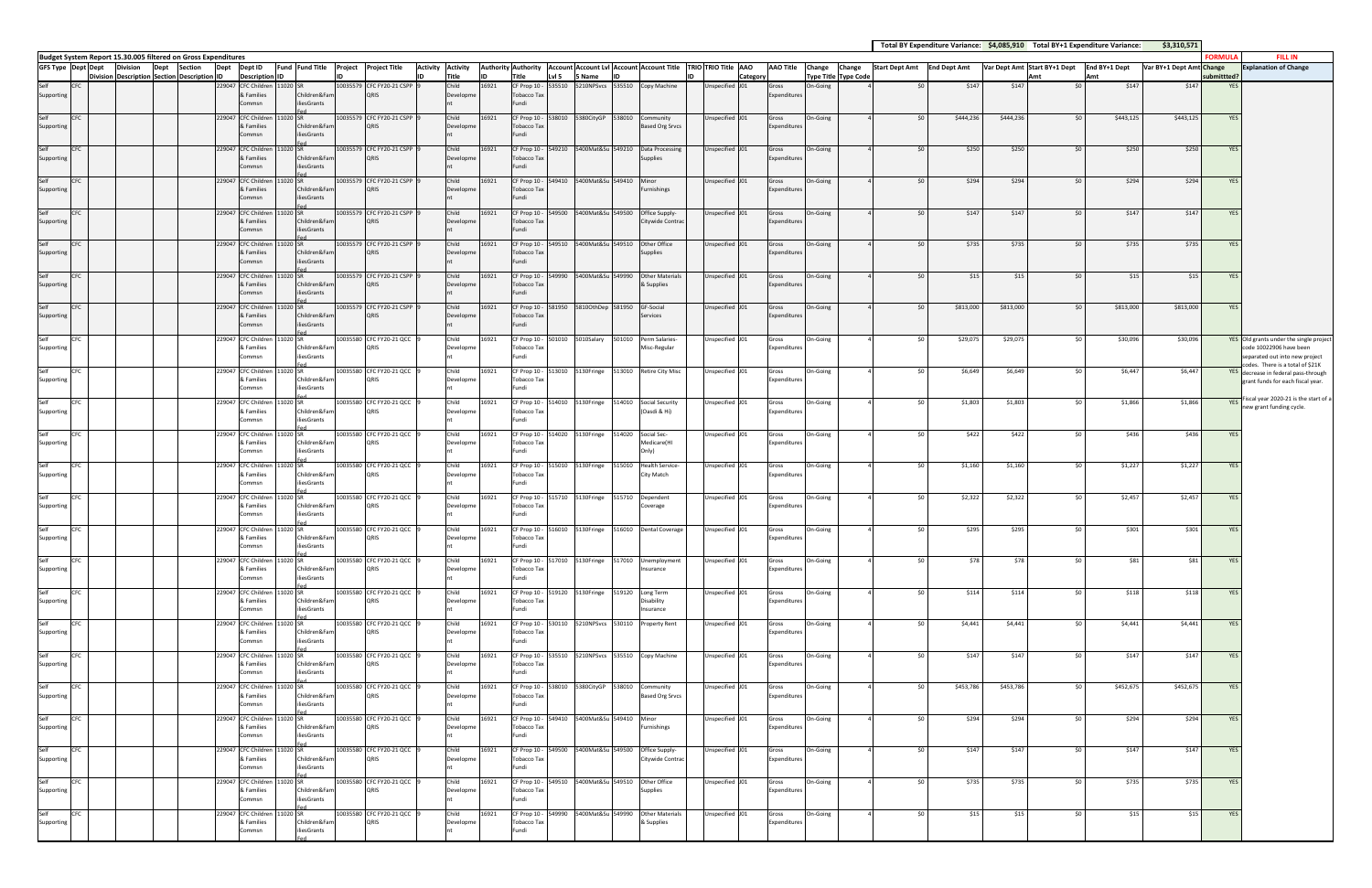|                             |            |                                                                       |                |        |                                            |          |                             |                                   |                          |       |                                           |        |                                                       |        |                                      |  |                                                                                             |                       |          |                             |                             |           |           |                              | Total BY Expenditure Variance: \$4,085,910 Total BY+1 Expenditure Variance: | \$3,310,571              |                        |                                                                       |
|-----------------------------|------------|-----------------------------------------------------------------------|----------------|--------|--------------------------------------------|----------|-----------------------------|-----------------------------------|--------------------------|-------|-------------------------------------------|--------|-------------------------------------------------------|--------|--------------------------------------|--|---------------------------------------------------------------------------------------------|-----------------------|----------|-----------------------------|-----------------------------|-----------|-----------|------------------------------|-----------------------------------------------------------------------------|--------------------------|------------------------|-----------------------------------------------------------------------|
| GFS Type Dept Dept Division |            | Budget System Report 15.30.005 filtered on Gross Expenditures<br>Dept | <b>Section</b> | Dept   | Dept ID                                    |          | Fund Fund Title             | Project Project Title             | <b>Activity Activity</b> |       |                                           |        |                                                       |        |                                      |  | Authority Authority   Account Account Lvl   Account Account Title   TRIO   TRIO Title   AAO | <b>AAO Title</b>      | Change   | Change                      | Start Dept Amt End Dept Amt |           |           | Var Dept Amt Start BY+1 Dept | End BY+1 Dept                                                               | Var BY+1 Dept Amt Change | ORMULA                 | <b>FILL IN</b><br><b>Explanation of Change</b>                        |
|                             |            | Division Description Section Description ID                           |                |        | <b>Description ID</b>                      |          |                             |                                   | Title                    |       | Title                                     | Lvl 5  | 5 Name                                                |        |                                      |  | Categor                                                                                     |                       |          | <b>Type Title Type Code</b> |                             |           |           | Amt                          | <b>Amt</b>                                                                  |                          | ubmittted <sup>®</sup> |                                                                       |
| Self<br>Supporting          | <b>CFC</b> |                                                                       |                | 229047 | CFC Children 11020 SR<br>& Families        |          | Children&Far                | 10035579 CFC FY20-21 CSPP<br>QRIS | Child<br>Developme       | 16921 | CF Prop 10 -<br><b>Tobacco Tax</b>        | 535510 |                                                       |        | Copy Machine                         |  | Jnspecified J01                                                                             | Gross<br>Expenditures | On-Going |                             | \$0                         | \$147     | \$147     | \$0                          | \$147                                                                       | \$147                    | <b>YES</b>             |                                                                       |
|                             |            |                                                                       |                |        | Commsn                                     |          | iliesGrants                 |                                   |                          |       | Fundi                                     |        |                                                       |        |                                      |  |                                                                                             |                       |          |                             |                             |           |           |                              |                                                                             |                          |                        |                                                                       |
| Self<br>Supporting          | CFC        |                                                                       |                |        | 229047 CFC Children 11020 SR<br>& Families |          | Children&Far                | 10035579 CFC FY20-21 CSPP<br>QRIS | Child<br>Developme       | 16921 | CF Prop 10 - 538010<br><b>Tobacco Tax</b> |        | 5380CityGP 538010 Community                           |        | <b>Based Org Srvcs</b>               |  | Unspecified J01                                                                             | Gross<br>Expenditure: | On-Going |                             | 50 <sup>1</sup>             | \$444,236 | \$444,236 | \$0                          | \$443,125                                                                   | \$443,125                | YES                    |                                                                       |
|                             |            |                                                                       |                |        | Commsn                                     |          | iliesGrants                 |                                   |                          |       | Fundi                                     |        |                                                       |        |                                      |  |                                                                                             |                       |          |                             |                             |           |           |                              |                                                                             |                          |                        |                                                                       |
| Self<br>Supporting          | <b>CFC</b> |                                                                       |                | 229047 | <b>CFC Children</b><br>& Families          |          | 1020 SR<br>Children&Fan     | 10035579 CFC FY20-21 CSPP<br>QRIS | Child<br>Developme       | 16921 | CF Prop 10 -<br>Tobacco Tax               | 549210 | 5400Mat&Su 549210                                     |        | Data Processing<br>Supplies          |  | Unspecified J01                                                                             | Gross<br>Expenditures | On-Going |                             | 50                          | \$250     | \$250     | \$0                          | \$250                                                                       | \$250                    | <b>YES</b>             |                                                                       |
|                             |            |                                                                       |                |        | Commsn                                     |          | iliesGrants                 |                                   |                          |       | Fundi                                     |        |                                                       |        |                                      |  |                                                                                             |                       |          |                             |                             |           |           |                              |                                                                             |                          |                        |                                                                       |
| Self<br>Supporting          | <b>CFC</b> |                                                                       |                |        | 229047 CFC Children 11020 SR<br>& Families |          | Children&Fan                | 10035579 CFC FY20-21 CSPP<br>ORIS | Child<br>Developme       | 16921 | <b>Tobacco Tax</b>                        |        | CF Prop 10 - 549410 5400Mat&Su 549410 Minor           |        | Furnishings                          |  | Unspecified J01                                                                             | Gross<br>Expenditures | On-Going |                             | \$0                         | \$294     | \$294     | \$0                          | \$294                                                                       | \$294                    | YES                    |                                                                       |
|                             |            |                                                                       |                |        | Commsn                                     |          | liesGrants                  |                                   |                          |       | Fundi                                     |        |                                                       |        |                                      |  |                                                                                             |                       |          |                             |                             |           |           |                              |                                                                             |                          |                        |                                                                       |
| Self                        | <b>CFC</b> |                                                                       |                |        | 229047 CFC Children 11020 SR<br>& Families |          | Children&Far                | 10035579 CFC FY20-21 CSPP<br>QRIS | Child                    | 16921 | CF Prop 10 -                              | 549500 | 5400Mat&Su 549500 Office Supply-                      |        |                                      |  | Unspecified J01                                                                             | Gross                 | On-Going |                             | \$0                         | \$147     | \$147     | \$0                          | \$147                                                                       | \$147                    | YES                    |                                                                       |
| Supporting                  |            |                                                                       |                |        | Commsn                                     |          | iliesGrants                 |                                   | Developme                |       | <b>Tobacco Tax</b><br>Fundi               |        |                                                       |        | Citywide Contra                      |  |                                                                                             | Expenditure:          |          |                             |                             |           |           |                              |                                                                             |                          |                        |                                                                       |
| Self                        | CFC        |                                                                       |                |        | 229047 CFC Children                        | 1020 SR  |                             | 10035579 CFC FY20-21 CSPP         | Child                    | 16921 | CF Prop 10 -                              | 549510 | 5400Mat&Su 549510                                     |        | Other Office                         |  | Jnspecified J01                                                                             | Gross                 | On-Going |                             | <b>SO</b>                   | \$735     | \$735     | <b>SO</b>                    | \$735                                                                       | \$735                    | YES                    |                                                                       |
| Supporting                  |            |                                                                       |                |        | & Families<br>Commsn                       |          | Children&Fan<br>liesGrants  | QRIS                              | Developme                |       | <b>Tobacco Tax</b><br>Fundi               |        |                                                       |        | Supplies                             |  |                                                                                             | Expenditures          |          |                             |                             |           |           |                              |                                                                             |                          |                        |                                                                       |
| Self                        | CFC        |                                                                       |                |        | 229047 CFC Children                        | 1020 SR  |                             | 10035579 CFC FY20-21 CSPP         | Child                    | 16921 | CF Prop 10 -                              | 549990 | 5400Mat&Su 549990                                     |        | <b>Other Materials</b>               |  | Unspecified J01                                                                             | Gross                 | On-Going |                             | \$0                         | \$15      | \$15      | \$0                          | \$15                                                                        | \$15                     | YES                    |                                                                       |
| Supporting                  |            |                                                                       |                |        | & Families<br>Commsn                       |          | Children&Far<br>iliesGrants | QRIS                              | Developme                |       | Tobacco Tax<br>Fundi                      |        |                                                       |        | & Supplies                           |  |                                                                                             | Expenditure:          |          |                             |                             |           |           |                              |                                                                             |                          |                        |                                                                       |
| <b>Self</b>                 | <b>CFC</b> |                                                                       |                |        | 229047 CFC Children                        |          | 020 SR                      | 10035579 CFC FY20-21 CSPP         | Child                    | 16921 | CF Prop 10 -                              | 581950 | 5810OthDep 581950                                     |        | GF-Social                            |  | Unspecified J01                                                                             | Gross                 | On-Going |                             | \$0                         | \$813,000 | \$813,000 | \$0                          | \$813,000                                                                   | \$813,000                | YES                    |                                                                       |
| Supporting                  |            |                                                                       |                |        | & Families<br>Commsn                       |          | Children&Far<br>iliesGrants | QRIS                              | Developme                |       | Tobacco Tax<br>Fundi                      |        |                                                       |        | Services                             |  |                                                                                             | Expenditures          |          |                             |                             |           |           |                              |                                                                             |                          |                        |                                                                       |
|                             | <b>CFC</b> |                                                                       |                |        | 229047 CFC Children 11020 SR               |          |                             | 10035580 CFC FY20-21 QCC          | Child                    | 16921 | CF Prop 10 -                              | 501010 | 5010Salary                                            | 501010 | Perm Salaries-                       |  | Unspecified J01                                                                             | Gross                 | On-Going |                             |                             | \$29,075  | \$29,075  | S0                           | \$30,096                                                                    | \$30,096                 |                        | YES Old grants under the single project                               |
| Supporting                  |            |                                                                       |                |        | & Families<br>Commsn                       |          | Children&Fam<br>liesGrants  | QRIS                              | Developme                |       | Tobacco Tax<br>Fundi                      |        |                                                       |        | Misc-Regular                         |  |                                                                                             | Expenditures          |          |                             |                             |           |           |                              |                                                                             |                          |                        | code 10022906 have been<br>separated out into new project             |
| Self                        | <b>CFC</b> |                                                                       |                | 229047 | CFC Children 11020 SR                      |          |                             | 0035580 CFC FY20-21 QCC           | Child                    | 16921 | CF Prop 10 - 513010                       |        | 5130Fringe                                            | 513010 | <b>Retire City Misc</b>              |  | Unspecified J01                                                                             | Gross                 | On-Going |                             | \$0                         | \$6,649   | \$6,649   | \$0                          | \$6,447                                                                     | \$6,447                  | <b>YES</b>             | odes. There is a total of \$21K                                       |
| Supporting                  |            |                                                                       |                |        | & Families                                 |          | Children&Fan                | QRIS                              | Developme                |       | Tobacco Tax                               |        |                                                       |        |                                      |  |                                                                                             | Expenditures          |          |                             |                             |           |           |                              |                                                                             |                          |                        | decrease in federal pass-through<br>grant funds for each fiscal year. |
|                             |            |                                                                       |                |        | Commsn                                     |          | iliesGrants                 |                                   |                          |       | Fundi                                     |        |                                                       |        |                                      |  |                                                                                             |                       |          |                             |                             |           |           |                              |                                                                             |                          |                        | Fiscal year 2020-21 is the start of a                                 |
| Self<br>Supporting          | <b>CFC</b> |                                                                       |                |        | 229047 CFC Children<br>& Families          | 11020 SR | Children&Fan                | 10035580 CFC FY20-21 QCC<br>QRIS  | Child<br>Developme       | 16921 | CF Prop 10 -<br>Tobacco Tax               |        | 514010 5130Fringe                                     | 514010 | Social Security<br>(Oasdi & Hi)      |  | Jnspecified J01                                                                             | Gross<br>Expenditures | On-Going |                             | \$0                         | \$1,803   | \$1,803   | \$0                          | \$1,866                                                                     | \$1,866                  | YES                    | new grant funding cycle.                                              |
|                             |            |                                                                       |                |        | Commsn                                     |          | liesGrants                  |                                   |                          |       | Fundi                                     |        |                                                       |        |                                      |  |                                                                                             |                       |          |                             |                             |           |           |                              |                                                                             |                          |                        |                                                                       |
| Self<br>Supporting          | <b>CFC</b> |                                                                       |                |        | 229047 CFC Children 11020 SR<br>& Families |          | Children&Far                | 10035580 CFC FY20-21 QCC<br>QRIS  | Child<br>Developme       | 16921 | CF Prop 10 -<br>obacco Tax                | 514020 | 5130Fringe 514020                                     |        | Social Sec-<br>Medicare(HI           |  | Unspecified J01                                                                             | Gross<br>Expenditures | On-Going |                             | SO I                        | \$422     | \$422     | \$0                          | \$436                                                                       | \$436                    | <b>YES</b>             |                                                                       |
|                             |            |                                                                       |                |        | Commsn                                     |          | liesGrants                  |                                   |                          |       | Fundi                                     |        |                                                       |        | Only)                                |  |                                                                                             |                       |          |                             |                             |           |           |                              |                                                                             |                          |                        |                                                                       |
| Self<br>Supporting          | CFC        |                                                                       |                |        | 229047 CFC Children 11020 SR<br>& Families |          | Children&Fan                | 10035580 CFC FY20-21 QCC<br>QRIS  | Child<br>Developme       | 16921 | Tobacco Tax                               |        | CF Prop 10 - 515010 5130Fringe 515010                 |        | Health Service-<br><b>City Match</b> |  | Unspecified J01                                                                             | Gross<br>Expenditures | On-Going |                             | S0                          | \$1,160   | \$1,160   | \$0                          | \$1,227                                                                     | \$1,227                  | <b>YES</b>             |                                                                       |
|                             |            |                                                                       |                |        | Commsn                                     |          | iliesGrants                 |                                   |                          |       | Fundi                                     |        |                                                       |        |                                      |  |                                                                                             |                       |          |                             |                             |           |           |                              |                                                                             |                          |                        |                                                                       |
| Supporting                  | <b>CFC</b> |                                                                       |                |        | 229047 CFC Children<br>& Families          | 1020 SR  | Children&Fan                | 10035580 CFC FY20-21 QCC<br>QRIS  | Child<br>Developme       | 16921 | CF Prop 10 -<br>Tobacco Tax               |        | 515710 5130Fringe                                     | 515710 | Dependent<br>Coverage                |  | Unspecified J01                                                                             | Gross<br>Expenditures | On-Going |                             | 50 <sub>1</sub>             | \$2,322   | \$2,322   | \$0                          | \$2,457                                                                     | \$2,457                  | YES                    |                                                                       |
|                             |            |                                                                       |                |        | Commsn                                     |          | liesGrants                  |                                   |                          |       | Fundi                                     |        |                                                       |        |                                      |  |                                                                                             |                       |          |                             |                             |           |           |                              |                                                                             |                          |                        |                                                                       |
| Self                        | <b>CFC</b> |                                                                       |                |        | 229047 CFC Children 11020 SR<br>& Families |          | Children&Fam                | 10035580 CFC FY20-21 QCC<br>QRIS  | Child                    | 16921 | Tobacco Tax                               |        | CF Prop 10 - 516010 5130Fringe 516010 Dental Coverage |        |                                      |  | Unspecified J01                                                                             | Gross<br>Expenditures | On-Going |                             | 50 <sub>1</sub>             | \$295     | \$295     | \$0                          | \$301                                                                       | \$301                    | <b>YES</b>             |                                                                       |
| Supporting                  |            |                                                                       |                |        | Commsn                                     |          | iliesGrants                 |                                   | Developme                |       | Fundi                                     |        |                                                       |        |                                      |  |                                                                                             |                       |          |                             |                             |           |           |                              |                                                                             |                          |                        |                                                                       |
| Self                        | <b>CFC</b> |                                                                       |                |        | 229047 CFC Children 11020 SR               |          |                             | 10035580 CFC FY20-21 QCC          | Child                    | 16921 |                                           |        | CF Prop 10 - 517010 5130Fringe                        | 517010 | Unemployment                         |  | Unspecified J01                                                                             | Gross                 | On-Going |                             | \$0                         | \$78      | \$78      | \$0                          | \$81                                                                        | \$81                     | YES                    |                                                                       |
| Supporting                  |            |                                                                       |                |        | & Families<br>Commsn                       |          | Children&Fam<br>liesGrants  | QRIS                              | Developme                |       | Tobacco Tax<br>Fundi                      |        |                                                       |        | Insurance                            |  |                                                                                             | Expenditures          |          |                             |                             |           |           |                              |                                                                             |                          |                        |                                                                       |
| Self                        | <b>CFC</b> |                                                                       |                |        | 229047 CFC Children 11020 SR               |          |                             | 10035580 CFC FY20-21 QCC          | Child                    | 16921 |                                           |        | CF Prop 10 - 519120 5130Fringe 519120                 |        | Long Term                            |  | Unspecified J01                                                                             | Gross                 | On-Going |                             | \$0                         | \$114     | \$114     | \$0                          | \$118                                                                       | \$118                    | YES                    |                                                                       |
| Supporting                  |            |                                                                       |                |        | & Families<br>Commsn                       |          | Children&Fam<br>iliesGrants | QRIS                              | Developme                |       | Tobacco Tax<br>Fundi                      |        |                                                       |        | Disability<br>Insurance              |  |                                                                                             | Expenditures          |          |                             |                             |           |           |                              |                                                                             |                          |                        |                                                                       |
| Self                        | <b>CFC</b> |                                                                       |                |        | 229047 CFC Children 11020 SR               |          |                             | 10035580 CFC FY20-21 QCC          | Child                    | 16921 |                                           |        | CF Prop 10 - 530110 5210NPSvcs 530110                 |        | <b>Property Rent</b>                 |  | Unspecified J01                                                                             | Gross                 | On-Going |                             | \$0                         | \$4,441   | \$4,441   | \$0                          | \$4,441                                                                     | \$4,441                  | YES                    |                                                                       |
| Supporting                  |            |                                                                       |                |        | & Families<br>Commsn                       |          | Children&Fan<br>iliesGrants | QRIS                              | Developme                |       | Tobacco Tax<br>Fundi                      |        |                                                       |        |                                      |  |                                                                                             | Expenditures          |          |                             |                             |           |           |                              |                                                                             |                          |                        |                                                                       |
| Self                        | <b>CFC</b> |                                                                       |                |        | 229047 CFC Children 11020 SR               |          |                             | 10035580 CFC FY20-21 QCC          | Child                    | 16921 |                                           |        | CF Prop 10 - 535510 5210NPSvcs 535510 Copy Machine    |        |                                      |  | Unspecified J01                                                                             | Gross                 | On-Going |                             | \$0                         | \$147     | \$147     | \$0                          | \$147                                                                       | \$147                    | YES                    |                                                                       |
| Supporting                  |            |                                                                       |                |        | & Families<br>Commsn                       |          | Children&Fam<br>liesGrants  | QRIS                              | Developme                |       | Tobacco Tax<br>Fundi                      |        |                                                       |        |                                      |  |                                                                                             | Expenditures          |          |                             |                             |           |           |                              |                                                                             |                          |                        |                                                                       |
| Self                        | <b>CFC</b> |                                                                       |                |        | 229047 CFC Children 11020 SR               |          |                             | 10035580 CFC FY20-21 QCC          | Child                    | 16921 | CF Prop 10 - 538010                       |        | 5380CityGP 538010 Community                           |        |                                      |  | Unspecified J01                                                                             | Gross                 | On-Going |                             | \$0                         | \$453,786 | \$453,786 | \$0                          | \$452,675                                                                   | \$452,675                | YES                    |                                                                       |
| Supporting                  |            |                                                                       |                |        | & Families<br>Commsn                       |          | Children&Fam<br>iliesGrants | QRIS                              | Developme                |       | Tobacco Tax<br>Fundi                      |        |                                                       |        | <b>Based Org Srvcs</b>               |  |                                                                                             | Expenditures          |          |                             |                             |           |           |                              |                                                                             |                          |                        |                                                                       |
| Self                        | <b>CFC</b> |                                                                       |                |        | 229047 CFC Children 11020 SR               |          |                             | 10035580 CFC FY20-21 QCC          | Child                    | 16921 | CF Prop 10 - 549410                       |        | 5400Mat&Su 549410                                     |        | Minor                                |  | Unspecified J01                                                                             | Gross                 | On-Going |                             | \$0                         | \$294     | \$294     | \$0                          | \$294                                                                       | \$294                    | YES                    |                                                                       |
| Supporting                  |            |                                                                       |                |        | & Families                                 |          | Children&Fam                | QRIS                              | Developme                |       | Tobacco Tax                               |        |                                                       |        | Furnishings                          |  |                                                                                             | Expenditures          |          |                             |                             |           |           |                              |                                                                             |                          |                        |                                                                       |
| Self                        |            |                                                                       |                |        | Commsn                                     |          | iliesGrants                 | 10035580 CFC FY20-21 QCC          |                          |       | Fundi                                     |        |                                                       |        |                                      |  |                                                                                             |                       |          |                             |                             |           |           |                              |                                                                             |                          |                        |                                                                       |
| Supporting                  | <b>CFC</b> |                                                                       |                |        | 229047 CFC Children 11020 SR<br>& Families |          | Children&Fam                | QRIS                              | Child<br>Developme       | 16921 | CF Prop 10 - 549500<br>Tobacco Tax        |        | 5400Mat&Su 549500                                     |        | Office Supply-<br>Citywide Contrac   |  | Unspecified J01                                                                             | Gross<br>Expenditures | On-Going |                             | \$0                         | \$147     | \$147     | \$0                          | \$147                                                                       | \$147                    | YES                    |                                                                       |
|                             |            |                                                                       |                |        | Commsn                                     |          | iliesGrants                 |                                   |                          |       | Fundi                                     |        |                                                       |        |                                      |  |                                                                                             |                       |          |                             |                             |           |           |                              |                                                                             |                          |                        |                                                                       |
| Self<br>Supporting          | <b>CFC</b> |                                                                       |                |        | 229047 CFC Children 11020 SR<br>& Families |          | Children&Fam                | 10035580 CFC FY20-21 QCC<br>QRIS  | Child<br>Developme       | 16921 | CF Prop 10 - 549510<br>Tobacco Tax        |        | 5400Mat&Su 549510                                     |        | Other Office<br><b>Supplies</b>      |  | Unspecified J01                                                                             | Gross<br>Expenditures | On-Going |                             | \$0                         | \$735     | \$735     | \$0                          | \$735                                                                       | \$735                    | YES                    |                                                                       |
|                             |            |                                                                       |                |        | Commsn                                     |          | iliesGrants                 |                                   |                          |       | Fundi                                     |        |                                                       |        |                                      |  |                                                                                             |                       |          |                             |                             |           |           |                              |                                                                             |                          |                        |                                                                       |
| Self<br>Supporting          | <b>CFC</b> |                                                                       |                |        | 229047 CFC Children 11020 SR<br>& Families |          | Children&Fam                | 10035580 CFC FY20-21 QCC<br>QRIS  | Child<br>Developme       | 16921 | CF Prop 10 -<br>Tobacco Tax               | 549990 | 5400Mat&Su 549990                                     |        | <b>Other Materials</b><br>& Supplies |  | Unspecified J01                                                                             | Gross<br>Expenditures | On-Going |                             | \$0                         | \$15      | \$15      | \$0                          | \$15                                                                        | \$15                     | YES                    |                                                                       |
|                             |            |                                                                       |                |        | Commsn                                     |          | liesGrants                  |                                   |                          |       | Fundi                                     |        |                                                       |        |                                      |  |                                                                                             |                       |          |                             |                             |           |           |                              |                                                                             |                          |                        |                                                                       |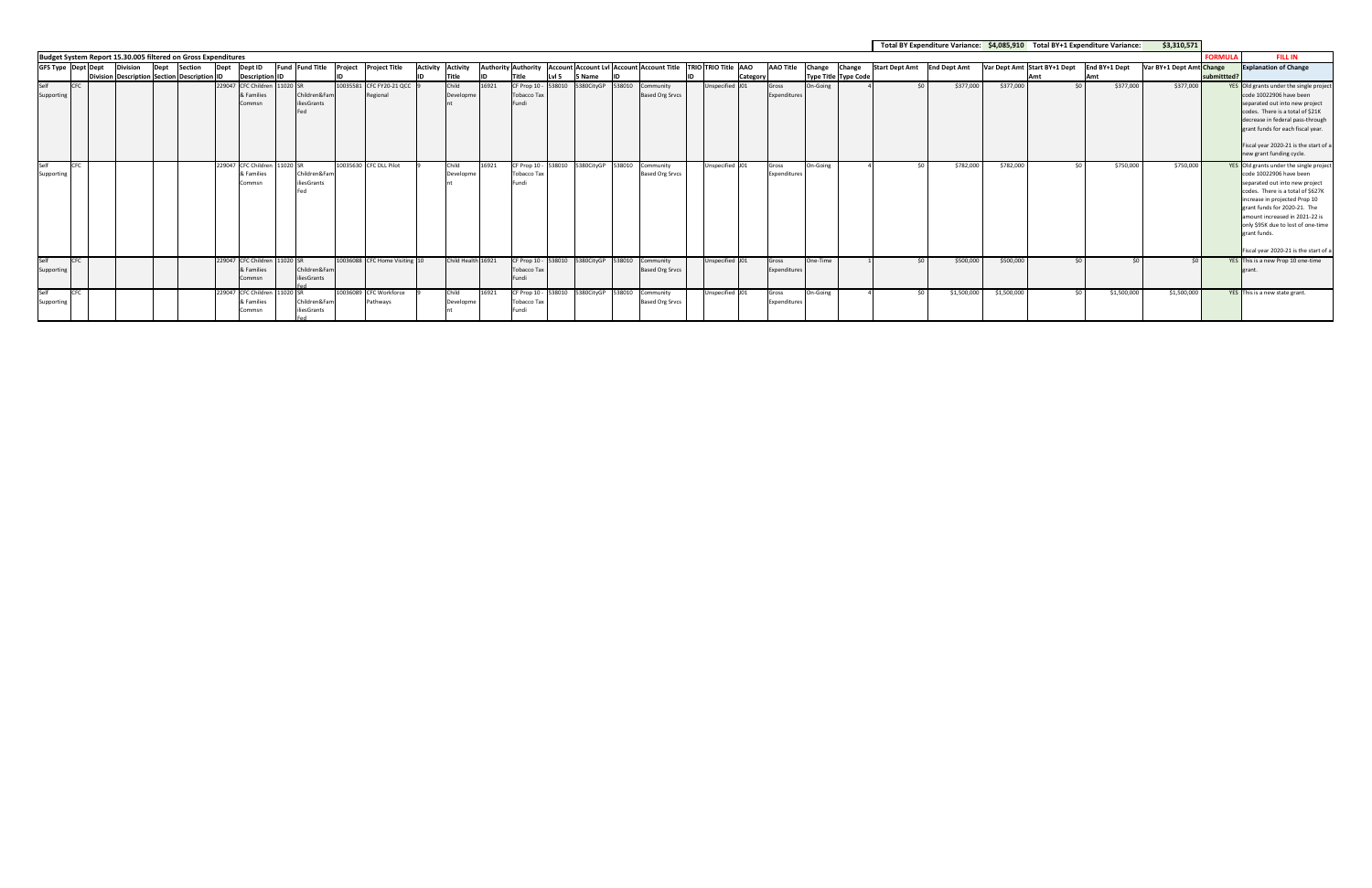|                    |            |                           |                                                                |      |                |                                                      |                                    |                                       |                                   |       |                                             |                  |                                                 |                                     |                                                                                           |          |                       |          |                                       |                       | Total BY Expenditure Variance: \$4,085,910 Total BY+1 Expenditure Variance: |             |                              |        |               | \$3,310,571              |                |                                                                                                                                                                                                                                                                                                                                              |
|--------------------|------------|---------------------------|----------------------------------------------------------------|------|----------------|------------------------------------------------------|------------------------------------|---------------------------------------|-----------------------------------|-------|---------------------------------------------|------------------|-------------------------------------------------|-------------------------------------|-------------------------------------------------------------------------------------------|----------|-----------------------|----------|---------------------------------------|-----------------------|-----------------------------------------------------------------------------|-------------|------------------------------|--------|---------------|--------------------------|----------------|----------------------------------------------------------------------------------------------------------------------------------------------------------------------------------------------------------------------------------------------------------------------------------------------------------------------------------------------|
|                    |            |                           | Budget System Report 15.30.005 filtered on Gross Expenditures  |      |                |                                                      |                                    |                                       |                                   |       |                                             |                  |                                                 |                                     |                                                                                           |          |                       |          |                                       |                       |                                                                             |             |                              |        |               |                          | <b>FORMULA</b> | <b>FILL IN</b>                                                                                                                                                                                                                                                                                                                               |
|                    |            | <b>GFS Type Dept Dept</b> | <b>Division</b><br>Division Description Section Description ID | Dept | <b>Section</b> | Dept Dept ID<br><b>Description ID</b>                |                                    | Fund Fund Title Project Project Title | <b>Activity Activity</b><br>Title | חו    | Title                                       | Lvl <sub>5</sub> | 5 Name                                          |                                     | Authority Authority   Account Account Lvl   Account Account Title   TRIO TRIO Title   AAO | Category | <b>AAO Title</b>      | Change   | Change<br><b>Type Title Type Code</b> | <b>Start Dept Amt</b> | <b>End Dept Amt</b>                                                         |             | Var Dept Amt Start BY+1 Dept | Amt    | End BY+1 Dept | Var BY+1 Dept Amt Change | submittted?    | <b>Explanation of Change</b>                                                                                                                                                                                                                                                                                                                 |
| Self<br>Supporting | <b>CFC</b> |                           |                                                                |      |                | 229047 CFC Children 11020 SR<br>& Families<br>Commsr | Children&Fan<br>iliesGrants<br>Fed | 10035581 CFC FY20-21 QCC<br>Regional  | Child<br>Developm                 | 16921 | CF Prop 10 -<br><b>Tobacco Tax</b><br>Fundi | 538010           |                                                 | Community<br><b>Based Org Srvcs</b> | Unspecified J01                                                                           |          | Gross<br>Expenditures | On-Going |                                       |                       | \$377,000                                                                   | \$377,000   |                              | - <∩ l | \$377,000     | \$377,000                |                | YES Old grants under the single project<br>code 10022906 have been<br>separated out into new project<br>codes. There is a total of \$21K<br>decrease in federal pass-through<br>grant funds for each fiscal year.<br>Fiscal year 2020-21 is the start of a<br>new grant funding cycle.                                                       |
| Self<br>Supporting | CFC        |                           |                                                                |      |                | 229047 CFC Children 11020 SR<br>& Families<br>Commsn | Children&Fam<br>iliesGrants<br>Fed | 10035630 CFC DLL Pilot                | Child<br>Developm                 | 16921 | CF Prop 10 - 538010<br>Tobacco Ta<br>Fundi  |                  | 5380CitvGP 538010                               | Community<br><b>Based Org Srvcs</b> | Unspecified J01                                                                           |          | Gross<br>Expenditures | On-Going |                                       |                       | \$782,000                                                                   | \$782,000   |                              |        | \$750,000     | \$750,000                |                | YES Old grants under the single project<br>code 10022906 have been<br>separated out into new project<br>codes. There is a total of \$627K<br>increase in projected Prop 10<br>grant funds for 2020-21. The<br>amount increased in 2021-22 is<br>only \$95K due to lost of one-time<br>lgrant funds.<br>Fiscal year 2020-21 is the start of a |
| Self<br>Supporting | <b>CFC</b> |                           |                                                                |      |                | 229047 CFC Children 11020 SR<br>& Families<br>Commsn | Children&Fam<br>iliesGrants        | 10036088 CFC Home Visiting 10         | Child Health 16921                |       | <b>Tobacco Tax</b><br>Fundi                 |                  | CF Prop 10 - 538010 5380CityGP 538010           | Community<br><b>Based Org Srvcs</b> | Unspecified J01                                                                           |          | Gross<br>Expenditures | One-Time |                                       |                       | \$500,000                                                                   | \$500,000   |                              | . ናበ   | $\epsilon$    | - s∩ I                   |                | YES This is a new Prop 10 one-time<br>grant.                                                                                                                                                                                                                                                                                                 |
| Self<br>Supporting | <b>CFC</b> |                           |                                                                |      |                | 229047 CFC Children 11020 SR<br>& Families<br>Commsn | Children&Fan<br>iliesGrants        | 10036089 CFC Workforce<br>Pathways    | Child<br><b>Developm</b>          | 16921 | Tobacco Ta:<br>undi                         |                  | CF Prop 10 - 538010 5380CityGP 538010 Community | <b>Based Org Srvcs</b>              | Unspecified J01                                                                           |          | Gross<br>Expenditures | On-Going |                                       |                       | \$1,500,000                                                                 | \$1,500,000 |                              | <ሰ     | \$1,500,000   | \$1,500,000              |                | YES This is a new state grant.                                                                                                                                                                                                                                                                                                               |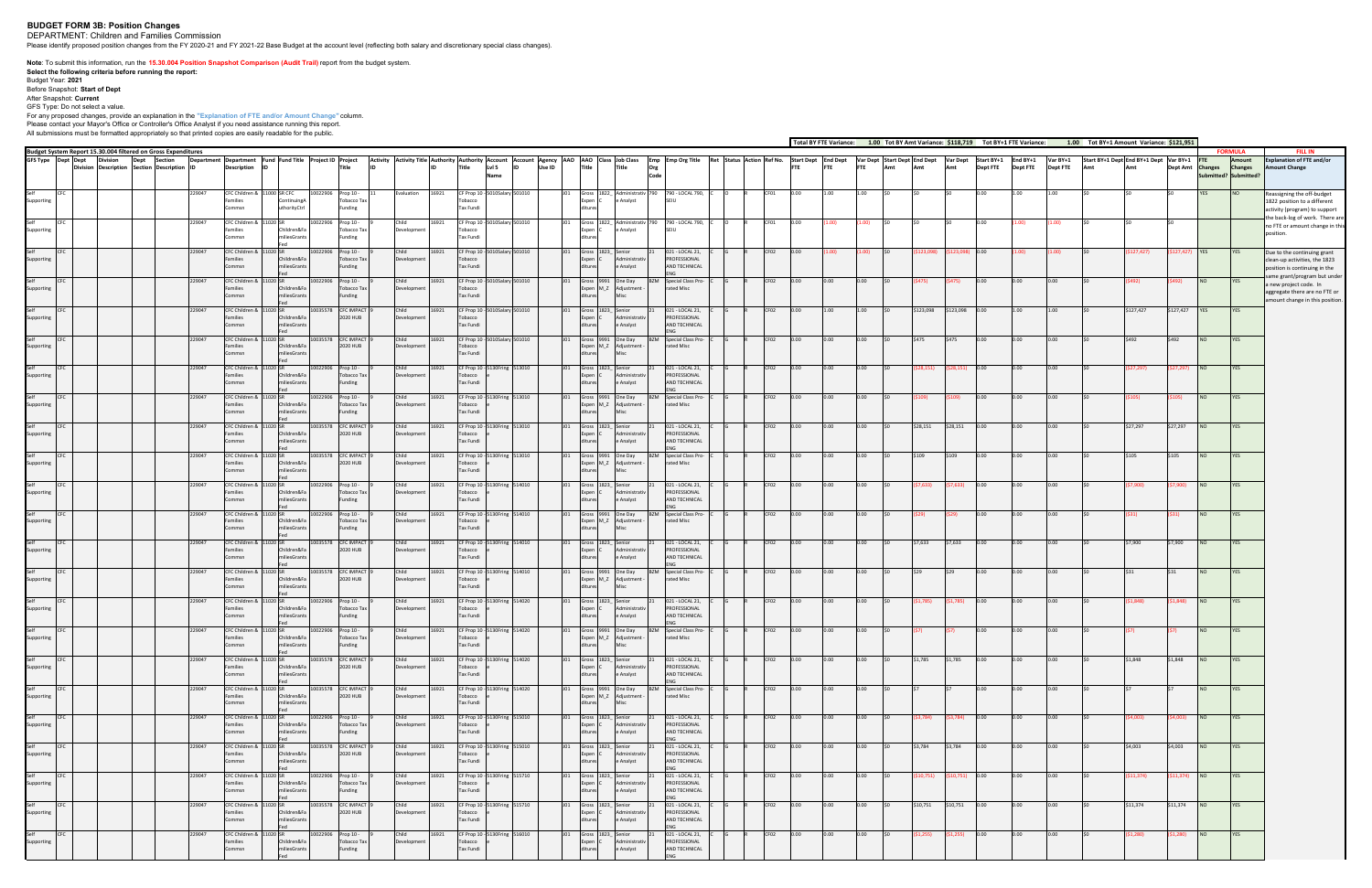## **BUDGET FORM 3B: Position Changes**

DEPARTMENT: Children and Families Commission Please identify proposed position changes from the FY 2020-21 and FY 2021-22 Base Budget at the account level (reflecting both salary and discretionary special class changes).

**Note**: To submit this information, run the 1<mark>5.30.004 Position Snapshot Comparison (Audit Trail)</mark> report from the budget system.<br>Select the following criteria before running the report:<br>Budget Year: 2021<br>Before Snapshot:

After Snapshot: **Current** GFS Type: Do not select a value.

For any proposed changes, provide an explanation in the "Explanation of FTE and/or Amount Change" column.<br>Please contact your Mayor's Office or Controller's Office Analyst if you need assistance running this report.<br>All su

|                    |                    |                                                                                                     |                                                          |                                           |                     |                                            |                            |       |                                       |                                                                                                  |        |                            |                               |                                                        |                                                                  |                  |          |            |            |                                       |                 |                     | Total BY FTE Variance: 1.00 Tot BY Amt Variance: \$118,719 Tot BY+1 FTE Variance: |                 | 1.00 Tot BY+1 Amount Variance: \$121,951 |           |                  |                 |                                        |                                                                                                    |
|--------------------|--------------------|-----------------------------------------------------------------------------------------------------|----------------------------------------------------------|-------------------------------------------|---------------------|--------------------------------------------|----------------------------|-------|---------------------------------------|--------------------------------------------------------------------------------------------------|--------|----------------------------|-------------------------------|--------------------------------------------------------|------------------------------------------------------------------|------------------|----------|------------|------------|---------------------------------------|-----------------|---------------------|-----------------------------------------------------------------------------------|-----------------|------------------------------------------|-----------|------------------|-----------------|----------------------------------------|----------------------------------------------------------------------------------------------------|
|                    | GFS Type Dept Dept | Budget System Report 15.30.004 filtered on Gross Expenditures<br>Section<br><b>Division</b><br>Dept | Department Department Fund Fund Title Project ID Project |                                           |                     |                                            |                            |       |                                       | Activity Activity Title Authority Authority Account Account Agency AAO   AAO   Class   Job Class |        |                            |                               |                                                        | Emp Emp Org Title Ret Status Action Ref No. Start Dept End Dept  |                  |          |            |            | Var Dept Start Dept End Dept Var Dept |                 | Start BY+1 End BY+1 |                                                                                   | Var BY+1        | Start BY+1 Dept End BY+1 Dept Var BY+1   |           |                  |                 | <b>FORMULA</b><br>Amount               | <b>FILL IN</b><br><b>Explanation of FTE and/or</b>                                                 |
|                    |                    | Division Description Section Description ID                                                         | <b>Description</b><br>ID                                 |                                           |                     | <b>Title</b>                               |                            |       | Title                                 | LvI 5<br>Name                                                                                    | Use ID | <b>Title</b>               |                               | <b>Title</b><br>Org<br>Code                            |                                                                  |                  |          | <b>FTE</b> | <b>FTE</b> | Amt                                   | Amt             | <b>Dept FTE</b>     | <b>Dept FTE</b>                                                                   | <b>Dept FTE</b> |                                          |           | Dept Amt Changes |                 | <b>Changes</b><br>ubmitted? Submitted? | <b>Amount Change</b>                                                                               |
| Supporting         |                    | 229047                                                                                              | CFC Children &<br>Families<br>Commsn                     | 1000 SR CF(<br>ContinuingA<br>thorityCtrl | 0022906             | Prop 10 -<br>Tobacco Tax<br>Funding        | valuation                  | 16921 | F Prop 10 -<br>obacco<br>Tax Fundi    |                                                                                                  |        |                            | Expen                         | e Analyst                                              | 790 - LOCAL 790,<br><b>SFILL</b>                                 |                  |          |            |            |                                       |                 |                     |                                                                                   |                 |                                          |           |                  |                 |                                        | eassigning the off-budget<br>1822 position to a different                                          |
| Supporting         |                    | 229047                                                                                              | CFC Children & 11020 SR<br>amilies                       | nildren&F                                 | 10022906            | Prop 10 -<br><b>Tobacco Tax</b>            | Developmen                 | 16921 | obacco                                | CF Prop 10 - 5010Salary 501010                                                                   |        |                            | Expen (                       | Gross 1822_Administrativ<br>e Analyst                  | 790 - LOCAL 790,<br><b>SFILL</b>                                 | CF01             | 0.00     |            | .00)       |                                       |                 |                     | .00)                                                                              | (1.00)          |                                          |           |                  |                 |                                        | activity (program) to support<br>he back-log of work. There are<br>no FTE or amount change in this |
|                    |                    | 229047                                                                                              | Commsn                                                   | liesGrant                                 |                     | Funding                                    | Child                      | 16921 | Tax Fundi                             | 10Salary 501010                                                                                  |        |                            |                               |                                                        | J21 - LOCAL 21,                                                  | FO <sub>2</sub>  |          |            |            |                                       |                 |                     |                                                                                   |                 |                                          |           |                  |                 |                                        | oosition.                                                                                          |
| Supporting         |                    |                                                                                                     | CFC Children &<br>amilies<br>ommsn                       | Children&F<br>iliesGran                   | 10022906            | Prop 10 -<br>Tobacco Ta:<br>Funding        | <b>Developmen</b>          |       | CF Prop 10 - 5<br>obacco<br>Tax Fundi |                                                                                                  |        |                            |                               | ministrati<br>e Analyst                                | PROFESSIONAL<br><b>ND TECHNICAL</b>                              |                  |          |            |            |                                       |                 |                     |                                                                                   | 1.00)           |                                          | 127,427)  | 127,421          |                 |                                        | Due to the continuing grant<br>clean-up activities, the 1823<br>position is continuing in the      |
| Supporting         |                    | 229047                                                                                              | CFC Children &<br>Families<br>Commsn                     | Children&Fa                               | 0022906             | Prop 10 -<br>Tobacco Tax<br>Funding        | Child<br>Development       | 16921 | CF Prop 10 -<br>Tobacco<br>Tax Fundi  | 10Salary 501010                                                                                  |        |                            | Expen M_Z                     | Gross 9991 One Day<br>Adjustment                       | Special Class Pro-<br>37M<br>rated Misc                          | CF02             | 0.00     |            | 0.00       |                                       | S475)           | 0.00                | 0.00                                                                              | 0.00            |                                          |           |                  |                 |                                        | ame grant/program but under<br>a new project code. In<br>aggregate there are no FTE or             |
| Self<br>Supporting |                    | 229047                                                                                              | CFC Children & 11020 SR<br>Families                      | Children&F                                |                     | 10035578 CFC IMPACT<br>2020 HUB            | Child<br>Development       | 16921 | Tobacco                               | CF Prop 10 - 5010Salary 501010                                                                   |        | Expen                      | Gross 1823_Senior             | Administrati                                           | 021 - LOCAL 21,<br>PROFESSIONAL                                  | CF02             | 0.00     | 1.00       | 1.00       | \$123,098                             | \$123,098 0.00  |                     | 1.00                                                                              | 1.00            |                                          | \$127,427 | \$127,427 YES    |                 | <b>YES</b>                             | amount change in this position.                                                                    |
| Self               |                    | 229047                                                                                              | ommsn<br>CFC Children & 11020 SR                         | niliesGrant                               | 10035578 CFC IMPACT |                                            | Child                      | 16921 | Tax Fundi<br>CF Prop 10 - 5           | 10Salary 501010                                                                                  |        |                            | 9991                          | e Analyst<br>One Day                                   | AND TECHNICAL<br><b>Special Class Pro</b>                        | CF02             | 0.00     | 0.00       | 0.00       | \$475                                 | \$475           | 0.00                | 0.00                                                                              | 10.00           |                                          | \$492     |                  |                 | YES                                    |                                                                                                    |
| Supporting         |                    |                                                                                                     | Families                                                 | Children&F<br>iliesGran                   |                     | 2020 HUB                                   | Developmer                 |       | obacco<br>Tax Fundi                   |                                                                                                  |        |                            | Expen M_Z                     | Adjustment                                             | ated Misc                                                        |                  |          |            |            |                                       |                 |                     |                                                                                   |                 |                                          |           |                  |                 |                                        |                                                                                                    |
| Supporting         |                    | 229047                                                                                              | CFC Children &<br>Families<br>Commsn                     | Children&Fa<br>iliesGrant                 | 0022906             | Prop 10 -<br><b>Tobacco Tax</b><br>Funding | Child<br>Development       | 16921 | Tobacco<br>Tax Fundi                  | CF Prop 10 - 5130Fring 513010                                                                    |        | Expen                      | Gross 1823_Senior             | Administrativ<br>e Analyst                             | 021 - LOCAL 21,<br>PROFESSIONAL<br>AND TECHNICAL                 | CF02             | 0.00     |            | 0.00       |                                       |                 |                     | 0.00                                                                              | 0.00            |                                          | 27,297)   | 27,297           |                 | YES                                    |                                                                                                    |
| Supporting         |                    | 229047                                                                                              | CFC Children &<br>Families<br>ommsn                      | Children&Fa<br>niliesGrant                | 0022906             | Prop 10 -<br><b>Tobacco Tax</b><br>Funding | Child<br>Development       | 16921 | Tobacco<br>Tax Fundi                  | CF Prop 10 - 5130Fring 513010                                                                    |        |                            |                               | Gross 9991 One Day<br>Expen M_Z Adjustment<br>Misc     | Special Class Pro-<br>rated Misc                                 | CF02             | 0.00     |            | 0.00       |                                       |                 |                     |                                                                                   | 0.00            |                                          |           |                  |                 | <b>YES</b>                             |                                                                                                    |
| Self<br>Supporting |                    | 229047                                                                                              | CFC Children &<br>amilies                                | Children&Fa                               | 10035578            | <b>CFC IMPACT</b><br>2020 HUB              | Child<br><b>Developmen</b> | 16921 | obacco                                | CF Prop 10 - 5130Fring 513010                                                                    |        |                            | 1823                          | Senior<br>Administrati                                 | 021 - LOCAL 21,<br>PROFESSIONAL                                  | CF02             | $0.00 -$ | 0.00       | 0.00       | \$28,151                              | \$28,151        | 0.00                | $0.00 -$                                                                          | 0.00            |                                          | \$27,297  | \$27,297         |                 | YES                                    |                                                                                                    |
|                    |                    | 229047                                                                                              | CFC Children &                                           | iliesGran                                 | 0035578             | <b>CFC IMPACT</b>                          | Child                      | 16921 | Tax Fundi                             | CF Prop 10 - 5130Fring 513010                                                                    |        |                            |                               | e Analyst<br>Gross 9991 One Day                        | <b>ND TECHNICAL</b><br>Special Class Pro                         | CF02             | 0.00     |            | 0.00       |                                       |                 |                     |                                                                                   | 0.00            |                                          | \$105     |                  |                 | YES                                    |                                                                                                    |
| Supporting<br>Self |                    | 229047                                                                                              | Families<br>Commsn<br>CFC Children & 11020 SR            | Children&Fa<br>iliesGrant                 | 10022906 Prop 10 -  | 2020 HUB                                   | Developmen<br>Child        | 16921 | Tobacco<br>Tax Fundi                  | CF Prop 10 - 5130Fring 514010                                                                    |        |                            | Gross 1823_Senior             | Expen M_Z Adjustment                                   | ated Misc<br>021 - LOCAL 21,                                     | CF <sub>02</sub> | 0.00     | 0.00       | 0.00       | 7,633)                                | 57,633)         | 0.00                | 0.00                                                                              | 0.00            |                                          | \$7,900)  | 57,900)          | NO <sub>1</sub> | <b>YES</b>                             |                                                                                                    |
| Supporting         |                    |                                                                                                     | Families                                                 | Children&Fa<br>niliesGran                 |                     | Tobacco Tax<br>Funding                     | Developmen                 |       | obacco<br>Tax Fundi                   |                                                                                                  |        | Expen                      |                               | Administrati<br>e Analyst                              | PROFESSIONAL<br>AND TECHNICAL                                    |                  |          |            |            |                                       |                 |                     |                                                                                   |                 |                                          |           |                  |                 |                                        |                                                                                                    |
| Self<br>Supporting |                    | 229047                                                                                              | CFC Children &<br>amilies<br>ommsn                       | Children&F<br>iliesGrant                  | 0022906             | Prop 10 -<br>Tobacco Ta:<br>Funding        | Child<br>Developmer        | 16921 | obacco<br>Tax Fundi                   | CF Prop 10 - 5130Fring 514010                                                                    |        |                            | Gross 9991<br>Expen M_Z       | One Day<br>Adjustment                                  | <b>Special Class Pro</b><br>rated Misc                           | CF02             | 0.00     |            | 0.00       |                                       |                 |                     |                                                                                   |                 |                                          |           |                  |                 | YES                                    |                                                                                                    |
| Supporting         |                    | 229047                                                                                              | CFC Children &<br>1020 SR<br>Families<br>Commsn          | Children&Fa<br>iliesGrant                 | 0035578             | <b>CFC IMPACT</b><br>2020 HUB              | Child<br>Development       | 16921 | Tobacco<br>Tax Fundi                  | CF Prop 10 - 5130Fring 514010                                                                    |        | Expen                      | Gross 1823_Senior             | Administrativ<br>e Analyst                             | 021 - LOCAL 21,<br>PROFESSIONAL<br>AND TECHNICAL                 | CF02             | 0.00     | 0.00       | 0.00       | \$7,633                               | \$7,633         | 0.00                | 0.00                                                                              | 0.00            |                                          | \$7,900   | \$7,900          | <b>NO</b>       | <b>YES</b>                             |                                                                                                    |
| Supporting         |                    | 229047                                                                                              | CFC Children & 11020 SR<br>Families                      | Children&Fa                               |                     | 10035578 CFC IMPACT<br>2020 HUB            | Child<br>Development       | 16921 | obacco                                | CF Prop 10 - 5130Fring 514010                                                                    |        |                            |                               | Gross 9991 One Day<br>Expen M_Z Adjustment -           | Special Class Pro-<br>rated Misc                                 | CF02             | 0.00     | 0.00       | 0.00       | \$29                                  | \$29            | 0.00                | 0.00                                                                              | 0.00            |                                          |           |                  | <b>NO</b>       | YES                                    |                                                                                                    |
| Self               |                    | 229047                                                                                              | Commsn<br>CFC Children &                                 | niliesGrant                               | 0022906             | Prop 10 -                                  | Child                      | 16921 | Tax Fundi                             | CF Prop 10 - 5130Fring 514020                                                                    |        |                            |                               | Misc<br>1823 Senior                                    | 021 - LOCAL 21,                                                  | CF02             | 0.00     |            | 0.00       | (1,785                                | \$1,785)        | 0.00                |                                                                                   |                 |                                          | \$1,848)  | \$1,848)         |                 | YES                                    |                                                                                                    |
| Supporting         |                    | 229047                                                                                              | amilies<br>CFC Children &<br>11020 SR                    | Children&F<br>iliesGran                   | 10022906            | Tobacco Ta:<br>Funding<br>Prop 10 -        | Developmen<br>Child        | 16921 | obacco<br>Tax Fundi                   | CF Prop 10 - 5130Fring 514020                                                                    |        |                            |                               | lministrat<br>e Analyst<br>Gross 9991 One Day          | PROFESSIONAL<br><b>ND TECHNICAL</b><br>BZM<br>Special Class Pro- | CF02             | 0.00     | 0.00 l     | 0.00       |                                       |                 | 0.00                |                                                                                   | 0.00            |                                          |           |                  |                 | YES                                    |                                                                                                    |
| Supporting         |                    |                                                                                                     | Families<br>Commsn                                       | Children&Fa<br>miliesGrants               |                     | Tobacco Tax<br>Funding                     | Development                |       | Tobacco<br>Tax Fundi                  |                                                                                                  |        | ditures                    |                               | Expen M_Z Adjustment -<br>Misc                         | rated Misc                                                       |                  |          |            |            |                                       |                 |                     |                                                                                   |                 |                                          |           |                  |                 |                                        |                                                                                                    |
| Self<br>Supporting | CFC                | 229047                                                                                              | CFC Children & 11020 SR<br>Families<br>Commsn            | Children&Fa<br>miliesGrants               |                     | 10035578 CFC IMPACT<br>2020 HUB            | Child<br>Development       | 16921 | Tobacco<br>Tax Fundi                  | CF Prop 10 - 5130Fring 514020                                                                    |        | J <sub>01</sub><br>ditures | Expen C                       | Gross 1823_ Senior<br>21<br>Administrativ<br>e Analyst | 021 - LOCAL 21,<br>PROFESSIONAL<br>AND TECHNICAL                 | CF <sub>02</sub> | 0.00     | 0.00       | 0.00       | \$1,785                               | \$1,785         | 0.00                | 0.00                                                                              | 0.00            |                                          | \$1,848   | \$1,848          | NO <sub>1</sub> | <b>YES</b>                             |                                                                                                    |
| Self<br>Supporting |                    | 229047                                                                                              | CFC Children & 11020 SR<br>Families                      | Children&Fa                               |                     | 10035578 CFC IMPACT<br>2020 HUB            | Child<br>Development       | 16921 | Tobacco                               | CF Prop 10 - 5130Fring 514020                                                                    |        |                            |                               | Gross 9991 One Day<br>Expen M_Z Adjustment -           | <b>BZM</b> Special Class Pro-<br>rated Misc                      | CF02             | 0.00     | 0.00       | 0.00       |                                       |                 | 0.00                | 0.00                                                                              | 0.00            |                                          |           |                  |                 | YES                                    |                                                                                                    |
| Self<br>Supporting | CFC                | 229047                                                                                              | Commsn<br>CFC Children & 11020 SR<br>Families            | miliesGrants<br>Children&Fa               | 10022906 Prop 10 -  | Tobacco Tax                                | Child<br>Development       | 16921 | Tax Fundi<br>Tobacco                  | CF Prop 10 - 5130Fring 515010                                                                    |        | ditures<br>JO1             | Gross 1823_ Senior<br>Expen C | Misc<br>Administrativ                                  | 021 - LOCAL 21,<br>PROFESSIONAL                                  | CF02             | 0.00     | 0.00       | 0.00       | (\$3,784)                             | \$3,784)        | 0.00                | 0.00                                                                              | 0.00            |                                          | (\$4,003) | (\$4,003)        | NO.             | YES                                    |                                                                                                    |
| Self               | CFC                | 229047                                                                                              | Commsn<br>CFC Children & 11020 SR                        | miliesGrants                              |                     | Funding<br>10035578 CFC IMPACT             | Child                      | 16921 | Tax Fundi                             | CF Prop 10 - 5130Fring 515010                                                                    |        | ditures<br>J01             | Gross 1823_Senior             | e Analyst                                              | AND TECHNICAL<br>FNG.<br>021 - LOCAL 21,                         | CF02             | 0.00     | 0.00       | 0.00       | \$3,784 \$3,784 0.00                  |                 |                     | 0.00                                                                              | 0.00            |                                          | \$4,003   | \$4,003          | NO <sub>1</sub> | <b>YES</b>                             |                                                                                                    |
| Supporting         |                    |                                                                                                     | Families<br>Commsn                                       | Children&Fa<br>miliesGrants               |                     | 2020 HUB                                   | Development                |       | Tobacco<br>Tax Fundi                  |                                                                                                  |        | ditures                    | Expen C                       | Administrativ<br>e Analyst                             | PROFESSIONAL<br>AND TECHNICAL<br><b>FNG</b>                      |                  |          |            |            |                                       |                 |                     |                                                                                   |                 |                                          |           |                  |                 |                                        |                                                                                                    |
| Self<br>Supporting |                    | 229047                                                                                              | CFC Children & 11020 SR<br>Families<br>Commsn            | Children&Fa<br>miliesGrants               | 10022906 Prop 10 -  | Tobacco Tax<br>Funding                     | Child<br>Development       | 16921 | Tobacco<br>Tax Fundi                  | CF Prop 10 - 5130Fring 515710                                                                    |        | ditures                    | Gross 1823_Senior<br>Expen C  | Administrativ<br>e Analyst                             | 021 - LOCAL 21,<br>PROFESSIONAL<br>AND TECHNICAL                 | CF <sub>02</sub> | 0.00     | 0.00       | 0.00       | \$10,751)                             | (\$10,751)      | 0.00                | 0.00                                                                              | 0.00            |                                          | \$11,374) | \$11,374)        | NO <sub>1</sub> | YES                                    |                                                                                                    |
| Self<br>Supporting | CFC                | 229047                                                                                              | CFC Children & 11020 SR<br>Families<br>Commsn            | Children&Fa<br>miliesGrants               |                     | 10035578 CFC IMPACT<br>2020 HUB            | Child<br>Development       | 16921 | Tobacco<br>Tax Fundi                  | CF Prop 10 - 5130Fring 515710                                                                    |        | JO1<br>ditures             | Gross 1823_Senior<br>Expen C  | Administrativ<br>e Analyst                             | 021 - LOCAL 21,<br>PROFESSIONAL<br>AND TECHNICAL                 | CF <sub>02</sub> | 0.00     | 0.00       | 0.00       | \$10,751                              | \$10,751        | 0.00                | 0.00                                                                              | 0.00            |                                          | \$11,374  | \$11,374         | NO              | YES                                    |                                                                                                    |
| Self<br>Supporting | CFC                | 229047                                                                                              | CFC Children & 11020 SR<br>Families                      | Children&Fa                               | 10022906 Prop 10 -  | Tobacco Tax                                | Child<br>Development       | 16921 | Tobacco                               | CF Prop 10 - 5130Fring 516010                                                                    |        | JO1                        | Expen C                       | Gross 1823_Senior<br>Administrativ                     | 021 - LOCAL 21,<br>PROFESSIONAL                                  | CF <sub>02</sub> | 0.00     | 0.00       | 0.00       | (\$1,255)                             | $(51,255)$ 0.00 |                     | 0.00                                                                              | 0.00            |                                          | (\$1,280) | (\$1,280)        | NO <sub>1</sub> | <b>YES</b>                             |                                                                                                    |
|                    |                    |                                                                                                     | Commsn                                                   | miliesGrants                              |                     | Funding                                    |                            |       | Tax Fundi                             |                                                                                                  |        | ditures                    |                               | e Analyst                                              | AND TECHNICAL                                                    |                  |          |            |            |                                       |                 |                     |                                                                                   |                 |                                          |           |                  |                 |                                        |                                                                                                    |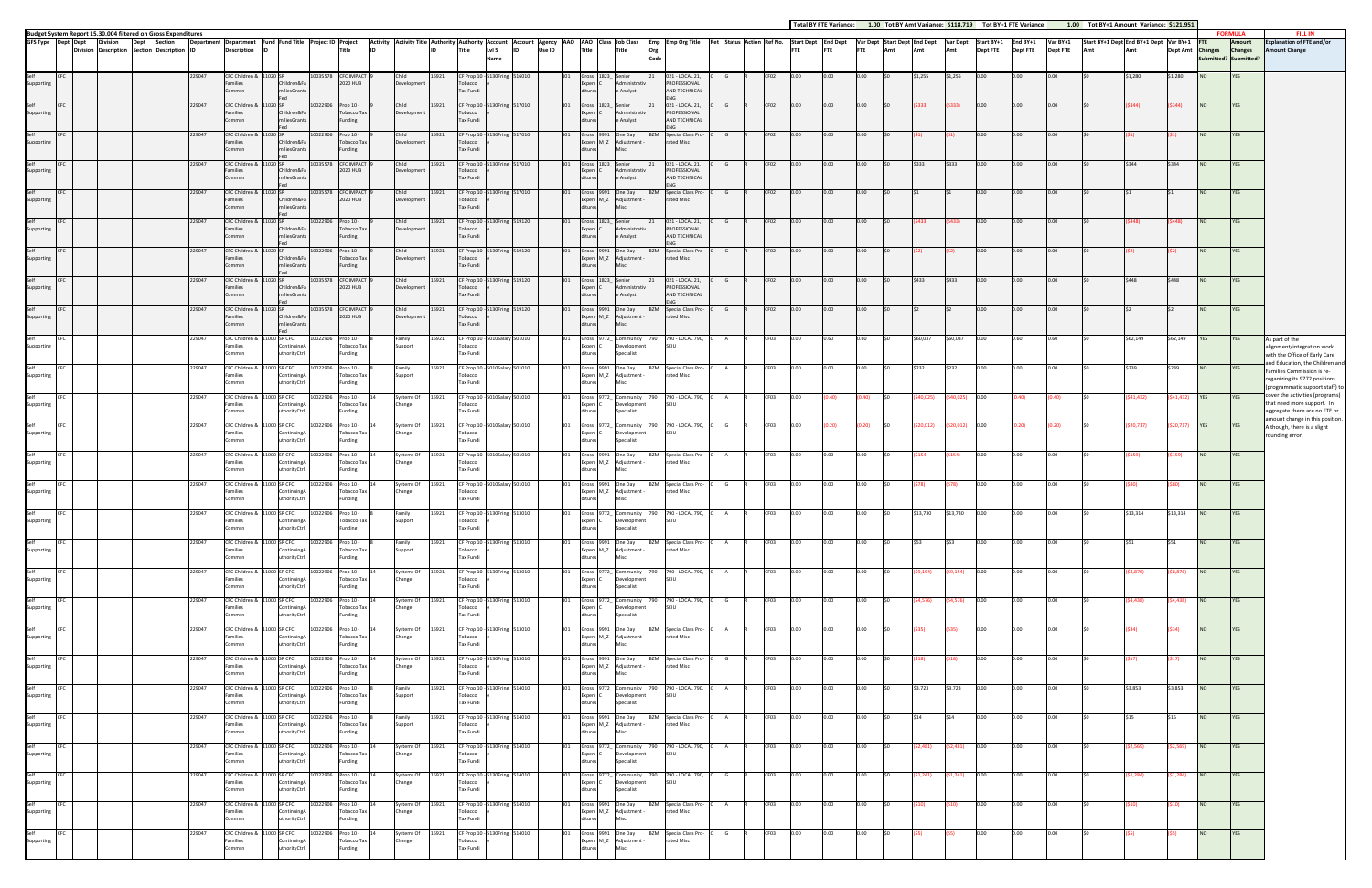|                            |                   |                                                                                                                 |                  |                                                          |                                                            |                                                   |                     |                                                  |                                 |                |                                                                                            |                 |        |                        |                                                                               |                                                                    |  |                          |                 |              | $1.00$ TO, BT ATT, variance, $9110,13$ |                  |                         |                     |                 |                 | $1.00$ TOCDT: I AMOUNT VARIANCE. $7.22,33.1$ |                  |                  |                       | <b>FORMULA</b>                         | <b>FILL IN</b>                                                                                                                  |
|----------------------------|-------------------|-----------------------------------------------------------------------------------------------------------------|------------------|----------------------------------------------------------|------------------------------------------------------------|---------------------------------------------------|---------------------|--------------------------------------------------|---------------------------------|----------------|--------------------------------------------------------------------------------------------|-----------------|--------|------------------------|-------------------------------------------------------------------------------|--------------------------------------------------------------------|--|--------------------------|-----------------|--------------|----------------------------------------|------------------|-------------------------|---------------------|-----------------|-----------------|----------------------------------------------|------------------|------------------|-----------------------|----------------------------------------|---------------------------------------------------------------------------------------------------------------------------------|
|                            |                   | Budget System Report 15.30.004 filtered on Gross Expenditures<br>GFS Type Dept Dept Division Dept Section Depar |                  | Department Department Fund Fund Title Project ID Project |                                                            |                                                   |                     |                                                  |                                 |                | Activity Activity Title Authority Authority Account Account Agency AAO AAO Class Job Class |                 |        |                        |                                                                               | Emp Emp Org Title Ret Status Action Ref No.                        |  | <b>Start Dept</b>        | <b>End Dept</b> |              | Var Dept Start Dept End Dept           |                  | <b>Var Dept</b>         | Start BY+1 End BY+1 |                 | Var BY+1        | Start BY+1 Dept End BY+1 Dept Var BY+1       |                  |                  |                       | Amount                                 | Explanation of FTE and/or                                                                                                       |
| Self                       |                   | Division Description Section Description ID                                                                     |                  | <b>Description</b>                                       | <b>IID</b>                                                 |                                                   |                     | Title                                            |                                 |                | LvI <sub>5</sub><br>Title<br><b>Name</b>                                                   |                 | Use ID | Title                  | <b>Title</b>                                                                  | Org<br>Code                                                        |  | <b>FTE</b>               |                 | <b>FTE</b>   | Amt                                    | Amt              | Amt                     | <b>Dept FTE</b>     | <b>Dept FTE</b> | <b>Dept FTE</b> |                                              |                  | <b>Dept Amt</b>  | <b>Changes</b><br>NO. | <b>Changes</b><br>ubmitted? Submitted? | <b>Amount Change</b>                                                                                                            |
| Supporting                 | CFC               |                                                                                                                 | 229047           | Families<br>Commsn                                       | CFC Children & 11020 SI                                    | Children&Fa<br><b>iliesGrants</b>                 | 10035578            | <b>CFC IMPACT</b><br>2020 HUB                    | Child<br>Development            | 16921          | CF Prop 10 - 5130Fring 516010<br>obacco<br>ax Fundi                                        |                 |        | xpen                   | L823 Senior<br>Administrativ<br>e Analyst                                     | 021 - LOCAL 21,<br>PROFESSIONAL<br>AND TECHNICAL                   |  | CF02                     |                 | 0.00         |                                        | \$1,255          | \$1,255                 | 10.00               | 0.00            | າ.ດດ_           |                                              | \$1,280          | \$1,280          |                       | <b>YES</b>                             |                                                                                                                                 |
| Self<br>Supporting         | CEC               |                                                                                                                 | 229047           | CFC Children &<br>Families<br>Commsn                     |                                                            | ildren&Fa<br>liesGrants                           | 10022906 Prop 10 -  | Tobacco Tax<br>Funding                           | Child<br>Development            | 16921          | CF Prop 10 - 5130Fring 517010<br>obacco<br>Tax Fundi                                       |                 |        | xpen                   | iross 1823_ Senior<br><b>Administrativ</b><br>e Analyst                       | 021 - LOCAL 21,<br>PROFESSIONAL<br>AND TECHNICAL                   |  | CF02<br>0.00             | 0.00            | 0.00         |                                        |                  |                         | 0.00                | 0.00            | 0.00            |                                              | 5344)            | \$344)           |                       | YES                                    |                                                                                                                                 |
| Self<br>Supporting         |                   |                                                                                                                 | 229047           | CFC Children &<br>Families<br>Commsn                     |                                                            | Children&Fa<br>iliesGrants                        | 0022906             | Prop 10 -<br>Tobacco Tax<br>Funding              | Child<br>Development            | 16921          | CF Prop 10 - 5130Fring 517010<br>obacco<br>Tax Fundi                                       |                 |        |                        | Gross 9991 One Day<br>Expen M_Z Adjustment                                    | <b>Special Class Pro-</b><br><b>BZM</b><br>rated Misc              |  | CF02                     | 0.00            | 0.00         |                                        |                  |                         | 0.00                | 0.00            | 0.00            |                                              |                  |                  |                       | <b>YES</b>                             |                                                                                                                                 |
| Self<br>Supporting         | CEC               |                                                                                                                 | 229047           | CFC Children &<br>Families<br>Commsn                     |                                                            | hildren&Fa<br>iliesGrants                         |                     | 10035578 CFC IMPACT<br>2020 HUB                  | Child<br>Development            | 16921          | CF Prop 10 - 5130Fring 517010<br>obacco<br>Tax Fundi                                       |                 |        | xpen                   | Gross 1823_Senior<br>Administrativ<br>e Analyst                               | 021 - LOCAL 21,<br>PROFESSIONAL<br>AND TECHNICAL                   |  | CF <sub>02</sub><br>0.00 | 0.00            | 0.00         |                                        | \$333            | \$333                   | 0.00                | 0.00            | 0.00            |                                              | \$344            | \$344            | NO.                   | YES                                    |                                                                                                                                 |
| Self<br>Supporting         |                   |                                                                                                                 | 229047           | CFC Children &<br>Families<br>Commsn                     |                                                            | iildren&Fa<br>liesGrants                          | 10035578            | <b>CFC IMPACT</b><br>2020 HUB                    | Child<br>Developmen             | 16921          | CF Prop 10 - 5130Fring 517010<br>obacco<br>Tax Fundi                                       |                 |        | xpen M_Z               | iross 9991 One Day<br>Adjustment                                              | <b>Special Class Pro</b><br>R7M<br>rated Misc                      |  | CF02<br>0.00             | n.oo.           | 0.00         |                                        |                  |                         | 10.00               | 0.00            | 0.00            |                                              |                  |                  |                       | <b>YES</b>                             |                                                                                                                                 |
| Self<br>Supporting         |                   |                                                                                                                 | 229047           | CFC Children &<br>Families<br>Commsn                     |                                                            | Children&Fa<br>iliesGrants                        | 0022906             | Prop 10 -<br>Tobacco Tax<br>Funding              | Child<br>Development            | 16921          | F Prop 10 - 5130Fring 519120<br>obacco<br>Tax Fundi                                        |                 |        | Expen                  | 1823_Senior<br>Administrativ<br>e Analyst                                     | 021 - LOCAL 21,<br>PROFESSIONAL<br>AND TECHNICAL                   |  | CF02                     |                 |              |                                        |                  |                         | 10.00               |                 |                 |                                              |                  |                  |                       | YES                                    |                                                                                                                                 |
| Self<br>Supporting         | <b>ICFC</b>       |                                                                                                                 | 229047           | CFC Children &<br>Families<br>Commsn                     |                                                            | Children&Fa<br>liesGrants                         | 10022906 Prop 10 -  | Tobacco Tax<br>Funding                           | Child<br>Development            | 16921          | CF Prop 10 - 5130Fring 519120<br>obacco<br>Tax Fundi                                       |                 |        |                        | Gross 9991 One Day<br>Expen M_Z Adjustment                                    | Special Class Pro-<br><b>BZM</b><br>rated Misc                     |  | CF <sub>02</sub><br>0.00 | 0.00            | 0.00         |                                        |                  |                         | 0.00                | 0.00            | 0.00            |                                              |                  |                  | NO.                   | YES                                    |                                                                                                                                 |
| Self<br>Supporting         | CEC               |                                                                                                                 | 229047           | CFC Children &<br>Families<br>Commsn                     |                                                            | hildren&Fa<br>liesGrants                          | 10035578            | <b>CFC IMPACT</b><br>2020 HUB                    | Child<br>Development            | 16921          | CF Prop 10 - 5130Fring 519120<br>obacco<br>Tax Fundi                                       |                 |        |                        | iross 1823_Senior<br>Administrativ<br>e Analyst                               | 021 - LOCAL 21,<br>PROFESSIONAL<br><b>IND TECHNICAL</b>            |  | CF02<br>0.00             | 0.00            | 0.00         |                                        | \$433            | S433                    | 0.00                | 0.00            | 0.00            |                                              | \$448            | \$448            |                       | YES                                    |                                                                                                                                 |
| Self<br>Supporting         |                   |                                                                                                                 | 229047           | CFC Children &<br>Families<br>Commsn                     |                                                            | Children&Fa<br>iliesGrants                        | 0035578             | <b>CFC IMPACT</b><br>2020 HUB                    | Child<br>Development            | 16921          | F Prop 10 - 5130Fring 519120<br>Tobacco<br>Tax Fundi                                       |                 |        |                        | 9991 One Day<br>Expen M_Z Adjustment                                          | Special Class Pro-<br>rated Misc                                   |  | CF02                     | 0.00            | 0.00         |                                        |                  |                         | 0.00                | 0.00            | າ.ດດ_           |                                              |                  |                  |                       | YES                                    |                                                                                                                                 |
| Self<br>Supporting         |                   |                                                                                                                 | 229047           | CFC Children &<br>Families<br>Commsn                     |                                                            | 1000 SR CFC<br>ContinuingA<br>uthorityCtrl        | 0022906.            | Prop 10 -<br>Tobacco Tax<br>Funding              | amily<br>iupport                | 16921          | F Prop 10 - 5010Salary 501010<br>obacco<br>Tax Fundi                                       |                 |        | iross<br>men           | 772  <br>Community<br>Development<br>Specialist                               | 790 - LOCAL 790,<br>SEILI                                          |  | CF03                     |                 | 0.60         |                                        | 60.037           | S60.037                 |                     |                 |                 |                                              | \$62,149         | \$62,149         | YES                   | <b>YES</b>                             | As part of the<br>alignment/integration work<br>with the Office of Early Care                                                   |
| Self<br>Supporting         | CFC               |                                                                                                                 | 229047           | CFC Children &<br>amilies<br>Commsn                      |                                                            | 11000 SR CFC<br>ntinuing/<br>thorityCtrl          | 10022906            | Prop 10 -<br>obacco Tax<br>Funding               | Family<br>upport                | 16921          | CF Prop 10 - 5010Salary 501010<br>obacco<br>Tax Fundi                                      |                 |        | Expen M_Z              | Gross 9991 One Day<br>Adjustment                                              | <b>BZM</b> Special Class Pro-<br>rated Misc                        |  | CF03<br>0.00             | $0.00\,$        | 0.00         |                                        | \$232            | \$232                   | 0.00                | 0.00            | 0.00            |                                              | \$239            | \$239            |                       | <b>YES</b>                             | and Education, the Children and<br>Families Commission is re-<br>organizing its 9772 positions<br>programmatic support staff)   |
| Self<br>Supporting         | CFC               |                                                                                                                 | 229047           | Families<br>ommsn                                        | CFC Children & 11000 SR CFC                                | ContinuingA<br>thorityCtrl                        | 10022906            | Prop 10 -<br><b>Tobacco Tax</b><br>unding        | Systems Of<br>hange             | 16921          | CF Prop 10 - 5010Salary 501010<br>obacco<br>Tax Fundi                                      |                 |        | Gross<br>Expen         | 9772_Community<br>Development<br>Specialist                                   | 790 - LOCAL 790,<br>790<br>SFIU                                    |  | CF03                     | (40.            | ).40)        |                                        | 40,025)          | \$40,025)               | 0.00                | (0.40)          | 0.40)           |                                              | (\$41,432)       | (541, 432)       | YES                   |                                        | cover the activities (programs<br>hat need more support. In<br>aggregate there are no FTE or<br>amount change in this position. |
| Self<br>Supporting         | CFC               |                                                                                                                 | 229047           | CFC Children &<br>Families<br>Commsn                     |                                                            | 1000 SR CFC<br>ContinuingA<br><b>ithorityCtrl</b> | 0022906             | Prop 10 -<br>Tobacco Tax<br>Funding              | ystems Of<br>Change             | 16921          | CF Prop 10 - 5010Salary 501010<br>obacco<br>Tax Fundi                                      |                 |        | rpen                   | Gross 9772_ Community<br>790<br>Development<br>Specialist                     | 790 - LOCAL 790,<br>SFIU                                           |  | CF03                     |                 |              |                                        | 20,012)          | 20,012)                 | 10.00               | (0.20)          | 0.20)           |                                              | (20,717          | \$20,717)        | <b>YES</b>            | YES                                    | Although, there is a slight<br>rounding error.                                                                                  |
| Self<br>Supporting         | CFC               |                                                                                                                 | 229047           | CFC Children &<br>Families<br>ommsn                      |                                                            | 1000 SR CFC<br>ntinuingA<br>thorityCtrl           | 10022906            | Prop 10 -<br>Tobacco Tax<br>Funding              | iystems Of<br>hange             | 16921          | CF Prop 10 - 5010Salary 501010<br>obacco<br>Tax Fundi                                      |                 |        | Expen M_Z              | Gross 9991 One Day<br>Adjustment                                              | <b>BZM</b><br>Special Class Pro-<br>rated Misc                     |  | CF03<br>0.00             | 0.00            | 0.00         |                                        | (154             | (\$154)                 | 0.00                | 0.00            | 0.00            |                                              | (\$159)          | (\$159)          | NO.                   | YES                                    |                                                                                                                                 |
| Self<br>Supporting         | CFC               |                                                                                                                 | 229047           | CFC Children &<br>Families<br>Commsn                     |                                                            | 11000 SR CFC<br>ContinuingA<br>thorityCtrl        | 0022906             | Prop 10 -<br><b>Tobacco Tax</b><br>Funding       | Systems Of<br>Change            | 16921          | CF Prop 10 - 50<br>obacco<br>Tax Fundi                                                     | 10Salary 501010 |        |                        | Gross 9991 One Day<br>Expen M_Z Adjustment                                    | <b>BZM</b><br>Special Class Pro-<br>rated Misc                     |  | CF03                     | 0.00            | 0.00         |                                        |                  | (\$78)                  | 0.00                | 0.00            | 0.00            |                                              |                  | S80)             | NO.                   | YES                                    |                                                                                                                                 |
| Self<br>Supporting         | CFC               |                                                                                                                 | 229047           | Families<br>mmsr                                         | CFC Children & 11000 SR CFC                                | ContinuingA<br>thorityCtrl                        | 10022906            | Prop 10 -<br>Tobacco Tax<br><b>unding</b>        | amily<br>upport                 | 16921          | CF Prop 10 - 5130Fring 513010<br>obacco<br>ax Fundi                                        |                 |        | Expen                  | Gross 9772_ Community<br>Development<br>ecialist                              | 790 - LOCAL 790,<br><b>SFIU</b>                                    |  | CF03                     |                 | 0.00         |                                        | \$13,730         | \$13,730                | 0.00                | 0.00            | ገ.በበ            |                                              | \$13,314         | \$13,314         | NO.                   | YES                                    |                                                                                                                                 |
| Self<br>Supporting         | <b>CFC</b>        |                                                                                                                 | 229047           | Families<br>Commsn                                       | CFC Children & 11000 SR CFC                                | ontinuingA<br>uthorityCtrl                        | 10022906 Prop 10 -  | Tobacco Tax<br>Funding                           | Family<br>Support               | 16921          | CF Prop 10 - 5130Fring 513010<br>obacco<br>Tax Fundi                                       |                 |        | itures                 | Gross 9991 One Day<br>Expen M_Z Adjustment -<br><b>Misc</b>                   | <b>BZM</b> Special Class Pro-<br>rated Misc                        |  | CF03<br>0.00             | 0.00            | 0.00         |                                        |                  | IS53                    | 0.00                | 0.00            | ገ.በበ            |                                              |                  |                  |                       | YES                                    |                                                                                                                                 |
| Self<br>Supporting         | CFC               |                                                                                                                 | 229047           | Families<br>Commsn                                       | CFC Children & 11000 SR CFC                                | ContinuingA<br>uthorityCtrl                       | 10022906            | Prop 10 -<br>Tobacco Tax<br>Funding              | Systems Of<br>Change            | 16921          | CF Prop 10 - 5130Fring 513010<br>Tobacco<br>Tax Fundi                                      |                 |        | Expen<br>ditures       | Gross 9772_ Community<br>Development<br>Specialist                            | 790 - LOCAL 790,<br>790<br>SEIU                                    |  | CF03<br>0.00             | 0.00            | 0.00         |                                        | \$9,154)         | (\$9,154)               | 0.00                | 0.00            | 0.00            |                                              | (58, 876)        | (\$8,876)        | NO                    | <b>YES</b>                             |                                                                                                                                 |
| Self<br>Supporting         | <b>CFC</b>        |                                                                                                                 | 229047           | Families<br>Commsn                                       | CFC Children & 11000 SR CFC                                | ContinuingA<br>uthorityCtrl                       | 10022906 Prop 10 -  | Tobacco Tax<br>Funding                           | Systems Of 16921<br>Change      |                | CF Prop 10 - 5130Fring 513010<br>Tobacco<br>Tax Fundi                                      |                 | U01    | Expen<br>ditures       | Gross 9772_ Community<br>Development<br>Specialist                            | 790 - LOCAL 790, C<br>790<br>SFIU                                  |  | CF03<br>0.00             | 0.00            | 0.00         |                                        | \$4,576)         | (54, 576)               | 0.00                | 0.00            | 0.00            |                                              | (\$4,438)        | (\$4,438)        | NO                    | YES                                    |                                                                                                                                 |
| Self<br>Supporting<br>Self | CFC               |                                                                                                                 | 229047           | CFC Children & 11000 SR CFC<br>Families<br>Commsn        |                                                            | ontinuingA<br>uthorityCtrl                        | 10022906            | Prop 10 -<br>Tobacco Tax<br>Funding              | Systems Of<br>Change            | 16921          | CF Prop 10 - 5130Fring 513010<br>obacco<br>Tax Fundi                                       |                 |        | ditures                | Gross 9991 One Day<br>Expen M_Z Adjustment -<br><b>Misc</b>                   | BZM<br>Special Class Pro-<br>rated Misc                            |  | CF03<br>0.00             | 0.00            | 0.00         |                                        |                  | (S35)                   | 0.00                | 0.00            | 0.00            |                                              |                  | S34)             | NO.                   | YES                                    |                                                                                                                                 |
| Supporting                 | CFC               |                                                                                                                 | 229047           | Families<br>Commsn                                       | CFC Children & 11000 SR CFC                                | ContinuingA<br>uthorityCtrl                       | 0022906             | Prop 10 -<br>Tobacco Tax<br>Funding              | Systems Of<br>Change            | 16921          | CF Prop 10 - 5130Fring 513010<br>Tobacco<br>Tax Fundi                                      |                 |        |                        | Gross 9991 One Day<br>Expen M_Z Adjustment -                                  | <b>BZM</b><br>Special Class Pro-<br>rated Misc                     |  | CF03                     | 0.00            | 0.00         |                                        |                  |                         | 0.00                | 0.00            | 0.00            |                                              |                  |                  | <b>NO</b>             | YES                                    |                                                                                                                                 |
| Self<br>Supporting<br>Self | <b>CFC</b>        |                                                                                                                 | 229047           | Families<br>Commsn                                       | CFC Children & 11000 SR CFC                                | ContinuingA<br>uthorityCtrl                       | 10022906 Prop 10 -  | Tobacco Tax<br>Funding                           | Family<br>Support               | 16921          | CF Prop 10 - 5130Fring 514010<br>Tobacco<br>Tax Fundi                                      |                 | U01    | Expen (<br>ditures     | Gross 9772_ Community 790<br>Development<br>Specialist                        | 790 - LOCAL 790,<br><b>SEIU</b>                                    |  | CF03<br>0.00             | 0.00            | 0.00         |                                        | \$3,723          | \$3,723                 | 0.00                | 0.00<br>0.00    | 0.00            |                                              | \$3,853          | \$3,853          | NO <sub>1</sub>       | <b>YES</b>                             |                                                                                                                                 |
| Supporting<br>Self         | <b>CFC</b><br>CFC |                                                                                                                 | 229047<br>229047 | Families<br>Commsn                                       | CFC Children & 11000 SR CFC<br>CFC Children & 11000 SR CFC | ontinuingA<br>uthorityCtrl                        | 10022906<br>0022906 | Prop 10 -<br>Tobacco Tax<br>Funding<br>Prop 10 - | Family<br>Support<br>Systems Of | 16921<br>16921 | CF Prop 10 - 5130Fring 514010<br>Tobacco<br>Tax Fundi<br>CF Prop 10 - 5130Fring 514010     |                 |        | ditures                | Gross 9991 One Day<br>Expen M_Z Adjustment -<br>Misc<br>Gross 9772_ Community | BZM<br>Special Class Pro-<br>rated Misc<br>790 - LOCAL 790,<br>790 |  | CF03<br>0.00<br>CF03     | 0.00<br>0.00    | 0.00<br>0.00 |                                        | \$14<br>\$2,481) | <b>IS14</b><br>\$2,481) | 0.00<br>0.00        | 0.00            | 0.00<br>0.00    |                                              | \$15<br>\$2,569) | \$15<br>\$2,569) | NO.<br>NO             | YES<br>YES                             |                                                                                                                                 |
| Supporting<br>Self         | <b>CFC</b>        |                                                                                                                 | 229047           | Families<br>Commsn                                       | CFC Children & 11000 SR CFC                                | ContinuingA<br>uthorityCtrl                       | 10022906            | Tobacco Tax<br>Funding<br>Prop 10 -              | Change<br>ystems Of             | 16921          | Tobacco<br>Tax Fundi<br>CF Prop 10 - 5130Fring 514010                                      |                 |        | <b>Expen</b><br>itures | Development<br>Specialist<br>Gross 9772_ Community                            | SEIU<br>790 - LOCAL 790,                                           |  | CF03<br>0.00             | 0.00            | 0.00         |                                        | \$1,241)         | \$1,241)                | 0.00                | 0.00            | 0.00            |                                              | \$1,284)         | (\$1,284)        | NO.                   | YES                                    |                                                                                                                                 |
| Supporting<br>Self         | CFC               |                                                                                                                 | 229047           | Families<br>Commsn                                       | CFC Children & 11000 SR CFC                                | ContinuingA<br>uthorityCtrl                       | 10022906            | <b>Tobacco Tax</b><br>Funding<br>Prop 10 -       | Change<br>Systems Of            | 16921          | Tobacco<br>Tax Fundi<br>CF Prop 10 - 5130Fring 514010                                      |                 |        | Expen I<br>ditures     | Development<br>Specialist<br>Gross 9991 One Day                               | SEIU<br>BZM<br>Special Class Pro-                                  |  | CF03<br>0.00             | 0.00            | 0.00         |                                        |                  | (\$10)                  | 0.00                | 0.00            | 0.00            |                                              |                  | S <sub>10</sub>  | NO.                   | YES                                    |                                                                                                                                 |
| Supporting<br>Self         | CFC               |                                                                                                                 | 229047           | Families<br>Commsn                                       | CFC Children & 11000 SR CFC                                | ontinuingA<br>uthorityCtrl                        | 10022906            | Tobacco Tax<br>Funding<br>Prop 10 -              | Change<br>Systems Of            | 16921          | obacco<br>Tax Fundi<br>CF Prop 10 - 5130Fring 514010                                       |                 |        | ditures                | Expen M_Z Adjustment -<br>Misc<br>Gross 9991 One Day                          | rated Misc<br><b>BZM</b> Special Class Pro-                        |  | CF03                     |                 | 0.00         |                                        |                  |                         |                     | 0.00            |                 |                                              |                  |                  |                       | YES                                    |                                                                                                                                 |
| Supporting                 |                   |                                                                                                                 |                  | Families<br>ommsn                                        |                                                            | ContinuingA<br>thorityCtrl                        |                     | Tobacco Tax<br>Funding                           | hange                           |                | obacco<br>Tax Fundi                                                                        |                 |        |                        | Expen M_Z Adjustment -                                                        | rated Misc                                                         |  |                          |                 |              |                                        |                  |                         |                     |                 |                 |                                              |                  |                  |                       |                                        |                                                                                                                                 |

|              |                            |                          |                                    |               |                                                                   |             |                                                                 |           |                           |                  |                          | <b>Total BY FTE Variance:</b> |              |                                     |                    | 1.00 Tot BY Amt Variance: \$118,719 |                               | Tot BY+1 FTE Variance:      |                             | 1.00 Tot BY+1 Amount Variance: \$121,951      |                    |                    |                                                       |                                            | <b>FILL IN</b>                                                                                                                    |
|--------------|----------------------------|--------------------------|------------------------------------|---------------|-------------------------------------------------------------------|-------------|-----------------------------------------------------------------|-----------|---------------------------|------------------|--------------------------|-------------------------------|--------------|-------------------------------------|--------------------|-------------------------------------|-------------------------------|-----------------------------|-----------------------------|-----------------------------------------------|--------------------|--------------------|-------------------------------------------------------|--------------------------------------------|-----------------------------------------------------------------------------------------------------------------------------------|
|              | count Agency AAO<br>Use ID |                          | <b>Title</b>                       |               | AAO Class Job Class<br>Title                                      | Org<br>Code | Emp Emp Org Title                                               |           | Ret Status Action Ref No. |                  | <b>Start Dept</b><br>FTE | <b>End Dept</b><br><b>FTE</b> | <b>FTE</b>   | Var Dept Start Dept End Dept<br>Amt | Amt                | <b>Var Dept</b><br>Amt              | Start BY+1<br><b>Dept FTE</b> | End BY+1<br><b>Dept FTE</b> | Var BY+1<br><b>Dept FTE</b> | Start BY+1 Dept End BY+1 Dept Var BY+1<br>Amt | Amt                | <b>Dept Amt</b>    | <b>FTE</b><br><b>Changes</b><br>Submitted? Submitted? | <b>FORMULA</b><br>Amount<br><b>Changes</b> | <b>Explanation of FTE and/or</b><br><b>Amount Change</b>                                                                          |
| 6010         |                            | J01                      | Gross<br>Expen<br>diture:          | 1823          | Senior<br>Administrativ<br>e Analyst                              | 21          | 021 - LOCAL 21,<br>PROFESSIONAL<br>AND TECHNICAL                |           |                           | CF02             | 0.00                     | 0.00                          | 0.00         | \$0                                 | \$1,255            | \$1,255                             | 0.00                          | 0.00                        | 0.00                        | \$0                                           | \$1,280            | \$1,280            | <b>NO</b>                                             | YES                                        |                                                                                                                                   |
| 7010         |                            | J01                      | Gross<br>ixpen<br>ditures          | 1823          | Senior<br>Administrativ<br>e Analyst                              | 21          | ENG<br>021 - LOCAL 21,<br>PROFESSIONAL<br>AND TECHNICAL         |           |                           | CF02             | 0.00                     | 0.00                          | 0.00         |                                     | (5333)             | \$333)                              | 0.00                          | 0.00                        | 0.00                        |                                               | (5344)             | \$344)             | NO                                                    | YES                                        |                                                                                                                                   |
| 7010         |                            | JO1                      | Gross<br>ixpen<br>ditures          | 9991<br>$M_Z$ | One Day<br>Adjustment<br>Misc                                     | <b>BZM</b>  | ENG<br>Special Class Pro-<br>rated Misc                         |           |                           | CF <sub>02</sub> | 0.00                     | 0.00                          | 0.00         |                                     | (\$1)              | (51)                                | 0.00                          | 0.00                        | 0.00                        |                                               | (51)               | S1)                | <b>NO</b>                                             | YES                                        |                                                                                                                                   |
| 7010         |                            | JO1                      | Gross<br>Expen<br>ditures          | 1823          | Senior<br>Administrativ<br>e Analyst                              | 21          | 021 - LOCAL 21,<br>PROFESSIONAL<br>AND TECHNICAL                |           |                           | CF02             | 0.00                     | 0.00                          | 0.00         |                                     | \$333              | \$333                               | 0.00                          | 0.00                        | 0.00                        | \$0                                           | \$344              | \$344              | <b>NO</b>                                             | YES                                        |                                                                                                                                   |
| 7010         |                            | J01                      | Gross<br>Expen<br>diture:          | 9991<br>$M_Z$ | One Day<br>Adjustment<br>Misc                                     | <b>BZM</b>  | <b>NG</b><br>Special Class Pro-<br>rated Misc                   |           |                           | CF02             | 0.00                     | 0.00                          | 0.00         |                                     | \$1                | \$1                                 | 0.00                          | 0.00                        | 0.00                        |                                               | \$1                | \$1                | NO                                                    | <b>YES</b>                                 |                                                                                                                                   |
| 9120         |                            | J <sub>01</sub>          | Gross<br>ixpen<br>diture:          | 1823_         | Senior<br>Administrativ<br>e Analyst                              | 21          | 021 - LOCAL 21,<br>PROFESSIONAL<br>AND TECHNICAL                |           |                           | CF02             | 0.00                     | 0.00                          | 0.00         |                                     | \$433)             | \$433)                              | 0.00                          | 0.00                        | 0.00                        | 50                                            | \$448              | (448)              | <b>NO</b>                                             | YES                                        |                                                                                                                                   |
| 9120         |                            | J <sub>01</sub>          | Gross<br>Expen<br>diture           | 9991<br>$M_Z$ | One Day<br>Adjustment<br>Misc                                     | <b>BZM</b>  | FNG<br>Special Class Pro-<br>rated Misc                         |           |                           | CF02             | 0.00                     | 0.00                          | 0.00         | SO.                                 | (\$2               | (52)                                | 0.00                          | 0.00                        | 0.00                        | \$0                                           | (52)               | \$2)               | <b>NO</b>                                             | YES                                        |                                                                                                                                   |
| 9120         |                            | J <sub>01</sub>          | Gross<br>Expen<br>ditures          | 1823          | Senior<br>Administrativ<br>e Analyst                              | 21          | 021 - LOCAL 21,<br>PROFESSIONAL<br>AND TECHNICAL<br>ENG         |           |                           | CF02             | 0.00                     | 0.00                          | 0.00         |                                     | \$433              | \$433                               | 0.00                          | 0.00                        | 0.00                        |                                               | \$448              | \$448              | NO                                                    | YES                                        |                                                                                                                                   |
| 9120         |                            | J01                      | Gross<br>ixpen<br>ditures          | 9991<br>$M_Z$ | One Day<br>Adjustment<br>Misc                                     | <b>BZM</b>  | Special Class Pro-<br>rated Misc                                |           |                           | CF02             | 0.00                     | 0.00                          | 0.00         | 50                                  | \$2                | \$2                                 | 0.00                          | 0.00                        | 0.00                        | 50                                            | \$2                | \$2                | NO                                                    | YES                                        |                                                                                                                                   |
| 1010         |                            | J01                      | Gross<br>Expen<br>ditures          | 9772          | Community<br>Developmer<br>Specialist                             | 790         | 790 - LOCAL 790,<br>SEIU                                        |           |                           | CF03             | 0.00                     | 0.60                          | 0.60         |                                     | \$60,037           | \$60,037                            | 0.00                          | 0.60                        | 0.60                        | \$0                                           | \$62,149           | \$62,149           | YES                                                   | YES                                        | As part of the<br>alignment/integration work<br>with the Office of Early Care<br>and Education, the Children and                  |
| 1010         |                            | J <sub>01</sub>          | Gross 9991<br>Expen M_Z<br>ditures |               | One Day<br>Adjustment<br>Misc                                     | BZM         | Special Class Pro-<br>rated Misc                                |           |                           | CF03             | 0.00                     | 0.00                          | 0.00         | \$0                                 | \$232              | \$232                               | 0.00                          | 0.00                        | 0.00                        | \$0                                           | \$239              | \$239              | NO                                                    | YES                                        | Families Commission is re-<br>organizing its 9772 positions<br>(programmatic support staff) to                                    |
| 1010         |                            | J <sub>01</sub>          | Gross<br>ixpen<br>diture:          | 9772          | Community<br>Developmer<br>Specialist                             | 790         | 790 - LOCAL 790,<br>SEIU                                        |           |                           | CF03             | 0.00                     | 0.40                          | 0.40)        | \$0                                 | \$40,025)          | \$40,025)                           | 0.00                          | (0.40)                      | (0.40)                      | \$0                                           | (541, 432)         | \$41,432)          | YES                                                   | YES                                        | cover the activities (programs)<br>that need more support. In<br>aggregate there are no FTE or<br>amount change in this position. |
| 1010         |                            | J01                      | Gross<br>Expen<br>diture:          | 9772          | Community<br>Developmer<br>Specialist                             | 790         | 790 - LOCAL 790,<br>SEIU                                        |           |                           | CF03             | 0.00                     | 0.20)                         | 0.20)        | \$0                                 | \$20,012)          | \$20,012)                           | 0.00                          | (0.20)                      | (0.20)                      | \$0                                           | \$20,717\$         | \$20,717)          | <b>YES</b>                                            | YES                                        | Although, there is a slight<br>rounding error.                                                                                    |
| 1010         |                            | J01                      | Gross<br>Expen M_Z<br>ditures      | 9991          | One Day<br>Adjustment<br>Misc                                     | <b>BZM</b>  | Special Class Pro-<br>rated Misc                                |           |                           | CF03             | 0.00                     | 0.00                          | 0.00         | \$0                                 | \$154)             | \$154)                              | 0.00                          | 0.00                        | 0.00                        | \$0                                           | \$159)             | \$159              | NO                                                    | YES                                        |                                                                                                                                   |
| 1010         |                            | J <sub>01</sub>          | Gross<br>ixpen<br>ditures          | 9991<br>$M_2$ | One Day<br>Adjustment<br>Misc                                     | <b>BZM</b>  | Special Class Pro-<br>rated Misc                                |           |                           | CF03             | 0.00                     | 0.00                          | 0.00         | SO.                                 | \$78)              | (578)                               | 0.00                          | 0.00                        | 0.00                        | \$0                                           | \$80)              | 80)                | <b>NO</b>                                             | YES                                        |                                                                                                                                   |
| 3010         |                            | <b>JO1</b>               | Expen C<br>ditures                 |               | Development<br>Specialist                                         |             | Gross 9772_ Community 790 790 - LOCAL 790, C<br>SEIU            | <b>IA</b> | R                         | CF03             | 0.00                     | 0.00                          | 0.00         | \$0                                 | \$13,730           | \$13,730                            | 0.00                          | 0.00                        | 0.00                        | \$0                                           | \$13,314           | \$13,314           | <b>NO</b>                                             | YES                                        |                                                                                                                                   |
| 3010         |                            | <b>JO1</b>               | ditures                            |               | Gross 9991 One Day<br>Expen M_Z Adjustment -<br>Misc              |             | BZM Special Class Pro-<br>rated Misc                            |           |                           | CF03             | 0.00                     | 0.00                          | 0.00         | \$0                                 | \$53               | \$53                                | 0.00                          | 0.00                        | 0.00                        | \$0                                           | \$51               | \$51               | NO                                                    | YES                                        |                                                                                                                                   |
| 3010         |                            | JO1                      | Expen C<br>ditures                 |               | Development<br>Specialist<br>Gross 9772 Community                 |             | Gross 9772_ Community 790 790 - LOCAL 790, C<br>SEIU            |           |                           | CF03             | 0.00                     | 0.00                          | 0.00         | \$0                                 | (\$9,154)          | (59, 154)                           | 0.00                          | 0.00                        | 0.00                        | \$0                                           | ( \$8,876)         | (\$8,876)          | <b>NO</b>                                             | YES                                        |                                                                                                                                   |
| 3010<br>3010 |                            | <b>JO1</b><br><b>JO1</b> | Expen C<br>ditures                 |               | Development<br>Specialist<br>Gross 9991 One Day                   |             | 790 790 - LOCAL 790, C<br>SEIU<br><b>BZM</b> Special Class Pro- | G         |                           | CF03<br>CF03     | 0.00<br>0.00             | 0.00<br>0.00                  | 0.00<br>0.00 | \$0<br>\$0                          | (\$4,576)<br>(535) | (54, 576)                           | 0.00<br>0.00                  | 0.00<br>0.00                | 0.00<br>0.00                | \$0<br>\$0                                    | (\$4,438)<br>(534) | (54, 438)<br>\$34) | <b>NO</b><br><b>NO</b>                                | YES<br>YES                                 |                                                                                                                                   |
| 3010         |                            | <b>JO1</b>               | ditures                            |               | Expen M_Z Adjustment -<br>Misc<br>Gross 9991 One Day              |             | rated Misc<br>BZM Special Class Pro- C                          | G         |                           | CF03             | 0.00                     | 0.00                          | 0.00         | \$0                                 | (518)              | (\$35)<br>(\$18)                    | 0.00                          | 0.00                        | 0.00                        | \$0                                           | (517)              | (\$17)             | <b>NO</b>                                             | YES                                        |                                                                                                                                   |
| 4010         |                            | <b>JO1</b>               | ditures                            |               | Expen M_Z Adjustment<br>Misc<br>Gross 9772_ Community             | 790         | rated Misc<br>790 - LOCAL 790, C                                |           |                           | CF03             | 0.00                     | 0.00                          | 0.00         | \$0                                 | \$3,723            | \$3,723                             | 0.00                          | 0.00                        | 0.00                        | \$0                                           | \$3,853            | \$3,853            | <b>NO</b>                                             | YES                                        |                                                                                                                                   |
| 4010         |                            |                          | Expen C<br>ditures                 |               | Development<br>Specialist                                         |             | SEIU<br>BZM Special Class Pro- C                                |           |                           | CF03             | 0.00                     |                               | 0.00         | \$0                                 |                    |                                     | 0.00                          | 0.00                        |                             | \$0                                           | \$15               | \$15               | NO                                                    |                                            |                                                                                                                                   |
| 4010         |                            | <b>JO1</b><br><b>JO1</b> | Expen M_Z<br>ditures               |               | Gross 9991 One Day<br>Adjustment<br>Misc<br>Gross 9772_ Community | 790         | rated Misc<br>790 - LOCAL 790, C                                |           |                           | CF03             | 0.00                     | 0.00<br>0.00                  | 0.00         | \$0                                 | \$14<br>(52, 481)  | \$14<br>(52, 481)                   | 0.00                          | 0.00                        | 0.00<br>0.00                | \$0                                           | ( \$2,569)         | \$2,569)           | NO                                                    | YES<br>YES                                 |                                                                                                                                   |
| 4010         |                            | J <sub>01</sub>          | Expen C<br>ditures                 |               | Development<br>Specialist<br>Gross 9772_ Community                | 790         | SEIU<br>790 - LOCAL 790, C                                      |           |                           | CF03             | 0.00                     | 0.00                          | 0.00         | \$0                                 | (\$1,241)          | (\$1,241)                           | 0.00                          | 0.00                        | 0.00                        | \$0                                           | (51, 284)          | (51, 284)          | <b>NO</b>                                             | YES                                        |                                                                                                                                   |
| 4010         |                            | J <sub>01</sub>          | Expen C<br>ditures                 |               | Development<br>Specialist<br>Gross 9991 One Day                   |             | SEIU<br><b>BZM</b> Special Class Pro-                           |           |                           | CF03             | 0.00                     | 0.00                          | 0.00         |                                     | (510)              | \$10)                               | 0.00                          | 0.00                        | 0.00                        | \$0                                           | (510)              | (\$10)             | <b>NO</b>                                             | YES                                        |                                                                                                                                   |
| 4010         |                            | J01                      | ditures                            |               | Expen M_Z Adjustment -<br>Misc<br>Gross 9991 One Day              |             | rated Misc<br><b>BZM</b> Special Class Pro-                     |           |                           | CF03             | 0.00                     | 0.00                          | 0.00         | \$0                                 | (\$5)              | (\$5)                               | 0.00                          | 0.00                        | 0.00                        | \$0                                           | (55)               | S5)                | <b>NO</b>                                             | YES                                        |                                                                                                                                   |
|              |                            |                          | ditures                            |               | Expen M_Z Adjustment<br>Misc                                      |             | rated Misc                                                      |           |                           |                  |                          |                               |              |                                     |                    |                                     |                               |                             |                             |                                               |                    |                    |                                                       |                                            |                                                                                                                                   |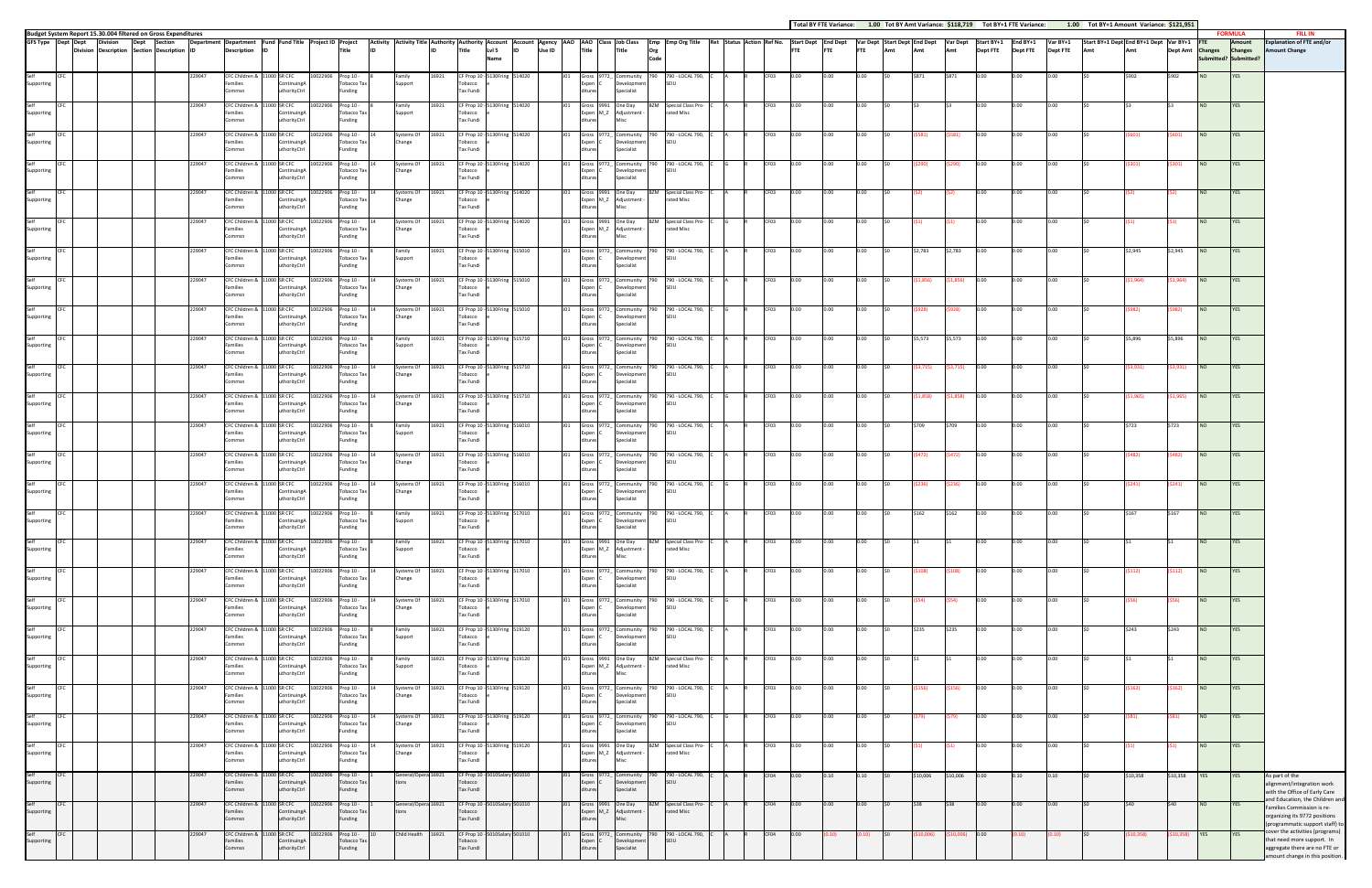| Total BY FTE Variance: | 1.00 Tot BY Amt Variance: \$118.719 | Tot BY |
|------------------------|-------------------------------------|--------|

|                    |             |                                                                                                                 |        |                    |                                                                  |                                                          |                  |                               |                                               |                                                                                            |        |                                    |                                                      |             |                                                                 |   |                  |           |            | Total BY FTE Variance: 1.00 Tot BY Amt Variance: \$118,719 Tot BY+1 FTE Variance: |      |              |           |                                                           |                 |                 | 1.00 Tot BY+1 Amount Variance: \$121,951 |           |               |                  |                                         |                                                                                                                                   |
|--------------------|-------------|-----------------------------------------------------------------------------------------------------------------|--------|--------------------|------------------------------------------------------------------|----------------------------------------------------------|------------------|-------------------------------|-----------------------------------------------|--------------------------------------------------------------------------------------------|--------|------------------------------------|------------------------------------------------------|-------------|-----------------------------------------------------------------|---|------------------|-----------|------------|-----------------------------------------------------------------------------------|------|--------------|-----------|-----------------------------------------------------------|-----------------|-----------------|------------------------------------------|-----------|---------------|------------------|-----------------------------------------|-----------------------------------------------------------------------------------------------------------------------------------|
|                    |             | Budget System Report 15.30.004 filtered on Gross Expenditures<br>GFS Type Dept Dept Division Dept Section Depar |        |                    |                                                                  | Department Department Fund Fund Title Project ID Project |                  |                               |                                               | Activity Activity Title Authority Authority Account Account Agency AAO AAO Class Job Class |        |                                    |                                                      |             | Emp Emp Org Title Ret Status Action Ref No. Start Dept End Dept |   |                  |           |            |                                                                                   |      |              |           | Var Dept Start Dept End Dept Var Dept Start BY+1 End BY+1 |                 | Var BY+1        | Start BY+1 Dept End BY+1 Dept Var BY+1   |           |               | <b>FTE</b>       | <b>FORMULA</b><br>Amount                | <b>FILL IN</b><br><b>Explanation of FTE and/or</b>                                                                                |
|                    |             | Division Description Section Description ID                                                                     |        | Description        |                                                                  | Title                                                    |                  |                               | Title                                         | Lvl 5<br>Name                                                                              | Use ID | Title                              | Title                                                | Org<br>Code |                                                                 |   |                  |           | <b>FTE</b> | <b>FTE</b>                                                                        | Amt  | Amt          | Amt       | <b>Dept FTE</b>                                           | <b>Dept FTE</b> | <b>Dept FTE</b> | Amt                                      |           |               | Dept Amt Changes | <b>Changes</b><br>Submitted? Submitted? | <b>Amount Change</b>                                                                                                              |
| Self<br>Supporting |             |                                                                                                                 | 229047 | Families<br>Commsn | CFC Children & 11000 SR CFC<br>Continuing/<br>uthorityCtrl       | 10022906<br>Prop 10 -<br><b>Tobacco Tax</b><br>Funding   | Family           | Support                       | 16921<br>obacco<br>Tax Fundi                  | CF Prop 10 - 5130Fring 514020                                                              |        | Gross 19<br>Expen<br>ditures       | Community<br>evelopment<br>Specialist                |             | 790 - LOCAL 790,<br>SFIU                                        |   |                  |           |            | 0.00                                                                              |      |              |           |                                                           |                 |                 |                                          |           | \$902         | <b>NO</b>        | YES                                     |                                                                                                                                   |
| Self<br>Supporting |             |                                                                                                                 | 229047 | amilies<br>ommsn   | CFC Children & 11000 SR CFC<br>ontinuingA<br>thorityCtrl         | 10022906<br>Prop 10 -<br>Tobacco Tax<br>Funding          | Family           | Support                       | 16921<br>obacco<br>Tax Fundi                  | CF Prop 10 - 5130Fring 514020                                                              |        | Expen M_Z                          | Gross 9991 One Day<br>Adjustment                     | <b>BZM</b>  | Special Class Pro-<br>rated Misc                                |   | CF03             | 0.00      |            | 0.00                                                                              |      |              |           | 0.00                                                      | 0.00            | 0.00            |                                          |           |               | <b>NO</b>        | <b>YES</b>                              |                                                                                                                                   |
| Self<br>Supporting | CFC         |                                                                                                                 | 229047 | Families<br>Commsn | CFC Children & 11000 SR CFC<br>ContinuingA<br>uthorityCtrl       | 10022906 Prop 10 -<br>Tobacco Tax<br>Funding             |                  | Systems Of<br>Change          | 16921<br>Tobacco<br>Tax Fundi                 | CF Prop 10 - 5130Fring 514020                                                              |        | Expen<br>ditures                   | Gross 9772_ Community<br>Development<br>Specialist   |             | 790 790 - LOCAL 790,<br>SEIU                                    |   | CF <sub>03</sub> | 0.00      |            | 0.00                                                                              |      |              | S581)     | 0.00                                                      | 0.00            | 0.00            |                                          |           |               | <b>NO</b>        | <b>YES</b>                              |                                                                                                                                   |
| Self<br>Supporting | CFC         |                                                                                                                 | 229047 | amilies<br>Commsn  | CFC Children & 11000 SR CFC<br>continuing/<br>uthorityCtrl       | 10022906<br>Prop 10 -<br><b>Tobacco Tax</b><br>Funding   |                  | Systems Of<br>16921<br>Change | obacco<br>Tax Fundi                           | CF Prop 10 - 5130Fring 514020                                                              |        | Expen I<br>ditures                 | Gross 9772_ Community<br>evelopment<br>Specialist    |             | 790 790 - LOCAL 790,<br>SEIU                                    |   | CF03             | 0.00      |            | 0.00                                                                              |      |              | (\$290)   | 0.00                                                      | 0.00            | 0.00            |                                          |           | <b>\$301)</b> | <b>NO</b>        | YES                                     |                                                                                                                                   |
| Self<br>Supporting | CEC         |                                                                                                                 | 229047 | Families<br>ommsn  | CFC Children & 11000 SR CFC<br>ContinuingA<br>thorityCtrl        | 10022906 Prop 10 -<br>Tobacco Tax<br>Funding             |                  | Systems Of<br>Change          | 16921<br>Tobacco<br>Tax Fundi                 | CF Prop 10 - 5130Fring 514020                                                              |        |                                    | Gross 9991 One Day<br>Expen M_Z Adjustment           |             | <b>BZM</b> Special Class Pro-<br>rated Misc                     |   | CF03             | 0.00      | 0.00       | 0.00                                                                              |      |              |           | 0.00                                                      | 0.00            | 0.00            |                                          |           |               | <b>NO</b>        | <b>YES</b>                              |                                                                                                                                   |
| Self<br>Supporting | <b>ICFC</b> |                                                                                                                 | 229047 | Families<br>Commsn | CFC Children & 11000 SR CFC<br>ContinuingA<br>uthorityCtrl       | 10022906 Prop 10 -<br>Tobacco Tax<br>Funding             | Change           | Systems Of                    | 16921<br>Tobacco<br>Tax Fundi                 | CF Prop 10 - 5130Fring 514020                                                              |        | ditures                            | Gross 9991 One Day<br>Expen M_Z Adjustment -         |             | <b>BZM</b> Special Class Pro-<br>rated Misc                     |   | CF03             | 0.00      | 0.00       | 0.00                                                                              |      |              |           | 0.00                                                      | 0.00            | 0.00            |                                          |           |               | NO               | <b>YES</b>                              |                                                                                                                                   |
| Self<br>Supporting | CFC         |                                                                                                                 | 229047 | amilies<br>Commsn  | CFC Children & 11000 SR CFC<br>ontinuine/<br>uthorityCtrl        | Prop 10 -<br>10022906<br><b>Tobacco Tax</b><br>Funding   | Family           | support                       | 16921<br>obacco<br>Tax Fundi                  | CF Prop 10 - 5130Fring 515010                                                              |        | Expen<br>ditures                   | Gross 9772_ Community<br>evelopment<br>Specialist    | 790         | 790 - LOCAL 790,<br>SEIU                                        |   | CF03             | 0.00      | 0.00       | 0.00                                                                              |      | \$2,783      | \$2,783   | 0.00                                                      | 0.00            | 0.00            |                                          | \$2,945   | \$2,945       | <b>NO</b>        | YES                                     |                                                                                                                                   |
| Self<br>Supporting |             |                                                                                                                 | 229047 | Families           | CFC Children & 11000 SR CFC<br>ContinuingA                       | 10022906<br>Prop 10 -<br>Tobacco Tax                     |                  | Systems Of<br>Change          | 16921<br>Tobacco                              | CF Prop 10 - 5130Fring 515010                                                              |        | Expen                              | Gross 9772_Community<br>Development                  | 790         | 790 - LOCAL 790,<br>SEIU                                        |   | CF03             | 0.00      | 0.00       | 0.00                                                                              |      | \$1,856)     | (51, 856) | 0.00                                                      | 0.00            | 0.00            |                                          | \$1,964)  | \$1,964)      | <b>NO</b>        | <b>YES</b>                              |                                                                                                                                   |
| Self<br>Supporting | CFC         |                                                                                                                 | 229047 | ommsn<br>Families  | horityCtrl:<br>CFC Children & 11000 SR CFC<br>ContinuingA        | Funding<br>10022906 Prop 10 -<br><b>Tobacco Tax</b>      | Change           | Systems Of                    | Tax Fundi<br>16921<br>Tobacco                 | CF Prop 10 - 5130Fring 515010                                                              |        | Expen                              | pecialist<br>Gross 9772_ Community<br>Development    |             | 790 790 - LOCAL 790,<br>SEIU                                    |   | CF <sub>03</sub> | 0.00      | n.nn.      | 0.00                                                                              |      | <b>S928)</b> | \$928)    | 0.00                                                      | 0.00            | 0.00            |                                          | S982)     | S982).        | <b>NO</b>        | YES                                     |                                                                                                                                   |
| Self<br>Supporting | CFC         |                                                                                                                 | 229047 | Commsn<br>amilies  | uthorityCtrl<br>CFC Children & 11000 SR CFC<br>ontinuing/        | Funding<br>Prop 10 -<br>10022906<br>Tobacco Tax          | Family           | Support                       | Tax Fundi<br>16921<br>obacco                  | CF Prop 10 - 5130Fring 515710                                                              |        | ditures<br>Expen                   | Specialist<br>Gross 9772_ Community<br>evelopment    | 790         | 790 - LOCAL 790,<br>SEIU                                        |   | CF03             | 0.00      | 0.00       | 0.00                                                                              |      | \$5,573      | \$5,573   | 0.00                                                      | 0.00            |                 |                                          | \$5,896   | \$5,896       | <b>NO</b>        | YES                                     |                                                                                                                                   |
| Self<br>Supporting |             |                                                                                                                 | 229047 | Commsn<br>Families | uthorityCtrl<br>CFC Children & 11000 SR CFC<br>ContinuingA       | Funding<br>10022906<br>Prop 10 -<br>Tobacco Tax          |                  | Systems Of<br>Change          | Tax Fundi<br>16921<br>Tobacco                 | CF Prop 10 - 5130Fring 515710                                                              |        | ditures<br><b>Expen</b>            | Specialist<br>Gross 9772_ Community<br>Development   |             | 790 - LOCAL 790,<br>SFIU                                        |   | CF03             | 0.00      | 0.00       | 0.00                                                                              |      | \$3,715)     | (\$3,715) | 0.00                                                      | 0.00            | 0.00            |                                          | \$3,931)  | \$3,931)      | NO               | <b>YES</b>                              |                                                                                                                                   |
| Self               | CFC         |                                                                                                                 | 229047 | ommsn              | thorityCtrl<br>CFC Children & 11000 SR CFC                       | Funding<br>10022906 Prop 10 -                            |                  | Systems Of                    | Tax Fundi<br>16921                            | CF Prop 10 - 5130Fring 515710                                                              |        |                                    | pecialist<br>Gross 9772_ Community                   | 790         | 790 - LOCAL 790,                                                |   | CF <sub>03</sub> | 0.00      | n.oo -     | 0.00                                                                              |      | \$1,858)     | \$1,858)  | 0.00                                                      | 0.00            | 0.00            |                                          | \$1,965)  | \$1,965)      | NO <sub>1</sub>  | YES                                     |                                                                                                                                   |
| Supporting<br>Self | CFC         |                                                                                                                 | 229047 | Families<br>Commsn | ContinuingA<br>uthorityCtrl<br>CFC Children & 11000 SR CFC       | Tobacco Tax<br>Funding<br>10022906 Prop 10 -             | Change<br>Family |                               | Tobacco<br>Tax Fundi<br>16921                 | CF Prop 10 - 5130Fring 516010                                                              |        | Expen (<br>ditures                 | Development<br>Specialist<br>Gross 9772_ Community   |             | SEIU<br>790 790 - LOCAL 790,                                    |   | CF03             | 0.00      | 0.00       | 0.00                                                                              |      | \$709        | \$709     | 0.00                                                      | 0.00            | 0.00            |                                          | \$723     | \$723         | <b>NO</b>        | YES                                     |                                                                                                                                   |
| Supporting<br>Self |             |                                                                                                                 | 229047 | amilies<br>Commsn  | ontinuingA<br>thorityCtrl<br>CFC Children & 11000 SR CFC         | <b>Tobacco Tax</b><br>Funding<br>10022906<br>Prop 10 -   |                  | Support<br>Systems Of         | obacco<br>Tax Fundi<br>16921                  | CF Prop 10 - 5130Fring 516010                                                              |        | Expen<br>ditures                   | evelopment<br>Specialist<br>Gross 9772 Community     | 790         | SEIU<br>790 - LOCAL 790,                                        |   | CF03             | 0.00      | 0.00       | 0.00                                                                              |      | (\$472)      | (\$472)   | 0.00                                                      | 0.00            | 0.00            |                                          |           | S482)         | <b>NO</b>        | YES                                     |                                                                                                                                   |
| Supporting<br>Self | CFC         |                                                                                                                 | 229047 | Families<br>ommsn  | ContinuingA<br>thorityCtrl<br>CFC Children & 11000 SR CFC        | Tobacco Tax<br>Funding<br>10022906 Prop 10 -             |                  | Change<br>Systems Of          | Tobacco<br>Tax Fundi<br>16921                 | CF Prop 10 - 5130Fring 516010                                                              |        | Expen                              | Development<br>pecialist<br>Gross 9772_ Community    |             | SFIU<br>790 790 - LOCAL 790,                                    |   | CF <sub>03</sub> | 0.00      | $0.00 -$   | 0.00                                                                              |      | (\$236)      | (\$236)   | 0.00                                                      | 0.00            | 0.00            |                                          | \$241)    | S241)         | <b>NO</b>        | YES                                     |                                                                                                                                   |
| Supporting         |             |                                                                                                                 |        | Families<br>ommsn  | ContinuingA<br>uthorityCtrl                                      | Tobacco Tax<br>Funding                                   | Change           |                               | Tobacco<br>Tax Fundi                          |                                                                                            |        | Expen (                            | Development<br>Specialist                            |             | SEIU                                                            |   |                  |           |            |                                                                                   |      |              |           |                                                           |                 |                 |                                          |           |               |                  |                                         |                                                                                                                                   |
| Self<br>supporti   | CFC         |                                                                                                                 | 229047 | ·amilies<br>Commsn | CFC Children & 11000 SR CFC<br>itinuing/<br>uthorityCtrl         | 10022906 Prop 10 -<br>Tobacco Tax<br>Funding             | Family           | upport                        | 16921<br>obacco<br>Tax Fundi                  | CF Prop 10 - 5130Fring 517010                                                              |        | ditures                            | evelopme<br>Specialist                               |             | J01 Gross 9772_ Community 790 790 LOCAL 790, C                  | A |                  | CF03 0.00 | 0.00       | 0.00                                                                              | l SO | \$162        | \$162     | 0.00                                                      | 0.00            | 0.00            |                                          | \$167     | \$167         | <b>NO</b>        | <b>YES</b>                              |                                                                                                                                   |
| Self<br>Supporting | CEC         |                                                                                                                 | 229047 | Families<br>ommsn  | CFC Children & 11000 SR CFC<br>ContinuingA<br>uthorityCtrl       | 10022906<br>Prop 10 -<br>Tobacco Tax<br>Funding          | Family           | support                       | 16921<br>Tobacco<br>Tax Fundi                 | CF Prop 10 - 5130Fring 517010                                                              |        |                                    | Gross 9991 One Day<br>Expen M_Z Adjustment           |             | <b>BZM</b> Special Class Pro-<br>rated Misc                     |   | CF03             | 0.00      | 0.00       | 0.00                                                                              |      |              |           | 0.00                                                      | 0.00            | 0.00            |                                          |           |               | <b>NO</b>        | YES                                     |                                                                                                                                   |
| Self<br>Supporting | CFC         |                                                                                                                 | 229047 | Families<br>Commsn | CFC Children & 11000 SR CFC<br>ContinuingA<br>uthorityCtrl       | 10022906 Prop 10 -<br>Tobacco Tax<br>Funding             | Change           | iystems Of                    | 16921<br>Tobacco<br>Tax Fundi                 | CF Prop 10 - 5130Fring 517010                                                              |        | Expen (<br>ditures                 | Jevelopment<br>Specialist                            |             | Gross 9772_ Community 790 790 - LOCAL 790,<br>SEIU              |   | CF03             | 0.00      | 0.00       | 0.00                                                                              |      | (\$108)      | (\$108)   | 0.00                                                      | 0.00            | 0.00            |                                          | \$112)    | S112)         | <b>NO</b>        | YES                                     |                                                                                                                                   |
| Self<br>Supporting | CFC         |                                                                                                                 | 229047 | amilies<br>Commsn  | CFC Children & 11000 SR CFC<br><b>OntinuingA</b><br>uthorityCtrl | 10022906<br>Prop 10 -<br><b>Tobacco Tax</b><br>Funding   |                  | Systems Of<br>Change          | 16921<br>obacco<br>Tax Fundi                  | CF Prop 10 - 5130Fring 517010                                                              |        | Expen<br>ditures                   | Gross 9772_ Community<br>evelopment<br>Specialist    | 790         | 790 - LOCAL 790,<br>SEIU                                        |   | CF03             | 0.00      | 0.00       | 0.00                                                                              |      | (S54)        | (\$54)    | 0.00                                                      | 0.00            | 0.00            |                                          |           |               | <b>NO</b>        | YES                                     |                                                                                                                                   |
| Self<br>Supporting | CFC         |                                                                                                                 | 229047 | Families<br>Commsn | CFC Children & 11000 SR CFC<br>ContinuingA<br>uthorityCtrl       | 10022906<br>Prop 10 -<br>Tobacco Tax<br>Funding          | Family           | Support                       | 16921<br>CF Prop 10 -<br>Tobacco<br>Tax Fundi | 5130Fring 519120                                                                           |        | Gross 9772_<br>Expen<br>ditures    | Community<br>evelopmen<br>Specialist                 |             | 790 - LOCAL 790,<br>SFIU                                        |   | CF03             | 0.00      | 0.00       | 0.00                                                                              |      | \$235        | \$235     | 0.00                                                      | 0.00            | 0.00            |                                          | \$243     | \$243         | <b>NO</b>        | YES                                     |                                                                                                                                   |
| Self<br>Supporting | CFC         |                                                                                                                 | 229047 | Families<br>Commsn | CFC Children & 11000 SR CFC<br>ContinuingA<br>uthorityCtrl       | Prop 10 -<br>10022906<br>Tobacco Tax<br>Funding          | Family           | Support                       | 16921<br>Tobacco<br>Tax Fundi                 | CF Prop 10 - 5130Fring 519120                                                              |        | ditures                            | iross 9991 One Day<br>Expen M_Z Adjustment ·<br>Misc | <b>BZM</b>  | Special Class Pro-<br>rated Misc                                |   | CF03             | 0.00      | $0.00 -$   | 0.00                                                                              |      |              |           | 0.00                                                      | 0.00            | 0.00            |                                          |           |               | <b>NO</b>        | YES                                     |                                                                                                                                   |
| Self<br>Supporting | CFC         |                                                                                                                 | 229047 | amilies<br>Commsn  | CFC Children & 11000 SR CFC<br>ntinuingA<br>uthorityCtrl         | Prop 10 -<br>10022906<br>Tobacco Tax<br>Funding          |                  | Systems Of<br>Change          | 16921<br>obacco<br>Tax Fundi                  | CF Prop 10 - 5130Fring 519120                                                              |        | Expen<br>ditures                   | Gross 9772_ Community<br>evelopment<br>Specialist    | 790         | 790 - LOCAL 790,<br>SEIU                                        |   | CF03             | 0.00      | 0.00       | 0.00                                                                              |      |              | (\$156)   | 0.00                                                      | 0.00            | 0.00            |                                          |           | S162)         | <b>NO</b>        | <b>YES</b>                              |                                                                                                                                   |
| Self<br>Supporting | CFC         |                                                                                                                 | 229047 | Families<br>ommsn  | CFC Children & 11000 SR CFC<br>ContinuingA<br>thorityCtrl        | 10022906<br>Prop 10 -<br>Tobacco Tax<br>Funding          |                  | Systems Of<br>Change          | 16921<br>Tobacco<br>Tax Fundi                 | CF Prop 10 - 5130Fring 519120                                                              |        | Expen                              | Gross 9772_ Community<br>Development<br>pecialist    | 790         | 790 - LOCAL 790,<br>SEIU                                        |   | CF03             | 0.00      | 0.00       | 0.00                                                                              |      |              | [\$79)    | 0.00                                                      | 0.00            | 0.00            |                                          |           | \$81)         | <b>NO</b>        | YES                                     |                                                                                                                                   |
| Self<br>Supporting | <b>CFC</b>  |                                                                                                                 | 229047 | Families<br>Commsn | CFC Children & 11000 SR CFC<br>ContinuingA<br>uthorityCtrl       | 10022906 Prop 10 -<br>Tobacco Tax<br>Funding             | Change           | Systems Of                    | 16921<br>Tobacco<br>Tax Fundi                 | CF Prop 10 - 5130Fring 519120                                                              |        | litures                            | Gross 9991 One Day<br>Expen M_Z Adjustment -         |             | <b>BZM</b> Special Class Pro-<br>rated Misc                     |   | CF03             | 0.00      | 0.00       | 0.00                                                                              |      | (S1)         | (S1)      | 0.00                                                      | 0.00            | 0.00            |                                          |           | S1)           | <b>NO</b>        | YES                                     |                                                                                                                                   |
| Self<br>Supporting | CFC         |                                                                                                                 | 229047 | Families           | CFC Children & 11000 SR CFC<br>ontinuing/                        | Prop 10 -<br>10022906<br>Tobacco Tax                     |                  | General/Opera 16921           | CF Prop 10 -<br>Tobacco                       | 0Salary 501010                                                                             |        | Expen                              | Gross 9772_ Community<br>evelopment                  | 790         | 790 - LOCAL 790,<br>SEIU                                        |   | CF04             | 0.00      | 0.10       | 0.10                                                                              |      | \$10,006     | \$10,006  | 0.00                                                      | 0.10            | 0.10            |                                          | \$10,358  | \$10,358      | <b>YES</b>       | <b>YES</b>                              | As part of the<br>alignment/integration work                                                                                      |
| Self<br>Supporting |             |                                                                                                                 | 229047 | Commsn<br>Families | uthorityCtrl<br>CFC Children & 11000 SR CFC<br>ContinuingA       | Funding<br>Prop 10 -<br>10022906<br>Tobacco Tax          |                  | General/Opera 16921           | Tax Fundi<br>CF Prop 10<br>Tobacco            | 0Salary 501010                                                                             |        | ditures<br>Gross 9991<br>Expen M_Z | Specialist<br>One Day<br>Adjustment                  | <b>BZM</b>  | Special Class Pro-<br>rated Misc                                |   | CF04             | 0.00      | 0.00       | 0.00                                                                              |      |              | \$38      | 0.00                                                      | 0.00            | 0.00            |                                          | \$40      | \$40          | <b>NO</b>        | <b>YES</b>                              | with the Office of Early Care<br>and Education, the Children and<br>Families Commission is re-                                    |
| Self<br>Supporting | CFC         |                                                                                                                 | 229047 | ommsn<br>Families  | uthorityCtrl<br>CFC Children & 11000 SR CFC<br>ContinuingA       | Funding<br>10022906<br>Prop 10 -<br>Tobacco Tax          |                  | Child Health 16921            | Tax Fundi<br>CF Prop 10<br>Tobacco            | 0Salary 501010                                                                             |        | Expen                              | Gross 9772_ Community<br>evelopment                  | 790         | 790 - LOCAL 790,<br>SEIU                                        |   | CF04             | 0.00      |            | 0.10)                                                                             |      | 10,006)      | 10,006)   | 0.00                                                      | (0.10)          | (0.10)          |                                          | \$10,358) | \$10,358)     | <b>YES</b>       | YES                                     | organizing its 9772 positions<br>(programmatic support staff) to<br>cover the activities (programs)<br>that need more support. In |
|                    |             |                                                                                                                 |        | ommsn              | uthorityCtrl                                                     | Funding                                                  |                  |                               | Tax Fundi                                     |                                                                                            |        |                                    | Specialist                                           |             |                                                                 |   |                  |           |            |                                                                                   |      |              |           |                                                           |                 |                 |                                          |           |               |                  |                                         | aggregate there are no FTE or<br>amount change in this position.                                                                  |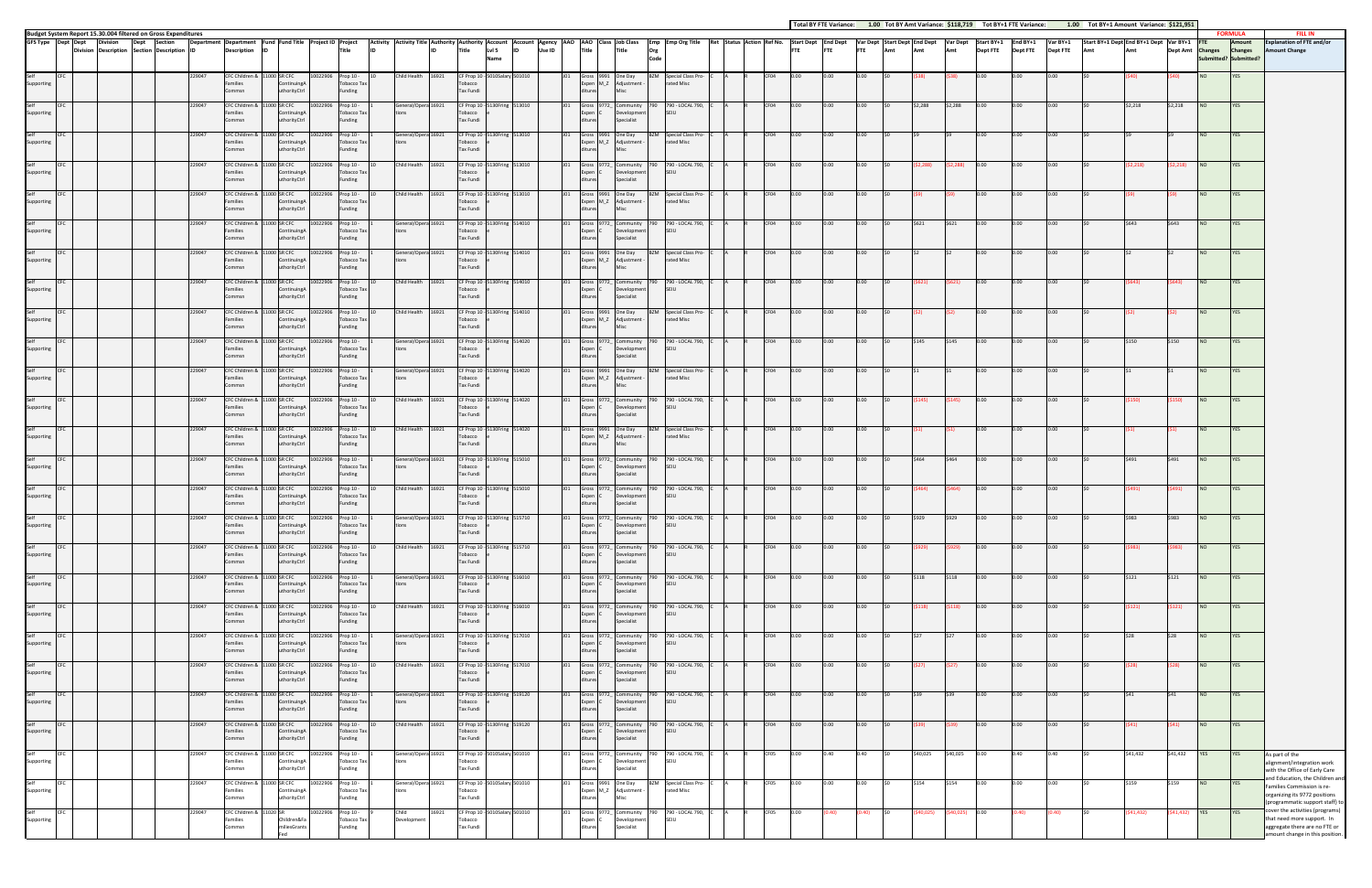|                            |                    |                 |                                                                                  |                  |                                                          |    |                                                           |                      |                                                  |                                                                                                                                                                                                                                |                     |                                             |                                                         |                 |     |                                  |                                                                             |             |                                                      |  |              |              |              |              |     |          |                 |              |                 |                 | Total BY FTE Variance: 1.00 Tot BY Amt Variance: \$118,719 Tot BY+1 FTE Variance: 1.00 Tot BY+1 Amount Variance: \$121,951 |                 |                   |                          |                          |                                                                                                                              |
|----------------------------|--------------------|-----------------|----------------------------------------------------------------------------------|------------------|----------------------------------------------------------|----|-----------------------------------------------------------|----------------------|--------------------------------------------------|--------------------------------------------------------------------------------------------------------------------------------------------------------------------------------------------------------------------------------|---------------------|---------------------------------------------|---------------------------------------------------------|-----------------|-----|----------------------------------|-----------------------------------------------------------------------------|-------------|------------------------------------------------------|--|--------------|--------------|--------------|--------------|-----|----------|-----------------|--------------|-----------------|-----------------|----------------------------------------------------------------------------------------------------------------------------|-----------------|-------------------|--------------------------|--------------------------|------------------------------------------------------------------------------------------------------------------------------|
|                            | GFS Type Dept Dept | <b>Division</b> | Budget System Report 15.30.004 filtered on Gross Expenditures<br>Dept<br>Section |                  | Department Department Fund Fund Title Project ID Project |    |                                                           |                      |                                                  |                                                                                                                                                                                                                                |                     |                                             |                                                         |                 |     |                                  |                                                                             |             |                                                      |  |              |              |              |              |     |          |                 |              |                 |                 |                                                                                                                            |                 |                   |                          | <b>FORMULA</b><br>Amount | <b>FILL IN</b><br><b>Explanation of FTE and/or</b>                                                                           |
|                            |                    |                 | Division Description Section Description ID                                      |                  | <b>Description</b>                                       | ID |                                                           |                      | <b>Title</b>                                     | Activity Activity Title Authority Authority Account Account Agency AAO Cass JobClass Emp Emp Org Title Status Action Ref No. Start Dept Tend Dept Var Dept Emp Dept Start Dept Email Dept Start BY+1 Dept FTE Amt Dept FTE Amt |                     |                                             | LvI <sub>5</sub><br>Name                                | Use ID          |     |                                  |                                                                             | Org<br>Code |                                                      |  |              |              |              |              |     |          |                 |              | <b>Dept FTE</b> | <b>Dept FTE</b> |                                                                                                                            |                 |                   | Dept Amt Changes Changes | Submitted? Submitted?    | mount Change                                                                                                                 |
| Supporting                 |                    |                 |                                                                                  | 229047           | CFC Children & 11000 SR CFC<br>amilies<br>ommsn          |    | ContinuingA<br><b>uthorityCtrl</b>                        |                      | 10022906 Prop 10 -<br>Tobacco Tax<br>Funding     | Child Health 16921                                                                                                                                                                                                             |                     | Tobacco<br>Tax Fundi                        | CF Prop 10 - 5010Salary 501010                          |                 |     |                                  | Gross 9991 One Day<br>Expen M_Z Adjustment -                                |             | BZM Special Class Pro-<br>rated Misc                 |  | CF04         |              |              |              |     |          |                 |              |                 |                 |                                                                                                                            |                 |                   | <b>NO</b>                | <b>YES</b>               |                                                                                                                              |
| Self<br>Supporting         |                    |                 |                                                                                  | 229047           | CFC Children &<br>amilies<br>Commsn                      |    | 1000 SR CFC<br>Continuing/<br>uthorityCtrl                | 10022906             | Prop 10 -<br>Tobacco Tax<br>Funding              | General/Opera 16921                                                                                                                                                                                                            |                     | Tobacco<br>Tax Fundi                        | CF Prop 10 - 5130Fring 513010                           |                 |     | Expen C<br>ditures               | Gross 9772_ Community<br>Development<br>Specialist                          |             | 790 - LOCAL 790,<br>SFIU                             |  | CF04         | D.OO         | 0.00         |              |     | \$2.288  | \$2,288         | 0.00         |                 | 0.00            |                                                                                                                            | \$2,218         | \$2,218           | NO                       |                          |                                                                                                                              |
| Self<br>Supporting         |                    |                 |                                                                                  | 229047           | CFC Children &<br>amilies<br>ommsn                       |    | 1000 SR CFC<br>ContinuingA<br><b>uthorityCtrl</b>         | 10022906             | Prop 10 -<br>Tobacco Tax<br>Funding              | General/Opera 16921                                                                                                                                                                                                            |                     | CF Prop 10 -<br>Tobacco<br>Tax Fundi        |                                                         | 130Fring 513010 |     |                                  | Gross 9991 One Day<br>Expen M_Z Adjustment -                                | BZM         | Special Class Pro-<br>rated Misc                     |  | CF04         | המ.נ         |              |              |     |          |                 |              |                 | 0.00            |                                                                                                                            |                 |                   | NO                       | <b>YES</b>               |                                                                                                                              |
| Self<br>Supporting         |                    |                 |                                                                                  | 229047           | CFC Children &<br>Families<br>Commsn                     |    | 1000 SR CFC<br>ContinuingA<br><b>uthorityCtrl</b>         | 10022906             | Prop 10 -<br>Tobacco Tax<br>Funding              | Child Health 16921                                                                                                                                                                                                             |                     | Tobacco<br>Tax Fundi                        | CF Prop 10 - 5130Fring 513010                           |                 |     | Expen C                          | Gross 9772_ Community<br>Development<br>Specialist                          | 790         | 790 - LOCAL 790,<br>SFIU                             |  | CF04         | D.OO         | 0.00         | 0.00         |     |          | \$2,288)        | 0.00         | 0.00            | 0.00            |                                                                                                                            | \$2,218)        | \$2,218)          | <b>NO</b>                | YES                      |                                                                                                                              |
| Self<br>Supporting         | CFC                |                 |                                                                                  | 229047           | CFC Children &<br>Families<br>ommsn                      |    | 1000 SR CFC<br>ContinuingA<br>uthorityCtrl                | 10022906             | Prop 10 -<br>Tobacco Tax<br>Funding              | Child Health 16921                                                                                                                                                                                                             |                     | Tobacco<br>Tax Fundi                        | CF Prop 10 - 5130Fring 513010                           |                 |     |                                  | Gross 9991 One Day<br>Expen M_Z Adjustment -                                |             | <b>BZM</b> Special Class Pro-<br>rated Misc          |  | CF04         | 0.00         | 0.001        |              |     |          |                 |              |                 | 0.00            |                                                                                                                            |                 |                   | NO                       |                          |                                                                                                                              |
| Self<br>Supporting         | CFC                |                 |                                                                                  | 229047           | CFC Children &<br>amilies<br>Commsn                      |    | 1000 SR CFC<br>Continuing/<br>uthorityCtrl                | 10022906             | Prop 10 -<br>Tobacco Tax<br>Funding              | General/Opera 16921                                                                                                                                                                                                            |                     | Tobacco<br>Tax Fundi                        | CF Prop 10 - 5130Fring 514010                           |                 |     | Expen (<br>ditures               | Gross 9772_ Community<br>Development<br>Specialist                          |             | 790 790 - LOCAL 790,<br>SFIU                         |  | CF04         | n.nn         | 0.00         |              |     |          | \$621           |              |                 |                 |                                                                                                                            |                 | \$643             | NO                       | YES                      |                                                                                                                              |
| Self<br>Supporting         |                    |                 |                                                                                  | 229047           | CFC Children &<br>amilies<br>ommsn                       |    | 1000 SR CFC<br>ContinuingA<br><b>uthorityCtrl</b>         | 10022906             | Prop 10 -<br>Tobacco Tax<br>Funding              | General/Opera 16921                                                                                                                                                                                                            |                     | Tobacco<br><b>Tax Fundi</b>                 | CF Prop 10 - 5130Fring 514010                           |                 |     |                                  | Gross 9991 One Day<br>Expen M_Z Adjustment -                                |             | <b>BZM</b> Special Class Pro-<br>rated Misc          |  | CF04         | D.OO         | 0.00         | 0.00         |     |          |                 |              |                 | $0.00 -$        |                                                                                                                            |                 |                   | NO                       | <b>YES</b>               |                                                                                                                              |
| Self<br>Supporting         | CEC.               |                 |                                                                                  | 229047           | CFC Children &<br>Families<br>Commsn                     |    | 1000 SR CFC<br>ContinuingA<br>uthorityCtrl                | 10022906             | Prop 10 -<br>Tobacco Tax<br>Funding              | Child Health 16921                                                                                                                                                                                                             |                     | Tobacco<br>Tax Fundi                        | CF Prop 10 - 5130Fring 514010                           |                 | 101 | Expen C                          | Gross 9772 Community<br>Development<br>Specialist                           | 790         | 790 - LOCAL 790,<br>SFIU                             |  | CF04         | 0.00         |              |              |     |          |                 | 0.00         | 0.00            | 0.00            |                                                                                                                            |                 | 5643)             | NO                       | YES                      |                                                                                                                              |
| Supporting                 |                    |                 |                                                                                  | 229047           | CFC Children &<br>Families<br>Commsn                     |    | 1000 SR CFC<br>ContinuingA<br>uthorityCtrl                | 10022906             | Prop 10 -<br>Tobacco Tax<br>Funding              | Child Health 16921                                                                                                                                                                                                             |                     | Tobacco<br>Tax Fundi                        | CF Prop 10 - 5130Fring 514010                           |                 |     |                                  | Gross 9991 One Day<br>Expen M_Z Adjustment -                                |             | BZM Special Class Pro-<br>rated Misc                 |  | CF04         | D.OO         | 0.00         | 0.00         |     |          |                 | 0.00         | 0.00            | 0.00            |                                                                                                                            |                 |                   | <b>NO</b>                | YES                      |                                                                                                                              |
| Self<br>Supporting         | CFC                |                 |                                                                                  | 229047           | CFC Children &<br>Families<br>Commsn                     |    | 1000 SR CFC<br>ContinuingA<br>uthorityCtrl                | 10022906 Prop 10 -   | <b>Tobacco Tax</b><br>Funding                    | General/Opera 16921                                                                                                                                                                                                            |                     | Tobacco<br>Tax Fundi                        | CF Prop 10 - 5130Fring 514020                           |                 |     | Expen C<br>ditures               | Development<br>Specialist                                                   |             | Gross 9772_ Community 790 790 - LOCAL 790, C<br>SFIU |  | CF04         | 0.00         | 0.00         | 0.001        |     | \$145    | \$145           | 0.00         | 0.00            | 0.00            |                                                                                                                            | \$150           | \$150             | <b>NO</b>                | <b>YES</b>               |                                                                                                                              |
| Self<br>Supporting         |                    |                 |                                                                                  | 229047           | CFC Children &<br>amilies<br>ommsn                       |    | 1000 SR CFC<br>ContinuingA<br><b>ithorityCtrl</b>         | 10022906             | Prop 10 -<br>Tobacco Tax<br>Funding              | General/Opera 16921                                                                                                                                                                                                            |                     | Tobacco<br>Tax Fundi                        | CF Prop 10 - 5130Fring 514020                           |                 |     |                                  | Gross 9991 One Day<br>Expen M_Z Adjustment -                                |             | <b>BZM</b> Special Class Pro-<br>rated Misc          |  | CF04         | 0.00         | ი იი         |              |     |          |                 |              |                 |                 |                                                                                                                            |                 |                   | NO                       | <b>YES</b>               |                                                                                                                              |
| Supporting                 |                    |                 |                                                                                  | 229047           | CFC Children &<br>amilies<br>ommsn                       |    | 1000 SR CFC<br>ContinuingA<br><b>uthorityCtrl</b>         | 10022906             | Prop 10 -<br><b>Tobacco Tax</b><br>Funding       | Child Health 16921                                                                                                                                                                                                             |                     | CF Prop 10 -<br>Tobacco<br><b>Tax Fundi</b> |                                                         | 130Fring 514020 |     | Expen C                          | Gross 9772_ Community<br>Development<br>Specialist                          | 790         | 790 - LOCAL 790,<br>SFIU                             |  | CF04         | 0.00         | 0.00         | .00          |     |          | 145)            | 0.00         | 0.00            | 0.00            |                                                                                                                            |                 | \$150) —          | NO                       | <b>YES</b>               |                                                                                                                              |
| Self<br>Supporting         | CFC                |                 |                                                                                  | 229047           | CFC Children &<br>Families<br>Commsn                     |    | 1000 SR CFC<br>ContinuingA<br>uthorityCtrl                | 10022906             | Prop 10 -<br>Tobacco Tax<br>Funding              | Child Health 16921                                                                                                                                                                                                             |                     | CF Prop 10 - 51<br>Tobacco<br>Tax Fundi     |                                                         | 130Fring 514020 |     |                                  | Gross 9991 One Day<br>Expen M_Z Adjustment -                                | B7M         | Special Class Pro-<br>rated Misc                     |  | CF04         | D.OO         | ი იი         |              |     |          |                 | 0.00         | 0.00            | $0.00 -$        |                                                                                                                            |                 |                   | <b>NO</b>                | YES                      |                                                                                                                              |
| Self<br>Supporting         |                    |                 |                                                                                  | 229047           | CFC Children &<br>Families<br>Commsn                     |    | 1000 SR CFC<br>ContinuingA<br>uthorityCtrl                | 10022906 Prop 10 -   | Tobacco Tax<br>Funding                           | General/Opera 16921                                                                                                                                                                                                            |                     | Tobacco<br>Tax Fundi                        | CF Prop 10 - 5130Fring 515010                           |                 |     | Expen<br>ditures                 | Gross 9772 Community<br>Development<br>Specialist                           |             | 790 790 - LOCAL 790,<br>SFIU                         |  | CF04         | 0.00         | 0.00         |              |     |          | S464            |              |                 | 0.00            |                                                                                                                            |                 | \$491             | <b>NO</b>                | <b>YES</b>               |                                                                                                                              |
| Self<br>Supporting         | CFC.               |                 |                                                                                  | 229047           | CFC Children &<br>amilies<br>Commsn                      |    | 11000 SR CFC<br>ContinuingA<br><b>ithorityCtrl</b>        | 10022906             | Prop 10 -<br>Tobacco Tax<br>Funding              | Child Health 16921                                                                                                                                                                                                             |                     | Fobacco<br>Tax Fundi                        | CF Prop 10 - 5130Fring 515010                           |                 |     | Gross 9772_<br>Expen             | Community<br>Development<br>Specialist                                      |             | 790 - LOCAL 790,<br>SFIU                             |  | CF04         | 0.00         | 0.00         | 0.00         |     |          |                 |              |                 | 0.00            |                                                                                                                            | 6491).          | 5491) -           | <b>NO</b>                | YES                      |                                                                                                                              |
| Self<br>upporting          | CFC                |                 |                                                                                  | 229047           | CFC Children & 11000 SR CFC<br>Commsn                    |    | ContinuingA<br>uthorityCtrl                               | 10022906 Prop 10 -   | Tobacco Ta<br>Funding                            |                                                                                                                                                                                                                                | General/Opera 16921 | <b>Cohacco</b><br>Tax Fundi                 | CF Prop 10 - 5130Fring 515710                           |                 |     | diture                           | Specialist                                                                  |             | J01 Gross 9772 Community 790 790 - LOCAL 790,        |  | CF04         | 0.00         | 0.00         |              |     | \$929    | \$929           | 0.00         | 0.00            | 0.00            |                                                                                                                            | \$983           | \$983             | <b>NO</b>                | YES                      |                                                                                                                              |
| Self<br>Supporting<br>Self | CFC<br>CFC         |                 |                                                                                  | 229047<br>229047 | CFC Children &<br>Families<br>Commsn<br>CFC Children &   |    | 1000 SR CFC<br>ContinuingA<br>uthorityCtrl<br>1000 SR CFC | 10022906<br>10022906 | Prop 10 -<br>Tobacco Tax<br>Funding              | Child Health 16921                                                                                                                                                                                                             |                     | Tobacco<br>Tax Fundi                        | CF Prop 10 - 5130Fring 515710                           |                 | J01 | Expen C<br>ditures               | Gross 9772_ Community<br>Development<br>Specialist                          |             | 790 790 - LOCAL 790,<br>SEIU                         |  | CF04<br>CF04 | 0.00<br>0.00 | 0.00<br>0.00 | 0.00<br>0.00 | ISO | \$118    | \$929)<br>\$118 | 0.00         | 0.00            | 0.00<br>0.00    | ISO.                                                                                                                       | \$983)<br>\$121 | \$983) -<br>\$121 | <b>NO</b><br><b>NO</b>   | YES                      |                                                                                                                              |
| Supporting<br>Self         | CFC.               |                 |                                                                                  | 229047           | amilies<br>Commsn<br>CFC Children &                      |    | ContinuingA<br>uthorityCtrl<br>1000 SR CFC                | 10022906             | Prop 10 -<br>Tobacco Tax<br>Funding<br>Prop 10 - | General/Opera 16921<br>Child Health 16921                                                                                                                                                                                      |                     | Tobacco<br>Tax Fundi                        | CF Prop 10 - 5130Fring 516010<br>CF Prop 10 - 5130Fring | 516010          |     | Expen C<br>ditures               | Gross 9772_ Community<br>Development<br>Specialist<br>Gross 9772_ Community | 790         | 790 790 - LOCAL 790, C<br>SEIU<br>790 - LOCAL 790,   |  | CF04         | 0.00         | 0.00         | 0.00         |     | 5118).   | \$118)          | 0.00<br>0.00 | 0.00<br>0.00    | 0.00            |                                                                                                                            | \$121) -        | (\$121)           | <b>NO</b>                | YES<br><b>YES</b>        |                                                                                                                              |
| Supporting<br>Self         |                    |                 |                                                                                  | 229047           | amilies<br>Commsn<br>CFC Children &                      |    | Continuing<br>uthorityCtrl<br>1000 SR CFC                 | 10022906             | Tobacco Tax<br>Funding<br>Prop 10 -              | General/Opera 16921                                                                                                                                                                                                            |                     | Tobacco<br>Tax Fundi                        | CF Prop 10 - 5130Fring 517010                           |                 |     | Expen<br>ditures<br>Gross 9772   | Development<br>Specialist<br>Community                                      |             | 790 - LOCAL 790,                                     |  | CF04         | 0.00         | 0.00         | $0.00 -$     |     | \$27     | S <sub>27</sub> | 0.00         | 0.00            | 0.00            |                                                                                                                            | \$28            | \$28              | NO                       | YES                      |                                                                                                                              |
| Supporting<br>Self         | CFC                |                 |                                                                                  | 229047           | amilies<br>ommsn<br>CFC Children &                       |    | ContinuingA<br><b>ithorityCtrl</b><br>1000 SR CFC         | 10022906             | Tobacco Tax<br>Funding<br>Prop 10 -              | Child Health 16921                                                                                                                                                                                                             |                     | Tobacco<br>Tax Fundi                        | CF Prop 10 - 5130Fring 517010                           |                 | J01 | Expen<br>diture                  | Development<br>Specialist<br>Gross 9772_ Community                          |             | SEIU<br>790 790 - LOCAL 790,                         |  | CF04         | 0.00         | 0.00         | 0.00         |     |          | S27)            | 0.00         | 0.00            | 0.00            |                                                                                                                            |                 | 528).             | <b>NO</b>                | YES                      |                                                                                                                              |
| Supporting<br>Self         |                    |                 |                                                                                  | 229047           | Families<br>Commsn<br>CFC Children &                     |    | ContinuingA<br>uthorityCtrl<br>1000 SR CFC                | 10022906             | Tobacco Tax<br>Funding<br>Prop 10 -              | General/Opera 16921                                                                                                                                                                                                            |                     | Tobacco<br>Tax Fundi                        | CF Prop 10 - 5130Fring 519120                           |                 |     | Expen C<br>ditures<br>Gross 9772 | Development<br>Specialist<br>Community                                      | 790         | SEIU<br>790 - LOCAL 790,                             |  | CF04         | D.OO         | 0.00         | 0.00         |     | S39      | \$39            | 0.00         | 0.00            | 0.00            |                                                                                                                            | \$41            | S41               | <b>NO</b>                | YES                      |                                                                                                                              |
| Supporting<br>Self         | <b>CFC</b>         |                 |                                                                                  | 229047           | Families<br>Commsn<br>CFC Children &                     |    | ContinuingA<br>uthorityCtrl<br>1000 SR CFC                | 10022906             | Tobacco Tax<br>Funding<br>Prop 10 -              | Child Health 16921                                                                                                                                                                                                             |                     | Tobacco<br>Tax Fundi                        | CF Prop 10 - 5130Fring 519120                           |                 | J01 | Expen C<br>ditures               | Development<br>Specialist<br>Gross 9772_ Community                          |             | SFIU<br>790 790 - LOCAL 790, C                       |  | CF04         | 0.00         | 0.00         | 0.00         |     |          | (\$39)          | 0.00         | 0.00            | 0.00            | .so                                                                                                                        | \$41)           | (\$41)            | NO                       | YES                      |                                                                                                                              |
| Supporting<br>Self         |                    |                 |                                                                                  | 229047           | amilies<br>Commsn<br>CFC Children 8                      |    | ContinuingA<br>uthorityCtrl<br>000 SR CFC                 | 10022906             | Tobacco Tax<br>Funding<br>Prop 10 -              | General/Opera 16921                                                                                                                                                                                                            |                     | Tobacco<br><b>Tax Fundi</b>                 | CF Prop 10 - 5010Salary 501010                          |                 |     | Expen<br>ditures<br>Gross 9772   | Development<br>Specialist<br>Community                                      |             | SEIU<br>790 - LOCAL 790,                             |  | CF05         | 0.00         | 0.40         | 0.40         |     | \$40,025 | \$40,025        | 0.00         | 0.40            | 0.40            |                                                                                                                            | \$41,432        | \$41,432          | YES                      | YES                      | As part of the                                                                                                               |
| Supporting<br>Self         |                    |                 |                                                                                  | 229047           | amilies<br>ommsn<br>CFC Children &                       |    | Continuing/<br>thorityCtrl<br>1000 SR CFC                 | 10022906             | Tobacco Tax<br>Funding<br>Prop 10 -              | General/Opera 16921                                                                                                                                                                                                            |                     | Tobacco<br>Tax Fundi                        | CF Prop 10 - 5010Salary 501010                          |                 |     | Expen                            | Jevelopment<br>Specialist<br>Gross 9991 One Day                             | BZM         | SFIU<br>Special Class Pro-                           |  | CF05         | D.OO         | 0.00         | 0.00         |     | \$154    | \$154           | 0.00         | 0.00            | 0.00            |                                                                                                                            | \$159           | \$159             | <b>NO</b>                | YES                      | alignment/integration work<br>with the Office of Early Care<br>and Education, the Children and<br>Families Commission is re- |
| Supporting<br>Self         | <b>CFC</b>         |                 |                                                                                  | 229047           | amilies<br>Commsn<br>CFC Children &                      |    | ContinuingA<br>uthorityCtrl                               | 10022906             | Tobacco Tax<br>Funding<br>Prop 10 -              | Child                                                                                                                                                                                                                          | 16921               | Tobacco<br>Tax Fundi                        | CF Prop 10 - 5010Salary 501010                          |                 |     | ditures                          | Expen M_Z Adjustment -<br>Gross 9772_ Community                             |             | rated Misc<br>790 - LOCAL 790,                       |  | CF05         | D.OO         | D.40)        | 0.40)        |     | 40,025)  | \$40,025)       | 0.00         | (0.40)          | (0.40)          |                                                                                                                            | \$41,432)       | \$41,432)         | <b>YES</b>               | YES                      | organizing its 9772 positions<br>(programmatic support staff) to<br>cover the activities (programs)                          |
| Supporting                 |                    |                 |                                                                                  |                  | amilies<br>ommsn                                         |    | Children&Fa<br>niliesGrants                               |                      | Tobacco Tax<br>Funding                           | Development                                                                                                                                                                                                                    |                     | Tobacco<br>Tax Fundi                        |                                                         |                 |     | Expen C<br>ditures               | Development<br>Specialist                                                   |             | SEIU                                                 |  |              |              |              |              |     |          |                 |              |                 |                 |                                                                                                                            |                 |                   |                          |                          | that need more support. In<br>aggregate there are no FTE or<br>amount change in this position.                               |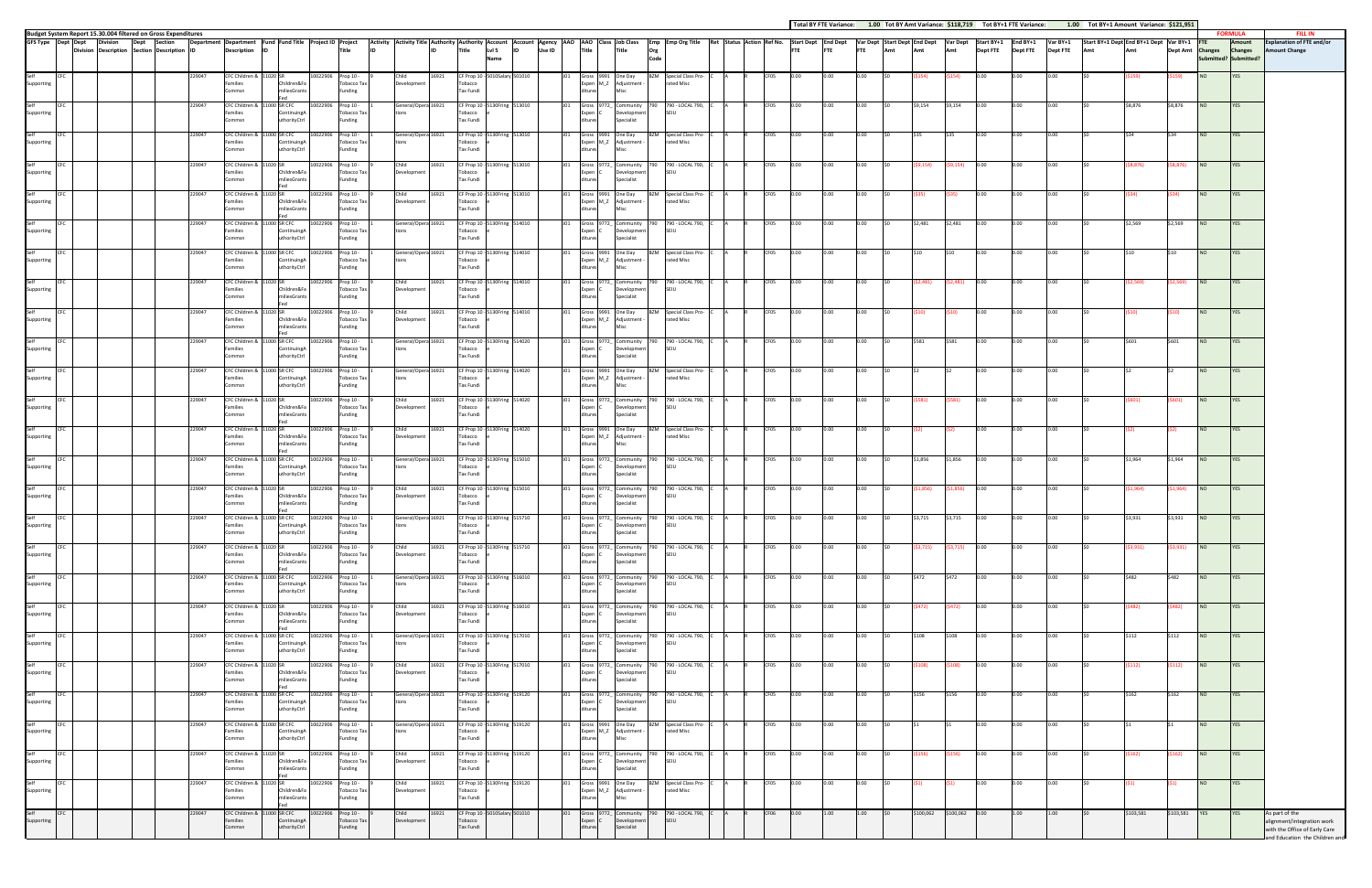| <b>Total BY FTE Variance:</b> | 1.00 Tot BY Amt Variance: \$118,719 | Tot |
|-------------------------------|-------------------------------------|-----|

|                    |                                                                                                                  |  |                                    |        |                                                              |                                    |                    |                                 |                                                                                                                                                                                                                                |       |                                          |                                                   |            |                                  |                                              |             |                                                                                                       |      |             |            |            |     |           |           |                 |                 |                 | Total BY FTE Variance: 1.00 Tot BY Amt Variance: \$118,719 Tot BY+1 FTE Variance: 1.00 Tot BY+1 Amount Variance: \$121,951 |           |                  |            |                                         |                                                                  |
|--------------------|------------------------------------------------------------------------------------------------------------------|--|------------------------------------|--------|--------------------------------------------------------------|------------------------------------|--------------------|---------------------------------|--------------------------------------------------------------------------------------------------------------------------------------------------------------------------------------------------------------------------------|-------|------------------------------------------|---------------------------------------------------|------------|----------------------------------|----------------------------------------------|-------------|-------------------------------------------------------------------------------------------------------|------|-------------|------------|------------|-----|-----------|-----------|-----------------|-----------------|-----------------|----------------------------------------------------------------------------------------------------------------------------|-----------|------------------|------------|-----------------------------------------|------------------------------------------------------------------|
|                    | Budget System Report 15.30.004 filtered on Gross Expenditures<br>GFS Type Dept Dept Division Dept Section Depart |  |                                    |        | Department Department Fund Fund Title Project ID Project     |                                    |                    |                                 | Activity Activity Title Authority Authority Account Account Agency AAO Class Job Class   Emp Emp Org Title Ret Status Action Ref No. Start Dept End Dept   Var Dept Start Dept End Dept   Var Dept   Start Dept   Var Dept   V |       |                                          |                                                   |            |                                  |                                              |             |                                                                                                       |      |             |            |            |     |           |           | Start BY+1      | End BY+1        | Var BY+1        | Start BY+1 Dept End BY+1 Dept Var BY+1                                                                                     |           |                  | <b>FTE</b> | <b>FORMULA</b><br>Amount                | <b>FILL IN</b><br><b>Explanation of FTE and/or</b>               |
|                    | <b>Division</b>                                                                                                  |  | Description Section Description ID |        | Description                                                  |                                    |                    | Title                           |                                                                                                                                                                                                                                |       | Title                                    | Lvl 5<br>Name                                     | Use ID     | Title                            | Title                                        | Org<br>Code |                                                                                                       |      | FTE         | <b>FTE</b> | <b>FTE</b> | Amt | Amt       | Amt       | <b>Dept FTE</b> | <b>Dept FTE</b> | <b>Dept FTE</b> | Amt                                                                                                                        | Amt       | Dept Amt Changes |            | <b>Changes</b><br>Submitted? Submitted? | <b>Amount Change</b>                                             |
|                    |                                                                                                                  |  |                                    |        |                                                              |                                    |                    |                                 |                                                                                                                                                                                                                                |       |                                          |                                                   |            |                                  |                                              |             |                                                                                                       |      |             |            |            |     |           |           |                 |                 |                 |                                                                                                                            |           |                  |            |                                         |                                                                  |
| Self<br>Supporting | CEC                                                                                                              |  |                                    | 229047 | CFC Children & 11020 SR<br>Families                          | Children&Fa                        | 10022906 Prop 10 - | Tobacco Tax                     | Child<br>Development                                                                                                                                                                                                           | 16921 | CF Prop 10 - 5010Salary 501010<br>obacco |                                                   |            |                                  | Gross 9991 One Day<br>Expen M_Z Adjustment - | BZM         | Special Class Pro-<br>rated Misc                                                                      | CF05 |             |            |            |     |           | 154)      |                 |                 | າ.ດດ            |                                                                                                                            |           | (159             | NO.        | YES                                     |                                                                  |
|                    |                                                                                                                  |  |                                    |        | Commsn                                                       | iliesGrants                        |                    | Fundine                         |                                                                                                                                                                                                                                |       | Tax Fundi                                |                                                   |            |                                  | Misc                                         |             |                                                                                                       |      |             |            |            |     |           |           |                 |                 |                 |                                                                                                                            |           |                  |            |                                         |                                                                  |
| Self<br>Supporting | CFC                                                                                                              |  |                                    | 229047 | CFC Children &<br>Families                                   | 11000 SR CFC<br>Continuing         | 10022906           | Prop 10 -<br>Tobacco Tax        | General/Opera 16921                                                                                                                                                                                                            |       | Tobacco                                  | CF Prop 10 - 5130Fring 513010                     |            | Expen C                          | Gross 9772_ Community<br>Development         | 790         | 790 - LOCAL 790,<br>SEIU                                                                              | CF05 | 0.OO        | 0.00       | 0.00       |     | \$9.154   | \$9,154   | 0.00            | 0.00            | 0.00            |                                                                                                                            | \$8,876   | \$8,876          | NO         | <b>YES</b>                              |                                                                  |
|                    |                                                                                                                  |  |                                    |        | Commsn                                                       | thorityCtrl                        |                    | unding                          |                                                                                                                                                                                                                                |       | Tax Fundi                                |                                                   |            |                                  | Specialist                                   |             |                                                                                                       |      |             |            |            |     |           |           |                 |                 |                 |                                                                                                                            |           |                  |            |                                         |                                                                  |
| Self               | CFC                                                                                                              |  |                                    | 229047 | CFC Children &                                               | 11000 SR CFC                       | 10022906           | Prop 10 -                       | General/Opera 16921                                                                                                                                                                                                            |       |                                          | CF Prop 10 - 5130Fring 513010                     | JO1        |                                  | Gross 9991 One Day                           |             | BZM Special Class Pro-                                                                                | CF05 | D.OO        | 0.00       | 0.00       |     |           | 535       | 0.00            | 0.00            | 0.00            |                                                                                                                            |           |                  | NO         | YES                                     |                                                                  |
| Supporting         |                                                                                                                  |  |                                    |        | Families<br>Commsn                                           | Continuing/<br><b>uthorityCtrl</b> |                    | Tobacco Tax<br>Funding          |                                                                                                                                                                                                                                |       | Tobacco<br>Tax Fundi                     |                                                   |            |                                  | Expen M_Z Adjustment -<br>Misc               |             | rated Misc                                                                                            |      |             |            |            |     |           |           |                 |                 |                 |                                                                                                                            |           |                  |            |                                         |                                                                  |
| Self               | CFC                                                                                                              |  |                                    | 229047 | CFC Children &                                               | 1020 SR                            | 10022906           | Prop 10 -                       | Child                                                                                                                                                                                                                          | 16921 |                                          | CF Prop 10 - 5130Fring 513010                     |            |                                  | Gross 9772_ Community                        | 790         | 790 - LOCAL 790,                                                                                      | CF05 | <b>D.OO</b> | 0.00       |            |     | \$9.154)  | 69,154)   | 0.00            |                 | 0.00            |                                                                                                                            | \$8,876)  | \$8,876)         | <b>NO</b>  | <b>YES</b>                              |                                                                  |
| Supporting         |                                                                                                                  |  |                                    |        | Families<br>Commsn                                           | Children&Fa<br><b>niliesGrants</b> |                    | Tobacco Tax<br>Funding          | Development                                                                                                                                                                                                                    |       | Fobacco<br>Tax Fundi                     |                                                   |            | Expen C                          | Development<br>Specialist                    |             | SFIU                                                                                                  |      |             |            |            |     |           |           |                 |                 |                 |                                                                                                                            |           |                  |            |                                         |                                                                  |
| Self               | CEC.                                                                                                             |  |                                    | 229047 | CFC Children &                                               |                                    | 10022906           | Prop 10 -                       | Child                                                                                                                                                                                                                          | 16921 |                                          | CF Prop 10 - 5130Fring 513010                     |            |                                  | Gross 9991 One Day                           |             | BZM Special Class Pro-                                                                                | CF05 | 0.00        | 0.00       | 0.00       |     |           |           | 0.00            | 0.00            | 0.00            |                                                                                                                            |           | 34) -            | NO         | <b>YES</b>                              |                                                                  |
| Supporting         |                                                                                                                  |  |                                    |        | Families<br>ommsn                                            | hildren&Fa<br><b>niliesGrants</b>  |                    | <b>Tobacco Tax</b><br>Funding   | Development                                                                                                                                                                                                                    |       | Tobacco<br>Tax Fundi                     |                                                   |            |                                  | Expen M_Z Adjustment -                       |             | rated Misc                                                                                            |      |             |            |            |     |           |           |                 |                 |                 |                                                                                                                            |           |                  |            |                                         |                                                                  |
| Self               | CFC                                                                                                              |  |                                    | 229047 | CFC Children &                                               | 1000 SR CFC                        | 10022906           | Prop 10 -                       | General/Opera 16921                                                                                                                                                                                                            |       |                                          | CF Prop 10 - 5130Fring 514010                     | JO1        |                                  |                                              |             | 790 - LOCAL 790,                                                                                      | CF05 | 0.00        | 0.00       | 0.00       |     |           | \$2,481   | 0.00            | 0.00            | 0.00            |                                                                                                                            | \$2,569   | \$2,569          | NO         |                                         |                                                                  |
| Supporting         |                                                                                                                  |  |                                    |        | Families                                                     | Continuing                         |                    | Tobacco Tax                     |                                                                                                                                                                                                                                |       | Tobacco                                  |                                                   |            | Expen                            | Gross 9772_ Community<br>Development         |             | SFIU                                                                                                  |      |             |            |            |     | \$2,481   |           |                 |                 |                 |                                                                                                                            |           |                  |            | <b>YES</b>                              |                                                                  |
|                    |                                                                                                                  |  |                                    |        | Commsn                                                       | ıthorityCtrl                       |                    | Funding                         |                                                                                                                                                                                                                                |       | Tax Fundi                                |                                                   |            |                                  | Specialist                                   |             |                                                                                                       |      |             |            |            |     |           |           |                 |                 |                 |                                                                                                                            |           |                  |            |                                         |                                                                  |
| Self<br>Supporting | CFC                                                                                                              |  |                                    | 229047 | CFC Children &<br>Families                                   | 1000 SR CFC<br>ContinuingA         | 10022906           | Prop 10 -<br><b>Tobacco Tax</b> | General/Opera 16921                                                                                                                                                                                                            |       | Tobacco                                  | CF Prop 10 - 5130Fring 514010                     |            |                                  | Gross 9991 One Day<br>Expen M_Z Adjustment - | BZM         | Special Class Pro-<br>rated Misc                                                                      | CF05 |             |            |            |     |           |           |                 |                 | 0.00            |                                                                                                                            |           |                  | NO.        | YES                                     |                                                                  |
|                    |                                                                                                                  |  |                                    |        | Commsn                                                       | thorityCtrl                        |                    | Funding                         |                                                                                                                                                                                                                                |       | Tax Fundi                                |                                                   |            |                                  |                                              |             |                                                                                                       |      |             |            |            |     |           |           |                 |                 |                 |                                                                                                                            |           |                  |            |                                         |                                                                  |
| Self<br>Supporting | CFC                                                                                                              |  |                                    | 229047 | CFC Children & 11020 SR                                      |                                    | 10022906           | Prop 10 -                       | Child                                                                                                                                                                                                                          | 16921 |                                          | CF Prop 10 - 5130Fring 514010                     |            | Gross 9772_ Community 790        |                                              |             | 790 - LOCAL 790,<br>SFIU                                                                              | CF05 | 0.OO        | 0.00       | 0.00       |     | \$2.481)  | \$2,481)  | 0.00            | 0.00            | 0.00            |                                                                                                                            | \$2,569)  | \$2,569)         | NO         | <b>YES</b>                              |                                                                  |
|                    |                                                                                                                  |  |                                    |        | Families<br>Commsn                                           | Children&Fa<br><b>niliesGrants</b> |                    | Tobacco Tax<br>Funding          | Development                                                                                                                                                                                                                    |       | Tobacco<br>Tax Fundi                     |                                                   |            | Expen C<br>ditures               | Development<br>Specialist                    |             |                                                                                                       |      |             |            |            |     |           |           |                 |                 |                 |                                                                                                                            |           |                  |            |                                         |                                                                  |
| Self               | CFC                                                                                                              |  |                                    | 229047 | CFC Children &                                               | Fed                                | 10022906           | Prop 10 -                       | Child                                                                                                                                                                                                                          | 16921 |                                          | CF Prop 10 - 5130Fring 514010                     |            |                                  | Gross 9991 One Day                           | BZM         | Special Class Pro-                                                                                    | CF05 | 0.00        | 0.00       |            |     |           |           |                 |                 | 0.00            |                                                                                                                            |           |                  | <b>NO</b>  | YES                                     |                                                                  |
| Supporting         |                                                                                                                  |  |                                    |        | Families<br>Commsn                                           | hildren&Fa<br><b>iliesGrants</b>   |                    | Tobacco Tax<br>Funding          | Developmen                                                                                                                                                                                                                     |       | obacco<br>Tax Fundi                      |                                                   |            |                                  | Expen M_Z Adjustment -<br>Misc               |             | rated Misc                                                                                            |      |             |            |            |     |           |           |                 |                 |                 |                                                                                                                            |           |                  |            |                                         |                                                                  |
| Self               |                                                                                                                  |  |                                    | 229047 | CFC Children & 11000 SR CFC                                  |                                    | 10022906           | Prop 10 -                       | General/Opera 16921                                                                                                                                                                                                            |       |                                          | CF Prop 10 - 5130Fring 514020                     |            |                                  | Gross 9772_ Community                        |             | 790 - LOCAL 790,                                                                                      | CF05 | 00.נ        | 0.00       | 0.00       |     | \$581     | \$581     | 0.00            | n.nn.           | 0.00            |                                                                                                                            | \$601     | \$601            | <b>NO</b>  | <b>YES</b>                              |                                                                  |
| Supporting         |                                                                                                                  |  |                                    |        | Families                                                     | Continuing/<br>thorityCtrl         |                    | Tobacco Tax                     |                                                                                                                                                                                                                                |       | Tobacco<br>Tax Fundi                     |                                                   |            | Expen (                          | Development                                  |             | SFIU                                                                                                  |      |             |            |            |     |           |           |                 |                 |                 |                                                                                                                            |           |                  |            |                                         |                                                                  |
|                    |                                                                                                                  |  |                                    |        | Commsn                                                       |                                    |                    | unding                          |                                                                                                                                                                                                                                |       |                                          |                                                   |            |                                  | Specialist                                   |             |                                                                                                       |      |             |            |            |     |           |           |                 |                 |                 |                                                                                                                            |           |                  |            |                                         |                                                                  |
| Self<br>Supporting | CFC                                                                                                              |  |                                    | 229047 | CFC Children &<br>Families                                   | 1000 SR CFC<br>Continuing/         | 10022906           | Prop 10 -<br><b>Tobacco Tax</b> | General/Opera 16921                                                                                                                                                                                                            |       | Tobacco                                  | CF Prop 10 - 5130Fring 514020                     | <b>JO1</b> |                                  | Gross 9991 One Day<br>Expen M_Z Adjustment - |             | BZM Special Class Pro-<br>rated Misc                                                                  | CF05 | 0.00        | 0.00       | 0.00       |     |           |           | 0.00            | 0.00            | 0.00            |                                                                                                                            |           |                  | NO         | <b>YES</b>                              |                                                                  |
|                    |                                                                                                                  |  |                                    |        | Commsn                                                       | uthorityCtrl                       |                    | Funding                         |                                                                                                                                                                                                                                |       | Tax Fundi                                |                                                   |            |                                  | <b>Misc</b>                                  |             |                                                                                                       |      |             |            |            |     |           |           |                 |                 |                 |                                                                                                                            |           |                  |            |                                         |                                                                  |
| Self<br>Supporting | CFC                                                                                                              |  |                                    | 229047 | CFC Children & 11<br>Families                                | Children&Fa                        | 10022906           | Prop 10 -<br>Tobacco Tax        | Child<br>Development                                                                                                                                                                                                           | 16921 | Fobacco                                  | CF Prop 10 - 5130Fring 514020                     |            | Expen (                          | Gross 9772_ Community<br>Development         |             | 790 - LOCAL 790,<br>SFIU                                                                              | CF05 |             | 0.00       |            |     |           | 581)      |                 |                 |                 |                                                                                                                            |           | 601)             | NO.        | YES                                     |                                                                  |
|                    |                                                                                                                  |  |                                    |        | Commsn                                                       | <b>niliesGrants</b>                |                    | Funding                         |                                                                                                                                                                                                                                |       | Tax Fundi                                |                                                   |            |                                  | Specialist                                   |             |                                                                                                       |      |             |            |            |     |           |           |                 |                 |                 |                                                                                                                            |           |                  |            |                                         |                                                                  |
| Self<br>Supporting | CFC                                                                                                              |  |                                    | 229047 | CFC Children & 11020 SR                                      |                                    | 10022906 Prop 10 - |                                 | Child                                                                                                                                                                                                                          | 16921 |                                          | CF Prop 10 - 5130Fring 514020                     | J01        | Gross 9991 One Day               |                                              |             | BZM Special Class Pro-                                                                                | CF05 | 0.00        | 0.00       | 0.00       |     |           |           | 0.00            | 0.00            | 0.00            |                                                                                                                            |           |                  | NO         | YES                                     |                                                                  |
|                    |                                                                                                                  |  |                                    |        | Families<br>Commsn                                           | Children&Fa<br>iliesGrants         |                    | <b>Tobacco Tax</b><br>Funding   | Development                                                                                                                                                                                                                    |       | obacco<br>Tax Fundi                      |                                                   |            |                                  | Expen M_Z Adjustment -<br>Misc               |             | rated Misc                                                                                            |      |             |            |            |     |           |           |                 |                 |                 |                                                                                                                            |           |                  |            |                                         |                                                                  |
| Self               | CFC                                                                                                              |  |                                    | 229047 | CFC Children &                                               | 11000 SR CFC                       | 10022906           | Prop 10 -                       | General/Opera 16921                                                                                                                                                                                                            |       |                                          | CF Prop 10 - 5130Fring 515010                     |            |                                  | Gross 9772_ Community                        | 790.        | 790 - LOCAL 790,                                                                                      | CF05 | 0.OO        | 0.00       | 0.00       |     | \$1,856   | \$1,856   | 0.00            | 0.00            | 0.00            |                                                                                                                            | \$1,964   | \$1,964          | NO         | <b>YES</b>                              |                                                                  |
| Supporting         |                                                                                                                  |  |                                    |        | Families<br>Commsn                                           | Continuing/<br>thorityCtrl         |                    | Tobacco Tax<br>Funding          |                                                                                                                                                                                                                                |       | Tobacco<br>Tax Fundi                     |                                                   |            | Expen                            | Development<br>Specialist                    |             | SFIU                                                                                                  |      |             |            |            |     |           |           |                 |                 |                 |                                                                                                                            |           |                  |            |                                         |                                                                  |
| Self               | CFC                                                                                                              |  |                                    | 229047 | CFC Children &                                               | <b>LO20 SR</b>                     | 10022906           |                                 | Child                                                                                                                                                                                                                          | 16921 |                                          | CF Prop 10 - 5130Fring 515010                     |            |                                  | Gross 9772_ Community                        |             |                                                                                                       |      | D.OO        | 0.00       | 0.00       |     | \$1,856)  |           | 0.00            | 0.00            | 0.00            |                                                                                                                            | \$1,964)  |                  | <b>NO</b>  | <b>YES</b>                              |                                                                  |
| Supporting         |                                                                                                                  |  |                                    |        | Families                                                     | Children&Fa                        |                    | Prop 10 -<br><b>Tobacco Tax</b> | Development                                                                                                                                                                                                                    |       | Tobacco                                  |                                                   |            | Expen (                          | Development                                  |             | 790 - LOCAL 790, C<br>SEIU                                                                            | CF05 |             |            |            |     |           | \$1,856)  |                 |                 |                 |                                                                                                                            |           | \$1,964)         |            |                                         |                                                                  |
|                    |                                                                                                                  |  |                                    |        | Commsn                                                       | niliesGrants                       |                    | Funding                         |                                                                                                                                                                                                                                |       | <b>Tax Fundi</b>                         |                                                   |            |                                  | Specialist                                   |             |                                                                                                       |      |             |            |            |     |           |           |                 |                 |                 |                                                                                                                            |           |                  |            |                                         |                                                                  |
| Self<br>Supporting | CFC                                                                                                              |  |                                    | 229047 | CFC Children & 11000 SR CFC 10022906 Prop 10 - 1<br>Families | ContinuingA                        |                    | Tobacco Tax                     | tions                                                                                                                                                                                                                          |       | Tobacco                                  | General/Opera 16921 CF Prop 10 - 5130Fring 515710 |            | Expen C                          | Development                                  |             | J01 Gross 9772 Community 790 790 LOCAL 790, C A R CF05 0.00 0.00 0.00 50 \$3,715 \$3,715 0.00<br>SEIU |      |             |            |            |     |           |           |                 | 0.00            | 0.00            | \$0                                                                                                                        | \$3,931   | \$3,931          | <b>NO</b>  | <b>YES</b>                              |                                                                  |
|                    |                                                                                                                  |  |                                    |        | Commsn                                                       | uthorityCtrl                       |                    | Funding                         |                                                                                                                                                                                                                                |       | <b>Tax Fundi</b>                         |                                                   |            | ditures                          | Specialist                                   |             |                                                                                                       |      |             |            |            |     |           |           |                 |                 |                 |                                                                                                                            |           |                  |            |                                         |                                                                  |
| Self<br>Supporting | CFC                                                                                                              |  |                                    | 229047 | CFC Children &<br>Families                                   | hildren&Fa                         | 10022906           | Prop 10 -<br>Tobacco Tax        | Child<br>Development                                                                                                                                                                                                           | 16921 | CF Prop 10 - 5130Fring 515710<br>Tobacco |                                                   |            | Expen (                          | Gross 9772_ Community<br>Developmen          |             | 790 - LOCAL 790,<br>SFIU                                                                              | CF05 | 0.00        | 0.00       | 0.00       |     | (\$3,715) | (\$3,715) | 0.00            | 0.00            | 0.00            |                                                                                                                            | \$3,931)  | \$3,931)         | <b>NO</b>  | <b>YES</b>                              |                                                                  |
|                    |                                                                                                                  |  |                                    |        | Commsn                                                       | iliesGrants                        |                    | Funding                         |                                                                                                                                                                                                                                |       | Tax Fundi                                |                                                   |            | ditures                          | Specialist                                   |             |                                                                                                       |      |             |            |            |     |           |           |                 |                 |                 |                                                                                                                            |           |                  |            |                                         |                                                                  |
| Self<br>Supporting | CFC                                                                                                              |  |                                    | 229047 | CFC Children &                                               | 11000 SR CFC                       | 10022906           | Prop 10 -                       | General/Opera 16921                                                                                                                                                                                                            |       |                                          | CF Prop 10 - 5130Fring 516010                     |            | Gross                            | 9772_ Community                              |             | 790 - LOCAL 790,                                                                                      | CF05 | 0.OO        | 0.00       | 0.00       |     | S472      | \$472     | 0.00            | 0.00            | 0.00            |                                                                                                                            | \$482     | \$482            | NO         | <b>YES</b>                              |                                                                  |
|                    |                                                                                                                  |  |                                    |        | Families<br>Commsn                                           | ontinuing/<br>thorityCtrl          |                    | Tobacco Tax<br>Funding          |                                                                                                                                                                                                                                |       | Fobacco<br>Tax Fundi                     |                                                   |            | Expen (<br>diture                | Development<br>Specialist                    |             | SEIU                                                                                                  |      |             |            |            |     |           |           |                 |                 |                 |                                                                                                                            |           |                  |            |                                         |                                                                  |
| Self<br>Supporting | CFC                                                                                                              |  |                                    | 229047 | CFC Children &                                               |                                    | 10022906           | Prop 10 -                       | Child                                                                                                                                                                                                                          | 16921 |                                          | CF Prop 10 - 5130Fring 516010                     | JO1        |                                  | Gross 9772 Community                         |             | 790 - LOCAL 790,                                                                                      | CF05 | 0.00        | 0.00       | 0.00       |     | (5472)    | (\$472)   | 0.00            | 0.00            | 0.00            |                                                                                                                            | \$482)    | i482)            | <b>NO</b>  | <b>YES</b>                              |                                                                  |
|                    |                                                                                                                  |  |                                    |        | Families<br>Commsn                                           | Children&Fa<br>niliesGrants        |                    | Tobacco Tax<br>Funding          | Development                                                                                                                                                                                                                    |       | Tobacco<br>Tax Fundi                     |                                                   |            | Expen C<br>diture                | Development<br>Specialist                    |             | SEIU                                                                                                  |      |             |            |            |     |           |           |                 |                 |                 |                                                                                                                            |           |                  |            |                                         |                                                                  |
|                    | CFC                                                                                                              |  |                                    | 229047 |                                                              | 1000 SR CFC                        |                    |                                 | General/Opera 16921                                                                                                                                                                                                            |       |                                          |                                                   |            |                                  |                                              | 790         |                                                                                                       |      |             | 0.00       | 0.00       |     | \$108     | \$108     | 0.00            | 0.00            |                 |                                                                                                                            | \$112     | \$112            |            |                                         |                                                                  |
| Self<br>Supporting |                                                                                                                  |  |                                    |        | CFC Children &<br>Families                                   | ContinuingA                        | 10022906           | Prop 10 -<br>Tobacco Tax        |                                                                                                                                                                                                                                |       | Tobacco                                  | CF Prop 10 - 5130Fring 517010                     |            | Expen C                          | Gross 9772_ Community<br>Development         |             | 790 - LOCAL 790,<br>SEIU                                                                              | CF05 | 0.OO        |            |            |     |           |           |                 |                 | 0.00            |                                                                                                                            |           |                  | NO         | YES                                     |                                                                  |
|                    |                                                                                                                  |  |                                    |        | Commsn                                                       | uthorityCtrl                       |                    | Funding                         |                                                                                                                                                                                                                                |       | Tax Fundi                                |                                                   |            | ditures                          | Specialist                                   |             |                                                                                                       |      |             |            |            |     |           |           |                 |                 |                 |                                                                                                                            |           |                  |            |                                         |                                                                  |
| Self<br>Supporting | CFC                                                                                                              |  |                                    | 229047 | CFC Children & 11020 SR<br>Families                          | Children&Fa                        | 10022906           | Prop 10 -<br>Tobacco Tax        | Child<br>Development                                                                                                                                                                                                           | 16921 | Tobacco                                  | CF Prop 10 - 5130Fring 517010                     | JO1        | Gross 9772_ Community<br>Expen C | Development                                  | 790         | 790 - LOCAL 790,<br>SEIU                                                                              | CF05 | 0.00        | 0.00       | 0.00       |     | (\$108)   | (\$108)   | 0.00            | 0.00            | 0.00            |                                                                                                                            | \$112)    | (112             | <b>NO</b>  | YES                                     |                                                                  |
|                    |                                                                                                                  |  |                                    |        | Commsn                                                       | niliesGrants<br>Fed                |                    | Funding                         |                                                                                                                                                                                                                                |       | Tax Fundi                                |                                                   |            | ditures                          | Specialist                                   |             |                                                                                                       |      |             |            |            |     |           |           |                 |                 |                 |                                                                                                                            |           |                  |            |                                         |                                                                  |
| Self<br>Supporting | CFC                                                                                                              |  |                                    | 229047 | CFC Children &<br>Families                                   | 11000 SR CFC<br>ontinuing.         | 10022906           | Prop 10 -<br>Tobacco Tax        | General/Opera 16921                                                                                                                                                                                                            |       | obacco                                   | CF Prop 10 - 5130Fring 519120                     |            | Expen (                          | Gross 9772_ Community<br>Development         | 790         | 790 - LOCAL 790,<br>SEIU                                                                              | CF05 | 0.00        | 0.00       | 0.00       |     | \$156     | \$156     | 0.00            | 0.00            | 0.00            |                                                                                                                            | \$162     | \$162            | <b>NO</b>  | <b>YES</b>                              |                                                                  |
|                    |                                                                                                                  |  |                                    |        | Commsn                                                       | uthorityCtrl                       |                    | Funding                         |                                                                                                                                                                                                                                |       | Tax Fundi                                |                                                   |            | diture                           | Specialist                                   |             |                                                                                                       |      |             |            |            |     |           |           |                 |                 |                 |                                                                                                                            |           |                  |            |                                         |                                                                  |
| Self<br>Supporting | CFC                                                                                                              |  |                                    | 229047 | CFC Children &                                               | 1000 SR CFC                        | 10022906           | Prop 10 -                       | General/Opera 16921                                                                                                                                                                                                            |       |                                          | CF Prop 10 - 5130Fring 519120                     |            |                                  | Gross 9991 One Day                           | BZM         | Special Class Pro-                                                                                    | CF05 | D.OO        | 0.00       | 0.00       |     |           |           | 0.00            | $0.00\,$        | 0.00            |                                                                                                                            |           |                  | NO         | <b>YES</b>                              |                                                                  |
|                    |                                                                                                                  |  |                                    |        | Families<br>Commsn                                           | Continuing/<br>uthorityCtrl        |                    | <b>Tobacco Tax</b><br>Funding   | tions                                                                                                                                                                                                                          |       | Tobacco<br>Tax Fundi                     |                                                   |            |                                  | Expen M_Z Adjustment -<br>Misc               |             | rated Misc                                                                                            |      |             |            |            |     |           |           |                 |                 |                 |                                                                                                                            |           |                  |            |                                         |                                                                  |
| Self<br>Supporting | CFC                                                                                                              |  |                                    | 229047 | CFC Children &                                               |                                    | 10022906           | Prop 10 -                       | Child                                                                                                                                                                                                                          | 16921 |                                          | CF Prop 10 - 5130Fring 519120                     | JO1        |                                  | Gross 9772_ Community                        | 790         | 790 - LOCAL 790,                                                                                      | CF05 | 0.00        | 0.00       | 0.00       |     |           | \$156)    | 0.00            | 0.00            | 0.00            |                                                                                                                            | \$162).   | (162             | NO         | <b>YES</b>                              |                                                                  |
|                    |                                                                                                                  |  |                                    |        | Families<br>Commsn                                           | Children&Fa<br>miliesGrants        |                    | Tobacco Tax<br>Funding          | Development                                                                                                                                                                                                                    |       | Tobacco<br><b>Tax Fundi</b>              |                                                   |            | Expen C<br>ditures               | Development<br>Specialist                    |             | SEIU                                                                                                  |      |             |            |            |     |           |           |                 |                 |                 |                                                                                                                            |           |                  |            |                                         |                                                                  |
|                    |                                                                                                                  |  |                                    |        |                                                              | Fed                                |                    |                                 |                                                                                                                                                                                                                                |       |                                          |                                                   |            |                                  |                                              |             |                                                                                                       |      |             |            |            |     |           |           |                 |                 |                 |                                                                                                                            |           |                  |            |                                         |                                                                  |
| Self<br>Supporting | CFC                                                                                                              |  |                                    | 229047 | CFC Children & 11<br>Families                                | hildren&Fa                         | 10022906           | Prop 10 -<br>Tobacco Tax        | Child<br>Development                                                                                                                                                                                                           | 16921 | Tobacco                                  | CF Prop 10 - 5130Fring 519120                     |            |                                  | Gross 9991 One Day<br>Expen M_Z Adjustment - | BZM         | Special Class Pro-<br>rated Misc                                                                      | CF05 | 0.00        | 0.00       | 0.00       |     |           |           | 0.00            | 0.00            | 0.00            |                                                                                                                            |           |                  | <b>NO</b>  | <b>YES</b>                              |                                                                  |
|                    |                                                                                                                  |  |                                    |        | Commsn                                                       | <b>niliesGrants</b>                |                    | Funding                         |                                                                                                                                                                                                                                |       | Tax Fundi                                |                                                   |            | ditures                          | Misc                                         |             |                                                                                                       |      |             |            |            |     |           |           |                 |                 |                 |                                                                                                                            |           |                  |            |                                         |                                                                  |
| Self<br>Supporting | <b>CFC</b>                                                                                                       |  |                                    | 229047 | CFC Children &<br>Families                                   | 00 SR CFC<br>ontinuingA            | 10022906           | Prop 10 -<br>Tobacco Tax        | Child<br>Development                                                                                                                                                                                                           | 16921 | Tobacco                                  | CF Prop 10 - 5010Salary 501010                    |            | Expen C                          | Community<br>Developmen                      |             | 790 - LOCAL 790,<br>SEIU                                                                              | CF06 | D.OO        | 1.00       | 1.00       |     | \$100,062 | \$100,062 | 0.00            | 1.00            | 1.00            |                                                                                                                            | \$103,581 | \$103,581        | <b>YES</b> | YES                                     | As part of the<br>alignment/integration work                     |
|                    |                                                                                                                  |  |                                    |        | Commsn                                                       | <b>uthorityCtrl</b>                |                    | Funding                         |                                                                                                                                                                                                                                |       | Tax Fundi                                |                                                   |            | ditures                          | Specialist                                   |             |                                                                                                       |      |             |            |            |     |           |           |                 |                 |                 |                                                                                                                            |           |                  |            |                                         | with the Office of Early Care<br>and Education, the Children and |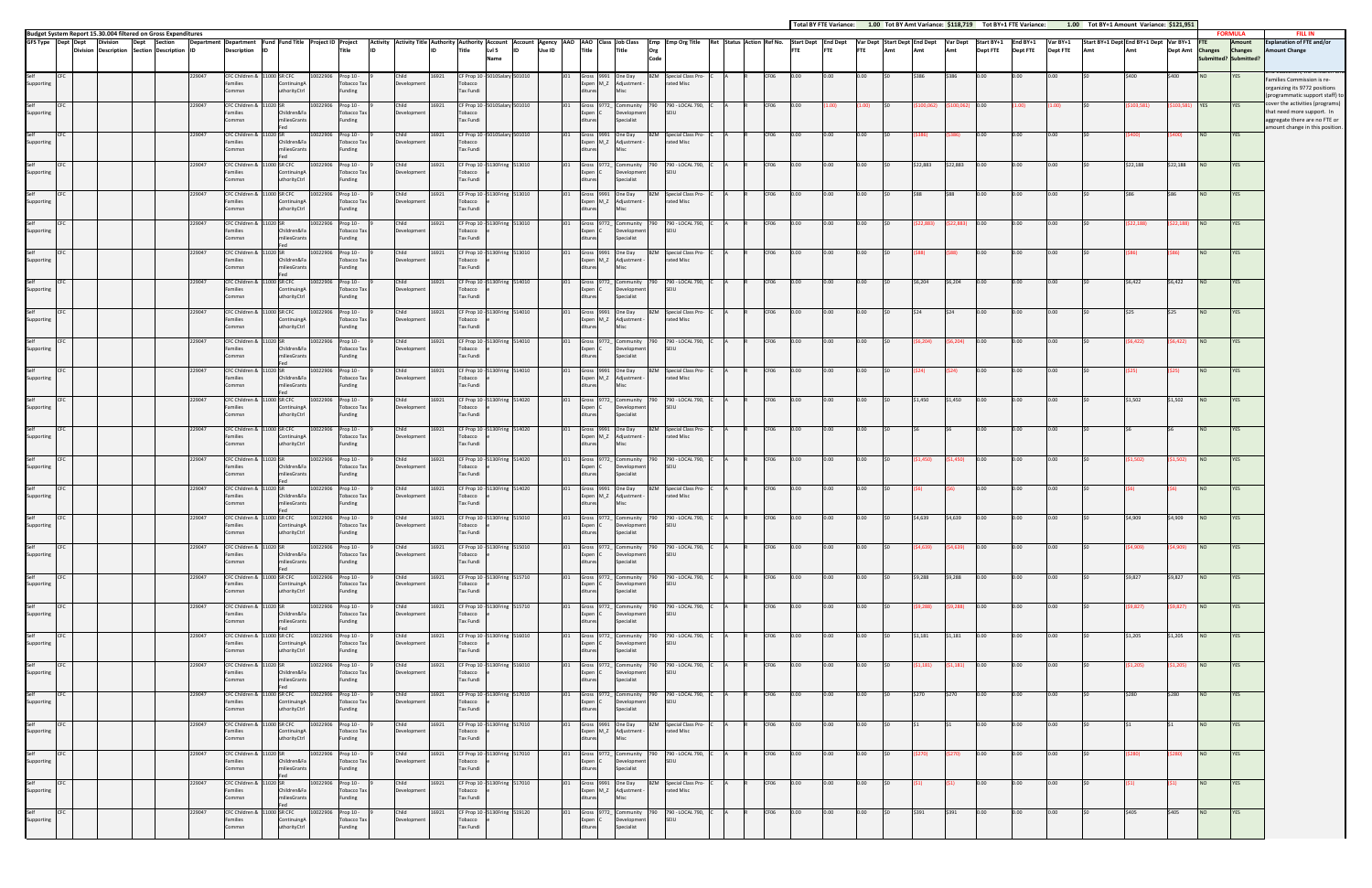|                                          |                                                                                                                                 |         |                  |                                                                 |                                                                                               |                    |                                                           |                                                                                                                                                                                                                                |                |                                                                                        |                 |                                       |                                                           |             |                                                                                             |  |              |                  |      |              |      |           |                            | Total BY FTE Variance: 1.00 Tot BY Amt Variance: \$118,719 Tot BY+1 FTE Variance: |              |                             | 1.00 Tot BY+1 Amount Variance: \$121,951 |           |                  |                        |                                                                     |                                                                                                                                  |
|------------------------------------------|---------------------------------------------------------------------------------------------------------------------------------|---------|------------------|-----------------------------------------------------------------|-----------------------------------------------------------------------------------------------|--------------------|-----------------------------------------------------------|--------------------------------------------------------------------------------------------------------------------------------------------------------------------------------------------------------------------------------|----------------|----------------------------------------------------------------------------------------|-----------------|---------------------------------------|-----------------------------------------------------------|-------------|---------------------------------------------------------------------------------------------|--|--------------|------------------|------|--------------|------|-----------|----------------------------|-----------------------------------------------------------------------------------|--------------|-----------------------------|------------------------------------------|-----------|------------------|------------------------|---------------------------------------------------------------------|----------------------------------------------------------------------------------------------------------------------------------|
| GFS Type Dept Dept                       | Budget System Report 15.30.004 filtered on Gross Expenditures<br><b>Division</b><br>Division Description Section Description ID | Section |                  | <b>Description</b>                                              | Department Department Fund Fund Title Project ID Project<br><b>ID</b>                         |                    | Title                                                     | Activity Activity Title Authority Authority Account Account Agency AAO AAO Class JobClass Emp Emp Org Title Ret Status Action Ref No. Start Dept End Dept Var Dept Start Dept Var Dept Var Dept Var Dept Var Dept Start BY+1 E |                | Name                                                                                   |                 |                                       |                                                           | Org<br>Code |                                                                                             |  |              |                  |      |              |      |           |                            |                                                                                   |              | Var BY+1<br><b>Dept FTE</b> | Start BY+1 Dept End BY+1 Dept Var BY+1   |           | Dept Amt Changes |                        | <b>FORMULA</b><br>Amount<br><b>Changes</b><br>Submitted? Submitted? | <b>FILL IN</b><br><b>Explanation of FTE and/or</b><br><b>Imount Change</b>                                                       |
| Self<br><b>CFC</b><br>Supporting         |                                                                                                                                 |         | 229047           | CFC Children & 11000 SR CFC<br>amilies<br>Commsn                | Continuing<br>uthorityCtrl                                                                    |                    | 10022906 Prop 10 -<br>Tobacco Tax<br>Funding              | Child<br>Development                                                                                                                                                                                                           | 16921          | CF Prop 10 - 5010Salary 501010<br>Tobacco<br>Tax Fundi                                 |                 | Expen M_Z                             | Gross 9991 One Day<br>Adjustment -                        |             | <b>BZM</b> Special Class Pro-<br>rated Misc                                                 |  | CF06         |                  |      |              |      |           |                            | 0.00                                                                              |              |                             |                                          |           | \$400            | <b>NO</b>              | YES                                                                 | Families Commission is re-<br>organizing its 9772 positions<br>programmatic support staff) to                                    |
| Self<br>Supporting                       |                                                                                                                                 |         | 229047           | CFC Children &<br>Families<br>Commsn                            | 11020 SR<br>Children&Fa<br>miliesGrants                                                       | 10022906           | Prop 10 -<br>Tobacco Tax<br>Funding                       | Child<br>Development                                                                                                                                                                                                           | 16921          | CF Prop 10 - 5010Salary 501010<br>obacco<br>Tax Fundi                                  |                 | Gross 9772_<br>Expen C                | Community<br>Developmen<br>Specialist                     |             | 790 790 - LOCAL 790,<br>SEIU                                                                |  | CF06         |                  |      |              |      |           | 00.062                     |                                                                                   |              |                             |                                          | 03,581)   |                  | <b>YES</b>             |                                                                     | over the activities (programs)<br>that need more support. In<br>aggregate there are no FTE or<br>amount change in this position. |
| Self<br>Supporting                       |                                                                                                                                 |         | 229047           | CFC Children &<br>amilies<br>Commsn                             | Children&Fa<br>niliesGrants                                                                   | 0022906            | Prop 10 -<br><b>Tobacco Tax</b><br>Funding                | Child<br>Development                                                                                                                                                                                                           | 16921          | CF Prop 10 - 5010Salary 501010<br>obacco<br>Tax Fundi                                  |                 | Expen M_Z                             | Gross 9991 One Day<br>Adjustment -                        |             | Special Class Pro-<br>rated Misc                                                            |  | CF06         |                  |      |              |      |           |                            |                                                                                   |              |                             |                                          |           |                  | NO                     | YES                                                                 |                                                                                                                                  |
| Self<br>Supporting                       |                                                                                                                                 |         | 29047            | CFC Children &<br>Families<br>Commsn                            | 11000 SR CFC<br>ContinuingA<br>uthorityCtrl                                                   | 10022906           | Prop 10 -<br><b>Tobacco Tax</b><br>Funding                | Child<br>Development                                                                                                                                                                                                           | 16921          | CF Prop 10 - 5130Fring 513010<br>Tobacco<br>Tax Fundi                                  |                 | Expen C                               | Gross 9772_ Community<br>Development<br>Specialist        | 790 -       | 790 - LOCAL 790,<br>SFIU                                                                    |  | CF06         | 0.00             |      | 0.00         |      | \$22,883  | \$22,883                   | 0.00                                                                              | 0.00         | 0.00                        |                                          | \$22,188  | \$22,188         | <b>NO</b>              | YES                                                                 |                                                                                                                                  |
| Self<br>Supporting                       |                                                                                                                                 |         | 229047           | CFC Children &<br>Families<br>Commsn                            | 11000 SR CFC<br>ContinuingA<br>uthorityCtrl                                                   | 10022906           | Prop 10 -<br><b>Tobacco Tax</b><br>Funding                | Child<br>Development                                                                                                                                                                                                           | 16921          | CF Prop 10 - 5130Fring 513010<br>Tobacco<br>Tax Fundi                                  |                 |                                       | Gross 9991 One Day<br>Expen M_Z Adjustment                |             | <b>BZM</b> Special Class Pro-<br>rated Misc                                                 |  | CF06         | 0.001            |      | 0.00         |      |           | <b>S88</b>                 | 0.00                                                                              | 0.00         | 0.00                        |                                          |           |                  | NO                     | YES                                                                 |                                                                                                                                  |
| Self<br>Supporting                       |                                                                                                                                 |         | 229047           | CFC Children &<br>Families<br>Commsn                            | 11020 SR<br>Children&Fa<br>niliesGrants                                                       |                    | 10022906 Prop 10 -<br><b>Tobacco Tax</b><br>Funding       | Child<br>Development                                                                                                                                                                                                           | 16921          | CF Prop 10 - 5130Fring 513010<br>Tobacco<br>Tax Fundi                                  |                 | Expen (                               | Gross 9772_ Community<br><b>Development</b><br>Specialist |             | 790 790 - LOCAL 790,<br>SFIU                                                                |  | CF06         |                  |      |              |      |           |                            |                                                                                   |              |                             |                                          | \$22,188) | (\$22,188)       | <b>NO</b>              | YES                                                                 |                                                                                                                                  |
| Self<br>Supporting                       |                                                                                                                                 |         | 229047           | CFC Children &<br>Families<br>Commsn                            | 11020 SR<br>Children&Fa<br>miliesGrants                                                       | 10022906           | Prop 10 -<br>Tobacco Tax<br>Funding                       | Child<br>Development                                                                                                                                                                                                           | 16921          | CF Prop 10 - 5130Fring 513010<br>Tobacco<br>Tax Fundi                                  |                 |                                       | Gross 9991 One Day<br>Expen M_Z Adjustment -              |             | BZM Special Class Pro-<br>rated Misc                                                        |  | CF06         | ი.იი             |      | 0.00         |      |           |                            | $0.00 -$                                                                          | 0.00         | $0.00 -$                    |                                          |           |                  | N <sub>O</sub>         | YES                                                                 |                                                                                                                                  |
| Self<br>Supporting                       |                                                                                                                                 |         | 229047           | CFC Children &<br>Families<br>Commsn                            | 1000 SR CFC<br>Continuing<br>uthorityCtrl                                                     | 10022906           | Prop 10 -<br><b>Tobacco Tax</b><br>Funding                | Child<br>Development                                                                                                                                                                                                           | 16921          | CF Prop 10 - 5130Fring 514010<br>Tobacco<br>Tax Fundi                                  |                 | 101<br>Expen C                        | Gross 9772 Community<br>Development<br>Specialist         |             | 790 - LOCAL 790,<br>SEIU                                                                    |  | CF06         | 0.00             |      |              |      | \$6.204   | \$6,204                    | 0.00                                                                              | 0.00         | 0.00                        |                                          | \$6,422   | \$6,422          | NO                     | YES                                                                 |                                                                                                                                  |
| Self<br>Supporting<br>Self<br><b>CFC</b> |                                                                                                                                 |         | 229047<br>229047 | CFC Children &<br>Families<br>Commsn<br>CFC Children & 11020 SR | 11000 SR CFC<br>ContinuingA<br>uthorityCtrl                                                   | 10022906           | Prop 10 -<br>Tobacco Tax<br>Funding<br>10022906 Prop 10 - | Child<br>Development<br>Child                                                                                                                                                                                                  | 16921<br>16921 | CF Prop 10 - 5130Fring 514010<br>Tobacco<br>Tax Fundi<br>CF Prop 10 - 5130Fring 514010 |                 |                                       | Gross 9991 One Day<br>Expen M_Z Adjustment -              |             | <b>BZM</b> Special Class Pro-<br>rated Misc<br>Gross 9772_ Community 790 790 - LOCAL 790, C |  | CF06<br>CF06 | 0.00<br>0.00     |      | 0.00<br>0.00 |      |           | <b>S24</b><br>\$6,204)     | 0.00<br>0.00                                                                      | 0.00<br>0.00 | 0.00<br>0.00                |                                          | \$6,422)  | (\$6,422)        | <b>NO</b><br><b>NO</b> | YES<br>YES                                                          |                                                                                                                                  |
| Supporting<br>Self                       |                                                                                                                                 |         | 229047           | Families<br>Commsn<br>CFC Children &                            | Children&Fa<br>miliesGrants<br>11020 SR                                                       | 10022906           | <b>Tobacco Tax</b><br>Funding<br>Prop 10 -                | Development<br>Child                                                                                                                                                                                                           | 16921          | Tobacco<br>Tax Fundi<br>CF Prop 10 - 5130Fring 514010                                  |                 | Expen C                               | Development<br>Specialist<br>Gross 9991 One Day           |             | SEIU<br><b>BZM</b> Special Class Pro-                                                       |  | CF06         |                  |      |              |      |           |                            | n.nn                                                                              |              | 0.00                        |                                          |           |                  | I NO                   | YES                                                                 |                                                                                                                                  |
| Supporting<br>Self                       |                                                                                                                                 |         | 29047            | Families<br>Commsn<br>CFC Children &                            | Children&Fa<br>niliesGrant:<br>1000 SR CFC                                                    | 0022906            | Tobacco Tax<br>Funding<br>Prop 10 -                       | Development<br>Child                                                                                                                                                                                                           | 16921          | obacco<br>Tax Fundi<br>CF Prop 10 - 5                                                  | 130Fring 514020 | Expen M_Z                             | Adjustment -<br>Gross 9772_ Community                     |             | rated Misc<br>790 - LOCAL 790,                                                              |  | CF06         |                  |      | 0.00         |      | \$1.450   | \$1,450                    | 0.00                                                                              | 0.00         | 0.00                        |                                          | \$1.502   | \$1,502          | N <sub>O</sub>         | YES                                                                 |                                                                                                                                  |
| Supporting<br>Self                       |                                                                                                                                 |         | 229047           | Families<br>Commsn<br>CFC Children &                            | ContinuingA<br>uthorityCtrl<br>11000 SR CFC                                                   | 10022906           | Tobacco Tax<br>Funding<br>Prop 10 -                       | Development<br>Child                                                                                                                                                                                                           | 16921          | Tobacco<br>Tax Fundi<br>CF Prop 10 - 5130Fring 514020                                  |                 | Expen C                               | Development<br>Specialist<br>Gross 9991 One Day           |             | SEIU<br><b>BZM</b> Special Class Pro-                                                       |  | CF06         | ი იი             |      | 0.00         |      |           |                            | 0.00                                                                              | 0.00         | 0.00                        |                                          |           |                  | NO                     | YES                                                                 |                                                                                                                                  |
| Supporting<br>Self                       |                                                                                                                                 |         | 229047           | Families<br>Commsn<br>CFC Children &                            | ContinuingA<br>uthorityCtrl<br>1020 SR                                                        |                    | <b>Tobacco Tax</b><br>Funding<br>10022906 Prop 10 -       | Development<br>Child                                                                                                                                                                                                           | 16921          | Tobacco<br>Tax Fundi<br>CF Prop 10 - 5130Fring 514020                                  |                 |                                       | Expen M_Z Adjustment -<br>Gross 9772_ Community           |             | rated Misc<br>790 790 - LOCAL 790,                                                          |  | CF06         | 0.00             |      |              |      |           | (\$1,450)                  | 0.00                                                                              | 0.00         | 0.00                        |                                          | \$1,502)  | (\$1,502)        | <b>NO</b>              | YES                                                                 |                                                                                                                                  |
| Supporting<br>Self                       |                                                                                                                                 |         | 229047           | Families<br>Commsn<br>CFC Children &                            | Children&Fa<br>niliesGrants<br>11020 SR                                                       |                    | Tobacco Tax<br>Funding<br>10022906 Prop 10 -              | Development<br>Child                                                                                                                                                                                                           | 16921          | Tobacco<br>Tax Fundi<br>CF Prop 10 - 5130Fring 514020                                  |                 | Expen I                               | <b>Development</b><br>Specialist<br>Gross 9991 One Day    |             | SFIU<br><b>BZM</b> Special Class Pro-                                                       |  | CF06         | 0.00             | 0.00 | 0.00         |      |           |                            | 0.00                                                                              | 0.00         | 0.00                        |                                          |           |                  | I NO                   | YES                                                                 |                                                                                                                                  |
| Supporting<br>Self<br><b>CFC</b>         |                                                                                                                                 |         | 229047           | amilies<br>Commsn<br>CFC Children & 11000 SR CFC                | Children&Fa<br>miliesGrants                                                                   | 10022906 Prop 10 - | Tobacco Tax<br>Funding                                    | Development<br>Child                                                                                                                                                                                                           | 16921          | obacco<br>Tax Fundi<br>CF Prop 10 - 5130Fring 515010                                   |                 | Expen M_Z                             | Adjustment -                                              |             | rated Misc<br>J01 Gross 9772_ Community 790 790 - LOCAL 790, C                              |  | CF06         | 0.00             | 0.00 | 0.00         |      | \$4,639   | \$4,639                    | 0.00                                                                              | 0.00         | 0.00                        |                                          | \$4,909   | \$4,909          | <b>NO</b>              | YES                                                                 |                                                                                                                                  |
| Supporting<br>Self<br>CFC<br>Supporting  |                                                                                                                                 |         | 229047           | Commsn<br>CFC Children & 11020 SR<br>Families                   | uthorityCtrl<br>Children&Fa                                                                   | 10022906 Prop 10 - | Tobacco Ta<br>Funding<br><b>Tobacco Tax</b>               | elopmen<br>Child<br>Development                                                                                                                                                                                                | 16921          | Tobacco<br><b>Tax Fundi</b><br>CF Prop 10 - 5130Fring 515010<br>Tobacco                |                 | ditures<br>J01<br>Expen C             | ciopine<br>Specialist<br>Development                      |             | Gross 9772_ Community 790 790 - LOCAL 790, C<br><b>SEIU</b>                                 |  | CF06         | 0.00             | 0.00 | 0.00         | ISO  |           | $(54,639)$ $(54,639)$ 0.00 |                                                                                   | 0.00         | 0.00                        | S <sub>0</sub>                           | (\$4,909) | $(54,909)$ NO    |                        | <b>YES</b>                                                          |                                                                                                                                  |
| Self CFC<br>Supporting                   |                                                                                                                                 |         | 229047           | Commsn<br>Families                                              | miliesGrants<br>CFC Children & 11000 SR CFC 10022906 Prop 10 -<br>ContinuingA                 |                    | Funding<br><b>Tobacco Tax</b>                             | Child<br>Development                                                                                                                                                                                                           |                | Tax Fundi<br>16921 CF Prop 10 - 5130Fring 515710<br>Tobacco                            |                 | ditures<br>Expen C                    | Specialist<br>Development                                 |             | J01 Gross 9772 Community 790 790 - LOCAL 790, C<br><b>SEIU</b>                              |  |              | R CF06 0.00 0.00 |      | $0.00$ \$0   |      |           | \$9,288 \$9,288 0.00       |                                                                                   | 0.00         | 0.00                        | \$0                                      | \$9,827   | \$9,827 NO       |                        | YES <b>NO</b>                                                       |                                                                                                                                  |
| Self<br>CFC<br>Supporting                |                                                                                                                                 |         | 229047           | Commsn<br>CFC Children & 11020 SR<br>Families                   | uthorityCtrl<br>Children&Fa                                                                   | 10022906 Prop 10 - | Funding<br>Tobacco Tax                                    | Child<br>Development                                                                                                                                                                                                           | 16921          | Tax Fundi<br>CF Prop 10 - 5130Fring 515710<br>Tobacco                                  |                 | ditures<br>Expen C                    | Specialist<br>Development                                 |             | J01 Gross 9772_ Community 790 790 - LOCAL 790, C<br>SEIU                                    |  | CF06 0.00    |                  | 0.00 | 0.00         | ISO. |           | $(59,288)$ $(59,288)$ 0.00 |                                                                                   | 0.00         | 0.00                        | \$0                                      | (\$9,827) | $(59,827)$ NO    |                        | YES                                                                 |                                                                                                                                  |
| Self<br>CFC<br>Supporting                |                                                                                                                                 |         | 229047           | Commsn<br>CFC Children & 11000 SR CFC<br>Families               | miliesGrants<br>Fed<br>ContinuingA                                                            | 10022906 Prop 10 - | Funding<br><b>Tobacco Tax</b>                             | Child<br>Development                                                                                                                                                                                                           | 16921          | Tax Fundi<br>CF Prop 10 - 5130Fring 516010<br>Tobacco                                  |                 | ditures<br>J <sub>01</sub><br>Expen C | Specialist<br>Development                                 |             | Gross 9772_ Community 790 790 - LOCAL 790, C<br>SEIU                                        |  | CF06         | 0.00             | 0.00 | 0.00         |      | \$1,181   | \$1,181                    | 0.00                                                                              | 0.00         | 0.00                        |                                          | \$1,205   | \$1,205          | NO <sub>1</sub>        | <b>YES</b>                                                          |                                                                                                                                  |
| Self<br>CFC<br>Supporting                |                                                                                                                                 |         | 229047           | Commsn<br>CFC Children & 11020 SR<br>Families                   | uthorityCtrl<br>Children&Fa                                                                   | 10022906 Prop 10 - | Funding<br><b>Tobacco Tax</b>                             | Child<br>Development                                                                                                                                                                                                           | 16921          | Tax Fundi<br>CF Prop 10 - 5130Fring 516010<br>Tobacco                                  |                 | ditures<br>Expen C                    | Specialist<br>Development                                 |             | J01 Gross 9772 Community 790 790 - LOCAL 790, C<br><b>SEIU</b>                              |  | CF06         | 0.00             | 0.00 | 0.00         | SO.  | (51, 181) | $(51,181)$ 0.00            |                                                                                   | 0.00         | 0.00                        |                                          | (\$1,205) | $(51,205)$ NO    |                        | YES                                                                 |                                                                                                                                  |
| Self<br><b>CFC</b><br>Supporting         |                                                                                                                                 |         | 229047           | Commsn<br>CFC Children & 11000 SR CFC<br>Families               | miliesGrants<br>ContinuingA                                                                   | 10022906 Prop 10 - | Funding<br>Tobacco Tax                                    | Child<br>Development                                                                                                                                                                                                           | 16921          | Tax Fundi<br>CF Prop 10 - 5130Fring 517010<br>Tobacco                                  |                 | ditures<br>J01<br>Expen C             | Specialist<br>Development                                 |             | Gross 9772_ Community 790 790 - LOCAL 790, C<br><b>SEIU</b>                                 |  | CF06         | 0.00             | 0.00 | 0.00         |      | \$270     | \$270                      | 0.00                                                                              | 0.00         | 0.00                        |                                          | \$280     | \$280            | NO                     | <b>YES</b>                                                          |                                                                                                                                  |
| Self<br><b>CFC</b><br>Supporting         |                                                                                                                                 |         | 229047           | Commsn<br>Families<br>Commsn                                    | uthorityCtrl<br>CFC Children & 11000 SR CFC 10022906 Prop 10 -<br>ContinuingA<br>uthorityCtrl |                    | Funding<br><b>Tobacco Tax</b><br>Funding                  | Child<br>Development                                                                                                                                                                                                           |                | Tax Fundi<br>16921 CF Prop 10 - 5130Fring 517010<br>Tobacco<br>Tax Fundi               |                 | ditures<br>ditures                    | Specialist<br>Expen M_Z Adjustment -<br>Misc              |             | J01 Gross 9991 One Day BZM Special Class Pro- C<br>rated Misc                               |  |              | CF06 0.00 0.00   |      | 0.00         | \$0  | <b>S1</b> | <b>IS1</b>                 | 0.00                                                                              | 0.00         | 0.00                        | 50                                       | \$1       | $\mathsf{S}1$    | <b>NO</b>              | <b>YES</b>                                                          |                                                                                                                                  |
| Self<br><b>CFC</b><br>Supporting         |                                                                                                                                 |         | 229047           | CFC Children & 11020 SR<br>Families<br>Commsn                   | Children&Fa<br>miliesGrants                                                                   | 10022906 Prop 10 - | Tobacco Tax<br>Funding                                    | Child<br>Development                                                                                                                                                                                                           | 16921          | CF Prop 10 - 5130Fring 517010<br>Tobacco<br>Tax Fundi                                  |                 | Expen C<br>ditures                    | Development<br>Specialist                                 |             | J01 Gross 9772_ Community 790 790 - LOCAL 790, C<br>SEIU                                    |  | CF06 0.00    |                  | 0.00 | 0.00         |      | (\$270)   | (\$270)                    | 0.00                                                                              | 0.00         | 0.00                        |                                          | (\$280)   | (5280)           | <b>NO</b>              | <b>YES</b>                                                          |                                                                                                                                  |
| Self<br>CFC<br>Supporting                |                                                                                                                                 |         | 229047           | CFC Children & 11020 SR<br>Families<br>Commsn                   | Fed<br>Children&Fa<br>miliesGrants                                                            | 10022906 Prop 10 - | Tobacco Tax<br>Funding                                    | Child<br>Development                                                                                                                                                                                                           | 16921          | CF Prop 10 - 5130Fring 517010<br>Tobacco<br>Tax Fundi                                  |                 | J01<br>ditures                        | Gross 9991 One Day<br>Expen M_Z Adjustment -<br>Misc      |             | BZM Special Class Pro-<br>rated Misc                                                        |  | CF06         | 0.00             | 0.00 | 0.00         |      |           |                            | 0.00                                                                              | 0.00         | 0.00                        |                                          |           |                  | NO                     | <b>YES</b>                                                          |                                                                                                                                  |
| Self<br><b>CFC</b><br>Supporting         |                                                                                                                                 |         | 229047           | CFC Children & 11000 SR CFC<br>Families<br>Commsn               | ContinuingA<br>uthorityCtrl                                                                   | 10022906 Prop 10 - | Tobacco Tax<br>Funding                                    | Child<br>Development                                                                                                                                                                                                           | 16921          | CF Prop 10 - 5130Fring 519120<br>Tobacco<br>Tax Fundi                                  |                 | J01<br>Expen C<br>ditures             | Development<br>Specialist                                 |             | Gross 9772_ Community 790 790 - LOCAL 790, C<br><b>SEIU</b>                                 |  | CF06         | 0.00             | 0.00 | 0.00         |      | \$391     | \$391                      | 0.00                                                                              | 0.00         | 0.00                        |                                          | \$405     | \$405            | <b>NO</b>              | YES                                                                 |                                                                                                                                  |
|                                          |                                                                                                                                 |         |                  |                                                                 |                                                                                               |                    |                                                           |                                                                                                                                                                                                                                |                |                                                                                        |                 |                                       |                                                           |             |                                                                                             |  |              |                  |      |              |      |           |                            |                                                                                   |              |                             |                                          |           |                  |                        |                                                                     |                                                                                                                                  |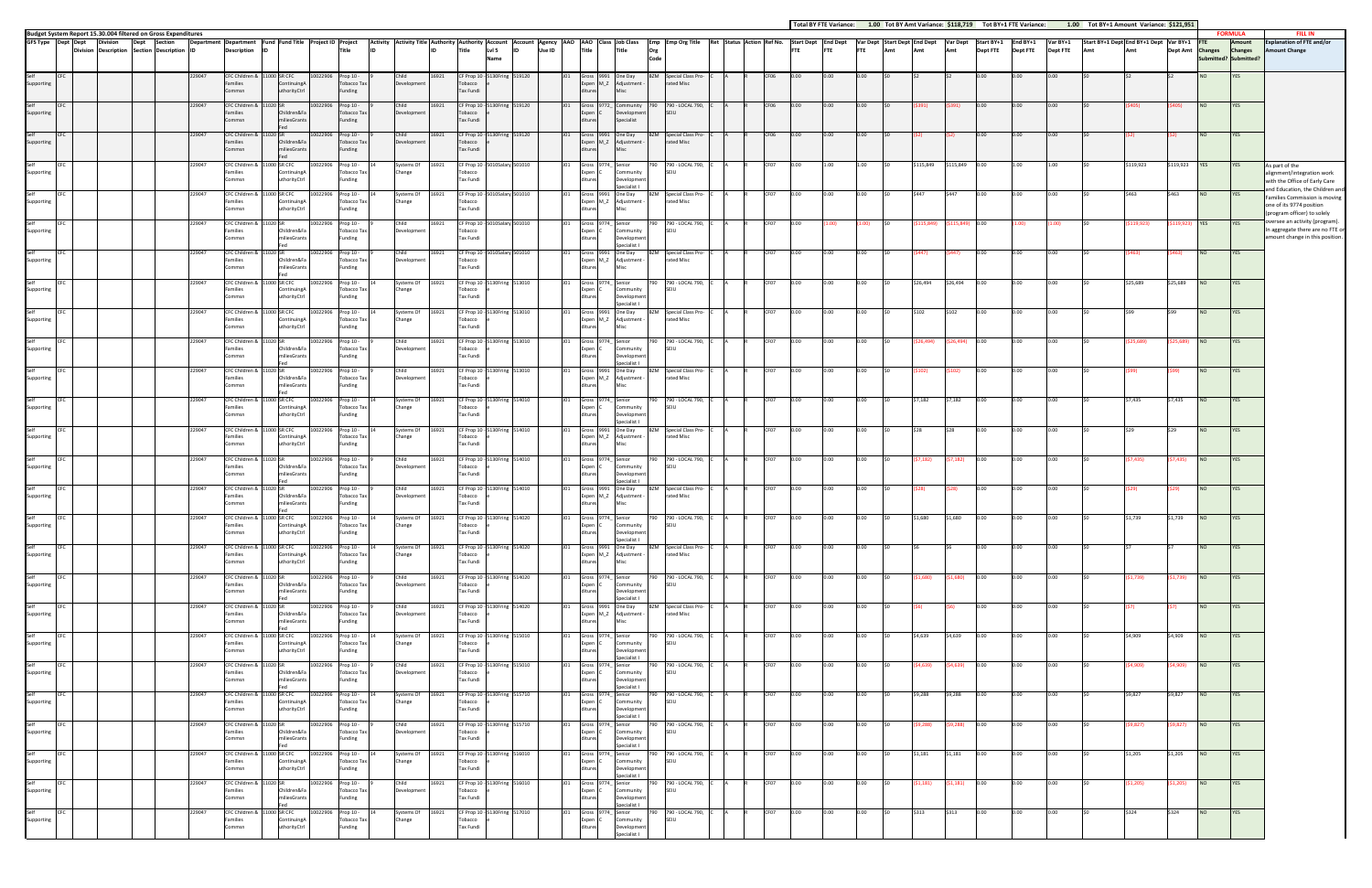|                        |                             |                                                                                  |        |                                                                      |              |                                    |                    |                                            |                                                           |       |                                                               |                          |        |                       |                               |                                                                             |                                                                                                                                                            |      |            |            |            |                                                                    |           |                            |                 |                 |                 | Total BY FTE Variance: 1.00 Tot BY Amt Variance: \$118,719 Tot BY+1 FTE Variance: 1.00 Tot BY+1 Amount Variance: \$121,951 |            |                  |                 | <b>FORMULA</b>                         |                                                                                                 |
|------------------------|-----------------------------|----------------------------------------------------------------------------------|--------|----------------------------------------------------------------------|--------------|------------------------------------|--------------------|--------------------------------------------|-----------------------------------------------------------|-------|---------------------------------------------------------------|--------------------------|--------|-----------------------|-------------------------------|-----------------------------------------------------------------------------|------------------------------------------------------------------------------------------------------------------------------------------------------------|------|------------|------------|------------|--------------------------------------------------------------------|-----------|----------------------------|-----------------|-----------------|-----------------|----------------------------------------------------------------------------------------------------------------------------|------------|------------------|-----------------|----------------------------------------|-------------------------------------------------------------------------------------------------|
|                        | GFS Type Dept Dept Division | Budget System Report 15.30.004 filtered on Gross Expenditures<br>Dept<br>Section |        | Department Department Fund Fund Title Project ID Project             |              |                                    |                    |                                            |                                                           |       |                                                               |                          |        |                       |                               |                                                                             | Activity Activity Title Authority Authority Account Account Agency AAO AAO Class Job Class Emp Emp Org Title Ret Status Action Ref No. Start Dept End Dept |      |            |            |            | Var Dept Start Dept End Dept Var Dept Start BY+1 End BY+1 Var BY+1 |           |                            |                 |                 |                 | Start BY+1 Dept End BY+1 Dept Var BY+1                                                                                     |            |                  |                 | Amount                                 | <b>FILL IN</b><br><b>Explanation of FTE and/or</b>                                              |
|                        |                             | Division Description Section Description ID                                      |        | <b>Description</b>                                                   | ID           |                                    |                    | <b>Title</b>                               |                                                           |       | Title                                                         | LvI <sub>5</sub><br>Name | Use ID | Title                 |                               | Title<br>Org                                                                | Code                                                                                                                                                       |      | <b>FTE</b> | <b>FTE</b> | <b>FTE</b> | Amt                                                                | Amt       | Amt                        | <b>Dept FTE</b> | <b>Dept FTE</b> | <b>Dept FTE</b> |                                                                                                                            | Amt        | Dept Amt Changes |                 | <b>Changes</b><br>ubmitted? Submitted? | <b>Amount Change</b>                                                                            |
| Self<br>Supporting     | CFC                         |                                                                                  | 229047 | CFC Children &<br>amilies<br>ommsn                                   | 1000 SR CFC  | Continuing/<br>uthorityCtrl        | 10022906           | Prop 10 -<br><b>Tobacco Tax</b><br>Funding | Child<br>Development                                      | 16921 | CF Prop 10 - 5130Fring 519120<br>Tobacco<br>Tax Fundi         |                          |        |                       |                               | Gross 9991 One Day<br>Expen M_Z Adjustment                                  | Special Class Pro-<br>rated Misc                                                                                                                           |      |            |            |            |                                                                    |           |                            |                 |                 |                 |                                                                                                                            |            |                  |                 |                                        |                                                                                                 |
| Self<br>Supporting     |                             |                                                                                  | 229047 | CFC Children &<br>amilies<br>Commsn                                  |              | Children&Fa<br>iliesGrants         | 0022906            | Prop 10 -<br>Tobacco Tax<br>Funding        | Child<br>Development                                      | 16921 | CF Prop 10 - 5130Fring 519120<br>Tobacco<br><b>Tax Fundi</b>  |                          |        |                       |                               | Gross 9772_ Community<br>Developmen<br>Specialist                           | 790 - LOCAL 790,<br><b>SEIU</b>                                                                                                                            | CF06 | 0.00       |            | 0.00       |                                                                    |           |                            |                 |                 | 0.00            |                                                                                                                            |            |                  | NO              | YES                                    |                                                                                                 |
| Self<br>Supporting     | <b>CFC</b>                  |                                                                                  | 229047 | CFC Children & 11020 SR<br>amilies<br>ommsn                          |              | Children&Fa<br>miliesGrants        | 10022906 Prop 10 - | <b>Tobacco Tax</b><br>Funding              | Child<br>Development                                      | 16921 | CF Prop 10 - 5130Fring 519120<br>Tobacco<br><b>Tax Fundi</b>  |                          |        | JO1                   |                               | Gross 9991 One Day<br>Expen M_Z Adjustment -<br>Misc                        | <b>BZM</b> Special Class Pro-<br>rated Misc                                                                                                                | CF06 | 0.00       |            | 0.00       |                                                                    |           |                            |                 |                 | 0.00            |                                                                                                                            |            |                  | NO              | YES                                    |                                                                                                 |
| Self<br>Supporting     | CFC                         |                                                                                  | 229047 | CFC Children &<br>amilies<br>Commsn                                  | 1000 SR CFC  | Continuing/<br><b>uthorityCtrl</b> | 10022906 Prop 10 - | Tobacco Tax<br>Funding                     | Systems Of<br>Change                                      | 16921 | CF Prop 10 - 5010Salary 501010<br>obacco<br>Tax Fundi         |                          |        | Expen IO              | Gross 9774_ Senior            | Community<br>Developmer                                                     | 790 - LOCAL 790,<br><b>SFILL</b>                                                                                                                           |      |            |            |            |                                                                    | \$115,849 | \$115,849                  |                 |                 |                 |                                                                                                                            | \$119,923  | \$119,923        | <b>YES</b>      |                                        | As part of the<br>alignment/integration work<br>with the Office of Early Care                   |
| Self<br>Supporting     |                             |                                                                                  | 229047 | CFC Children &<br>$r$ amilies                                        | 1000 SR CFC  | ContinuingA<br><b>ithorityCtrl</b> | 10022906           | Prop 10 -<br>Tobacco Tax<br>Funding        | Systems Of<br>Change                                      | 16921 | CF Prop 10 - 5010Salary 501010<br>Tobacco<br>Tax Fundi        |                          |        |                       | Gross 9991                    | Specialist I<br>One Day<br>Expen M_Z Adjustment -                           | Special Class Pro-<br>rated Misc                                                                                                                           | CF07 | 0.00       |            | 0.00       |                                                                    |           |                            |                 |                 |                 |                                                                                                                            |            | \$463            |                 |                                        | and Education, the Children and<br>Families Commission is moving<br>one of its 9774 position    |
| Self<br>Supporting     | CFC                         |                                                                                  | 229047 | ommsn<br>CFC Children &<br>amilies                                   |              | Children&Fa                        | 10022906           | Prop 10 -<br><b>Tobacco Tax</b>            | Child<br>Development                                      | 16921 | CF Prop 10 -<br>Tobacco                                       | 010Salary 501010         |        |                       | Gross 9774_ Senior<br>Expen C | Community                                                                   | 790 - LOCAL 790,<br>SEIU                                                                                                                                   | CF07 |            |            |            |                                                                    |           | 15.849                     |                 |                 |                 |                                                                                                                            | \$119,923) | 3119,923) YES    |                 | YES                                    | program officer) to solely<br>oversee an activity (program).<br>n aggregate there are no FTE or |
| Self<br>Supporting     |                             |                                                                                  | 229047 | Commsn<br>CFC Children &<br>amilies                                  |              | miliesGrants<br>Children&Fa        | 10022906           | Funding<br>Prop 10 -<br>Tobacco Tax        | Child<br>Development                                      | 16921 | <b>Tax Fundi</b><br>CF Prop 10 - 5010Salary 501010<br>Tobacco |                          |        |                       |                               | Developmen<br>Specialist I<br>Gross 9991 One Day<br>Expen M_Z Adjustment -  | <b>BZM</b> Special Class Pro-<br>rated Misc                                                                                                                | CF07 | 0.00       |            | 0.00       |                                                                    |           |                            |                 |                 | 0.00            |                                                                                                                            | \$463)     | (\$463)          | NO              | YES                                    | amount change in this position.                                                                 |
| Self                   | <b>CFC</b>                  |                                                                                  | 229047 | Commsn<br>CFC Children &                                             | 11000 SR CFC | iliesGrants                        | 10022906 Prop 10 - | Funding                                    | Systems Of                                                | 16921 | Tax Fundi<br>CF Prop 10 - 5130Fring 513010                    |                          |        | <b>JO1</b>            | Gross 9774_ Senior            | Misc<br>790                                                                 | 790 - LOCAL 790,                                                                                                                                           | CF07 | 0.00       | 0.00       | 0.00       |                                                                    | \$26,494  | \$26,494                   | 0.00            | 0.00            | 0.00            |                                                                                                                            | \$25,689   | \$25,689         | <b>NO</b>       | YES                                    |                                                                                                 |
| Supporting<br>Self     | CEC.                        |                                                                                  | 229047 | amilies<br>ommsn<br>CFC Children &                                   | 1000 SR CFC  | ontinuingA<br><b>uthorityCtrl</b>  | 10022906           | Tobacco Tax<br>Funding<br>Prop 10 -        | Change<br>Systems Of                                      | 16921 | obacco<br>Tax Fundi<br>CF Prop 10 - 5130Fring 513010          |                          |        | Expen                 |                               | Community<br>Developmer<br>Specialist I<br>Gross 9991 One Day               | SEIU<br>Special Class Pro-                                                                                                                                 | CF07 | 0.00       | 2.00       | 0.00       |                                                                    |           | \$102                      | $0.00 -$        |                 | 0.00            |                                                                                                                            |            |                  | NO.             | YES                                    |                                                                                                 |
| Supporting<br>Self     |                             |                                                                                  | 229047 | amilies<br>ommsn<br>CFC Children &                                   |              | continuing/<br>uthorityCtrl        | 0022906            | <b>Tobacco Tax</b><br>Funding<br>Prop 10 - | Change                                                    | 16921 | Tobacco<br>Tax Fundi<br>CF Prop 10 - 5130Fring 513010         |                          |        |                       | Gross 9774_ Senior            | Expen M_Z Adjustment -<br><b>Misc</b>                                       | rated Misc<br>790 - LOCAL 790,                                                                                                                             |      |            |            | 0.00       |                                                                    | 26.494)   | 26.494)                    |                 |                 |                 |                                                                                                                            | (25,689    | ;25,689)         | NO              | YES                                    |                                                                                                 |
| Supporting             |                             |                                                                                  |        | amilies<br>Commsn                                                    |              | Children&Fa<br>niliesGrants        |                    | Tobacco Tax<br>Funding                     | Development                                               |       | Tobacco<br>Tax Fundi                                          |                          |        |                       | Expen C                       | Community<br>Developmen<br>Specialist I                                     | SEIU                                                                                                                                                       |      |            |            |            |                                                                    |           |                            |                 |                 |                 |                                                                                                                            |            |                  |                 |                                        |                                                                                                 |
| Self<br>Supporting     |                             |                                                                                  | 229047 | FC Children &<br>amilies<br>ommsn                                    |              | Children&Fa<br>niliesGrants        | 0022906            | Prop 10 -<br><b>Tobacco Tax</b><br>Funding | Child<br>Development                                      | 16921 | CF Prop 10 - 5130Fring 513010<br>Tobacco<br><b>Tax Fundi</b>  |                          |        |                       |                               | Gross 9991 One Day<br>Expen M_Z Adjustment -<br>Misc                        | <b>BZM</b> Special Class Pro-<br>rated Misc                                                                                                                | CF07 | 0.00       |            | 0.00       |                                                                    |           |                            |                 |                 | 0.00            |                                                                                                                            |            |                  | NO              | YES                                    |                                                                                                 |
| Self<br>Supporting     | CFC                         |                                                                                  | 229047 | CFC Children &<br>amilies<br>Commsn                                  | 1000 SR CFC  | ContinuingA<br>thorityCtrl         | 10022906           | Prop 10 -<br>Tobacco Tax<br>Funding        | Systems Of<br>Change                                      | 16921 | CF Prop 10 - 5130Fring 514010<br>obacco<br>Tax Fundi          |                          |        | JO1<br>Expen C        | Gross 9774_ Senior            | 790<br>Community<br>Developmer<br>Specialist I                              | 790 - LOCAL 790,<br>SEIU                                                                                                                                   | CF07 | 0.00       | 0.00       | 0.00       |                                                                    | \$7,182   | \$7,182                    | 0.00            | 0.00            | 0.00            |                                                                                                                            | \$7,435    | \$7,435          | <b>NO</b>       | YES                                    |                                                                                                 |
| Self<br>Supporting     | CEC.                        |                                                                                  | 229047 | CFC Children &<br>ramilies<br>ommsn                                  | 11000 SR CFC | ContinuingA<br>thorityCtrl         | 10022906           | Prop 10 -<br><b>Tobacco Tax</b><br>Funding | Systems Of<br>Change                                      | 16921 | CF Prop 10 - 5130Fring 514010<br>Tobacco<br>Tax Fundi         |                          |        |                       |                               | Gross 9991 One Day<br>Expen M_Z Adjustment -                                | Special Class Pro-<br>37M<br>rated Misc                                                                                                                    | CF07 | 0.00       | າ.ດດ       | 0.00       |                                                                    |           | <b>S28</b>                 | 0.00            | 0.00            | 0.00            |                                                                                                                            |            |                  |                 | <b>YES</b>                             |                                                                                                 |
| Self<br>Supporting     | CFC                         |                                                                                  | 229047 | CFC Children &<br>Families<br>Commsn                                 | 1020 SR      | Children&Fa<br>niliesGrants        | 10022906           | Prop 10 -<br><b>Tobacco Tax</b><br>Funding | Child<br>Development                                      | 16921 | CF Prop 10 - 5130Fring 514010<br>Tobacco<br>Tax Fundi         |                          |        | Expen C               | Gross 9774_ Senior            | Community<br>Developmen                                                     | 790 - LOCAL 790,<br>SEIU                                                                                                                                   | CF07 | 0.00       |            | 0.00       |                                                                    | \$7,182)  | 57,182)                    |                 | 0.00            | 0.00            |                                                                                                                            | (\$7,435)  | (\$7,435)        | <b>NO</b>       | <b>YES</b>                             |                                                                                                 |
| Self<br>Supporting     |                             |                                                                                  | 229047 | CFC Children &<br>amilies<br>Commsn                                  |              | Children&Fa<br>niliesGrants        | 0022906            | Prop 10 -<br>Tobacco Tax<br>Funding        | Child<br>Development                                      | 16921 | CF Prop 10 - 5130Fring 514010<br>Tobacco<br>Tax Fundi         |                          |        |                       |                               | inecialist I<br>Gross 9991 One Day<br>Expen M_Z Adjustment -<br>Misc        | 3ZM Special Class Pro-<br>rated Misc                                                                                                                       | CFO7 |            |            |            |                                                                    |           |                            |                 |                 |                 |                                                                                                                            |            | S29).            | NO              | YES                                    |                                                                                                 |
| Self<br>Supporting     | <b>CFC</b>                  |                                                                                  | 229047 | CFC Children & 11000 SR CFC 10022906 Prop 10 - 14<br>Families        |              | ContinuingA                        |                    | <b>Tobacco Tax</b>                         | Systems Of 16921 CF Prop 10 - 5130 Fring 514020<br>Change |       | Tobacco e                                                     |                          |        |                       | Expen C                       | Community                                                                   | 101 Gross 9774 Senior 790 790 LOCAL 790, C A R CF07 0.00 0.00<br>SEIU                                                                                      |      |            |            |            | $0.00$ \$0                                                         |           | $$1,680$ $$1,680$ 0.00     |                 | 0.00            | 0.00            | \$0                                                                                                                        | \$1,739    | \$1,739 NO       |                 | <b>YES</b>                             |                                                                                                 |
| Self CFC<br>Supporting |                             |                                                                                  | 229047 | Commsn<br>CFC Children & 11000 SR CFC<br>Families                    |              | uthorityCtrl<br>ContinuingA        | 10022906 Prop 10 - | Funding<br>Tobacco Tax                     | Systems Of<br>Change                                      | 16921 | <b>Tax Fundi</b><br>CF Prop 10 - 5130Fring 514020<br>Tobacco  |                          |        | ditures<br>J01        |                               | Development<br>Specialist I<br>Gross 9991 One Day<br>Expen M_Z Adjustment - | BZM Special Class Pro-<br>rated Misc                                                                                                                       | CF07 | 0.00       | 0.00       | 0.00       | ISO.                                                               |           | \$6                        | 0.00            | 0.00            | 0.00            |                                                                                                                            |            |                  | NO <sub>1</sub> | <b>YES</b>                             |                                                                                                 |
| Self CFC<br>Supporting |                             |                                                                                  | 229047 | Commsn<br>CFC Children & 11020 SR<br>Families                        |              | uthorityCtrl<br>Children&Fa        | 10022906 Prop 10 - | Funding<br>Tobacco Tax                     | Child<br>Development                                      | 16921 | Tax Fundi<br>CF Prop 10 - 5130Fring 514020<br>Tobacco         |                          |        | ditures<br>J01        |                               | Misc<br>Gross 9774_ Senior<br>Expen C Community                             | 790 790 - LOCAL 790, C<br>SEIU                                                                                                                             | CF07 | 0.00       | 0.00       | 0.00       |                                                                    | (51,680)  | $(51,680)$ 0.00            |                 | 0.00            | 0.00            |                                                                                                                            | (51, 739)  | $(51,739)$ NO    |                 | <b>YES</b>                             |                                                                                                 |
| Self<br>Supporting     | <b>CFC</b>                  |                                                                                  | 229047 | Commsn<br>CFC Children & 11020 SR                                    |              | miliesGrants                       | 10022906 Prop 10 - | Funding                                    | Child                                                     | 16921 | <b>Tax Fundi</b><br>CF Prop 10 - 5130Fring 514020             |                          |        | ditures<br>JO1        |                               | Development<br>Specialist I<br>Gross 9991 One Day                           | BZM Special Class Pro- C                                                                                                                                   | CF07 | 0.00       | 0.00       | 0.00       |                                                                    |           |                            | 0.00            | 0.00            | 0.00            |                                                                                                                            |            |                  | NO <sub>1</sub> | <b>YES</b>                             |                                                                                                 |
| Self CFC               |                             |                                                                                  | 229047 | Families<br>Commsn<br>CFC Children & 11000 SR CFC 10022906 Prop 10 - |              | Children&Fa<br>miliesGrants<br>Fed |                    | Tobacco Tax<br>Funding                     | Development<br>Systems Of 16921                           |       | Tobacco<br>Tax Fundi<br>CF Prop 10 - 5130Fring 515010         |                          |        | ditures               |                               | Expen M_Z Adjustment -<br><b>Misc</b><br>J01 Gross 9774_ Senior             | rated Misc<br>790 790 - LOCAL 790, C                                                                                                                       | CF07 | 0.00       | 0.00       | 0.00       | \$0                                                                | \$4,639   | \$4,639                    | 0.00            | 0.00            | 0.00            |                                                                                                                            | \$4,909    | \$4,909          | <b>NO</b>       | <b>YES</b>                             |                                                                                                 |
| Supporting<br>Self     | <b>CFC</b>                  |                                                                                  | 229047 | Families<br>Commsn<br>CFC Children & 11020 SR                        |              | ContinuingA<br>uthorityCtrl        | 10022906 Prop 10 - | Tobacco Tax<br>Funding                     | Change<br>Child                                           | 16921 | Tobacco<br><b>Tax Fundi</b><br>CF Prop 10 - 5130Fring 515010  |                          |        | ditures<br>J01        |                               | Expen C Community<br>Development<br>Specialist I<br>Gross 9774_ Senior      | <b>SEIU</b><br>790 790 - LOCAL 790, C                                                                                                                      | CF07 | 0.00       | 0.00       | 0.00       | \$0                                                                |           | $(54,639)$ $(54,639)$ 0.00 |                 | 0.00            | 0.00            | ISO.                                                                                                                       | (54,909)   | $(54,909)$ NO    |                 | <b>YES</b>                             |                                                                                                 |
| Supporting             |                             |                                                                                  |        | Families<br>Commsn                                                   |              | Children&Fa<br>miliesGrants        |                    | <b>Tobacco Tax</b><br>Funding              | Development                                               |       | Tobacco<br>Tax Fundi                                          |                          |        | ditures               | Expen C                       | Community<br>Development<br>Specialist I                                    | <b>SEIU</b>                                                                                                                                                |      |            |            |            |                                                                    |           |                            |                 |                 |                 |                                                                                                                            |            |                  |                 |                                        |                                                                                                 |
| Self CFC<br>Supporting |                             |                                                                                  | 229047 | CFC Children & 11000 SR CFC<br>Families<br>Commsn                    |              | ContinuingA<br>uthorityCtrl        | 10022906 Prop 10 - | Tobacco Tax<br>Funding                     | Systems Of 16921<br>Change                                |       | CF Prop 10 - 5130Fring 515710<br>Tobacco<br>Tax Fundi         |                          |        | ditures               | Expen C                       | J01 Gross 9774_ Senior<br>Community<br>Development<br>Specialist I          | 790 790 - LOCAL 790, C A<br><b>SEIU</b>                                                                                                                    |      | CF07 0.00  | 0.00       | 0.00       | \$0                                                                |           | \$9,288 \$9,288 0.00       |                 | 0.00            | 0.00            | I SO                                                                                                                       | \$9,827    | \$9,827 NO       |                 | <b>YES</b>                             |                                                                                                 |
| Self CFC<br>Supporting |                             |                                                                                  | 229047 | CFC Children & 11020 SR<br>Families<br>Commsn                        |              | Children&Fa<br>miliesGrants        | 10022906 Prop 10 - | Tobacco Tax<br>Funding                     | Child<br>Development                                      | 16921 | CF Prop 10 - 5130Fring 515710<br>Tobacco<br><b>Tax Fundi</b>  |                          |        | J01<br>ditures        |                               | Gross 9774_ Senior<br>Expen C Community<br>Development<br>Specialist I      | 790 790 - LOCAL 790, C<br><b>SEIU</b>                                                                                                                      | CF07 | 0.00       | 0.00       | 0.00       |                                                                    | (\$9,288) | (\$9,288)                  | 0.00            | 0.00            | 0.00            |                                                                                                                            | (\$9,827)  | $(59,827)$ NO    |                 | <b>YES</b>                             |                                                                                                 |
| Self<br>Supporting     | CFC                         |                                                                                  | 229047 | CFC Children & 11000 SR CFC 10022906 Prop 10 -<br>Families<br>Commsn |              | ContinuingA<br>uthorityCtrl        |                    | Tobacco Tax<br>Funding                     | Systems Of 16921<br>Change                                |       | CF Prop 10 - 5130Fring 516010<br>Tobacco<br><b>Tax Fundi</b>  |                          |        | <b>JO1</b><br>ditures |                               | Gross 9774_ Senior<br>Expen C Community<br>Development                      | 790 790 - LOCAL 790, C /<br>SEIU                                                                                                                           |      | CF07 0.00  | 0.00       | 0.00       | SO.                                                                | \$1,181   | \$1,181 0.00               |                 | 0.00            | 0.00            |                                                                                                                            | \$1,205    | \$1,205          | NO <sub>1</sub> | <b>YES</b>                             |                                                                                                 |
| Self<br>Supporting     | <b>CFC</b>                  |                                                                                  | 229047 | CFC Children & 11020 SR<br>Families<br>Commsn                        |              | Children&Fa<br>miliesGrants        | 10022906 Prop 10 - | <b>Tobacco Tax</b><br>Funding              | Child<br>Development                                      | 16921 | CF Prop 10 - 5130Fring 516010<br>Tobacco<br>Tax Fundi         |                          |        | J01<br>ditures        | Expen C                       | Specialist I<br>Gross 9774_ Senior<br>Community<br>Development              | 790 790 - LOCAL 790, C<br><b>SEIU</b>                                                                                                                      | CF07 | 0.00       | 0.00       | 0.00       | ISO.                                                               | (51, 181) | (51, 181)                  | 0.00            | 0.00            | 0.00            |                                                                                                                            | (51, 205)  | (51, 205)        | NO <sub>1</sub> | <b>YES</b>                             |                                                                                                 |
| Self CFC<br>Supporting |                             |                                                                                  | 229047 | CFC Children & 11000 SR CFC<br>Families<br>Commsn                    |              | ContinuingA<br>uthorityCtrl        | 10022906 Prop 10 - | Tobacco Tax<br>Funding                     | Systems Of<br>Change                                      | 16921 | CF Prop 10 - 5130Fring 517010<br>Tobacco<br>Tax Fundi         |                          |        | J01                   | Expen C                       | Specialist I<br>Gross 9774_ Senior<br>Community<br>Development              | 790 790 - LOCAL 790, C<br>SEIU                                                                                                                             | CF07 | 0.00       | 0.00       | 0.00       |                                                                    | \$313     | \$313                      | 0.00            | 0.00            | 0.00            |                                                                                                                            | \$324      | \$324            | NO <sub>1</sub> | <b>YES</b>                             |                                                                                                 |
|                        |                             |                                                                                  |        |                                                                      |              |                                    |                    |                                            |                                                           |       |                                                               |                          |        |                       |                               | Specialist I                                                                |                                                                                                                                                            |      |            |            |            |                                                                    |           |                            |                 |                 |                 |                                                                                                                            |            |                  |                 |                                        |                                                                                                 |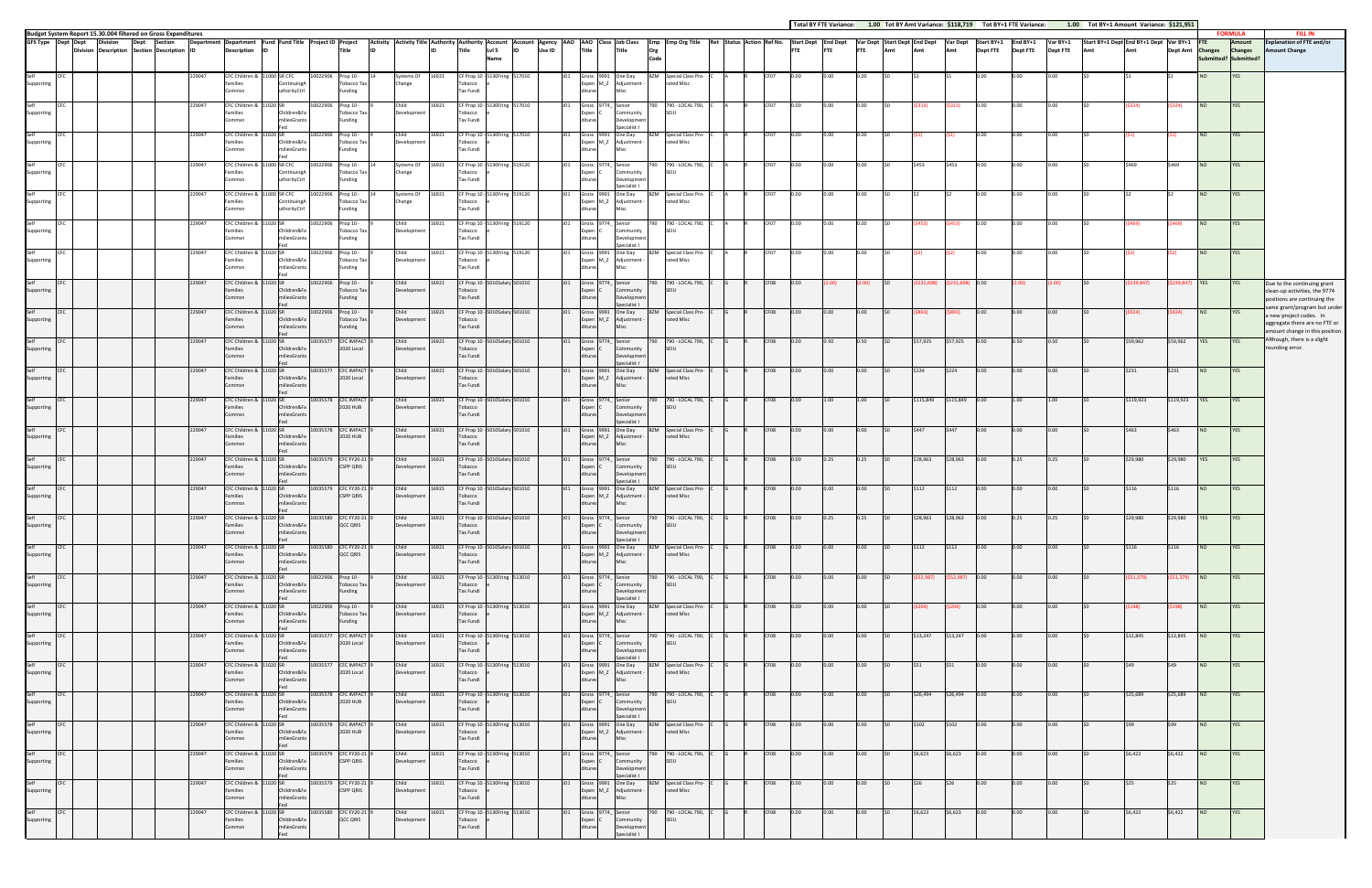|                                  |                                                                                                                                         |         |                                                                                      |                                             |                        |                                                    |                            |                                                                     |                |                                       |        |     |                                |                                                                             |      |                                                                                                                                                                  |                  |      |            |             |     |           |                        | Total BY FTE Variance: 1.00 Tot BY Amt Variance: \$118,719 Tot BY+1 FTE Variance:       |                             |                             | 1.00 Tot BY+1 Amount Variance: \$121,951 |            |                |                  |                                            |                                                                                                                          |
|----------------------------------|-----------------------------------------------------------------------------------------------------------------------------------------|---------|--------------------------------------------------------------------------------------|---------------------------------------------|------------------------|----------------------------------------------------|----------------------------|---------------------------------------------------------------------|----------------|---------------------------------------|--------|-----|--------------------------------|-----------------------------------------------------------------------------|------|------------------------------------------------------------------------------------------------------------------------------------------------------------------|------------------|------|------------|-------------|-----|-----------|------------------------|-----------------------------------------------------------------------------------------|-----------------------------|-----------------------------|------------------------------------------|------------|----------------|------------------|--------------------------------------------|--------------------------------------------------------------------------------------------------------------------------|
| GFS Type Dept Dept               | Budget System Report 15.30.004 filtered on Gross Expenditures<br><b>Division</b><br>Dept<br>Division Description Section Description ID | Section | Department Department Fund Fund Title Project ID Project<br><b>Description</b><br>ID |                                             |                        | Title                                              |                            | Title                                                               | LvI 5          |                                       | Use ID |     | Title                          | Title                                                                       | Org  | Activity   Activity Title   Authority   Authority   Account   Account   Agency   AAO   Class   Job Class   Emp   Emp Org Title   Ret   Status   Action   Ref No. |                  |      | <b>FTE</b> | <b>IFTE</b> | Amt | Amt       | Amt                    | Start Dept End Dept Var Dept Start Dept End Dept Var Dept Start BY+1<br><b>Dept FTE</b> | End BY+1<br><b>Dept FTE</b> | Var BY+1<br><b>Dept FTE</b> | Start BY+1 Dept End BY+1 Dept Var BY+1   |            |                | Dept Amt Changes | <b>FORMULA</b><br>Amount<br><b>Changes</b> | <b>FILL IN</b><br><b>Explanation of FTE and/or</b><br><b>Amount Change</b>                                               |
|                                  |                                                                                                                                         | 229047  | CFC Children & 11000 SR CFC                                                          |                                             | 10022906 Prop 10 -     |                                                    | Systems Of                 | 16921                                                               |                | Name<br>CF Prop 10 - 5130Fring 517010 |        |     |                                | Gross 9991 One Day                                                          | Code | <b>BZM</b> Special Class Pro-                                                                                                                                    |                  |      |            |             |     |           |                        |                                                                                         |                             |                             |                                          |            |                | <b>NO</b>        | Submitted? Submitted?<br>YES               |                                                                                                                          |
| Supporting<br>Self               |                                                                                                                                         | 229047  | amilies<br>Commsn<br>CFC Children & 11020 SR                                         | Continuing:<br>uthorityCtrl                 | 10022906               | <b>Tobacco Tax</b><br>Funding<br>Prop 10 -         | Change<br>Child            | Tax Fundi<br>16921                                                  | obacco         | CF Prop 10 - 5130Fring 517010         |        |     | Gross 9774_ Senior             | Expen M_Z Adjustment                                                        | 790. | ated Misc<br>790 - LOCAL 790,                                                                                                                                    | CF <sub>07</sub> | 0.00 |            | 0.00        |     |           | 313)                   | 0.00                                                                                    | 0.00                        | 0.00                        |                                          |            | S324)          | NO               | <b>YES</b>                                 |                                                                                                                          |
| Supporting                       |                                                                                                                                         |         | Families<br>ommsn                                                                    | Children&Fa<br>niliesGrant:                 |                        | <b>Tobacco Tax</b><br><b>Funding</b>               | Development                | obacco<br>Tax Fundi                                                 |                |                                       |        |     |                                | Community<br>Developmen<br>Specialist I                                     |      | SFIU                                                                                                                                                             |                  |      |            |             |     |           |                        |                                                                                         |                             |                             |                                          |            |                |                  |                                            |                                                                                                                          |
| Self<br>Supporting               |                                                                                                                                         | 229047  | CFC Children & 11020 SR<br>Families<br>ommsn                                         | Children&F<br>niliesGran                    | 0022906                | Prop 10 -<br><b>Tobacco Tax</b><br><b>Funding</b>  | Child<br>Development       | 16921<br>Tobacco<br>Tax Fundi                                       |                | CF Prop 10 - 5130Fring 517010         |        |     |                                | Gross 9991 One Day<br>Expen M_Z Adjustment -                                |      | <b>BZM</b> Special Class Pro-<br>rated Misc                                                                                                                      | CF07             | 0.00 | 0.00       | 0.00        |     |           |                        | 0.00                                                                                    | 0.00                        | 0.00                        |                                          |            |                | <b>NO</b>        | YES                                        |                                                                                                                          |
| Supporting                       |                                                                                                                                         | 229047  | CFC Children &<br>Families<br>Commsn                                                 | 11000 SR CFC<br>ContinuingA<br>uthorityCtrl | 0022906                | Prop 10 -<br><b>Tobacco Tax</b><br>Funding         | Systems Of<br>Change       | 16921<br>Tobacco<br>Tax Fundi                                       |                | CF Prop 10 - 5130Fring 519120         |        |     | Gross 9774_ Senior<br>Expen C  | Community<br>Developmen                                                     | 790  | 790 - LOCAL 790,<br>SFIU                                                                                                                                         | CF07             | າ.ດດ |            |             |     | 5453      | \$453                  | 0.00                                                                                    | 0.00                        | 0.00                        |                                          |            | \$469          | <b>NO</b>        | YES                                        |                                                                                                                          |
| Self<br>Supporting               |                                                                                                                                         | 229047  | CFC Children & 11000 SR CFC<br>Families<br>Commsn                                    | Continuing<br>uthorityCtrl                  | 10022906               | Prop 10 -<br><b>Tobacco Tax</b><br>Funding         | Systems Of<br>Change       | 16921<br>Tobacco<br>Tax Fundi                                       |                | CF Prop 10 - 5130Fring 519120         |        |     |                                | Specialist I<br>Gross 9991 One Day<br>Expen M_Z Adjustment                  |      | <b>BZM</b> Special Class Pro-<br>rated Misc                                                                                                                      | CF07             | 0.00 |            |             |     |           |                        | 0.00                                                                                    | 0.00                        | 0.00                        |                                          |            |                | <b>NO</b>        | YES                                        |                                                                                                                          |
| Supporting                       |                                                                                                                                         | 229047  | CFC Children & 11020 SR<br>amilies                                                   | Children&Fa                                 | 10022906               | Prop 10 -<br>Tobacco Tax                           | Child<br>Developmen        | 16921                                                               | obacco         | CF Prop 10 - 5130Fring 519120         |        |     | Gross 9774 Senior<br>xpen l    | Community                                                                   | 790. | 790 - LOCAL 790,                                                                                                                                                 | CF07             | 0.00 |            | 0.00        |     |           |                        | $0.00 -$                                                                                | 0.00                        | 0.00                        |                                          |            |                | NO               | YES                                        |                                                                                                                          |
| Self<br>Supporting               |                                                                                                                                         | 229047  | Commsn<br>CFC Children & 11020 SR<br>Families                                        | iliesGrant:<br>Children&F                   | 10022906               | Funding<br>Prop 10 -<br>Tobacco Tax                | Child<br>Development       | Tax Fundi<br>16921<br>Tobacco                                       |                | CF Prop 10 - 5130Fring 519120         |        |     |                                | Developmen<br>Specialist I<br>Gross 9991 One Day<br>Expen M_Z Adjustment -  | BZM  | Special Class Pro-<br>rated Misc                                                                                                                                 | CF07             | າ.ດດ |            | 0.00        |     |           |                        | 0.00                                                                                    | 0.00                        | 0.00                        |                                          |            |                | NO               | <b>YES</b>                                 |                                                                                                                          |
| Self                             |                                                                                                                                         | 229047  | Commsn<br>CFC Children &                                                             | niliesGrant:<br>1020 SR                     | 0022906                | Funding<br>Prop 10 -                               | Child                      | Tax Fundi<br>16921                                                  | CF Prop 10 -   | 010Salary 501010                      |        |     | Gross 9774_ Senior             |                                                                             |      | 790 - LOCAL 790,                                                                                                                                                 | CF08             |      |            |             |     |           |                        |                                                                                         |                             | (2.00)                      |                                          | 239,847)   | 239.847        | <b>YES</b>       | <b>YES</b>                                 | Due to the continuing grant                                                                                              |
| Supporting                       |                                                                                                                                         | 229047  | Families<br>Commsn<br>CFC Children &                                                 | Children&Fa<br>miliesGran                   | 0022906                | <b>Tobacco Tax</b><br>Funding<br>Prop 10 -         | Development<br>Child       | Tobacco<br><b>Tax Fundi</b><br>16921                                | CF Prop 10 -   | 10Salary 501010                       |        |     | Expen                          | Community<br>Developmen<br>Specialist I<br>Gross 9991 One Day               |      | <b>SFIU</b><br>Special Class Pro-                                                                                                                                | CF08             |      |            |             |     |           |                        | 0.00                                                                                    | 2.00                        |                             |                                          |            |                | <b>NO</b>        | <b>YES</b>                                 | clean-up activities, the 9774<br>positions are continuing the<br>same grant/program but under<br>a new project codes. In |
| Supporting<br>Self               |                                                                                                                                         | 229047  | Families<br>Commsn<br>CFC Children & 11020 SR                                        | Children&F<br>niliesGrant:                  | 0035577                | <b>Tobacco Tax</b><br>Funding<br><b>CFC IMPACT</b> | Development<br>Child       | Tobacco<br>Tax Fundi<br>16921                                       | CF Prop 10 - 5 | 010Salary 501010                      |        |     | Gross 9774_ Senior             | Expen M_Z Adjustment<br>Misc                                                |      | ated Misc<br>790 - LOCAL 790,                                                                                                                                    | CF08             | 0.00 | 0.50       | 0.50        |     | \$57,925  | \$57,925               | 0.00                                                                                    | 0.50                        | 0.50                        |                                          | \$59,962   | \$59,962       | <b>YES</b>       | <b>YES</b>                                 | aggregate there are no FTE or<br>amount change in this position.<br>Although, there is a slight                          |
| Supporting                       |                                                                                                                                         |         | Families<br>`ommsn                                                                   | Children&Fa<br>miliesGrant:                 |                        | 2020 Local                                         | Development                | <b>Tax Fundi</b>                                                    | obacco         |                                       |        |     | Expen (                        | Community<br>Developmen<br>Specialist L                                     |      | SEIU                                                                                                                                                             |                  |      |            |             |     |           |                        |                                                                                         |                             |                             |                                          |            |                |                  |                                            | rounding error.                                                                                                          |
| Self<br>Supporting               |                                                                                                                                         | 229047  | CFC Children & 11020 SR<br>Families<br>Commsn                                        | Children&F<br>niliesGrant                   | 10035577               | <b>CFC IMPACT</b><br>2020 Local                    | Child<br>Development       | 16921<br>Tobacco<br><b>Tax Fundi</b>                                | CF Prop 10 -   | 10Salary 501010                       |        |     |                                | Gross 9991 One Day<br>Expen M_Z Adjustment -                                | B7M  | Special Class Pro-<br>rated Misc                                                                                                                                 | CF08             | 0.00 |            |             |     | \$224     | \$224                  | 0.00                                                                                    | 0.00                        | 0.00                        |                                          | \$231      | \$231          | NO               | YES                                        |                                                                                                                          |
| Supporting                       |                                                                                                                                         | 229047  | CFC Children &<br>Families<br>Commsn                                                 | 11020 SR<br>Children&Fa<br>miliesGrant      | 0035578 CFC IMPACT     | 2020 HUB                                           | Child<br>Development       | 16921<br>Tobacco<br><b>Tax Fundi</b>                                | CF Prop 10 -   | 10Salary 501010                       |        |     | Gross 9774_ Senior             | Community<br>Developmer                                                     | 790  | 790 - LOCAL 790,<br>SFIU                                                                                                                                         | CF08             | 0.00 |            |             |     | \$115,849 | \$115,849              | 0.00                                                                                    | 1.00                        | 1.00                        |                                          | \$119,923  | \$119,923      | <b>YES</b>       | YES                                        |                                                                                                                          |
| self<br>Supporting               |                                                                                                                                         | 229047  | CFC Children & 11020 SR<br>Families<br>Commsn                                        | Children&Fa<br>miliesGrant                  | 0035578 CFC IMPACT     | 2020 HUB                                           | Child<br>Development       | 16921<br>Tobacco<br><b>Tax Fundi</b>                                |                | CF Prop 10 - 5010Salary 501010        |        |     |                                | Specialist<br>Gross 9991 One Day<br>Expen M_Z Adjustment -<br>Misc          | BZM  | Special Class Pro-<br>rated Misc                                                                                                                                 | CF08             | 0.00 |            |             |     |           | \$447                  | 0.00                                                                                    | 0.00                        | 0.00                        |                                          | \$463      | \$463          | <b>NO</b>        | YES                                        |                                                                                                                          |
| Supporting                       |                                                                                                                                         | 229047  | CFC Children & 11020 SR<br>amilies<br>Commsn                                         | Children&Fa<br>iliesGrant:                  | 10035579 CFC FY20-21   | <b>CSPP QRIS</b>                                   | Child<br><b>Developmen</b> | 16921<br>obacco<br><b>Tax Fundi</b>                                 | CF Prop 10 -   | 010Salary 501010                      |        |     | Gross 9774_ Senior<br>Expen IC | Community<br>Developmen                                                     | 790  | 790 - LOCAL 790,<br>SFIU                                                                                                                                         | CF08             | 0.00 | 0.25       | 0.25        |     | \$28,963  | \$28,963               | 0.00                                                                                    | 0.25                        | 0.25                        |                                          | \$29,980   | \$29,980       | <b>YES</b>       | <b>YES</b>                                 |                                                                                                                          |
| Self<br>Supporting               |                                                                                                                                         | 229047  | CFC Children & 11020 SR<br>amilies                                                   | Children&Fa                                 | 0035579 CFC FY20-21    | <b>CSPP QRIS</b>                                   | Child<br>Development       | 16921<br>Tobacco                                                    |                | CF Prop 10 - 5010Salary 501010        |        |     |                                | Specialist L<br>Gross 9991 One Day<br>Expen M_Z Adjustment -                |      | <b>BZM</b> Special Class Pro-<br>rated Misc                                                                                                                      | CF08             | 0.00 | 0.00       | 0.00        |     | 5112      | \$112                  | 0.00                                                                                    | 0.00                        | 0.00                        |                                          | S116       | \$116          | NO               | YES                                        |                                                                                                                          |
| <b>CFC</b><br>Self<br>Supporting |                                                                                                                                         | 229047  | CFC Children & 11020 SR<br>Families                                                  | miliesGrants<br>Children&Fa                 | 10035580 CFC FY20-21 9 | QCC QRIS                                           | Child<br>Development       | <b>Tax Fundi</b><br>16921 CF Prop 10 - 5010Salary 501010<br>Tobacco |                |                                       |        |     | Expen                          | J01 Gross 9774 Senior<br>Community                                          |      | 790 790 - LOCAL 790, C G R CF08 0.00<br>SEIU                                                                                                                     |                  |      | 0.25       | 0.25        | \$0 |           | \$28,963 \$28,963 0.00 |                                                                                         | 0.25                        | 0.25                        | 50                                       | \$29,980   | \$29,980 YES   |                  | <b>YES</b>                                 |                                                                                                                          |
| Self<br>CFC                      |                                                                                                                                         | 229047  | Commsn<br>CFC Children & 11020 SR                                                    | miliesGrants                                | 10035580 CFC FY20-21   |                                                    | Child                      | Tax Fundi<br>16921                                                  |                | CF Prop 10 - 5010Salary 501010        |        | J01 |                                | Development<br>Specialist I<br>Gross 9991 One Day                           |      | BZM Special Class Pro-                                                                                                                                           | CF08             | 0.00 | 0.00       | 0.00        |     | \$112     | \$112                  | 0.00                                                                                    | 0.00                        | 0.00                        | S <sub>0</sub>                           | \$116      | \$116          | <b>NO</b>        | YES                                        |                                                                                                                          |
| Supporting<br>Self<br><b>CFC</b> |                                                                                                                                         | 229047  | Families<br>Commsn<br>CFC Children & 11020 SR                                        | Children&Fa<br>miliesGrants                 | 10022906 Prop 10 -     | QCC QRIS                                           | Development<br>Child       | Tobacco<br><b>Tax Fundi</b><br>16921                                |                | CF Prop 10 - 5130Fring 513010         |        | J01 |                                | Expen M_Z Adjustment -<br>Misc<br>Gross 9774_ Senior                        |      | rated Misc<br>790 790 - LOCAL 790, C                                                                                                                             | CF08             | 0.00 | 0.00       | 0.00        |     | \$52,987) | $(552,987)$ 0.00       |                                                                                         | 0.00                        | 0.00                        |                                          | (\$51,379) | $(551,379)$ NO |                  | <b>YES</b>                                 |                                                                                                                          |
| Supporting<br>Self<br><b>CFC</b> |                                                                                                                                         | 229047  | Families<br>Commsn                                                                   | Children&Fa<br>miliesGrants                 | 10022906 Prop 10 -     | Tobacco Tax<br>Funding                             | Development<br>Child       | Tobacco<br>Tax Fundi<br>16921                                       |                | CF Prop 10 - 5130Fring 513010         |        | JO1 | Expen C                        | Community<br>Development<br>Specialist I<br>Gross 9991 One Day              |      | <b>SEIU</b>                                                                                                                                                      | CF08             | 0.00 | 0.00       | 0.00        |     |           |                        | 0.00                                                                                    | 0.00                        | 0.00                        |                                          |            | S198)          | <b>NO</b>        |                                            |                                                                                                                          |
| Supporting                       |                                                                                                                                         |         | CFC Children & 11020 SR<br>Families<br>Commsn                                        | Children&Fa<br>miliesGrants                 |                        | Tobacco Tax<br>Funding                             | Development                | Tobacco<br>Tax Fundi                                                |                |                                       |        |     |                                | Expen M_Z Adjustment -<br>Misc                                              |      | <b>BZM</b> Special Class Pro-<br>rated Misc                                                                                                                      |                  |      |            |             |     |           | 5204) -                |                                                                                         |                             |                             |                                          |            |                |                  | <b>YES</b>                                 |                                                                                                                          |
| Self<br><b>CFC</b><br>Supporting |                                                                                                                                         | 229047  | CFC Children & 11020 SR<br>Families<br>Commsn                                        | Children&Fa<br>miliesGrants                 | 10035577 CFC IMPACT    | 2020 Local                                         | Child<br>Development       | 16921<br>Tobacco<br>Tax Fundi                                       |                | CF Prop 10 - 5130Fring 513010         |        | J01 | Expen C                        | Gross 9774_ Senior<br>Community<br>Development<br>Specialist I              |      | 790 790 - LOCAL 790, C<br>SEIU                                                                                                                                   | CF08             | 0.00 | 0.00       | 0.00        |     |           | \$13,247 \$13,247 0.00 |                                                                                         | 0.00                        | 0.00                        |                                          | \$12,845   | \$12,845 NO    |                  | <b>YES</b>                                 |                                                                                                                          |
| Self<br><b>CFC</b><br>Supporting |                                                                                                                                         | 229047  | CFC Children & 11020 SR<br>Families<br>Commsn                                        | Children&Fa<br>miliesGrants                 | 10035577 CFC IMPACT    | 2020 Local                                         | Child<br>Development       | 16921<br>Tobacco<br>Tax Fundi                                       |                | CF Prop 10 - 5130Fring 513010         |        | JO1 |                                | Gross 9991 One Day<br>Expen M_Z Adjustment -<br>Misc                        |      | BZM Special Class Pro- C<br>rated Misc                                                                                                                           | CF08             | 0.00 | 0.00       | 0.00        |     | \$51      | \$51                   | 0.00                                                                                    | 0.00                        | 0.00                        | \$0                                      | \$49       | \$49           | <b>NO</b>        | YES                                        |                                                                                                                          |
| Self<br><b>CFC</b><br>Supporting |                                                                                                                                         | 229047  | CFC Children & 11020 SR<br>Families<br>Commsn                                        | Children&Fa<br>miliesGrants                 | 10035578 CFC IMPACT    | 2020 HUB                                           | Child<br>Development       | 16921<br>Tobacco<br>Tax Fundi                                       |                | CF Prop 10 - 5130Fring 513010         |        | J01 | Expen C                        | Gross 9774_ Senior<br>Community<br>Development                              |      | 790 790 - LOCAL 790, C<br>SEIU                                                                                                                                   | CF08             | 0.00 | 0.00       | 0.00        |     | \$26,494  | \$26,494               | 0.00                                                                                    | 0.00                        | 0.00                        |                                          | \$25,689   | \$25,689 NO    |                  | <b>YES</b>                                 |                                                                                                                          |
| Self<br><b>CFC</b><br>Supporting |                                                                                                                                         | 229047  | CFC Children & 11020 SR<br>Families<br>Commsn                                        | Children&Fa<br>miliesGrants                 | 10035578 CFC IMPACT    | 2020 HUB                                           | Child<br>Development       | 16921<br>Tobacco<br>Tax Fundi                                       |                | CF Prop 10 - 5130Fring 513010         |        | J01 |                                | Specialist I<br>Gross 9991 One Day<br>Expen M_Z Adjustment -<br><b>Misc</b> |      | BZM Special Class Pro-<br>rated Misc                                                                                                                             | CF08             | 0.00 | 0.00       | 0.00        |     | \$102     | \$102                  | 0.00                                                                                    | 0.00                        | 0.00                        |                                          | \$99       | \$99           | <b>NO</b>        | YES                                        |                                                                                                                          |
| Self<br><b>CFC</b><br>Supporting |                                                                                                                                         | 229047  | CFC Children & 11020 SR<br>Families                                                  | Children&Fa                                 | 10035579 CFC FY20-21   | <b>CSPP QRIS</b>                                   | Child<br>Development       | 16921<br>Tobacco                                                    |                | CF Prop 10 - 5130Fring 513010         |        | J01 | Expen C                        | Gross 9774_ Senior<br>Community                                             |      | 790 790 - LOCAL 790,<br><b>SEIU</b>                                                                                                                              | CF08             | 0.00 | 0.00       | 0.00        |     | \$6,623   | \$6,623                | 0.00                                                                                    | 0.00                        | 0.00                        |                                          | \$6,422    | \$6,422        | <b>NO</b>        | <b>YES</b>                                 |                                                                                                                          |
| Self<br><b>CFC</b><br>Supporting |                                                                                                                                         | 229047  | Commsn<br>CFC Children & 11020 SR<br>Families                                        | miliesGrants<br>Children&Fa                 | 10035579 CFC FY20-21   | <b>CSPP QRIS</b>                                   | Child<br>Development       | Tax Fundi<br>16921<br>Tobacco                                       |                | CF Prop 10 - 5130Fring 513010         |        | J01 |                                | Development<br>Specialist I<br>Gross 9991 One Day<br>Expen M_Z Adjustment - |      | BZM Special Class Pro-<br>rated Misc                                                                                                                             | CF08             | 0.00 | 0.00       | 0.00        |     | \$26      | \$26                   | 0.00                                                                                    | 0.00                        | 0.00                        |                                          | \$25       | \$25           | <b>NO</b>        | YES                                        |                                                                                                                          |
| Self<br><b>CFC</b>               |                                                                                                                                         | 229047  | Commsn<br>CFC Children & 11020 SR                                                    | miliesGrants                                | 10035580 CFC FY20-21   |                                                    | Child                      | Tax Fundi<br>16921                                                  |                | CF Prop 10 - 5130Fring 513010         |        |     |                                | Misc<br>J01 Gross 9774_ Senior                                              |      | 790 790 - LOCAL 790, C                                                                                                                                           | CF08             | 0.00 | 0.00       | 0.00        |     | \$6,623   | \$6,623 0.00           |                                                                                         | 0.00                        | 0.00                        |                                          | \$6,422    | \$6,422        | <b>NO</b>        | <b>YES</b>                                 |                                                                                                                          |
| Supporting                       |                                                                                                                                         |         | Families<br>Commsn                                                                   | Children&Fa<br>miliesGrants                 |                        | QCC QRIS                                           | Development                | Tobacco<br>Tax Fundi                                                |                |                                       |        |     | Expen C                        | Community<br>Developmen<br>Specialist I                                     |      | SEIU                                                                                                                                                             |                  |      |            |             |     |           |                        |                                                                                         |                             |                             |                                          |            |                |                  |                                            |                                                                                                                          |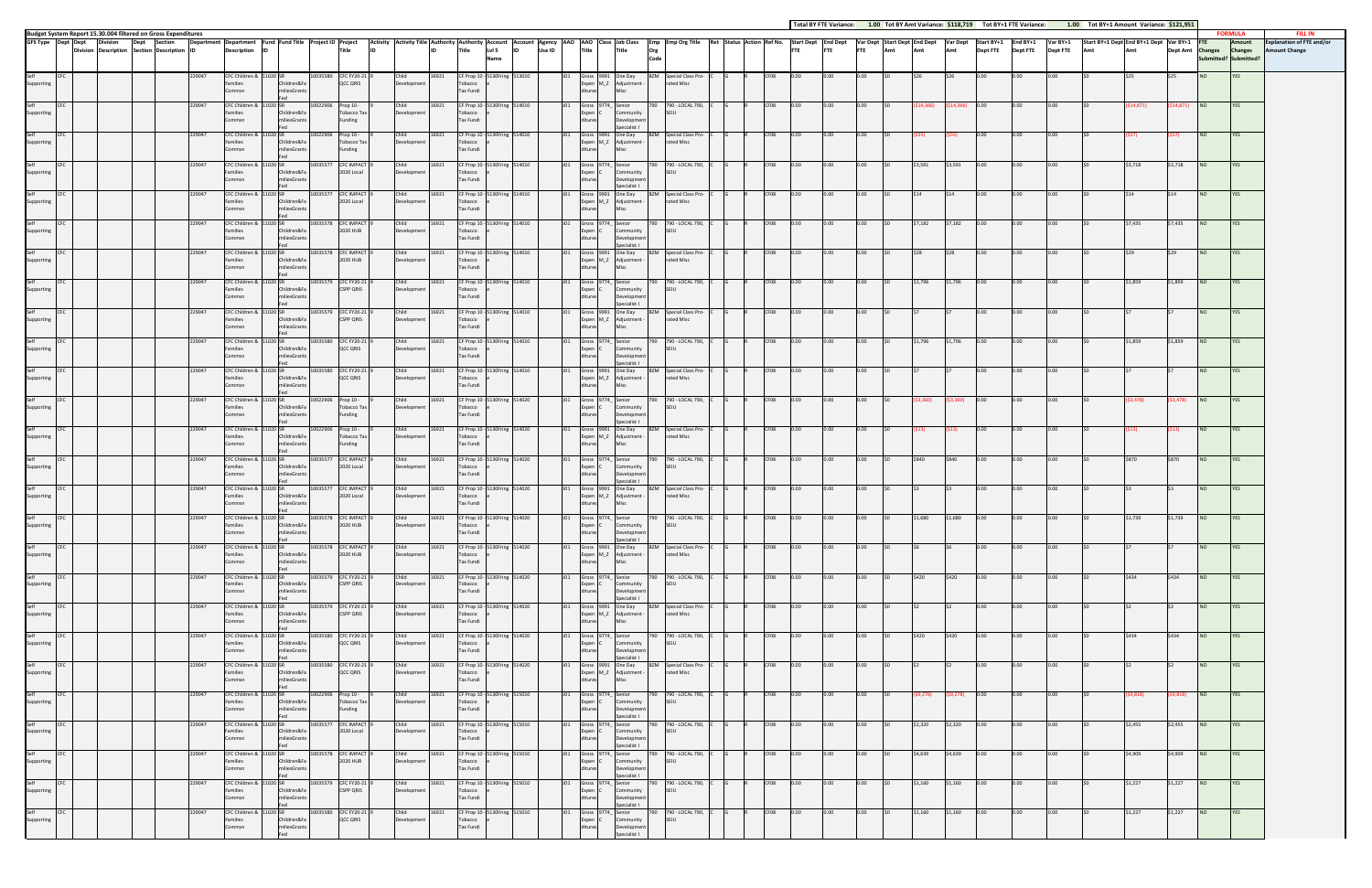|                    |                    |                 |                                                                                  |        |                                                          |                                         |          |                                              |                      |       |                                                                                                                                                                                                                               |                 |                    |                                                                             |             |                                                             |  |      |          |      |            |      |                      |                 |                 |                 |                 | Total BY FTE Variance: 1.00 Tot BY Amt Variance: \$118,719 Tot BY+1 FTE Variance: 1.00 Tot BY+1 Amount Variance: \$121,951 |          |                          |                 |                          |                                                    |
|--------------------|--------------------|-----------------|----------------------------------------------------------------------------------|--------|----------------------------------------------------------|-----------------------------------------|----------|----------------------------------------------|----------------------|-------|-------------------------------------------------------------------------------------------------------------------------------------------------------------------------------------------------------------------------------|-----------------|--------------------|-----------------------------------------------------------------------------|-------------|-------------------------------------------------------------|--|------|----------|------|------------|------|----------------------|-----------------|-----------------|-----------------|-----------------|----------------------------------------------------------------------------------------------------------------------------|----------|--------------------------|-----------------|--------------------------|----------------------------------------------------|
|                    | GFS Type Dept Dept | <b>Division</b> | Budget System Report 15.30.004 filtered on Gross Expenditures<br>Dept<br>Section |        | Department Department Fund Fund Title Project ID Project |                                         |          |                                              |                      |       | Activity Interview Trile Authority Authority Account  Account  Account  Agency  AAO  AAO  Class  Job Class  Emp  Emp Org Title  Ret  Status  Action  Ref No.  Start Dept  End Dept  Start Dept  Start Dept  Start Dept  Start |                 |                    |                                                                             |             |                                                             |  |      |          |      |            |      |                      |                 |                 |                 |                 | Start BY+1 Dept End BY+1 Dept Var BY+1                                                                                     |          |                          |                 | <b>FORMULA</b><br>Amount | <b>FILL IN</b><br><b>Explanation of FTE and/or</b> |
|                    |                    |                 | Division Description Section Description ID                                      |        | <b>Description</b>                                       |                                         |          | Title                                        |                      |       | LvI <sub>5</sub><br>Title<br>Name                                                                                                                                                                                             | Use ID          | <b>Title</b>       | Title                                                                       | Org<br>Code |                                                             |  |      | FTE      | FTE  | <b>FTE</b> | Amt  | Amt                  | Amt             | <b>Dept FTE</b> | <b>Dept FTE</b> | <b>Dept FTE</b> |                                                                                                                            | Amt      | Dept Amt Changes Changes |                 | ubmitted? Submitted?     | <b>Amount Change</b>                               |
| Supporting         |                    |                 |                                                                                  | 229047 | CFC Children &<br>Families<br>ommsn                      | Children&Fa<br>hiliesGrants             |          | 10035580 CFC FY20-21<br>QCC QRIS             | Child<br>Development | 16921 | CF Prop 10 - 5130Fring 513010<br>Tobacco<br>Tax Fundi                                                                                                                                                                         |                 |                    | Gross 9991 One Day<br>Expen M_Z Adjustment -                                | BZM         | Special Class Pro-<br>rated Misc                            |  |      |          |      |            |      |                      |                 |                 |                 |                 |                                                                                                                            |          |                          | N <sub>O</sub>  |                          |                                                    |
| Supporting         |                    |                 |                                                                                  | 229047 | CFC Children &<br>amilies<br>Commsn                      | Children&Fa<br>niliesGrants             | 10022906 | Prop 10 -<br>Tobacco Tax<br>Funding          | Child<br>Development | 16921 | CF Prop 10 - 5130Fring 514010<br>Tobacco<br>Tax Fundi                                                                                                                                                                         |                 | Expen C            | Gross 9774_ Senior<br>Community<br>Developmen<br>Specialist I               | 790         | 790 - LOCAL 790,<br>SEILL                                   |  | CF08 | D.OO.    | 0.00 | 0.00       |      |                      | (14,366         | 0.00            | 0.00            | 0.00            |                                                                                                                            | (14,871  | 614,871)                 | NO <sub>1</sub> | <b>YES</b>               |                                                    |
| Self<br>Supporting |                    |                 |                                                                                  | 229047 | CFC Children &<br>amilies<br>Commsn                      | 020 SR<br>Children&Fa<br>miliesGrants   |          | 10022906 Prop 10 -<br>Tobacco Tax<br>Funding | Child<br>Development | 16921 | CF Prop 10 - 5130Fring 514010<br>Tobacco<br>Tax Fundi                                                                                                                                                                         |                 | ditures            | Gross 9991 One Day<br>Expen M_Z Adjustment -<br>Misc                        |             | BZM Special Class Pro-<br>rated Misc                        |  | CF08 | 0.00     | 0.00 |            |      |                      |                 | 0.00            |                 | 0.00            |                                                                                                                            |          |                          | NO.             | <b>YES</b>               |                                                    |
| Self<br>Supporting |                    |                 |                                                                                  | 229047 | CFC Children &<br>amilies<br>Commsn                      | Children&Fa<br>niliesGrants             | 10035577 | <b>CFC IMPACT</b><br>2020 Local              | Child<br>Development | 16921 | CF Prop 10 - 5130Fring 514010<br>obacco<br>Tax Fundi                                                                                                                                                                          |                 | Expen<br>ditures   | Gross 9774_ Senior<br>Community<br>Developmer                               | 790.        | 790 - LOCAL 790,                                            |  | CF08 | n.nn.    | 0.00 |            |      | \$3,591              | \$3,591         |                 |                 |                 |                                                                                                                            | \$3,718  | \$3,718                  | NO              | <b>YES</b>               |                                                    |
| Supporting         |                    |                 |                                                                                  | 229047 | CFC Children 8<br>amilies<br>ommsn                       | Children&Fa<br>niliesGrants             | 0035577  | <b>CFC IMPACT</b><br>2020 Local              | Child<br>Development | 16921 | CF Prop 10 - 5130Fring 514010<br>Tobacco<br>Tax Fundi                                                                                                                                                                         |                 |                    | Specialist I<br>Gross 9991 One Day<br>Expen M_Z Adjustment -                | BZM         | Special Class Pro-<br>rated Misc                            |  | CF08 | 00.0     | 0.00 | 0.00       |      |                      |                 | 0.00            | 0.00            | 0.00            |                                                                                                                            |          |                          | NO              |                          |                                                    |
| Supporting         | CFC.               |                 |                                                                                  | 229047 | CFC Children &<br>Families<br>Commsn                     | 1020 SR<br>Children&Fa<br>miliesGrants  | 10035578 | <b>CFC IMPACT</b><br>2020 HUB                | Child<br>Development | 16921 | CF Prop 10 - 5130Fring 514010<br>Tobacco<br>Tax Fundi                                                                                                                                                                         |                 | Expen<br>ditures   | Gross 9774_ Senior<br>Community<br>Developmen                               |             | 790 790 - LOCAL 790,<br>SEIU                                |  | CF08 | 0.00     | 0.00 | 10.00      |      | \$7,182              | \$7,182         | 0.00            | 0.00            | 0.00            |                                                                                                                            | \$7,435  | \$7,435                  | <b>NO</b>       | <b>YES</b>               |                                                    |
| Supporting         |                    |                 |                                                                                  | 229047 | CFC Children &<br>Families                               | Children&Fa                             | 10035578 | <b>CFC IMPACT</b><br>2020 HUB                | Child<br>Development | 16921 | CF Prop 10 - 5130Fring 514010<br>Tobacco                                                                                                                                                                                      |                 |                    | Specialist I<br>Gross 9991 One Day<br>Expen M_Z Adjustment -                | <b>BZM</b>  | Special Class Pro-<br>rated Misc                            |  | CF08 |          |      |            |      |                      |                 |                 |                 |                 |                                                                                                                            |          |                          |                 |                          |                                                    |
| Self<br>Supporting |                    |                 |                                                                                  | 229047 | Commsn<br>CFC Children &<br>amilies                      | niliesGrants<br>1020 SR<br>Children&Fa  |          | 10035579 CFC FY20-21<br><b>CSPP QRIS</b>     | Child<br>Development | 16921 | Tax Fundi<br>CF Prop 10 - 5130Fring 514010<br>Tobacco                                                                                                                                                                         |                 | Expen              | Gross 9774_ Senior<br>Community                                             |             | 790 790 - LOCAL 790,<br>SFIU                                |  | CF08 | 0.00     | 0.00 |            |      | \$1,796              | \$1,796         | 0.00            | 0.00            | 0.00            |                                                                                                                            | \$1,859  | \$1,859                  | <b>NO</b>       | <b>YES</b>               |                                                    |
| Self<br>Supporting |                    |                 |                                                                                  | 229047 | Commsn<br>CFC Children &<br>Families                     | miliesGrants<br>1020 SR<br>Children&Fa  | 10035579 | <b>CFC FY20-21</b><br><b>CSPP QRIS</b>       | Child<br>Development | 16921 | Tax Fundi<br>CF Prop 10 - 5130Fring 514010<br>Tobacco                                                                                                                                                                         |                 | ditures            | Developmen<br>Specialist I<br>Gross 9991 One Day<br>Expen M_Z Adjustment -  | <b>BZM</b>  | Special Class Pro-<br>rated Misc                            |  | CF08 | 0.00     | 0.00 |            |      |                      |                 |                 |                 | ი იი            |                                                                                                                            |          |                          | NO.             | <b>YES</b>               |                                                    |
| Supporting         |                    |                 |                                                                                  | 229047 | ommsn<br>CFC Children &<br>amilies                       | niliesGrants<br>1020 SR<br>Children&Fa  | 0035580  | <b>CFC FY20-21</b><br>QCC QRIS               | Child<br>Development | 16921 | Tax Fundi<br>CF Prop 10 - 5130Fring 514010<br>Tobacco                                                                                                                                                                         |                 | ditur<br>Expen (   | Gross 9774_ Senior<br>Community                                             | 790         | 790 - LOCAL 790,<br>SFIU                                    |  | CF08 | D.OO     | 0.00 | 0.00       |      | \$1.796              | \$1,796         | 0.00            | 0.00            | $0.00\,$        |                                                                                                                            | \$1,859  | \$1,859                  | <b>NO</b>       | <b>YES</b>               |                                                    |
|                    |                    |                 |                                                                                  | 229047 | Commsn<br>CFC Children &<br>Families                     | miliesGrants<br>Children&Fa             | 0035580  | <b>CFC FY20-21</b><br>QCC QRIS               | Child                | 16921 | Tax Fundi<br>CF Prop 10 - 5130Fring 514010<br>Tobacco                                                                                                                                                                         |                 | ditures            | Development<br>Specialist L<br>Gross 9991 One Day<br>Expen M_Z Adjustment - | <b>BZM</b>  | Special Class Pro-<br>rated Misc                            |  | CF08 |          |      |            |      |                      |                 |                 |                 |                 |                                                                                                                            |          |                          | NO.             | YES                      |                                                    |
| Supporting         |                    |                 |                                                                                  | 229047 | Commsn<br>CFC Children &                                 | miliesGrants<br>020 SR                  |          | 10022906 Prop 10 -                           | Development<br>Child | 16921 | Tax Fundi<br>CF Prop 10 - 5130Fring 514020                                                                                                                                                                                    |                 | ditures            | Misc<br>Gross 9774_ Senior                                                  |             | 790 790 - LOCAL 790,                                        |  | CF08 | 0.00     | 0.00 |            |      |                      | 3,360)          | 0.00            |                 | 0.00            |                                                                                                                            | \$3,478) | (\$3,478)                | <b>NO</b>       | <b>YES</b>               |                                                    |
| Supporting<br>Self |                    |                 |                                                                                  | 229047 | amilies<br>Commsn<br>CFC Children &                      | Children&Fa<br><b>niliesGrants</b>      | 10022906 | obacco Tax<br>Funding<br>Prop 10 -           | Development<br>Child | 16921 | obacco<br>Tax Fundi<br>CF Prop 10 - 5130Fring 514020                                                                                                                                                                          |                 | Expen<br>ditures   | Community<br>Developmen<br>Specialist L<br>Gross 9991 One Day               | <b>BZM</b>  | SFIU<br>Special Class Pro-                                  |  | CF08 | D.OO     | 0.00 | 0.00       |      |                      | i13) -          | 0.00            | 0.00            | 0.00            |                                                                                                                            |          |                          | NO              | <b>YES</b>               |                                                    |
| Supporting<br>Self | <b>CFC</b>         |                 |                                                                                  | 229047 | amilies<br>ommsn<br>CFC Children &                       | Children&Fa<br>niliesGrants<br>1020 SR  | 10035577 | Tobacco Tax<br>unding<br><b>CFC IMPACT</b>   | Development<br>Child | 16921 | Tobacco<br>Tax Fundi<br>CF Prop 10 - 5130Fring 514020                                                                                                                                                                         |                 |                    | Expen M_Z Adjustment -<br>Gross 9774_ Senior                                |             | rated Misc<br>790 790 - LOCAL 790,                          |  | CF08 | $0.00\,$ | 0.00 |            |      | \$840                | \$840           | 0.00            |                 | 0.00            |                                                                                                                            |          | \$870                    | <b>NO</b>       |                          |                                                    |
| Supporting         |                    |                 |                                                                                  | 229047 | amilies<br>`ommsn<br>FC Children &                       | Children&Fa<br>miliesGrants             | 10035577 | 2020 Local<br><b>CFC IMPACT</b>              | Development<br>Child | 16921 | Tobacco<br>Tax Fundi<br>CF Prop 10 - 5130Fring 514020                                                                                                                                                                         |                 | Expen (<br>ditures | Community<br>Developmen<br>Specialist I<br>Gross 9991 One Day               | <b>BZM</b>  | SFIU<br>Special Class Pro-                                  |  | CF08 |          |      |            |      |                      |                 |                 |                 |                 |                                                                                                                            |          |                          |                 |                          |                                                    |
| Supporting         |                    |                 |                                                                                  |        | amilies<br>Commsn                                        | Children&Fa<br>miliesGrants             |          | 2020 Local                                   | Development          |       | Tobacco<br>Tax Fundi                                                                                                                                                                                                          |                 | ditures            | Expen M_Z Adjustment -                                                      |             | rated Misc                                                  |  |      |          |      |            |      |                      |                 |                 |                 |                 |                                                                                                                            |          |                          |                 |                          |                                                    |
| Self<br>Supporting | <b>CFC</b>         |                 |                                                                                  | 229047 | CFC Children & 11020 SR<br>Families<br>Commsn            | Children&Fa<br>miliesGrants             |          | 10035578 CFC IMPACT 9<br>2020 HUB            | Child<br>Development |       | 16921 CF Prop 10 -5130Fring 514020 0 101 Gross 9774_Senior 790 790 - LOCAL 790, C G R CF08 0.00<br>Tobacco<br>Tax Fundi                                                                                                       |                 | Expen C<br>ditures | Community<br>Development<br>Specialist I                                    |             | SEIU                                                        |  |      |          | 0.00 | 0.00       | 50   | \$1,680 \$1,680 0.00 |                 |                 | 0.00            | 0.00            | 50                                                                                                                         | \$1,739  | \$1,739 NO               |                 | <b>YES</b>               |                                                    |
| Self<br>Supporting | CFC                |                 |                                                                                  | 229047 | CFC Children &<br>Families<br>Commsn                     | 11020 SR<br>Children&Fa<br>miliesGrants |          | 10035578 CFC IMPACT<br>2020 HUB              | Child<br>Development | 16921 | CF Prop 10 - 5130Fring 514020<br>Tobacco<br>Tax Fundi                                                                                                                                                                         | J <sub>01</sub> | ditures            | Gross 9991 One Day<br>Expen M_Z Adjustment -<br>Misc                        |             | BZM Special Class Pro-<br>rated Misc                        |  | CF08 | 0.00     | 0.00 | 0.00       |      |                      |                 | 0.00            | 0.00            | 0.00            |                                                                                                                            |          |                          | NO              | YES                      |                                                    |
| Self<br>Supporting | CFC                |                 |                                                                                  | 229047 | CFC Children & 11020 SR<br>Families<br>Commsn            | Children&Fa<br>miliesGrants             |          | 10035579 CFC FY20-21<br><b>CSPP QRIS</b>     | Child<br>Development | 16921 | CF Prop 10 - 5130Fring 514020<br>Tobacco<br>Tax Fundi                                                                                                                                                                         |                 | Expen C<br>ditures | Gross 9774_ Senior<br>Community<br>Development<br>Specialist I              |             | 790 790 - LOCAL 790,<br>SEIU                                |  | CF08 | 0.00     | 0.00 | 0.00       |      | \$420                | \$420           | 0.00            | 0.00            | 0.00            |                                                                                                                            | \$434    | \$434                    | <b>NO</b>       | YES                      |                                                    |
| Self<br>Supporting | CFC                |                 |                                                                                  | 229047 | CFC Children & 11020 SR<br>Families<br>Commsn            | Children&Fa<br>miliesGrants             |          | 10035579 CFC FY20-21 9<br><b>CSPP QRIS</b>   | Child<br>Development | 16921 | CF Prop 10 - 5130Fring 514020<br>Tobacco<br>Tax Fundi                                                                                                                                                                         | J01             | ditures            | Expen M_Z Adjustment -<br>Misc                                              |             | Gross 9991 One Day BZM Special Class Pro- C G<br>rated Misc |  | CF08 | 0.00     | 0.00 | 0.00       | ISO. |                      |                 | 0.00            | 0.00            | 0.00            |                                                                                                                            | 52       |                          | NO <sub>1</sub> | YES                      |                                                    |
| Self<br>Supporting | <b>CFC</b>         |                 |                                                                                  | 229047 | CFC Children & 11020 SR<br>Families<br>Commsn            | Children&Fa<br>miliesGrants             |          | 10035580 CFC FY20-21 9<br>QCC QRIS           | Child<br>Development | 16921 | CF Prop 10 - 5130Fring 514020<br>Tobacco<br>Tax Fundi                                                                                                                                                                         |                 | Expen C<br>ditures | Gross 9774_ Senior<br>Community<br>Development<br>Specialist I              |             | 790 790 - LOCAL 790, C<br>SEIU                              |  | CF08 | 0.00     | 0.00 | 0.00       |      | \$420                | \$420           | 0.00            | 0.00            | 0.00            |                                                                                                                            | \$434    | \$434                    | <b>NO</b>       | YES                      |                                                    |
| Self<br>Supporting | CFC                |                 |                                                                                  | 229047 | CFC Children & 11020 SR<br>Families<br>Commsn            | Children&Fa<br>miliesGrants             |          | 10035580 CFC FY20-21 9<br>QCC QRIS           | Child<br>Development | 16921 | CF Prop 10 - 5130Fring 514020<br>Tobacco<br>Tax Fundi                                                                                                                                                                         | J01             | ditures            | Expen M_Z Adjustment -                                                      |             | Gross 9991 One Day BZM Special Class Pro- C C<br>rated Misc |  | CF08 | 0.00     | 0.00 | 0.00       |      |                      |                 | 0.00            | 0.00            | 0.00            |                                                                                                                            |          |                          | <b>NO</b>       | <b>YES</b>               |                                                    |
| Self<br>Supporting | <b>CFC</b>         |                 |                                                                                  | 229047 | CFC Children & 11020 SR<br>Families<br>Commsn            | Children&Fa<br>miliesGrants             |          | 10022906 Prop 10 -<br>Tobacco Tax<br>Funding | Child<br>Development | 16921 | CF Prop 10 - 5130Fring 515010<br>Tobacco<br>Tax Fundi                                                                                                                                                                         | J01             | Expen C<br>ditures | Gross 9774_ Senior<br>Community<br>Development<br>Specialist I              |             | 790 790 - LOCAL 790, C<br><b>SEIU</b>                       |  | CF08 | 0.00     | 0.00 | 0.00       |      | \$9,278)             | $(59,278)$ 0.00 |                 | 0.00            | 0.00            |                                                                                                                            | \$9,818) | (\$9,818)                | <b>NO</b>       | YES                      |                                                    |
| Self<br>Supporting | CFC                |                 |                                                                                  | 229047 | CFC Children & 11020 SR<br>Families<br>Commsn            | Children&Fa<br>miliesGrants             |          | 10035577 CFC IMPACT<br>2020 Local            | Child<br>Development | 16921 | CF Prop 10 - 5130Fring 515010<br>Tobacco<br>Tax Fundi                                                                                                                                                                         |                 | Expen C<br>ditures | Gross 9774_ Senior<br>Community<br>Development                              |             | 790 790 - LOCAL 790,<br><b>SEIU</b>                         |  | CF08 | 0.00     | 0.00 | 0.00       |      | \$2,320              | \$2,320         | 0.00            | 0.00            | 0.00            |                                                                                                                            | \$2,455  | \$2,455                  | <b>NO</b>       | <b>YES</b>               |                                                    |
| Self<br>Supporting | <b>CFC</b>         |                 |                                                                                  | 229047 | CFC Children & 11020 SR<br>Families<br>Commsn            | Children&Fa<br>miliesGrants             |          | 10035578 CFC IMPACT 9<br>2020 HUB            | Child<br>Development | 16921 | CF Prop 10 - 5130Fring 515010<br>Tobacco<br>Tax Fundi                                                                                                                                                                         | J01             | Expen C<br>ditures | Specialist I<br>Community<br>Development                                    |             | Gross 9774 Senior 790 790 - LOCAL 790, C G<br>SEIU          |  | CF08 | 0.00     | 0.00 | 0.00       | ISO. | \$4,639              | \$4,639         | 0.00            | 0.00            | 0.00            | ISO.                                                                                                                       | \$4,909  | \$4,909                  | NO <sub>1</sub> | <b>YES</b>               |                                                    |
| Self<br>Supporting | CFC                |                 |                                                                                  | 229047 | CFC Children & 11020 SR<br>Families<br>Commsn            | Children&Fa<br>miliesGrants             |          | 10035579 CFC FY20-21 9<br><b>CSPP QRIS</b>   | Child<br>Development | 16921 | CF Prop 10 - 5130Fring 515010<br>Tobacco<br>Tax Fundi                                                                                                                                                                         | J01             | Expen C<br>ditures | Specialist I<br>Gross 9774_ Senior<br>Community<br>Development              |             | 790 790 - LOCAL 790, C<br>SEIU                              |  | CF08 | 0.00     | 0.00 | 0.00       |      | \$1,160              | \$1,160         | 0.00            | 0.00            | 0.00            |                                                                                                                            | \$1,227  | \$1,227                  | <b>NO</b>       | <b>YES</b>               |                                                    |
| Self<br>Supporting | CFC                |                 |                                                                                  | 229047 | CFC Children & 11020 SR<br>Families                      | Children&Fa<br><b>niliesGrants</b>      |          | 10035580 CFC FY20-21<br>QCC QRIS             | Child<br>Development | 16921 | CF Prop 10 - 5130Fring 515010<br>Tobacco<br>Tax Fundi                                                                                                                                                                         | J01             | Expen C            | Specialist I<br>Gross 9774_ Senior<br>Community<br>evelopmer                |             | 790 790 - LOCAL 790, C<br><b>SFIU</b>                       |  | CF08 | $0.00\,$ | 0.00 | 0.00       |      | \$1,160              | \$1,160         | 0.00            | 0.00            | 0.00            |                                                                                                                            | \$1,227  | \$1,227                  | <b>NO</b>       | YES                      |                                                    |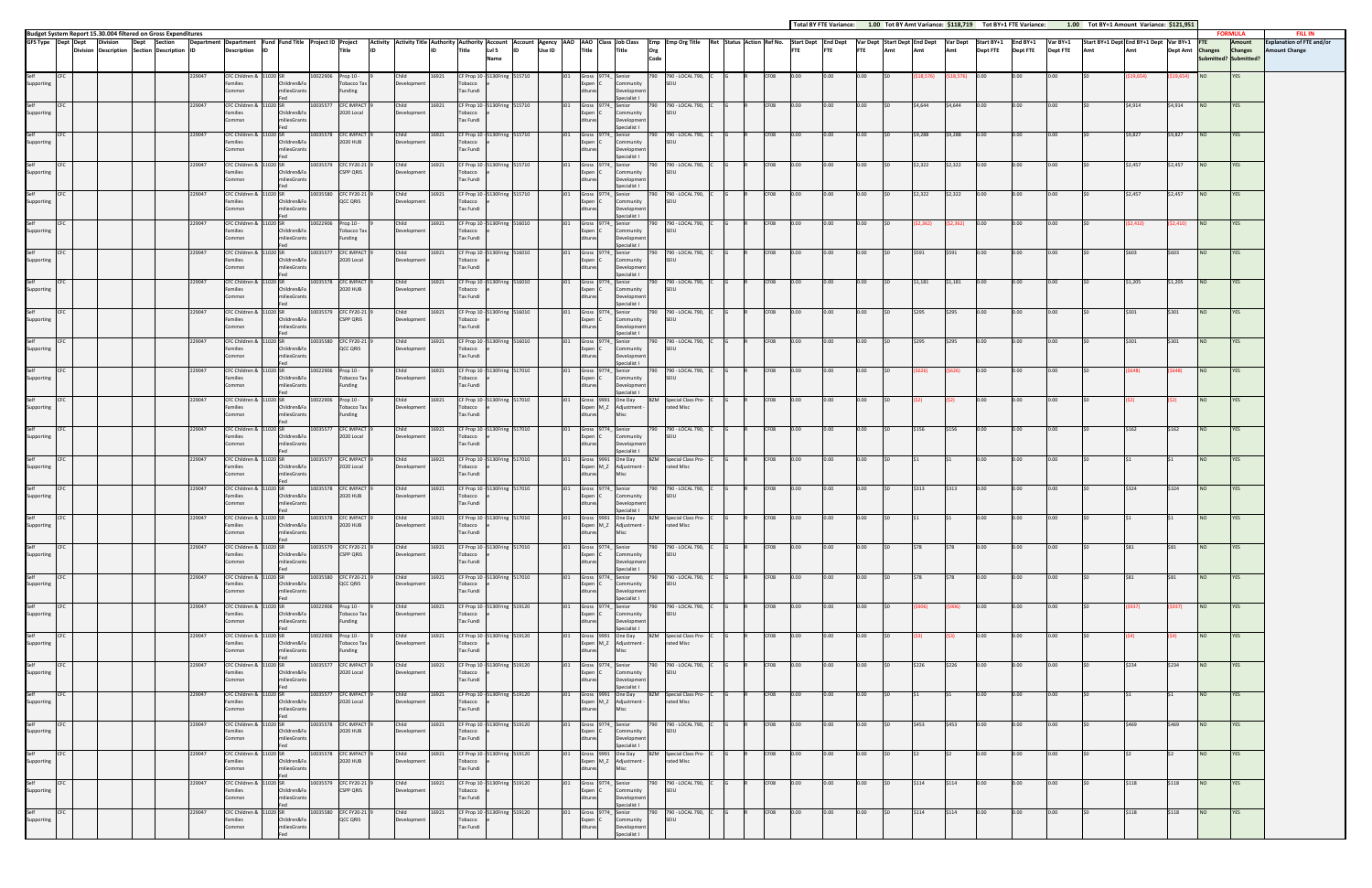| Budget System Report 15.30.004 filtered on Gross Expenditures<br><b>FORMULA</b><br>Department Department Fund Fund Title Project ID Project<br>Activity Nativity Title Authority Authority Account  Account  Account  Agency  AAO  AAO  Class  Job Class  Emp  Emp Org Title  Ret  Status  Activin  Ref No.  Start Dept  End Dept  Start Dept  Start Dept  Start Dept  Start<br>GFS Type Dept Dept<br>Var BY+1<br>Start BY+1 Dept End BY+1 Dept Var BY+1<br><b>Division</b><br>Dept<br>Section<br><b>Title</b><br><b>Description</b><br>Title<br>Lvl 5<br>Use ID<br>Division Description Section Description ID<br><b>IID</b><br>Title<br><b>FTE</b><br>Amt<br><b>Dept FTE</b><br><b>Dept FTE</b><br><b>Dept FTE</b><br>Dept Amt Changes<br>Title<br>Org<br><b>FTE</b><br>Amt<br>Amt<br>Submitted? Submitted?<br>Code<br>Name<br>10022906 Prop 10 -<br>16921<br>229047<br>CFC Children & 11020 SR<br>CF Prop 10 - 5130Fring 515710<br>790 - LOCAL 790,<br>CF08<br>NO <sub>1</sub><br>YES<br>Gross 9774 Senior<br>9.654)<br>Families<br>Tobacco Tax<br>Development<br>Tobacco<br>Community<br>SFIU<br>Children&Fa<br>Expen C<br>Tax Fundi<br>Developmen<br>Commsn<br>iliesGrant:<br>Funding<br>Specialist I<br><b>CFC IMPACT</b><br>CF Prop 10 - 5130Fring 515710<br>CF08<br>\$4,644<br>\$4,914<br>\$4,914<br>229047<br>CFC Children & 11020 SR<br>10035577<br>Child<br>16921<br>790 - LOCAL 790,<br>\$4,644<br>0.00<br><b>NO</b><br>YES<br>Gross 9774 Senior<br>790.<br>ი იი<br>0.00<br>0.00<br>0.00<br>0.00<br>2020 Local<br>Development<br>SEIU<br>Families<br>Children&Fa<br>Tobacco<br>Community<br>Expen C<br>miliesGrant:<br><b>Tax Fundi</b><br>Developmer<br>`ommsn<br>Specialist L<br>229047<br>CFC Children & 11020 SR<br>10035578 CFC IMPACT<br>Child<br>16921<br>CF Prop 10 - 5130Fring 515710<br>J01<br>Gross 9774_ Senior<br>790 - LOCAL 790,<br>CF08<br>\$9,827<br>\$9,827<br>790<br>0.00<br>0.00<br>0.00<br>\$9,288<br>\$9,288<br>0.00<br>0.00<br>0.00<br><b>NO</b><br>2020 HUB<br>Families<br>Children&Fa<br>Development<br>Tobacco<br>Community<br>SFIU<br>Expen C<br><b>Tax Fundi</b><br>commsn<br>niliesGrant<br>Developmer | <b>FILL IN</b><br>Amount<br><b>Explanation of FTE and/or</b><br><b>Changes</b><br><b>Amount Change</b><br>YES |
|-------------------------------------------------------------------------------------------------------------------------------------------------------------------------------------------------------------------------------------------------------------------------------------------------------------------------------------------------------------------------------------------------------------------------------------------------------------------------------------------------------------------------------------------------------------------------------------------------------------------------------------------------------------------------------------------------------------------------------------------------------------------------------------------------------------------------------------------------------------------------------------------------------------------------------------------------------------------------------------------------------------------------------------------------------------------------------------------------------------------------------------------------------------------------------------------------------------------------------------------------------------------------------------------------------------------------------------------------------------------------------------------------------------------------------------------------------------------------------------------------------------------------------------------------------------------------------------------------------------------------------------------------------------------------------------------------------------------------------------------------------------------------------------------------------------------------------------------------------------------------------------------------------------------------------------------------------------------------------------------------------------------------------------------------------------------------------------------------------------------------------------------------|---------------------------------------------------------------------------------------------------------------|
|                                                                                                                                                                                                                                                                                                                                                                                                                                                                                                                                                                                                                                                                                                                                                                                                                                                                                                                                                                                                                                                                                                                                                                                                                                                                                                                                                                                                                                                                                                                                                                                                                                                                                                                                                                                                                                                                                                                                                                                                                                                                                                                                                 |                                                                                                               |
|                                                                                                                                                                                                                                                                                                                                                                                                                                                                                                                                                                                                                                                                                                                                                                                                                                                                                                                                                                                                                                                                                                                                                                                                                                                                                                                                                                                                                                                                                                                                                                                                                                                                                                                                                                                                                                                                                                                                                                                                                                                                                                                                                 |                                                                                                               |
| Supporting<br>Self<br>Supporting<br>Self<br>Supporting                                                                                                                                                                                                                                                                                                                                                                                                                                                                                                                                                                                                                                                                                                                                                                                                                                                                                                                                                                                                                                                                                                                                                                                                                                                                                                                                                                                                                                                                                                                                                                                                                                                                                                                                                                                                                                                                                                                                                                                                                                                                                          |                                                                                                               |
|                                                                                                                                                                                                                                                                                                                                                                                                                                                                                                                                                                                                                                                                                                                                                                                                                                                                                                                                                                                                                                                                                                                                                                                                                                                                                                                                                                                                                                                                                                                                                                                                                                                                                                                                                                                                                                                                                                                                                                                                                                                                                                                                                 |                                                                                                               |
|                                                                                                                                                                                                                                                                                                                                                                                                                                                                                                                                                                                                                                                                                                                                                                                                                                                                                                                                                                                                                                                                                                                                                                                                                                                                                                                                                                                                                                                                                                                                                                                                                                                                                                                                                                                                                                                                                                                                                                                                                                                                                                                                                 |                                                                                                               |
|                                                                                                                                                                                                                                                                                                                                                                                                                                                                                                                                                                                                                                                                                                                                                                                                                                                                                                                                                                                                                                                                                                                                                                                                                                                                                                                                                                                                                                                                                                                                                                                                                                                                                                                                                                                                                                                                                                                                                                                                                                                                                                                                                 |                                                                                                               |
|                                                                                                                                                                                                                                                                                                                                                                                                                                                                                                                                                                                                                                                                                                                                                                                                                                                                                                                                                                                                                                                                                                                                                                                                                                                                                                                                                                                                                                                                                                                                                                                                                                                                                                                                                                                                                                                                                                                                                                                                                                                                                                                                                 |                                                                                                               |
|                                                                                                                                                                                                                                                                                                                                                                                                                                                                                                                                                                                                                                                                                                                                                                                                                                                                                                                                                                                                                                                                                                                                                                                                                                                                                                                                                                                                                                                                                                                                                                                                                                                                                                                                                                                                                                                                                                                                                                                                                                                                                                                                                 |                                                                                                               |
| Specialist I<br><b>CFC FY20-21</b><br>CF Prop 10 - 5130Fring 515710<br>790 - LOCAL 790,<br>229047<br>10035579<br>16921<br>CF08<br>\$2,322<br>\$2,322<br>\$2.457<br>\$2,457<br><b>NO</b><br>YES<br>CFC Children &<br>11020 SR<br>Child<br>Gross 9774 Senior<br>790<br>0.00<br>0.00<br>0.00<br>0.00<br>0.00<br>0.00                                                                                                                                                                                                                                                                                                                                                                                                                                                                                                                                                                                                                                                                                                                                                                                                                                                                                                                                                                                                                                                                                                                                                                                                                                                                                                                                                                                                                                                                                                                                                                                                                                                                                                                                                                                                                               |                                                                                                               |
| Children&Fa<br><b>CSPP QRIS</b><br>Development<br>Tobacco<br>Community<br>Supporting<br>Families<br>Expen C<br>SEIU<br><b>Tax Fundi</b><br>miliesGrant:<br>Developmen<br>Commsn<br>Specialist I                                                                                                                                                                                                                                                                                                                                                                                                                                                                                                                                                                                                                                                                                                                                                                                                                                                                                                                                                                                                                                                                                                                                                                                                                                                                                                                                                                                                                                                                                                                                                                                                                                                                                                                                                                                                                                                                                                                                                 |                                                                                                               |
| Self<br>229047<br>CFC Children & 11020 SR<br>10035580 CFC FY20-21<br>16921<br>CF Prop 10 - 5130Fring 515710<br>790 790 - LOCAL 790, C<br>CF08<br>\$2,322<br>\$2,322<br>\$2,457<br>\$2,457<br><b>CFC</b><br>Child<br>Gross 9774_ Senior<br>0.00<br>0.00<br>0.00<br>0.00<br>0.00<br>NO<br>YES<br>QCC QRIS<br>Development<br>Tobacco<br>SFIU<br>Supporting<br>Families<br>Children&Fa<br>Expen C<br>Community                                                                                                                                                                                                                                                                                                                                                                                                                                                                                                                                                                                                                                                                                                                                                                                                                                                                                                                                                                                                                                                                                                                                                                                                                                                                                                                                                                                                                                                                                                                                                                                                                                                                                                                                      |                                                                                                               |
| <b>Tax Fundi</b><br>miliesGrant:<br>Commsn<br>Developmen<br>Specialist I                                                                                                                                                                                                                                                                                                                                                                                                                                                                                                                                                                                                                                                                                                                                                                                                                                                                                                                                                                                                                                                                                                                                                                                                                                                                                                                                                                                                                                                                                                                                                                                                                                                                                                                                                                                                                                                                                                                                                                                                                                                                        |                                                                                                               |
| Child<br>CF Prop 10 - 5130Fring 516010<br>790 790 - LOCAL 790,<br>CF08<br>229047<br>CFC Children & 11020 SR<br>Prop 10 -<br>16921<br>0.00<br>2,410)<br>YES<br>Self<br>10022906<br>Gross 9774 Senior<br>0.00<br>0.00<br>52,362)<br>\$2,410)<br><b>NO</b><br>Families<br>Tobacco Tax<br>Development<br>SEIU<br>Supporting<br>Children&Fa<br>Tobacco<br>Community<br>Expen C                                                                                                                                                                                                                                                                                                                                                                                                                                                                                                                                                                                                                                                                                                                                                                                                                                                                                                                                                                                                                                                                                                                                                                                                                                                                                                                                                                                                                                                                                                                                                                                                                                                                                                                                                                       |                                                                                                               |
| niliesGrants<br>Funding<br>Tax Fundi<br>Commsn<br>Developmen<br>Specialist I                                                                                                                                                                                                                                                                                                                                                                                                                                                                                                                                                                                                                                                                                                                                                                                                                                                                                                                                                                                                                                                                                                                                                                                                                                                                                                                                                                                                                                                                                                                                                                                                                                                                                                                                                                                                                                                                                                                                                                                                                                                                    |                                                                                                               |
| 229047<br>CFC Children & 11020 SR<br>10035577<br><b>CFC IMPACT</b><br>16921<br>CF Prop 10 - 5130Fring 516010<br>790 - LOCAL 790,<br>CF08<br>Self<br>Child<br>Gross 9774 Senior<br>0.00<br>0.00<br>\$603<br>\$603<br>NO<br><b>YES</b><br>790.<br>0.00<br>0.00<br>S591<br>0.00<br>2020 Local<br>Development<br>SEIU<br>Families<br>Children&F<br>Tobacco<br>Community<br>Supporting                                                                                                                                                                                                                                                                                                                                                                                                                                                                                                                                                                                                                                                                                                                                                                                                                                                                                                                                                                                                                                                                                                                                                                                                                                                                                                                                                                                                                                                                                                                                                                                                                                                                                                                                                               |                                                                                                               |
| <b>Tax Fundi</b><br>Developmer<br>Commsn<br>niliesGrant:<br>Specialist I                                                                                                                                                                                                                                                                                                                                                                                                                                                                                                                                                                                                                                                                                                                                                                                                                                                                                                                                                                                                                                                                                                                                                                                                                                                                                                                                                                                                                                                                                                                                                                                                                                                                                                                                                                                                                                                                                                                                                                                                                                                                        |                                                                                                               |
| CF08<br>229047<br>10035578 CFC IMPACT<br>Child<br>16921<br>CF Prop 10 - 5130Fring 516010<br>790 790 - LOCAL 790, C<br>\$1,205<br>\$1,205<br><b>NO</b><br>Self<br>CFC<br>CFC Children & 11020 SR<br>Gross 9774_ Senior<br>0.00<br>0.00<br>0.00<br>\$1,181<br>\$1,181<br>0.00<br>0.00<br>0.00<br>YES<br>Families<br>Children&Fa<br>2020 HUB<br>Development<br>Tobacco<br>Expen C<br>Community<br>SEIU<br>Supporting<br><b>Tax Fundi</b><br>miliesGrant:<br>Developmen<br>Commsn                                                                                                                                                                                                                                                                                                                                                                                                                                                                                                                                                                                                                                                                                                                                                                                                                                                                                                                                                                                                                                                                                                                                                                                                                                                                                                                                                                                                                                                                                                                                                                                                                                                                   |                                                                                                               |
| Specialist I<br>790 - LOCAL 790,<br>229047<br>CFC Children & 11020 SR<br>10035579<br><b>CFC FY20-21</b><br>16921<br>CF Prop 10-5130Fring 516010<br>Gross 9774 Senior<br>CF08<br>Child<br>\$301<br>NO<br>YES<br>\$295                                                                                                                                                                                                                                                                                                                                                                                                                                                                                                                                                                                                                                                                                                                                                                                                                                                                                                                                                                                                                                                                                                                                                                                                                                                                                                                                                                                                                                                                                                                                                                                                                                                                                                                                                                                                                                                                                                                            |                                                                                                               |
| <b>CSPP QRIS</b><br>Community<br>Supporting<br>Families<br>Children&Fa<br>Development<br>Tobacco<br>SFIU<br>Expen C<br>Tax Fundi<br>Developmen<br>Commsn<br>niliesGrant:                                                                                                                                                                                                                                                                                                                                                                                                                                                                                                                                                                                                                                                                                                                                                                                                                                                                                                                                                                                                                                                                                                                                                                                                                                                                                                                                                                                                                                                                                                                                                                                                                                                                                                                                                                                                                                                                                                                                                                        |                                                                                                               |
| Specialist I<br>790 790 - LOCAL 790, C<br>Self<br>229047<br>CFC Children & 11020 SR<br>10035580 CFC FY20-21<br>Child<br>16921<br>CF Prop 10 - 5130Fring 516010<br>Gross 9774_ Senior<br>CF08<br>\$295<br>0.00<br>0.00<br>0.00<br>\$301<br>NO<br>YES<br>0.00<br>0.00<br>0.00<br>\$295<br>5301                                                                                                                                                                                                                                                                                                                                                                                                                                                                                                                                                                                                                                                                                                                                                                                                                                                                                                                                                                                                                                                                                                                                                                                                                                                                                                                                                                                                                                                                                                                                                                                                                                                                                                                                                                                                                                                    |                                                                                                               |
| Families<br>Children&Fa<br>QCC QRIS<br>Development<br>Tobacco<br>Community<br>SEIU<br>Supporting<br>Expen C<br><b>Tax Fundi</b><br>miliesGrants<br>Developmen<br>Commsn                                                                                                                                                                                                                                                                                                                                                                                                                                                                                                                                                                                                                                                                                                                                                                                                                                                                                                                                                                                                                                                                                                                                                                                                                                                                                                                                                                                                                                                                                                                                                                                                                                                                                                                                                                                                                                                                                                                                                                         |                                                                                                               |
| Specialist L<br>229047<br>CFC Children & 11020 SR<br>Prop 10 -<br>Child<br>16921<br>CF Prop 10 - 5130Fring 517010<br>790 - LOCAL 790,<br>CF08<br>10022906<br>Gross 9774 Senior<br>0.00<br>0.00<br>0.00<br>0.00<br>NO<br><b>YES</b><br>Self<br>790.<br>0.00<br>0.00                                                                                                                                                                                                                                                                                                                                                                                                                                                                                                                                                                                                                                                                                                                                                                                                                                                                                                                                                                                                                                                                                                                                                                                                                                                                                                                                                                                                                                                                                                                                                                                                                                                                                                                                                                                                                                                                              |                                                                                                               |
| SEIU<br>Families<br>Children&Fa<br>Tobacco Tax<br>Development<br>Tobacco<br>Expen C<br>Community<br>Supporting<br><b>Tax Fundi</b><br>Commsn<br>niliesGrant:<br>Funding<br>Developmen                                                                                                                                                                                                                                                                                                                                                                                                                                                                                                                                                                                                                                                                                                                                                                                                                                                                                                                                                                                                                                                                                                                                                                                                                                                                                                                                                                                                                                                                                                                                                                                                                                                                                                                                                                                                                                                                                                                                                           |                                                                                                               |
| Specialist I<br>Gross 9991 One Day<br>229047<br>CFC Children &<br>11020 SR<br>10022906<br>Prop 10 -<br>Child<br>16921<br>CF Prop 10 - 5130Fring 517010<br>BZM<br>Special Class Pro-<br>CF08<br>0.00<br>0.00<br>YES<br>Self<br>0.00<br>0.00<br><b>NO</b><br>Children&Fa<br><b>Tobacco Tax</b><br>Expen M_Z Adjustment<br>rated Misc                                                                                                                                                                                                                                                                                                                                                                                                                                                                                                                                                                                                                                                                                                                                                                                                                                                                                                                                                                                                                                                                                                                                                                                                                                                                                                                                                                                                                                                                                                                                                                                                                                                                                                                                                                                                              |                                                                                                               |
| Development<br>Supporting<br>Families<br>Tobacco<br><b>Tax Fundi</b><br>Funding<br>Commsn<br>miliesGran                                                                                                                                                                                                                                                                                                                                                                                                                                                                                                                                                                                                                                                                                                                                                                                                                                                                                                                                                                                                                                                                                                                                                                                                                                                                                                                                                                                                                                                                                                                                                                                                                                                                                                                                                                                                                                                                                                                                                                                                                                         |                                                                                                               |
| Self<br>229047<br>CFC Children & 11020 SR<br>10035577 CFC IMPACT<br>16921<br>CF Prop 10 - 5130Fring 517010<br>790 - LOCAL 790,<br>CF08<br>0.00<br>162<br>\$162<br><b>NO</b><br>Child<br>Gross 9774_ Senior<br>790<br>0.00<br>\$156<br>\$156<br>0.00<br>0.00<br>0.OO .<br>0.00<br>Families<br>2020 Local<br>Development<br>Tobacco<br>Expen C<br>SFIU<br>Supporting<br>Children&Fa<br>Community                                                                                                                                                                                                                                                                                                                                                                                                                                                                                                                                                                                                                                                                                                                                                                                                                                                                                                                                                                                                                                                                                                                                                                                                                                                                                                                                                                                                                                                                                                                                                                                                                                                                                                                                                  | YES                                                                                                           |
| miliesGrant:<br><b>Tax Fundi</b><br>Developmen<br>Commsn<br>Specialist I                                                                                                                                                                                                                                                                                                                                                                                                                                                                                                                                                                                                                                                                                                                                                                                                                                                                                                                                                                                                                                                                                                                                                                                                                                                                                                                                                                                                                                                                                                                                                                                                                                                                                                                                                                                                                                                                                                                                                                                                                                                                        |                                                                                                               |
| 10035577 CFC IMPACT<br>16921<br>CF Prop 10 - 5130Fring 517010<br>Gross 9991 One Day<br>CF08<br>YES<br>229047<br>CFC Children & 11020 SR<br>Child<br><b>BZM</b> Special Class Pro-<br>0.00<br>0.00<br>NO<br>Expen M_Z Adjustment -<br>Children&Fa<br>2020 Local<br>rated Misc<br>Supporting<br>Families<br>Development<br>Tobacco                                                                                                                                                                                                                                                                                                                                                                                                                                                                                                                                                                                                                                                                                                                                                                                                                                                                                                                                                                                                                                                                                                                                                                                                                                                                                                                                                                                                                                                                                                                                                                                                                                                                                                                                                                                                                |                                                                                                               |
| Tax Fundi<br>niliesGrant:<br>Commsn<br><b>Misc</b>                                                                                                                                                                                                                                                                                                                                                                                                                                                                                                                                                                                                                                                                                                                                                                                                                                                                                                                                                                                                                                                                                                                                                                                                                                                                                                                                                                                                                                                                                                                                                                                                                                                                                                                                                                                                                                                                                                                                                                                                                                                                                              |                                                                                                               |
| 229047<br>10035578 CFC IMPACT<br>16921<br>CF Prop 10 - 5130Fring 517010<br>790 - LOCAL 790, C<br>CF08<br>CEC Children & 11020 SR<br>Child<br>Gross 9774 Senior<br>S313<br>0.00<br>0.00<br>0.00<br>\$324<br>NO<br>Self<br>790<br>0.00<br>0.00<br>0.00<br>\$313<br>324<br>2020 HUB<br>Development<br>SFIU<br>Families<br>Children&Fa<br>Tobacco<br>Community<br>Supporting<br>Expen C                                                                                                                                                                                                                                                                                                                                                                                                                                                                                                                                                                                                                                                                                                                                                                                                                                                                                                                                                                                                                                                                                                                                                                                                                                                                                                                                                                                                                                                                                                                                                                                                                                                                                                                                                             | YES                                                                                                           |
| miliesGrants<br><b>Tax Fundi</b><br>Developmen<br>commsn<br>Specialist I<br>Child 16921 CF Prop 10 - 5130 Fring 517010<br>J01 Gross 9991 One Day BZM Special Class Pro- C G R CF08 0.00 0.00<br>Self                                                                                                                                                                                                                                                                                                                                                                                                                                                                                                                                                                                                                                                                                                                                                                                                                                                                                                                                                                                                                                                                                                                                                                                                                                                                                                                                                                                                                                                                                                                                                                                                                                                                                                                                                                                                                                                                                                                                            |                                                                                                               |
| <b>CFC</b><br>229047<br>10035578 CFC IMPACT 9<br>$0.00$ \$0<br><b>NO</b><br>CFC Children & 11020 SR<br>0.00<br>0.00<br>0.00<br>\$1<br>\$1<br>\$0<br>YES<br>2020 HUB<br>Expen M_Z Adjustment -<br>rated Misc<br>Families<br>Children&Fa<br>Tobacco<br>Supporting<br>Development<br>miliesGrants<br><b>Tax Fundi</b><br>Misc<br>Commsn                                                                                                                                                                                                                                                                                                                                                                                                                                                                                                                                                                                                                                                                                                                                                                                                                                                                                                                                                                                                                                                                                                                                                                                                                                                                                                                                                                                                                                                                                                                                                                                                                                                                                                                                                                                                            |                                                                                                               |
| 790 - LOCAL 790, 0<br>Self<br>229047<br>CFC Children & 11020 SR<br>10035579 CFC FY20-21<br>16921<br>CF Prop 10 - 5130Fring 517010<br>Gross 9774 Senior<br>CF08<br>0.00<br>0.00<br>0.00<br>Child<br>790<br>0.00<br>0.00<br>\$78<br><b>S78</b><br>0.00<br>NO<br>YES                                                                                                                                                                                                                                                                                                                                                                                                                                                                                                                                                                                                                                                                                                                                                                                                                                                                                                                                                                                                                                                                                                                                                                                                                                                                                                                                                                                                                                                                                                                                                                                                                                                                                                                                                                                                                                                                               |                                                                                                               |
| Supporting<br><b>CSPP QRIS</b><br>Expen C<br>Community<br>SEIU<br>Families<br>Children&Fa<br>Development<br>Tobacco<br><b>Tax Fundi</b><br>Commsn<br>miliesGrants<br>ditures<br>Development                                                                                                                                                                                                                                                                                                                                                                                                                                                                                                                                                                                                                                                                                                                                                                                                                                                                                                                                                                                                                                                                                                                                                                                                                                                                                                                                                                                                                                                                                                                                                                                                                                                                                                                                                                                                                                                                                                                                                     |                                                                                                               |
| Specialist I<br>Self<br><b>CFC</b><br>CF Prop 10 - 5130Fring 517010<br>229047<br>CFC Children & 11020 SR<br>10035580 CFC FY20-21<br>16921<br>J01 Gross 9774 Senior<br>790 790 - LOCAL 790, C<br>CF08<br>0.00<br>0.00<br>0.00<br>0.00<br>NO <sub>1</sub><br><b>YES</b><br>Child<br>0.00<br>ISO<br>\$78<br>\$78<br>0.00<br>\$0<br>\$81<br>\$81                                                                                                                                                                                                                                                                                                                                                                                                                                                                                                                                                                                                                                                                                                                                                                                                                                                                                                                                                                                                                                                                                                                                                                                                                                                                                                                                                                                                                                                                                                                                                                                                                                                                                                                                                                                                    |                                                                                                               |
| Supporting<br>QCC QRIS<br>SEIU<br>Families<br>Children&Fa<br>Development<br>Tobacco<br>Expen C<br>Community<br>miliesGrants<br>Tax Fundi<br>Development<br>Commsn<br>ditures                                                                                                                                                                                                                                                                                                                                                                                                                                                                                                                                                                                                                                                                                                                                                                                                                                                                                                                                                                                                                                                                                                                                                                                                                                                                                                                                                                                                                                                                                                                                                                                                                                                                                                                                                                                                                                                                                                                                                                    |                                                                                                               |
| Specialist I<br>Self<br>CFC Children & 11020 SR<br>CF Prop 10 - 5130Fring 519120<br>Gross 9774_ Senior<br>CF08<br><b>CFC</b><br>229047<br>10022906 Prop 10 -<br>Child<br>16921<br>790 790 - LOCAL 790, C<br>0.00<br>0.00<br>0.00<br>0.00<br>YES<br>J01<br>0.00<br>0.00<br>\$937)<br>NO<br>\$906)<br>\$906)<br>5937) —                                                                                                                                                                                                                                                                                                                                                                                                                                                                                                                                                                                                                                                                                                                                                                                                                                                                                                                                                                                                                                                                                                                                                                                                                                                                                                                                                                                                                                                                                                                                                                                                                                                                                                                                                                                                                           |                                                                                                               |
| Expen C<br>Tobacco Tax<br>SEIU<br>Supporting<br>Families<br>Children&Fa<br>Development<br>Tobacco<br>Community<br>Commsn<br>miliesGrants<br>Tax Fundi<br>Development<br>Funding<br>Specialist I                                                                                                                                                                                                                                                                                                                                                                                                                                                                                                                                                                                                                                                                                                                                                                                                                                                                                                                                                                                                                                                                                                                                                                                                                                                                                                                                                                                                                                                                                                                                                                                                                                                                                                                                                                                                                                                                                                                                                 |                                                                                                               |
| Self<br>229047<br>CFC Children & 11020 SR<br>10022906 Prop 10 -<br>16921<br>CF Prop 10 - 5130Fring 519120<br>J01 Gross 9991 One Day<br>BZM Special Class Pro- C<br>CF08<br>0.00<br>YES<br><b>CFC</b><br>Child<br>0.00<br>0.00<br>0.00<br>0.00<br>0.00<br><b>NO</b><br>-53) -<br>Expen M_Z Adjustment -<br>Supporting<br>Families<br>Children&Fa<br>Tobacco Tax<br>Development<br>Tobacco<br>rated Misc                                                                                                                                                                                                                                                                                                                                                                                                                                                                                                                                                                                                                                                                                                                                                                                                                                                                                                                                                                                                                                                                                                                                                                                                                                                                                                                                                                                                                                                                                                                                                                                                                                                                                                                                          |                                                                                                               |
| miliesGrants<br>Tax Fundi<br>Commsn<br>Funding                                                                                                                                                                                                                                                                                                                                                                                                                                                                                                                                                                                                                                                                                                                                                                                                                                                                                                                                                                                                                                                                                                                                                                                                                                                                                                                                                                                                                                                                                                                                                                                                                                                                                                                                                                                                                                                                                                                                                                                                                                                                                                  |                                                                                                               |
| Self<br>229047<br>CFC Children & 11020 SR<br>10035577 CFC IMPACT<br>16921<br>CF Prop 10 - 5130Fring 519120<br>Gross 9774_ Senior<br>CF08<br>\$234<br><b>NO</b><br><b>CFC</b><br>Child<br>790 790 - LOCAL 790, C<br>0.00<br>0.00<br>0.00<br>\$226<br>\$226<br>0.00<br>0.00<br>0.00<br>\$234<br>YES<br>J01<br>SO.<br>ISO.<br>Expen C Community<br>Supporting<br>Families<br>Children&Fa<br>2020 Local<br>Development<br>Tobacco<br><b>SEIU</b>                                                                                                                                                                                                                                                                                                                                                                                                                                                                                                                                                                                                                                                                                                                                                                                                                                                                                                                                                                                                                                                                                                                                                                                                                                                                                                                                                                                                                                                                                                                                                                                                                                                                                                    |                                                                                                               |
| <b>Tax Fundi</b><br>Commsn<br>miliesGrants<br>ditures<br>Development<br>Specialist I                                                                                                                                                                                                                                                                                                                                                                                                                                                                                                                                                                                                                                                                                                                                                                                                                                                                                                                                                                                                                                                                                                                                                                                                                                                                                                                                                                                                                                                                                                                                                                                                                                                                                                                                                                                                                                                                                                                                                                                                                                                            |                                                                                                               |
| Self<br><b>CFC</b><br>229047<br>CFC Children & 11020 SR<br>10035577 CFC IMPACT 9<br>Child<br>16921<br>CF Prop 10 - 5130Fring 519120<br>J01 Gross 9991 One Day BZM Special Class Pro-<br>CF08<br>0.00<br>0.00<br>0.00<br><b>NO</b><br><b>YES</b><br>0.00<br>0.00<br>0.00<br>Expen M_Z Adjustment -<br>Supporting<br>Families<br>Children&Fa<br>2020 Local<br>Development<br>Tobacco<br>rated Misc                                                                                                                                                                                                                                                                                                                                                                                                                                                                                                                                                                                                                                                                                                                                                                                                                                                                                                                                                                                                                                                                                                                                                                                                                                                                                                                                                                                                                                                                                                                                                                                                                                                                                                                                                |                                                                                                               |
| miliesGrants<br>Tax Fundi<br>Commsn<br>Misc<br>ditures                                                                                                                                                                                                                                                                                                                                                                                                                                                                                                                                                                                                                                                                                                                                                                                                                                                                                                                                                                                                                                                                                                                                                                                                                                                                                                                                                                                                                                                                                                                                                                                                                                                                                                                                                                                                                                                                                                                                                                                                                                                                                          |                                                                                                               |
| Self<br><b>CFC</b><br>10035578 CFC IMPACT<br>16921<br>CF Prop 10 - 5130Fring 519120<br>Gross 9774_ Senior<br>790 790 - LOCAL 790, C<br>CF08<br>\$469<br><b>YES</b><br>229047<br>CFC Children & 11020 SR<br>Child<br>0.00<br>0.00<br>0.00<br>\$453<br>\$453<br>0.00<br>0.00<br>0.00<br>NO <sub>1</sub><br>\$469<br>Expen C<br>Supporting<br>Families<br>2020 HUB<br>Development<br>SEIU<br>Children&Fa<br>Tobacco<br>Community                                                                                                                                                                                                                                                                                                                                                                                                                                                                                                                                                                                                                                                                                                                                                                                                                                                                                                                                                                                                                                                                                                                                                                                                                                                                                                                                                                                                                                                                                                                                                                                                                                                                                                                   |                                                                                                               |
| Tax Fundi<br>Commsn<br>miliesGrants<br>ditures<br>Development<br>Specialist I<br>Self<br>Gross 9991 One Day<br><b>CFC</b><br>229047<br>CFC Children & 11020 SR<br>10035578 CFC IMPACT<br>Child<br>16921<br>CF Prop 10 - 5130Fring 519120<br><b>BZM</b> Special Class Pro-<br>CF08<br>0.00<br><b>NO</b><br>YES<br>J01<br>0.00<br>0.00<br>0.00<br>0.00<br>0.00                                                                                                                                                                                                                                                                                                                                                                                                                                                                                                                                                                                                                                                                                                                                                                                                                                                                                                                                                                                                                                                                                                                                                                                                                                                                                                                                                                                                                                                                                                                                                                                                                                                                                                                                                                                    |                                                                                                               |
| Expen M_Z Adjustment -<br>Supporting<br>Families<br>Children&Fa<br>2020 HUB<br>Development<br>Tobacco<br>rated Misc<br>miliesGrants<br>Tax Fundi<br>Misc<br>Commsn                                                                                                                                                                                                                                                                                                                                                                                                                                                                                                                                                                                                                                                                                                                                                                                                                                                                                                                                                                                                                                                                                                                                                                                                                                                                                                                                                                                                                                                                                                                                                                                                                                                                                                                                                                                                                                                                                                                                                                              |                                                                                                               |
| Gross 9774_ Senior<br>Self<br>229047<br>CFC Children & 11020 SR<br>10035579 CFC FY20-21<br>16921<br>CF Prop 10 - 5130Fring 519120<br>790 790 - LOCAL 790, C<br>CF08<br>\$118<br>CFC<br>Child<br>0.00<br>0.00<br>0.00<br>\$114<br>\$114<br>0.00<br>0.00<br>0.00<br>\$118<br><b>NO</b><br>YES<br>J01                                                                                                                                                                                                                                                                                                                                                                                                                                                                                                                                                                                                                                                                                                                                                                                                                                                                                                                                                                                                                                                                                                                                                                                                                                                                                                                                                                                                                                                                                                                                                                                                                                                                                                                                                                                                                                              |                                                                                                               |
| Expen C<br>Supporting<br>Children&Fa<br><b>CSPP QRIS</b><br>Development<br>Community<br><b>SEIU</b><br>Families<br>Tobacco<br><b>Tax Fundi</b><br>Commsn<br>miliesGrants<br>Development<br>ditures                                                                                                                                                                                                                                                                                                                                                                                                                                                                                                                                                                                                                                                                                                                                                                                                                                                                                                                                                                                                                                                                                                                                                                                                                                                                                                                                                                                                                                                                                                                                                                                                                                                                                                                                                                                                                                                                                                                                              |                                                                                                               |
| Specialist I<br>Self CFC<br>229047<br>CFC Children & 11020 SR<br>10035580 CFC FY20-21<br>Child<br>16921<br>CF Prop 10 - 5130Fring 519120<br>J01 Gross 9774 Senior<br>790 790 - LOCAL 790, C<br>CF08<br>0.00<br>0.00<br>0.00<br>\$114<br>0.00<br>0.00<br>\$118<br>\$118<br><b>NO</b><br><b>YES</b><br>\$114<br>0.00                                                                                                                                                                                                                                                                                                                                                                                                                                                                                                                                                                                                                                                                                                                                                                                                                                                                                                                                                                                                                                                                                                                                                                                                                                                                                                                                                                                                                                                                                                                                                                                                                                                                                                                                                                                                                              |                                                                                                               |
| QCC QRIS<br>Expen C<br><b>SEIU</b><br>Supporting<br>Families<br>Children&Fa<br>Development<br>Tobacco<br>Community<br>Tax Fundi<br>miliesGrants<br>Developmen<br>Commsn<br>Specialist I                                                                                                                                                                                                                                                                                                                                                                                                                                                                                                                                                                                                                                                                                                                                                                                                                                                                                                                                                                                                                                                                                                                                                                                                                                                                                                                                                                                                                                                                                                                                                                                                                                                                                                                                                                                                                                                                                                                                                         |                                                                                                               |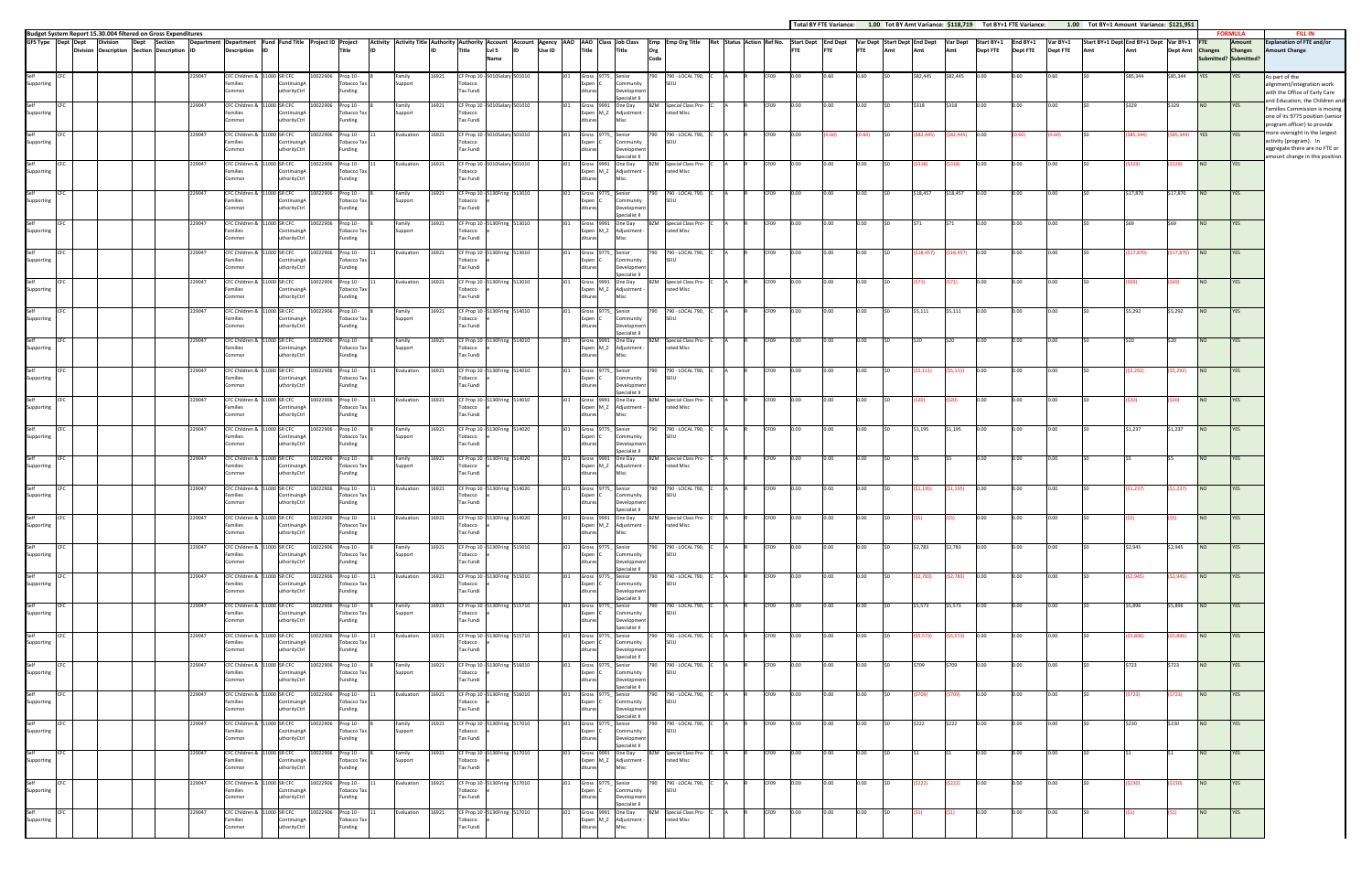|                    | GFS Type Dept Dept | <b>Division</b><br>Division Description Section Description ID | Dept | Section |        | Department Department Fund Fund Title Project ID Project<br>Description ID |       |                                             |                    | Title                                               | Activity Activity Title Authority Authority Account Account Agency AAO AAO Class I Job Class | lıd   | Title                                                        | LvI <sub>5</sub><br>Name | lıd              | Use ID |            | <b>Title</b>                               |      | Title                                                 | Org<br>Code | Emp Emp Org Title                           | Ret Status Action Ref No. |      |      | <b>Start Dept</b> End Dept<br><b>FTE</b> | <b>FTE</b> | FTE   | Var Dept Start Dept End Dept<br>Amt | Amt       | Var Dept<br>Amt | Start BY+1<br><b>Dept FTE</b> |
|--------------------|--------------------|----------------------------------------------------------------|------|---------|--------|----------------------------------------------------------------------------|-------|---------------------------------------------|--------------------|-----------------------------------------------------|----------------------------------------------------------------------------------------------|-------|--------------------------------------------------------------|--------------------------|------------------|--------|------------|--------------------------------------------|------|-------------------------------------------------------|-------------|---------------------------------------------|---------------------------|------|------|------------------------------------------|------------|-------|-------------------------------------|-----------|-----------------|-------------------------------|
| Self<br>Supporting |                    |                                                                |      |         | 229047 | CFC Children &<br>Families<br>Commsn                                       |       | 11000 SR CFC<br>ContinuingA<br>uthorityCtrl | 10022906           | Prop 10 -<br>Tobacco Tax<br>Funding                 | Family<br>Support                                                                            | 16921 | CF Prop 10<br>Tobacco<br>Tax Fundi                           | 5010Salary 501010        |                  |        | J01        | Gross<br>Expen C<br>ditures                | 9775 | Senior<br>Community<br>Development                    | 790         | 790 - LOCAL 790,<br>SEIU                    |                           |      | CF09 | 0.00                                     | 0.60       | 0.60  |                                     | \$82,445  | \$82,445        |                               |
| Self<br>Supporting | CFC                |                                                                |      |         | 229047 | CFC Children &<br>Families<br>Commsn                                       |       | 11000 SR CFC<br>ContinuingA<br>uthorityCtrl | 10022906           | Prop 10 -<br>Tobacco Tax<br>Funding                 | Family<br>Support                                                                            | 16921 | CF Prop 10 -<br>Tobacco<br>Tax Fundi                         | 5010Salary 501010        |                  |        | <b>JO1</b> | Gross 9991<br>Expen M_Z<br>ditures         |      | pecialist II<br>One Day<br>Adjustment<br>Misc         |             | <b>BZM</b> Special Class Pro-<br>rated Misc |                           |      | CF09 | 0.00                                     | 0.00       | 0.00  |                                     | \$318     | \$318           | 0.00                          |
| Self<br>Supporting |                    |                                                                |      |         | 229047 | CFC Children &<br>Families<br>Commsn                                       | 100   | SR CFC<br>ContinuingA<br>uthorityCtrl       | 10022906           | Prop 10 -<br>Tobacco Tax<br>Funding                 | <b>Evaluation</b>                                                                            | 16921 | CF Prop 10<br>Tobacco<br>Tax Fundi                           | 5010Salary 501010        |                  |        | JO1        | Gross 9775<br>Expen C<br>ditures           |      | Senior<br>Community<br>Developmen                     |             | 790 - LOCAL 790,<br>SEIU                    |                           |      | CF09 | 0.00                                     | (0.60)     | 0.60) |                                     | 82,445)   | 82,445)         |                               |
| Self<br>Supporting | <b>CFC</b>         |                                                                |      |         | 229047 | CFC Children &<br>Families                                                 | 11000 | SR CFC<br>ContinuingA                       | 10022906           | Prop 10 -<br>Tobacco Tax                            | Evaluation                                                                                   | 16921 | CF Prop 10<br>Tobacco                                        | 5010Salary 501010        |                  |        | J01        | Gross<br>Expen M_Z                         | 9991 | Specialist II<br>One Day<br>Adjustment                | <b>BZM</b>  | Special Class Pro-<br>rated Misc            |                           |      | CF09 | 0.00                                     | 0.00       | 0.00  | \$0                                 | (5318)    | \$318)          | 0.00                          |
| Self<br>Supporting | <b>CFC</b>         |                                                                |      |         | 229047 | Commsn<br>CFC Children 8<br>Families                                       | 11000 | uthorityCtrl<br>SR CFC<br>ContinuingA       | 10022906           | Funding<br>Prop 10 -<br><b>Tobacco Tax</b>          | Family<br>Support                                                                            | 16921 | <b>Tax Fundi</b><br>CF Prop 10<br>Tobacco                    | 5130Fring 513010         |                  |        | J01        | ditures<br>Gross<br>Expen C                | 9775 | Misc<br>Senior<br>Community                           | 790         | 790 - LOCAL 790.<br>SEIU                    |                           |      | CF09 | 0.00                                     | 0.00       | 0.00  | sn.                                 | \$18,457  | \$18,457        | 0.00                          |
| Self<br>Supporting | CFC                |                                                                |      |         | 229047 | Commsn<br>CFC Children & 11000 SR CFC<br>Families                          |       | <b>ithorityCtrl</b><br>ContinuingA          | 10022906           | Funding<br>Prop 10 -<br>Tobacco Tax                 | Family<br>Support                                                                            | 16921 | Tax Fundi<br>CF Prop 10 -<br>Tobacco                         | 5130Fring 513010         |                  |        | J01        | ditures<br>Gross 9991<br>Expen M_Z         |      | Developmen<br>pecialist II<br>One Day<br>Adjustment - |             | <b>BZM</b> Special Class Pro-<br>rated Misc |                           |      | CF09 | 0.00                                     | 0.00       | 0.00  | \$0                                 | \$71      | \$71            | 0.00                          |
| Self<br>Supporting | <b>CFC</b>         |                                                                |      |         | 229047 | Commsn<br>CFC Children &<br>Families                                       |       | uthorityCtrl<br>11000 SR CFC<br>ContinuingA | 10022906           | Funding<br>Prop 10 -<br>Tobacco Tax                 | Evaluation                                                                                   | 16921 | Tax Fundi<br>CF Prop 10 -<br>Tobacco                         | 5130Fring 513010         |                  |        | <b>JO1</b> | ditures<br>Gross 9775_<br>Expen C          |      | Misc<br>Senior<br>Community                           | 790         | 790 - LOCAL 790,<br>SEIU                    |                           |      | CF09 | 0.00                                     | 0.00       | 0.00  |                                     | \$18,457) | \$18,457)       |                               |
| Self               |                    |                                                                |      |         | 229047 | Commsn<br>CFC Children & 11000 SR CFC                                      |       | uthorityCtrl                                | 10022906           | Funding<br>Prop 10 -                                | Evaluation                                                                                   | 16921 | Tax Fundi<br>CF Prop 10 -                                    | 5130Fring 513010         |                  |        | J01        | ditures<br>Gross 9991                      |      | Developmen<br>Specialist II<br>One Day                | <b>BZM</b>  | Special Class Pro-                          |                           |      | CF09 | 0.00                                     | 0.00       | 0.00  |                                     | (\$71)    | 571)            | 0.00                          |
| Supporting<br>Self | CFC                |                                                                |      |         | 229047 | Families<br>Commsn<br>CFC Children &                                       | 11000 | ContinuingA<br><b>thorityCtrl</b><br>SR CFC | 10022906           | <b>Tobacco Tax</b><br>Funding<br>Prop 10 -          | Family                                                                                       | 16921 | Tobacco<br><b>Tax Fundi</b><br>CF Prop 10                    |                          | 130Fring 514010  |        | JO1        | Expen M_Z<br>ditures<br>Gross              | 9775 | Adjustment<br>Misc<br>Senior                          | 790         | rated Misc<br>790 - LOCAL 790,              |                           |      | CF09 | 0.00                                     | 0.00       | 0.00  | sn.                                 | \$5,111   | \$5,111         | 0.00                          |
| Supporting<br>Self | CFC                |                                                                |      |         | 229047 | Families<br>Commsn<br>CFC Children &                                       | 100   | ContinuingA<br>uthorityCtrl<br>SR CFC       | 10022906           | Tobacco Tax<br>Funding<br>Prop 10 -                 | Support<br>Family                                                                            | 16921 | Tobacco<br>Tax Fundi<br>CF Prop 10                           |                          | 130Fring 514010  |        | J01        | Expen<br>ditures<br>Gross 9991             |      | Community<br>Development<br>pecialist II<br>One Day   | BZM         | SEIU<br>Special Class Pro-                  |                           |      | CF09 | 0.00                                     | 0.00       | 0.00  | \$0                                 | \$20      | \$20            | 0.00                          |
| Supporting         |                    |                                                                |      |         |        | Families<br>Commsn                                                         |       | ContinuingA<br>uthorityCtrl                 |                    | <b>Tobacco Tax</b><br>Funding                       | Support                                                                                      |       | Tobacco<br>Tax Fundi                                         |                          |                  |        |            | Expen M_Z<br>ditures                       |      | Adjustment -<br>Misc                                  |             | rated Misc                                  |                           |      |      |                                          |            |       |                                     |           |                 |                               |
| Self<br>Supporting | CFC                |                                                                |      |         | 229047 | CFC Children &<br>Families<br>Commsn                                       |       | 1000 SR CFC<br>ContinuingA<br>uthorityCtrl  | 10022906           | Prop 10 -<br>Tobacco Tax<br>Funding                 | Evaluation                                                                                   | 16921 | CF Prop 10<br>Tobacco<br>Tax Fundi                           | 5130Fring                | 514010           |        | J01        | Gross 9775_<br>Expen C<br>ditures          |      | Senior<br>Community<br>Developmen<br>Specialist II    | 790         | 790 - LOCAL 790,<br>SEIU                    |                           |      | CF09 | 0.00                                     | 0.00       | 0.00  |                                     | \$5,111)  | 55,111)         | 0.00                          |
| Self<br>Supporting | CFC                |                                                                |      |         | 229047 | CFC Children & 11000 SR CFC<br>Families<br>Commsn                          |       | ContinuingA<br>uthorityCtrl                 |                    | 10022906 Prop 10 -<br>Tobacco Tax<br>Funding        | Evaluation                                                                                   | 16921 | CF Prop 10 - 5130Fring 514010<br>Tobacco<br><b>Tax Fundi</b> |                          |                  |        | <b>JO1</b> | Gross 9991 One Day<br>Expen M_Z<br>ditures |      | Adjustment<br>Misc                                    |             | <b>BZM</b> Special Class Pro-<br>rated Misc |                           |      | CF09 | 0.00                                     | 0.00       | 0.00  | \$0                                 | (\$20)    | \$20)           | 0.00                          |
| Self<br>Supporting | CFC                |                                                                |      |         | 229047 | CFC Children &<br>Families<br>Commsn                                       | 11000 | SR CFC<br>ontinuingA<br>uthorityCtrl        | 10022906           | Prop 10 -<br>Tobacco Tax<br>Funding                 | Family<br>Support                                                                            | 16921 | CF Prop 10<br>Tobacco<br>Tax Fundi                           | 5130Fring                | 514020           |        | <b>JO1</b> | Gross 9775_<br>Expen C<br>ditures          |      | Senior<br>Community<br>Development<br>pecialist II    | 790         | 790 - LOCAL 790,<br>SEIU                    |                           |      | CF09 | 0.00                                     | 0.00       | 0.00  | \$0                                 | \$1,195   | \$1,195         | 0.00                          |
| Self<br>Supporting | CFC                |                                                                |      |         | 229047 | CFC Children &<br>Families<br>Commsn                                       |       | 11000 SR CFC<br>ContinuingA<br>uthorityCtrl | 10022906           | Prop 10 -<br><b>Tobacco Tax</b><br>Funding          | Family<br>Support                                                                            | 16921 | CF Prop 10<br>Tobacco<br>Tax Fundi                           |                          | 130Fring 514020  |        | J01        | Gross 9991<br>Expen M_Z<br>ditures         |      | One Day<br>Adjustment -<br>Misc                       |             | <b>BZM</b> Special Class Pro-<br>rated Misc |                           |      | CF09 | 0.00                                     | 0.00       | 0.00  | \$0                                 | IS5       |                 | 0.00                          |
| Self<br>Supporting | CFC                |                                                                |      |         | 229047 | CFC Children &<br>Families<br>Commsn                                       |       | 1000 SR CFC<br>ContinuingA<br>uthorityCtrl  | 10022906           | Prop 10 -<br><b>Tobacco Tax</b><br>Funding          | Evaluation                                                                                   | 16921 | CF Prop 10<br>Tobacco<br>Tax Fundi                           | 5130Fring                | 514020           |        | <b>JO1</b> | Gross 9775_<br>Expen C<br>ditures          |      | Senior<br>Community<br>Development                    | 790         | 790 - LOCAL 790,<br>SEIU                    |                           |      | CF09 | 0.00                                     | 0.00       | 0.00  | \$0                                 | (51, 195) | \$1,195)        | 0.00                          |
| Self<br>Supporting | CFC                |                                                                |      |         | 229047 | CFC Children & 11000 SR CFC<br>Families<br>Commsn                          |       | ContinuingA<br>uthorityCtrl                 | 10022906           | Prop 10 -<br>Tobacco Tax<br>Funding                 | Evaluation                                                                                   | 16921 | CF Prop 10<br>Tobacco<br>Tax Fundi                           | 5130Fring 514020         |                  |        | J01        | Gross 9991<br>Expen M_Z<br>ditures         |      | pecialist II<br>One Day<br>Adjustment<br>Misc         | B7M         | Special Class Pro-<br>rated Misc            |                           |      | CF09 | 0.00                                     | 0.00       | 0.00  |                                     | (\$5)     |                 | 0.00                          |
| Self<br>Supporting | CFC                |                                                                |      |         | 229047 | CFC Children & 11000 SR CFC<br>Families                                    |       | ContinuingA                                 | 10022906 Prop 10 - | Tobacco Tax                                         | Family<br>Support                                                                            | 16921 | CF Prop 10 - 5130Fring 515010<br>Tobacco                     |                          |                  |        | J01        | Gross 9775_ Senior<br>Expen C              |      | Community                                             |             | 790 790 - LOCAL 790, C A<br>SEIU            |                           | CF09 |      | 0.00                                     | 0.00       | 0.00  | \$0                                 | \$2,783   | \$2,783         | 0.00                          |
| Self<br>Supporting | CFC                |                                                                |      |         | 229047 | Commsn<br>CFC Children &<br>Families                                       |       | uthorityCtrl<br>11000 SR CFC<br>ContinuingA | 10022906           | Funding<br>Prop 10 -<br>Tobacco Tax                 | Evaluation                                                                                   | 16921 | <b>Tax Fundi</b><br>CF Prop 10<br>Tobacco                    |                          | 5130Fring 515010 |        | <b>JO1</b> | ditures<br>Gross 9775_<br>Expen C          |      | Development<br>Specialist II<br>Senior<br>Community   | 790         | 790 - LOCAL 790,<br>SEIU                    |                           |      | CF09 | 0.00                                     | 0.00       | 0.00  | \$0                                 | (52,783)  | \$2,783)        | 0.00                          |
| Self<br>Supporting | CFC                |                                                                |      |         | 229047 | Commsn<br>CFC Children &<br>Families                                       |       | uthorityCtrl<br>11000 SR CFC<br>ContinuingA | 10022906           | Funding<br>Prop 10 -<br><b>Tobacco Tax</b>          | Family<br>Support                                                                            | 16921 | Tax Fundi<br>CF Prop 10<br>Tobacco                           | 5130Fring 515710         |                  |        | J01        | ditures<br>Gross 9775_<br>Expen C          |      | Development<br>Specialist II<br>Senior<br>Community   |             | 790 790 - LOCAL 790,<br>SEIU                |                           |      | CF09 | 0.00                                     | 0.00       | 0.00  | \$0                                 | \$5,573   | \$5,573         | 0.00                          |
| Self<br>Supporting | CFC                |                                                                |      |         | 229047 | Commsn<br>CFC Children & 11000 SR CFC<br>Families                          |       | uthorityCtrl<br>ContinuingA                 | 10022906           | Funding<br>Prop 10 -<br><b>Tobacco Tax</b>          | Evaluation                                                                                   | 16921 | Tax Fundi<br>CF Prop 10 - 5130Fring 515710<br>Tobacco        |                          |                  |        | <b>JO1</b> | ditures<br>Gross 9775_<br>Expen C          |      | Development<br>Specialist II<br>Senior<br>Community   |             | 790 790 - LOCAL 790,<br>SEIU                |                           |      | CF09 | 0.00                                     | 0.00       | 0.00  | \$0                                 | (\$5,573) | \$5,573)        | 0.00                          |
| Self               | CFC                |                                                                |      |         | 229047 | Commsn<br>CFC Children & 11000 SR CFC                                      |       | uthorityCtrl                                | 10022906           | Funding<br>Prop 10 -                                | Family                                                                                       | 16921 | Tax Fundi<br>CF Prop 10 - 5130Fring 516010                   |                          |                  |        | J01        | ditures<br>Gross 9775_                     |      | Development<br>Specialist II<br>Senior                | 790         | 790 - LOCAL 790,                            |                           |      | CF09 | 0.00                                     | 0.00       | 0.00  | \$0                                 | \$709     | \$709           | 0.00                          |
| Supporting<br>Self | CFC                |                                                                |      |         | 229047 | Families<br>Commsn<br>CFC Children & 11000 SR CFC                          |       | ContinuingA<br>uthorityCtrl                 | 10022906           | Tobacco Tax<br>Funding<br>Prop 10 -                 | Support<br>Evaluation                                                                        | 16921 | Tobacco<br><b>Tax Fundi</b><br>CF Prop 10 - 5130Fring 516010 |                          |                  |        | JO1        | Expen C<br>ditures<br>Gross 9775_          |      | Community<br>Development<br>Specialist II<br>Senior   | 790         | SEIU<br>790 - LOCAL 790,                    |                           |      | CF09 | 0.00                                     | 0.00       | 0.00  | \$0                                 | (\$709)   | \$709)          | 0.00                          |
| Supporting<br>Self | CFC                |                                                                |      |         | 229047 | Families<br>Commsn<br>CFC Children &                                       |       | ContinuingA<br>uthorityCtrl<br>1000 SR CFC  | 10022906           | Tobacco Tax<br>Funding<br>Prop 10 -                 | Family                                                                                       | 16921 | Tobacco<br>Tax Fundi<br>CF Prop 10                           |                          | 130Fring 517010  |        | J01        | Expen C<br>ditures<br>Gross 9775_          |      | Community<br>Development<br>Specialist II<br>Senior   | 790         | SEIU<br>790 - LOCAL 790,                    |                           |      | CF09 | 0.00                                     | 0.00       | 0.00  | \$0                                 | \$222     | \$222           | 0.00                          |
| Supporting         |                    |                                                                |      |         |        | Families<br>Commsn                                                         |       | ContinuingA<br>uthorityCtrl                 |                    | Tobacco Tax<br>Funding                              | Support                                                                                      |       | Tobacco<br>Tax Fundi                                         |                          |                  |        |            | Expen C<br>ditures                         |      | Community<br>Development<br>Specialist II             |             | SEIU                                        |                           |      |      |                                          |            |       |                                     |           |                 |                               |
| Self<br>Supporting | CFC                |                                                                |      |         | 229047 | CFC Children &<br>Families<br>Commsn                                       |       | 11000 SR CFC<br>ContinuingA<br>uthorityCtrl | 10022906           | Prop 10 -<br>Tobacco Tax<br>Funding                 | Family<br>Support                                                                            | 16921 | CF Prop 10 - 5130Fring 517010<br>Tobacco<br>Tax Fundi        |                          |                  |        | J01        | Gross 9991 One Day<br>Expen M_Z<br>ditures |      | Adjustment -<br>Misc                                  | BZM         | Special Class Pro-<br>rated Misc            |                           |      | CF09 | 0.00                                     | 0.00       | 0.00  | \$0                                 |           |                 | 0.00                          |
| Self<br>Supporting | CFC                |                                                                |      |         | 229047 | CFC Children & 11000 SR CFC<br>Families<br>Commsn                          |       | ContinuingA<br>uthorityCtrl                 |                    | 10022906 Prop 10 -<br><b>Tobacco Tax</b><br>Funding | Evaluation                                                                                   | 16921 | CF Prop 10 - 5130Fring 517010<br>Tobacco<br>Tax Fundi        |                          |                  |        | J01        | Gross 9775_ Senior<br>Expen C<br>ditures   |      | Community<br>Development<br>Specialist II             |             | 790 790 - LOCAL 790, C<br>SEIU              |                           |      | CF09 | 0.00                                     | 0.00       | 0.00  | \$0                                 | (5222)    | \$222)          | 0.00                          |
| Self<br>Supporting | CFC                |                                                                |      |         | 229047 | CFC Children & 11000 SR CFC<br>Families<br>Commsn                          |       | ContinuingA<br><b>ithorityCtrl</b>          | 10022906           | Prop 10 -<br>Tobacco Tax<br>Funding                 | Evaluation                                                                                   | 16921 | CF Prop 10<br>Tobacco<br>Tax Fundi                           | 5130Fring 517010         |                  |        | J01        | Gross 9991 One Day<br>Expen M_Z<br>litures |      | Adjustment<br>Misc                                    | 3ZM         | Special Class Pro-<br>rated Misc            |                           |      | CF09 | 0.00                                     | 0.00       | 0.00  | \$0                                 | (51)      | \$1)            | 0.00                          |

**Budget System Report 15.30.004 filtered on Gross Expenditures** 

|                 | Total BY FTE Variance:        |            |                                     | 1.00 Tot BY Amt Variance: \$118,719 |                        |                               | Tot BY+1 FTE Variance:      | 1.00                 |                                               | Tot BY+1 Amount Variance: \$121,951 |                 |                                                       |                                                   |                                                                                                                         |
|-----------------|-------------------------------|------------|-------------------------------------|-------------------------------------|------------------------|-------------------------------|-----------------------------|----------------------|-----------------------------------------------|-------------------------------------|-----------------|-------------------------------------------------------|---------------------------------------------------|-------------------------------------------------------------------------------------------------------------------------|
| tart Dept<br>TE | <b>End Dept</b><br><b>FTE</b> | <b>FTE</b> | Var Dept Start Dept End Dept<br>Amt | Amt                                 | <b>Var Dept</b><br>Amt | Start BY+1<br><b>Dept FTE</b> | End BY+1<br><b>Dept FTE</b> | Var BY+1<br>Dept FTE | Start BY+1 Dept End BY+1 Dept Var BY+1<br>Amt | Amt                                 | <b>Dept Amt</b> | <b>FTE</b><br><b>Changes</b><br>Submitted? Submitted? | <b>FORMULA</b><br><b>Amount</b><br><b>Changes</b> | <b>FILL IN</b><br><b>Explanation of FTE and/or</b><br><b>Amount Change</b>                                              |
| .00.            | 0.60                          | 0.60       | \$0                                 | \$82,445                            | \$82,445               | 0.00                          | 0.60                        | 0.60                 | \$0                                           | \$85,344                            | \$85,344        | <b>YES</b>                                            | YES                                               | As part of the<br>alignment/integration work<br>with the Office of Early Care                                           |
| .00             | 0.00                          | 0.00       | \$0                                 | \$318                               | \$318                  | 0.00                          | 0.00                        | 0.00                 | \$0                                           | \$329                               | \$329           | NO                                                    | <b>YES</b>                                        | and Education, the Children and<br>Families Commission is moving<br>one of its 9775 position (senior                    |
| .00             | (0.60)                        | (0.60)     | \$0                                 | ( \$82,445)                         | (582, 445)             | 0.00                          | (0.60)                      | (0.60)               | \$0                                           | ( \$85, 344)                        | ( \$85, 344)    | YES                                                   | YES                                               | program officer) to provide<br>more oversight in the largest<br>activity (program). In<br>aggregate there are no FTE or |
| .00.            | 0.00                          | 0.00       | \$0                                 | (5318)                              | (5318)                 | 0.00                          | 0.00                        | 0.00                 | \$0                                           | (\$329)                             | (5329)          | $_{\sf NO}$                                           | YES                                               | amount change in this position.                                                                                         |
| .00.            | 0.00                          | 0.00       | \$0                                 | \$18,457                            | \$18,457               | 0.00                          | 0.00                        | 0.00                 | \$0                                           | \$17,870                            | \$17,870        | $NO$                                                  | YES                                               |                                                                                                                         |
| .00.            | 0.00                          | 0.00       | \$0                                 | \$71                                | \$71                   | 0.00                          | 0.00                        | 0.00                 | \$0                                           | \$69                                | \$69            | NO                                                    | <b>YES</b>                                        |                                                                                                                         |
| .00.            | 0.00                          | 0.00       | \$0                                 | ( \$18,457)                         | (518, 457)             | 0.00                          | 0.00                        | 0.00                 | \$0                                           | (\$17,870)                          | (\$17,870)      | <b>NO</b>                                             | YES                                               |                                                                                                                         |
| .00.            | 0.00                          | 0.00       | \$0                                 | (571)                               | (571)                  | 0.00                          | 0.00                        | 0.00                 | \$0                                           | (\$69)                              | (\$69)          | NO                                                    | YES                                               |                                                                                                                         |
| .00.            | 0.00                          | 0.00       | \$0                                 | \$5,111                             | \$5,111                | 0.00                          | 0.00                        | 0.00                 | \$0                                           | \$5,292                             | \$5,292         | <b>NO</b>                                             | <b>YES</b>                                        |                                                                                                                         |
| .00             | 0.00                          | 0.00       | \$0                                 | \$20                                | \$20                   | 0.00                          | 0.00                        | 0.00                 | \$0                                           | \$20                                | \$20            | NO                                                    | <b>YES</b>                                        |                                                                                                                         |
| .00.            | 0.00                          | 0.00       | \$0                                 | (55, 111)                           | (55, 111)              | 0.00                          | 0.00                        | 0.00                 | \$0                                           | (55, 292)                           | (55, 292)       | NO                                                    | YES                                               |                                                                                                                         |
| .00.            | 0.00                          | 0.00       | \$0                                 | (\$20)                              | (\$20)                 | 0.00                          | 0.00                        | 0.00                 | \$0                                           | (\$20)                              | (\$20)          | NO                                                    | YES                                               |                                                                                                                         |
| .00.            | 0.00                          | 0.00       | \$0                                 | \$1,195                             | \$1,195                | 0.00                          | 0.00                        | 0.00                 | \$0                                           | \$1,237                             | \$1,237         | <b>NO</b>                                             | YES                                               |                                                                                                                         |
| .00             | 0.00                          | 0.00       | \$0                                 | \$5                                 | \$5                    | 0.00                          | 0.00                        | 0.00                 | \$0                                           | \$5                                 | \$5             | NO                                                    | <b>YES</b>                                        |                                                                                                                         |
| .00.            | 0.00                          | 0.00       | \$0                                 | (51, 195)                           | (51, 195)              | 0.00                          | 0.00                        | 0.00                 | \$0                                           | (51, 237)                           | (51, 237)       | NO                                                    | YES                                               |                                                                                                                         |
|                 |                               |            |                                     |                                     |                        |                               |                             |                      |                                               |                                     |                 |                                                       |                                                   |                                                                                                                         |
| .00             | 0.00                          | 0.00       | \$0                                 | (\$5)                               | (\$5)                  | 0.00                          | 0.00                        | 0.00                 | \$0                                           | (\$5)                               | (\$5)           | NO                                                    | <b>YES</b>                                        |                                                                                                                         |
| .00             | 0.00                          | 0.00       | \$0                                 | \$2,783                             | \$2,783                | 0.00                          | 0.00                        | 0.00                 | \$0                                           | \$2,945                             | \$2,945         | NQ                                                    | YES                                               |                                                                                                                         |
| 00.             | 0.00                          | 0.00       | \$0                                 | (52, 783)                           | (52, 783)              | 0.00                          | 0.00                        | 0.00                 | \$0                                           | (52, 945)                           | (52, 945)       | NO                                                    | YES                                               |                                                                                                                         |
| .00             | 0.00                          | 0.00       | \$0                                 | \$5,573                             | \$5,573                | 0.00                          | 0.00                        | 0.00                 | \$0                                           | \$5,896                             | \$5,896         | NQ                                                    | YES                                               |                                                                                                                         |
| .00             | 0.00                          | 0.00       | \$0                                 | (55, 573)                           | (55, 573)              | 0.00                          | 0.00                        | 0.00                 | \$0                                           | (55,896)                            | ( \$5,896)      | NO                                                    | YES                                               |                                                                                                                         |
| .00             | 0.00                          | 0.00       | \$0                                 | \$709                               | \$709                  | 0.00                          | 0.00                        | 0.00                 | \$0                                           | \$723                               | \$723           | NQ                                                    | YES                                               |                                                                                                                         |
| 00.             | 0.00                          | 0.00       | \$0                                 | (5709)                              | (5709)                 | 0.00                          | 0.00                        | 0.00                 | \$0                                           | (5723)                              | (5723)          | NO                                                    | YES                                               |                                                                                                                         |
| 00.             | 0.00                          | 0.00       | \$0                                 | \$222                               | \$222                  | 0.00                          | 0.00                        | 0.00                 | \$0                                           | \$230                               | \$230           | NO                                                    | YES                                               |                                                                                                                         |
| .00.            | 0.00                          | 0.00       | \$0                                 | \$1                                 | \$1                    | 0.00                          | 0.00                        | 0.00                 | \$0                                           | \$1                                 | \$1             | NO                                                    | YES                                               |                                                                                                                         |
| .00             | 0.00                          | 0.00       | \$0                                 | (5222)                              | (5222)                 | 0.00                          | 0.00                        | 0.00                 | \$0                                           | (5230)                              | (5230)          | NQ                                                    | YES                                               |                                                                                                                         |
| 00.             | 0.00                          | 0.00       | \$0                                 | (51)                                | (51)                   | 0.00                          | 0.00                        | 0.00                 | \$0                                           | (51)                                | (51)            | NO                                                    | YES                                               |                                                                                                                         |
|                 |                               |            |                                     |                                     |                        |                               |                             |                      |                                               |                                     |                 |                                                       |                                                   |                                                                                                                         |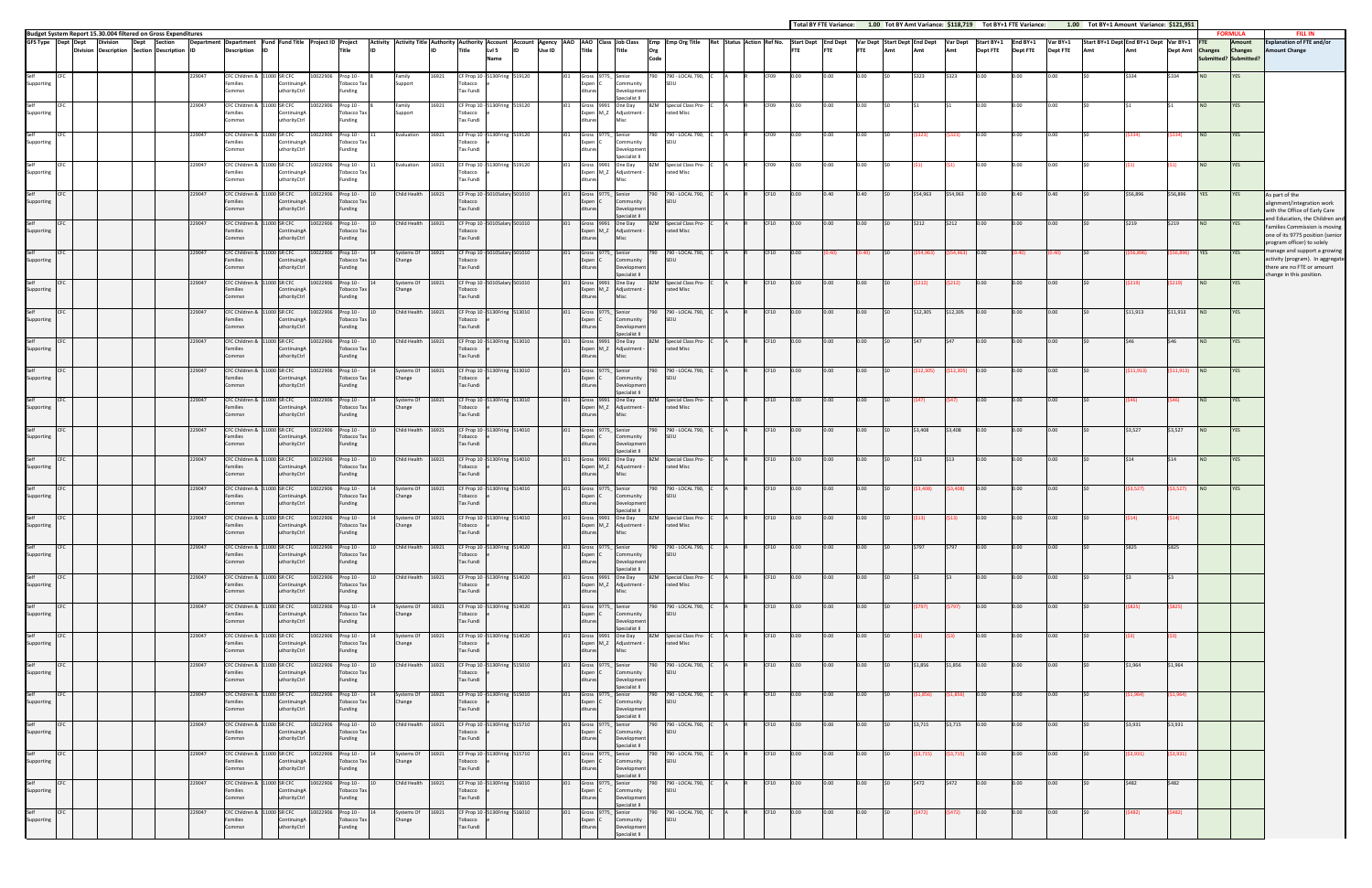|                 | Total BY FTE Variance:        |            |                                     | 1.00 Tot BY Amt Variance: \$118,719 |                        |                               | Tot BY+1 FTE Variance:      | 1.00                        |     | Tot BY+1 Amount Variance: \$121,951           |                 |                                                       |                                            |                                                                                                                              |
|-----------------|-------------------------------|------------|-------------------------------------|-------------------------------------|------------------------|-------------------------------|-----------------------------|-----------------------------|-----|-----------------------------------------------|-----------------|-------------------------------------------------------|--------------------------------------------|------------------------------------------------------------------------------------------------------------------------------|
| tart Dept<br>TE | <b>End Dept</b><br><b>FTE</b> | <b>FTE</b> | Var Dept Start Dept End Dept<br>Amt | Amt                                 | <b>Var Dept</b><br>Amt | Start BY+1<br><b>Dept FTE</b> | End BY+1<br><b>Dept FTE</b> | Var BY+1<br><b>Dept FTE</b> | Amt | Start BY+1 Dept End BY+1 Dept Var BY+1<br>Amt | <b>Dept Amt</b> | <b>FTE</b><br><b>Changes</b><br>Submitted? Submitted? | <b>FORMULA</b><br>Amount<br><b>Changes</b> | <b>FILL IN</b><br><b>Explanation of FTE and/or</b><br><b>Amount Change</b>                                                   |
| .00.            | 0.00                          | 0.00       | \$0                                 | \$323                               | \$323                  | 0.00                          | 0.00                        | 0.00                        | \$0 | \$334                                         | \$334           | <b>NO</b>                                             | YES                                        |                                                                                                                              |
| .00.            | 0.00                          | 0.00       | \$0                                 | \$1                                 | $\frac{1}{2}$          | 0.00                          | 0.00                        | 0.00                        | \$0 | \$1                                           | \$1             | <b>NO</b>                                             | YES                                        |                                                                                                                              |
| .00.            | 0.00                          | 0.00       | \$0                                 | (5323)                              | (\$323)                | 0.00                          | 0.00                        | 0.00                        | \$0 | ( \$334)                                      | (5334)          | $NO$                                                  | YES                                        |                                                                                                                              |
| .00.            | 0.00                          | 0.00       | \$0                                 | (51)                                | (51)                   | 0.00                          | 0.00                        | 0.00                        | \$0 | (51)                                          | (\$1)           | NO                                                    | YES                                        |                                                                                                                              |
| .00             | 0.40                          | 0.40       | \$0                                 | \$54,963                            | \$54,963               | 0.00                          | 0.40                        | 0.40                        | \$0 | \$56,896                                      | \$56,896        | <b>YES</b>                                            | YES                                        | As part of the<br>alignment/integration work<br>with the Office of Early Care                                                |
| .00.            | 0.00                          | 0.00       | \$0                                 | \$212                               | \$212                  | 0.00                          | 0.00                        | 0.00                        | \$0 | \$219                                         | \$219           | <b>NO</b>                                             | YES                                        | and Education, the Children and<br>Families Commission is moving<br>one of its 9775 position (senior                         |
| .00             | (0.40)                        | (0.40)     | \$0                                 | ( \$54, 963)                        | ( \$54, 963)           | 0.00                          | (0.40)                      | (0.40)                      | \$0 | ( \$56, 896)                                  | (\$56,896)      | YES                                                   | YES                                        | program officer) to solely<br>manage and support a growing<br>activity (program). In aggregate<br>there are no FTE or amount |
| .00.            | 0.00                          | 0.00       | \$0                                 | (5212)                              | (5212)                 | 0.00                          | 0.00                        | 0.00                        | \$0 | (5219)                                        | (5219)          | NO                                                    | YES                                        | change in this position.                                                                                                     |
| .00.            | 0.00                          | 0.00       | \$0                                 | \$12,305                            | \$12,305               | 0.00                          | 0.00                        | 0.00                        | \$0 | \$11,913                                      | \$11,913        | <b>NO</b>                                             | YES                                        |                                                                                                                              |
| .00             | 0.00                          | 0.00       | \$0                                 | \$47                                | \$47                   | 0.00                          | 0.00                        | 0.00                        | \$0 | \$46                                          | \$46            | <b>NO</b>                                             | <b>YES</b>                                 |                                                                                                                              |
| .00             | 0.00                          | 0.00       | \$0                                 | (\$12,305)                          | (\$12,305)             | 0.00                          | 0.00                        | 0.00                        | \$0 | (511, 913)                                    | (511, 913)      | $_{\rm NO}$                                           | YES                                        |                                                                                                                              |
| .00.            | 0.00                          | 0.00       | \$0                                 | (\$47)                              | \$47)                  | 0.00                          | 0.00                        | 0.00                        | \$0 | (\$46)                                        | (546)           | <b>NO</b>                                             | YES                                        |                                                                                                                              |
| .00             | 0.00                          | 0.00       | \$0                                 | \$3,408                             | \$3,408                | 0.00                          | 0.00                        | 0.00                        | \$0 | \$3,527                                       | \$3,527         | <b>NO</b>                                             | YES                                        |                                                                                                                              |
| .00.            | 0.00                          | 0.00       | \$0                                 | \$13                                | \$13                   | 0.00                          | 0.00                        | 0.00                        | \$0 | \$14                                          | \$14            | <b>NO</b>                                             | YES                                        |                                                                                                                              |
| .00.            | 0.00                          | 0.00       | \$0                                 | ( \$3,408)                          | ( \$3,408)             | 0.00                          | 0.00                        | 0.00                        | \$0 | (53, 527)                                     | (53, 527)       | $_{\rm NO}$                                           | YES                                        |                                                                                                                              |
| .00             | 0.00                          | 0.00       | \$0                                 | (513)                               | (513)                  | 0.00                          | 0.00                        | 0.00                        | \$0 | (514)                                         | (514)           |                                                       |                                            |                                                                                                                              |
| 00.             | 0.00                          | 0.00       | \$0                                 | \$797                               | \$797                  | 0.00                          | 0.00                        | 0.00                        | \$0 | \$825                                         | \$825           |                                                       |                                            |                                                                                                                              |
| 00.             | 0.00                          | 0.00       | \$0                                 | \$3                                 | \$3                    | 0.00                          | 0.00                        | 0.00                        | \$0 | \$3                                           | \$3             |                                                       |                                            |                                                                                                                              |
| .00.            | 0.00                          | 0.00       | \$0                                 | (5797)                              | (5797)                 | 0.00                          | 0.00                        | 0.00                        | \$0 | ( \$825)                                      | (5825)          |                                                       |                                            |                                                                                                                              |
| 00.             | 0.00                          | 0.00       | \$0                                 | (53)                                | (53)                   | 0.00                          | 0.00                        | 0.00                        | \$0 | (53)                                          | (53)            |                                                       |                                            |                                                                                                                              |
| 00.             | 0.00                          | 0.00       | \$0                                 | \$1,856                             | \$1,856                | 0.00                          | 0.00                        | 0.00                        | \$0 | \$1,964                                       | \$1,964         |                                                       |                                            |                                                                                                                              |
| 00.             | 0.00                          | 0.00       | \$0                                 | (51,856)                            | (51, 856)              | 0.00                          | 0.00                        | 0.00                        | \$0 | (51,964)                                      | (51,964)        |                                                       |                                            |                                                                                                                              |
| 00.             | 0.00                          | 0.00       | \$0                                 | \$3,715                             | \$3,715                | 0.00                          | 0.00                        | 0.00                        | \$0 | \$3,931                                       | \$3,931         |                                                       |                                            |                                                                                                                              |
| 00.             | 0.00                          | 0.00       | \$0                                 | (53, 715)                           | (53, 715)              | 0.00                          | 0.00                        | 0.00                        | \$0 | (53,931)                                      | (53,931)        |                                                       |                                            |                                                                                                                              |
| 00.             | 0.00                          | 0.00       | \$0                                 | \$472                               | \$472                  | 0.00                          | 0.00                        | 0.00                        | \$0 | \$482                                         | \$482           |                                                       |                                            |                                                                                                                              |
| 00.             | 0.00                          | 0.00       | \$0                                 | (5472)                              | (5472)                 | 0.00                          | 0.00                        | 0.00                        | \$0 | (5482)                                        | (5482)          |                                                       |                                            |                                                                                                                              |
|                 |                               |            |                                     |                                     |                        |                               |                             |                             |     |                                               |                 |                                                       |                                            |                                                                                                                              |

Budget System Report 15.30.004 filtered on Gross Expenditures - FORMULA FILL IN<br>GFS Type Depend Description Description |Department Department |Pend Title |Project Deproject Dependiture |Project Deproject Defore the Activ **GFS Type Dept Dept Division Division Description Dept SectionSection Description Department IDDepartment Description Fund ID Fund Title Project ID Project Title Account Lvl 5 Name Account ID Agency Use ID AAO AAO Title Class Job Class Title Emp Org Code Emp Org Title Ret Status Action Ref No. Start Dept FTE End Dept FTE Var Dept FTE Start Dept Amt End Dept Amt Var Dept Amt Start BY+1 Dept FTE** SelfSupporting CFC 229047 CFC Children & Families Commsn11000 SR CFC ContinuingA uthorityCtrl 0022906 Prop 10 -Tobacco Tax Funding 8 Family Support 16921 CF Prop 10 ‐ 5130Fring 519120 J01 Grossobacco Tax Fundi Expen ditures9775\_ Senior CCommunity evelopmente<br>Preferintente cialist II 790 790 ‐ LOCAL 790, SEIU C A R CF09 0.00Selfupporting CFC 229047 CFCCFC Children & Families Commsn11000 SR CFC ContinuingA uthorityCtr rop 10 -Tobacco Tax Funding 8 Family Support 16921 CF Prop 10 ‐ **obacco**  Tax Fundi 5130Fring 519120 Expen M\_Z Adjustment ‐ ditures9991One Day MiscBZM Special Class Pro‐ rated Misc C A R CF09 0.00SelfSupporting CFC 229047 CFCCFC Children & Families Commsn11000 SR CFC ContinuingA uthorityCtrl Prop 10 -Tobacco Tax Funding valuation  $CF$  Prop  $10$ obacco Tax Fundi 5130Fring 519120 J01 GrossGross Expen ditures9775\_ Cienior Community Developme alist II 790 790 ‐ LOCAL 790, SEIU C A R CF09 0.00Selfpporting CFC 229047 CFCC Children & 11000 SR CFC Families CommsnContinuingA uthorityCtr 0022906 Prop 10 -Tobacco Tax Funding  $l$ aluation 16921 CF Prop 10 - 5130Fring 519120 J01 Gross<br>Tobacco e Exper Tax Fundi Expen ditures 9991 M\_Z One Day Adjustment ‐ Misc BZM Special Class Pro‐ rated Misc C A R CF09 0.00SelfSupporting CFC 229047 CFCCFC Childre amilies Commsn11000 SRR CFC ContinuingA uthorityCtr 10022906 Prop 10 ‐ Tobacco Tax Funding 10 Child Health 16921 CF Prop 10 ‐ F Prop 10<br>obacco Tax Fundi 5010Salary 501010 J01 Gross Expen ditures9775\_ CSenior Community Development pecialist II 790 790 ‐ LOCAL 790, SEIU C A R CF10 0.00Selforting CFC 229047 CFCCFC Children & Families Commsn11000 SR CFC ContinuingA uthorityCtr  $Pron 10 -$ Tobacco Tax Funding 10 Child Health 16921 CF Prop 10 ‐ Tobacco Tax Fundi 5010Salary 501010 J01 Gross Expen 9991 M\_Z One Day Adjustment ‐ dituresMiscBZM Special Class Pro‐ rated Misc C A R CF10 0.00Selforting CFC 229047 CFCCFC Children & Families Commsn11000 SR CFC ntinuingA uthorityCtr  $2906$  Prop 10 – Tobacco Tax Funding 14 Systems Of Change 16921 CF Prop 10 Tobacco Tax Fundi Gross Expen ditures9775\_ CSenior Community Developme .<br>Secialist II 790 790 ‐ LOCAL 790, SEIU  $C<sub>F10</sub>$ SelfSupporting CFC 229047 CFCCFC Children & Families Commsn11000 SR CFC ContinuingA uthorityCtrl 2906 Prop 10 -Tobacco Tax Funding stems Of January<br>Pange 16921  $CF$  Prop 10  $·$ Tobacco Tax Fundi 5010Salary 501010 J01 Gross Expen 9991 M\_Z One Day Adjustment ‐ dituresMiscBZM Special Class Pro‐ rated Misc C A R CF10 0.00SelfSupporting CFC 229047 CFCCFC Children & Families Commsn11000 SR CFC ContinuingA uthorityCtr 2906 Prop 10 -Tobacco Tax Funding 10 Child Health 16921 CF Prop 10 ‐ Tobacco Tax Fundi 5130Fring 513010 J01 Gross.<br>Expen ditures9775\_ SeniorC Community Developme .<br>Sialiet II 790 790 ‐ LOCAL 790, SEIU C A R CF10 0.00SelfSupporting CFC 229047 CFCCFC Children & Families Commsn11000 SR CFC Continuing. uthorityCtrl 22906 Prop 10 -Tobacco Tax Funding 10 Child Health 16921 CF Prop 10 ‐ Tobacco Tax Fundi 5130Fring 513010 J01 Gross Expen M\_Z ditures9991 One Day 。<br>Adjustment **Misc** BZM Special Class Pro‐ rated Misc  $CF10$ SelfSupporting 229047 CFC Children & Families Commsn 11000 SR CFC ContinuingA uthorityCtr 10022906 Prop 10 ‐ Tobacco Tax Funding 14 Systems Of 16921 CF<br>Change To CF Prop 10 - 5130Fring 513010 J01 Gross<br>Tobacco e Exper Tax Fundi Expen 9775\_ C Senior dituresCommunity Developme Specialist II 790 790 ‐ LOCAL 790, SEIU  $CF10$ SelfSupporting CFC 229047 CFCCFC Children Families Commsn 11000 SR CFC ContinuingA uthorityCtr 10022906 Prop 10 ‐ Tobacco Tax Funding 14 Systems Of Change 16921 Prop 10 ‐ Tobacco 5130Fring e 513010 J01 GrossTax Fundi Gross 9991 One Day<br>Expen M\_Z Adjustment dituresMisc BZM Special Class Pro‐ rated Misc C A R CF10 0.00SelfSupporting CFC 229047 CFCCFC Children 8 Families Commsn 11000 SR CFC ContinuingA uthorityCtr 122906 Prop 10 -Tobacco Tax Funding hild Health Health 16921 CF Prop 10 ‐ 5130Fring 514010 J01 Grossn<br>Thacco Tax Fundi Expen ditures9775\_ C Senior Community Developme ecialist II 790 790 ‐ LOCAL 790, SEIU $C$ F<sub>10</sub> 0.00SelfSupporting CFC 229047 CFC Children & Families Commsn 11000 SR CFC Continuing uthorityCtrl 22906 Prop 10 -Tobacco Tax Funding 10 Child Health 16921 CF Prop 10 ‐ Tobacco Tax Fundi 5130Fring 514010 J01 GrossGross 9991 One Day<br>Expen M Z Adjustment dituresMisc BZM Special Class Pro‐ rated Misc C A R CF10 0.00Self**Supporting** CFC 229047 CFC Children & Families Commsn 11000 SR CFC Continuing uthorityCtr 2906 Prop 10 -Tobacco Tax Funding 14 Systems Of Change 16921 Prop 10 ‐ 5130Fring 514010 J01 GrossTobacco Tax Fundi Expen ditures9775\_ Senior CCommunity .<br>velopme ecialist II 790 790 ‐ LOCAL 790, SEIUC A R CF10 0.00Selforting CFC 229047 CFC Children & Families Commsn 11000 SR CFC Continuing uthorityCtrl 22906 Prop 10 -Tobacco Tax Funding ystems Of ange 16921 CF Prop 10 ‐ 5130Fring 514010 J01 GrossTobacco Tax Fundi Gross 9991 One Day<br>Expen M\_Z Adjustment dituresMisc BZM Special Class Pro‐ rated Misc C A R CF10 0.00 0.00 0.00 \$0 (\$13) (\$13) 0.00 0.00 0.00 \$0 (\$14) (\$14) Selforting 229047 Children & FamiliesCommsn 11000 SR CFC Continuing orityCtrl 22906 Prop 10 -Tobacco Tax Funding 10 Child Health 16921 CF Prop 10 ‐ Tobacco Tax Fundi CF Prop 10 - 5130Fring 514020 514020 J01 Gross Expen 9775\_ C Senior Community ditureslopm ecialist II 790 790 ‐ LOCAL 790, SEIU $CF10$  0.00 0.00 \$0 \$797 \$797 0.00 0.00 0.00 \$0 \$825 \$825 SelfSupporting CFC 229047 CFCCFC Children Families Commsn 11000 SR CFC Continuing orityCtr Prop 10 -Tobacco Tax Funding 10 Child Health 16921 CF Prop 10 ‐  $\overline{\text{base}}$  Tax Fundi 5130Fring 514020 J01 GrossGross 9991 One Day<br>Expen M\_Z Adjustment dituresMisc BZM Special Class Pro‐ rated Misc C A R CF10 0.000.00 |0.00 |\$0 |\$3 |\$3 |0.00 |0.00 |0.00 |\$0 |\$3 |\$3 Selforting CFC 229047 CFC Children & amilies Commsn 11000 SR CFC **Continuing** orityCtr Prop 10 -Tobacco Tax Funding 14 Systems Of Change 16921 Prop 10 ‐ 5130Fring 514020 J01 Grossbacco Tax Fundi e.<br>Expen ditures9775\_ Senior CCommunity elopm secialist II 790 790 ‐ LOCAL 790, SEIUC A R CF10 0.00 0.00 0.00 \$0 (\$797) (\$797) 0.00 0.00 0.00 \$0 (\$825) (\$825) SelfSupporting CFC 229047 CFCCFC Children Families Commsn 11000 SR CFC Continuing.<br>uthorityCtr horityCtr Prop 10 -Tobacco Tax Funding ystems Of ange 16921 CF Prop 10 -Tobacco Tax Fundi 130Fring 514020 e514020 J01 Gross Expen ditures 9991 M\_Z One Day Adjustment ‐ Misc BZM Special Class Pro‐ rated Misc C A R CF10 0.000.00 |0.00 |\$0 |(\$3) |(\$3) |0.00 |0.00 |0.00 |\$0 |(\$3) |(\$3) Selforting CFC 229047 CFC Children & amilies Commsn11000 SR CFC Continuing orityCtrl Prop 10 -Tobacco Tax Funding  $10$  Health 16921 CF Prop 10 - 5 Tobacco Tax Fundi 5130Fring 515010 J01 Grosse 9775\_ Senior Expen dituresC**Community** Development Specialist II 790 790 ‐ LOCAL 790, SEIU C A R CF10 0.00 0.00 0.00 \$0 \$1,856 \$1,856 0.00 0.00 0.00 \$0 \$1,964 \$1,964 SelfSupporting CFC 229047 CFCCFC Childr Families Commsn11000 SR CFC ContinuingA uthorityCtrl Prop 10 -Tobacco Tax ınding ystems Of ange 16921 CF Prop 10 ‐ obacco Tax Fundi 5130Fring 515010 J01 Gross Expen ditures9775\_ Senior C**Community** elopm ecialist II 790 790 ‐ LOCAL 790, SEIUC A R CF10 0.000.00 **0.00 \$0 (\$1,856) (\$1,856) 0.00 0.00 0.00** \$0 (\$1,964) (\$1,964) SelfSupporting CFC 229047 CFC Children & amilies Commsn11000 SR CFC Continuing uthorityCtr Prop 10 -Tobacco Tax Funding iild Health CF Prop 10 -Tobacco Tax Fundi 5130Fring 515710 J01 Gross Expen ditures9775\_ Senior CCommunity م<br>Debt ialist II 790 790 ‐ LOCAL 790, SEIU C A R CF10 0.00 0.00 0.00 \$0 \$3,715 \$3,715 0.00 0.00 0.00 \$0 \$3,931 \$3,931 SelfSupporting CFC 229047 CFCCFC Children Families Commsn11000 SR CFC ContinuingA uthorityCtrl 0022906 Prop 10 -Tobacco Tax Funding stems Of ange 16921 CF Prop 10 ‐ Tobacco Tax Fundi 5130Fring 515710 J01 GrossGross Expen ditures9775\_ Senior CCommunity velopme alist II 790 790 ‐ LOCAL 790, SEIU C A R CF10 0.000.00 |0.00 |\$0 |(\$3,715) (\$3,715) |0.00 |0.00 |\$0 |\$0 |(\$3,931) |(\$3,931) SelfSupporting CFC 229047 CFCCFC Children 8 Families Commsn11000 SR CFC ontinuing uthorityCtr 10022906 Prop 10 ‐ Tobacco Tax Funding 10 Child Health 16921 CF Prop 10 ‐ bacco Tax Fundi 5130Fring 516010 J01 Gross 9775\_ Senior Expen dituresCmmunity relopment .<br>Cialist II 790 790 ‐ LOCAL 790, SEIU C A R CF10 0.00 0.00 0.00 \$0 \$472 \$472 0.00 0.00 0.00 \$0 \$482 \$482 SelfSupporting CFC 229047 CFC Children & Families Commsn 11000 SR CFC Continuing uthorityCtr 0022906 Prop 10 -Tobacco Tax Funding stems Of ange 16921 Prop 10 ‐ 5130Fring 516010 J01 GrossTobacco Tax Fundi Expen 9775\_ CSeniormmunity relopme 790 790 ‐ LOCAL 790, SEIU C A R CF10 0.000.00 |0.00 |\$0 |(\$472) (\$472) |0.00 |0.00 |0.00 |\$0 |\$182) |(\$482)

ditures

Specialist II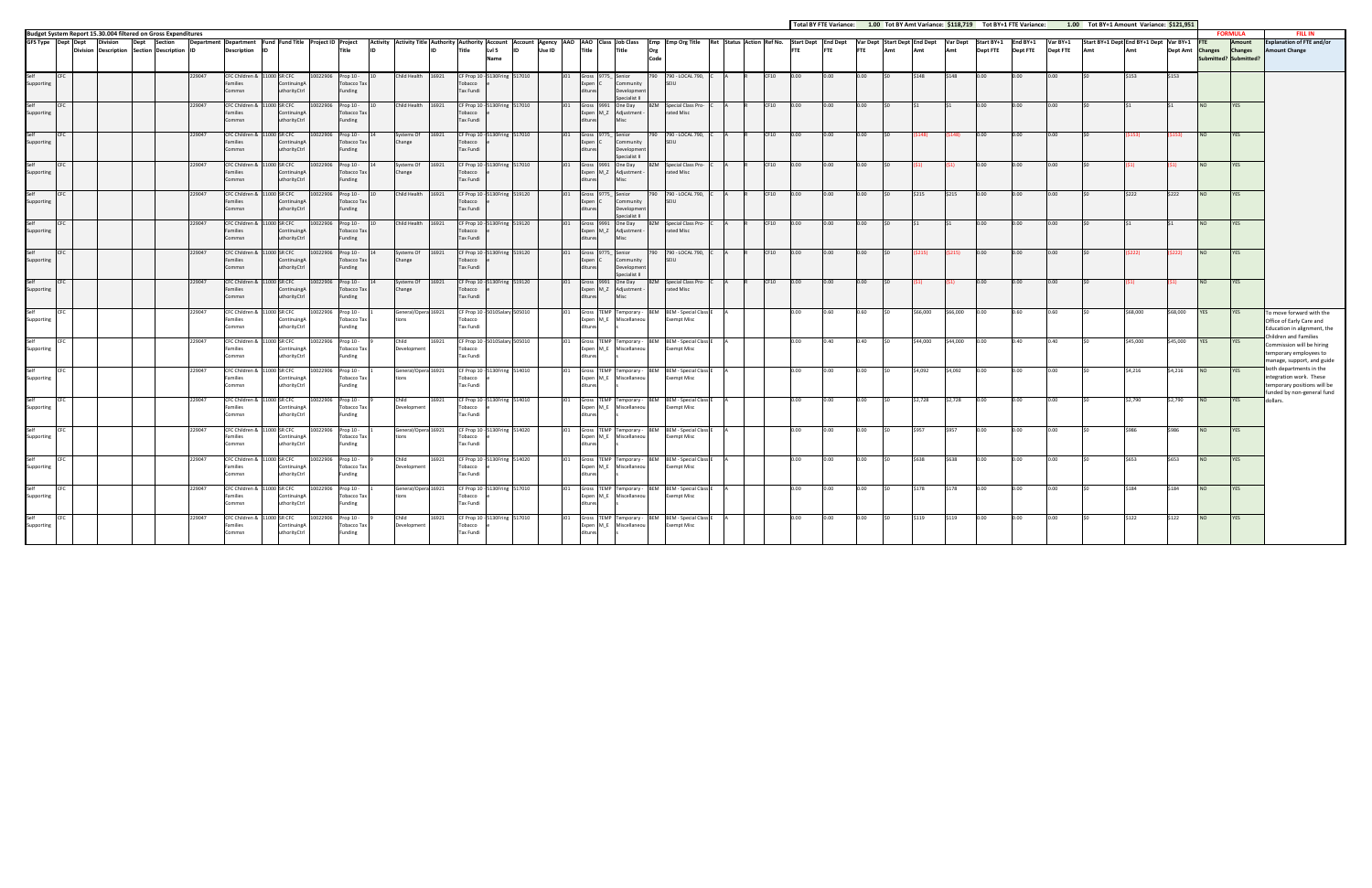|                    |                    |                 |                                                                    |                  |                                                                                |                                                            |                     |                                                                |                                                                                            |       |                                                                                       |                  |        |                                   |                                                                            |             |                                                                          |  |            |              |              |                  |                                     |                        |                               | Total BY FTE Variance: 1.00 Tot BY Amt Variance: \$118,719 Tot BY+1 FTE Variance: |                             | 1.00 Tot BY+1 Amount Variance: \$121,951 |                                        |                  |                  |                                                  |                                                                                                              |
|--------------------|--------------------|-----------------|--------------------------------------------------------------------|------------------|--------------------------------------------------------------------------------|------------------------------------------------------------|---------------------|----------------------------------------------------------------|--------------------------------------------------------------------------------------------|-------|---------------------------------------------------------------------------------------|------------------|--------|-----------------------------------|----------------------------------------------------------------------------|-------------|--------------------------------------------------------------------------|--|------------|--------------|--------------|------------------|-------------------------------------|------------------------|-------------------------------|-----------------------------------------------------------------------------------|-----------------------------|------------------------------------------|----------------------------------------|------------------|------------------|--------------------------------------------------|--------------------------------------------------------------------------------------------------------------|
|                    |                    |                 | Budget System Report 15.30.004 filtered on Gross Expenditures      |                  |                                                                                |                                                            |                     |                                                                |                                                                                            |       |                                                                                       |                  |        |                                   |                                                                            |             |                                                                          |  |            |              |              |                  |                                     |                        |                               |                                                                                   |                             |                                          |                                        |                  |                  | <b>FORMULA</b>                                   | <b>FILL IN</b>                                                                                               |
|                    | GFS Type Dept Dept | <b>Division</b> | <b>Section</b><br>Dept<br>Division Description Section Description |                  | Department Department Fund Fund Title Project ID Project<br><b>Description</b> | <b>ID</b>                                                  |                     | <b>Title</b><br>lın.                                           | Activity Activity Title Authority Authority Account Account Agency AAO AAO Class Job Class |       | Lvl 5<br>Title<br>Name                                                                |                  | Use ID | Title                             | Title                                                                      | Org<br>Code | Emp Emp Org Title Ret Status Action Ref No. Start Dept End Dept          |  | <b>FTE</b> |              | <b>FTE</b>   | <b>FTE</b>       | Var Dept Start Dept End Dept<br>Amt | <b>Var Dept</b><br>Amt | Start BY+1<br><b>Dept FTE</b> | End BY+1<br><b>Dept FTE</b>                                                       | Var BY+1<br><b>Dept FTE</b> |                                          | Start BY+1 Dept End BY+1 Dept Var BY+1 | Dept Amt Changes |                  | Amount<br><b>Changes</b><br>ubmitted? Submitted? | Explanation of FTE and/or<br>mount Change                                                                    |
| iupporting         |                    |                 |                                                                    | 229047           | CFC Children & 11000 SR CFC<br>amilies<br>Commsn                               | Continuing<br>uthorityCtrl                                 | 10022906            | Prop 10 -<br>Tobacco Tax<br>Funding                            | Child Health 16921                                                                         |       | CF Prop 10 - 5130Fring 517010<br>bacco<br>Tax Fundi                                   |                  |        | xpen<br>ures                      | mmunity<br>evelopmen<br>ecialist II                                        |             | 790 - LOCAL 790,<br>SEIU                                                 |  |            |              |              |                  |                                     |                        |                               |                                                                                   |                             |                                          |                                        |                  |                  |                                                  |                                                                                                              |
| Self<br>Supporting | CFC.               |                 |                                                                    | 229047           | Families<br>Commsn                                                             | CFC Children & 11000 SR CFC<br>Continuing/<br>uthorityCtrl | 10022906            | Prop 10 -<br>Tobacco Tax<br>Funding                            | Child Health                                                                               | 16921 | CF Prop 10 -<br>Tobacco<br><b>Tax Fundi</b>                                           | 130Fring 517010  |        | Gross 9991<br>Expen M_Z<br>itures | One Day<br>Adjustment                                                      |             | Special Class Pro-<br>rated Misc                                         |  | CF10       | 0.00         |              | 0.00             |                                     |                        |                               |                                                                                   |                             |                                          |                                        |                  |                  | YES                                              |                                                                                                              |
| Self<br>Supporting | CEC                |                 |                                                                    | 229047           | amilies<br>commsn                                                              | CFC Children & 11000 SR CFC<br>Continuing<br>uthorityCtrl  | 10022906            | Prop 10 -<br>Tobacco Tax<br>unding                             | Systems Of<br>Change                                                                       | 16921 | CF Prop 10 - 5130Fring 517010<br>obacco<br>Tax Fundi                                  |                  |        | Gross 9775<br>Expen C<br>ures     | Senior<br>ommunity<br>Developmen<br>necialist II                           | 79N.        | 790 - LOCAL 790,<br>SEIU                                                 |  | CF10       | $0.00 -$     | n nn         | 0.00             |                                     | S148).                 | $0.00 -$                      | $0.00 -$                                                                          | n nn                        |                                          | 153).                                  | 153).            | N <sub>O</sub>   | <b>YFS</b>                                       |                                                                                                              |
| Self<br>Supporting | CFC.               |                 |                                                                    | 229047           | Families<br>Commsn                                                             | CFC Children & 11000 SR CFC<br>ContinuingA<br>uthorityCtrl | 10022906            | Prop 10 -<br>Tobacco Tax<br>Funding                            | Systems Of<br>Change                                                                       | 16921 | CF Prop 10 - 5130Fring 517010<br>Tobacco<br>Tax Fundi                                 |                  |        | <b>Itures</b>                     | Gross 9991 One Day<br>Expen M_Z Adjustment                                 | B7M         | Special Class Pro-<br>rated Misc                                         |  | CF10       | 0.00         |              | 0.00             |                                     |                        | $0.00 -$                      | $0.00 -$                                                                          |                             |                                          |                                        |                  | NO.              | <b>YES</b>                                       |                                                                                                              |
| Self<br>Supporting | CFC                |                 |                                                                    | 229047           | CFC Children &<br><b>Families</b><br>Commsn                                    | 11000 SR CFC<br>Continuing/<br>uthorityCtrl                | 0022906             | Prop 10 -<br>Tobacco Tax<br>Funding                            | Child Health                                                                               | 16921 | CF Prop 10 - 5130Fring 519120<br>Tobacco<br><b>Tax Fundi</b>                          |                  |        | Gross 9775<br>Expen C<br>ditures  | Senior<br>Community<br><b>Development</b><br>Specialist II                 | 790         | 790 - LOCAL 790,<br>SEIU                                                 |  | CF10       | 0.00         | 0.00         | 0.00             | \$215                               | \$215                  | 0.00                          | 0.00                                                                              | 0.00                        |                                          | \$222                                  | \$222            | <b>NO</b>        | YES                                              |                                                                                                              |
| Self<br>Supporting | <b>CFC</b>         |                 |                                                                    | 229047           | CFC Children & 11000 SR CFC<br>amilies<br>Commsn                               | ntinuing<br>uthorityCtrl                                   | 10022906            | Prop 10 -<br><b>Tobacco Tax</b><br>Funding                     | Child Health 16921                                                                         |       | CF Prop 10 - 5130Fring 519120<br>obacco<br>Tax Fundi                                  |                  |        | Gross 9991<br>Expen M Z           | One Day<br>Adjustment                                                      |             | <b>BZM</b> Special Class Pro-<br>rated Misc                              |  | CF10       | 0.00         | 0.00         | 0.00             |                                     |                        | 0.00                          | 0.00                                                                              | 0.00                        |                                          |                                        |                  | NO               | YES                                              |                                                                                                              |
| Self<br>Supporting | CFC                |                 |                                                                    | 229047           | Families<br>Commsn                                                             | CFC Children & 11000 SR CFC<br>ContinuingA<br>uthorityCtrl | 10022906            | Prop 10 -<br>Tobacco Tax<br>unding                             | Systems Of<br>Change                                                                       | 16921 | CF Prop 10 - 5130Fring 519120<br>Tobacco<br>Tax Fundi                                 |                  |        | Expen C<br>tures                  | Gross 9775_ Senior<br>Community<br>Developmen<br>Specialist II             | 790         | 790 - LOCAL 790,<br>SEIU                                                 |  | CF10       | 0.00         | $0.00 -$     | 0.00             |                                     | 3215)                  | 0.00                          | 0.00                                                                              | 0.00                        |                                          | 222)                                   |                  | NO               | <b>YES</b>                                       |                                                                                                              |
| Self<br>Supporting | CFC.               |                 |                                                                    | 229047           | amilies<br>Commsn                                                              | CFC Children & 11000 SR CFC<br>Continuing/<br>uthorityCtrl | 10022906            | Prop 10 -<br><b>Tobacco Ta:</b><br>unding                      | Systems Of<br>ange                                                                         | 16921 | CF Prop 10 - 5130Fring 519120<br>bacco<br>Tax Fundi                                   |                  |        | xpen M_Z                          | Gross 9991 One Day<br>Adjustment                                           | R7M         | Special Class Pro-<br>rated Misc                                         |  | CF10       | 0.00         | lo oo        | 0.00             |                                     |                        | 0.00                          | 0.00                                                                              | 0.00                        |                                          |                                        |                  | NO               | YES                                              |                                                                                                              |
| Self<br>Supporting | CFC                |                 |                                                                    | 29047            | Families<br>Commsn                                                             | CFC Children & 11000 SR CFC<br>ContinuingA<br>uthorityCtrl | 10022906            | Prop 10 -<br>Tobacco Tax<br>unding                             | General/Opera 16921                                                                        |       | CF Prop 10 - 5<br>Tobacco<br>Tax Fundi                                                | 0Salary 505010   |        | litures                           | Gross TEMP Temporary -<br>Expen M_E Miscellaneou                           | <b>BFM</b>  | <b>BEM - Special Clas</b><br><b>Exempt Misc</b>                          |  |            | 0.00         |              | 0.60             | \$66,000                            | \$66,000               |                               |                                                                                   | 0.60                        |                                          | \$68,000                               | \$68,000         |                  |                                                  | o move forward with the<br>Office of Early Care and<br>Education in alignment, the<br>Children and Families  |
| Self<br>Supporting | <b>CFC</b>         |                 |                                                                    | 229047           | CFC Children & 11000 SR CFC<br>Families<br>Commsn                              | Continuing<br>uthorityCtrl                                 | 0022906             | Prop 10 -<br><b>Tobacco Tax</b><br><b>Funding</b>              | Child<br>Development                                                                       | 16921 | CF Prop 10 - 5<br>Tobacco<br>Tax Fundi                                                | 010Salary 505010 |        | itures                            | Gross TEMP Temporary -<br>Expen M E Miscellaneou                           | <b>BFM</b>  | <b>BEM - Special Clas</b><br><b>Exempt Misc</b>                          |  |            | 0.00         | 0.40         | 0.40             | \$44,000                            | \$44,000               | 0.00                          | 0.40                                                                              | 0.40                        |                                          | \$45,000                               | \$45,000         | <b>YES</b>       | <b>YES</b>                                       | Commission will be hiring<br>temporary employees to<br>manage, support, and guide<br>both departments in the |
| Supporting         | CFC                |                 |                                                                    | 29047            | CFC Children & 11000 SR CFC<br>Families<br>Commsn                              | ontinuine<br>uthorityCtrl                                  | 10022906            | Prop 10 -<br><b>Tobacco Tax</b><br>Funding                     | General/Opera 16921                                                                        |       | CF Prop 10 - 5<br>obacco<br>Tax Fundi                                                 | 130Fring 514010  |        | Expen M E<br>tures                | Gross TEMP Temporary -<br>Miscellaneou                                     | <b>BFM</b>  | <b>BEM - Special Clas</b><br><b>Exempt Misc</b>                          |  |            | 0.00         | $0.00 -$     | 0.00             | \$4,092                             | \$4,092                | 0.00                          | 0.00                                                                              |                             |                                          | \$4,216                                | \$4,216          | NO.              | <b>YFS</b>                                       | ntegration work. These<br>temporary positions will be<br>unded by non-general fund                           |
| Self<br>Supporting | CFC<br><b>CFC</b>  |                 |                                                                    | 29047            | Families<br>Commsn                                                             | CFC Children & 11000 SR CFC<br>ContinuingA<br>uthorityCtrl | 10022906            | Prop 10 -<br>Tobacco Tax<br><b>Funding</b>                     | Child<br>Developmen                                                                        | 16921 | CF Prop 10 -<br>Tobacco<br>Tax Fundi                                                  | 130Fring 514010  |        | Expen M_E<br>itures               | Gross TEMP Temporary -<br>Miscellaneou                                     | <b>BFM</b>  | BEM - Special Cla<br><b>Exempt Misc</b>                                  |  |            | 0.00<br>0.00 | 0.00         | 0.00             | \$2,728                             | \$2,728                | 0.00                          | 0.00                                                                              | 0.00<br>0.00                |                                          | \$2,790                                | \$2,790          | <b>NO</b><br>NO. | YES                                              | dollars.                                                                                                     |
| Supporting<br>Self |                    |                 |                                                                    | 229047           | Families<br>Commsn                                                             | CFC Children & 11000 SR CFC<br>Continuing/<br>uthorityCtrl | 10022906            | Prop 10 -<br>Tobacco Tax<br>unding                             | General/Opera 16921<br>Child                                                               |       | CF Prop 10 - 5130Fring 514020<br>obacco<br>Tax Fundi                                  |                  |        | Expen M_E                         | Gross TEMP Temporary -<br>Miscellaneou                                     |             | BEM BEM - Special Clas<br><b>Exempt Misc</b>                             |  |            |              | n nn         | 0.00             | \$957                               | \$957                  | 0.00                          | 0.00                                                                              |                             |                                          |                                        | 5986             |                  | YES                                              |                                                                                                              |
| Supporting         | CFC<br>CFC         |                 |                                                                    | 229047<br>229047 | Families<br>Commsn<br>CFC Children & 11000 SR CFC                              | CFC Children & 11000 SR CFC<br>Continuing/<br>uthorityCtrl | 10022906<br>0022906 | Prop 10 -<br><b>Tobacco Tax</b><br><b>Funding</b><br>Prop 10 - | Development<br>General/Opera 16921                                                         | 16921 | CF Prop 10 -5130Fring 514020<br>Tobacco<br>Tax Fundi<br>CF Prop 10 - 5130Fring 517010 |                  | 101    |                                   | Gross TEMP Temporary -<br>Expen M_E Miscellaneou<br>Gross TEMP Temporary - | <b>RFM</b>  | <b>BEM</b> BEM - Special Clas<br><b>Exempt Misc</b><br>BEM - Special Cla |  |            | 0.00<br>0.00 | 0.OO<br>0.00 | 0.00<br>$0.00 -$ | \$638<br>\$178                      | \$638<br>\$178         | 0.00<br>0.00                  | 0.00<br>0.00                                                                      | 0.00<br>ln nn               |                                          | \$653<br>\$184                         | \$653<br>\$184   | NO<br><b>NO</b>  | YES<br>YES                                       |                                                                                                              |
| Supporting         |                    |                 |                                                                    |                  | Families<br>Commsn                                                             | Continuing<br>uthorityCtrl                                 |                     | <b>Fobacco Ta</b><br>unding                                    | Child                                                                                      |       | bacco<br>Tax Fundi                                                                    |                  |        | Expen M_E                         | Miscellaneou                                                               |             | <b>Exempt Misc</b>                                                       |  |            |              |              |                  |                                     |                        |                               |                                                                                   |                             |                                          | \$122                                  |                  |                  |                                                  |                                                                                                              |
| Supporting         | <b>CFC</b>         |                 |                                                                    | 29047            | Families<br>Commsn                                                             | CFC Children & 11000 SR CFC<br>ontinuing<br>uthorityCtrl   | 10022906            | Prop 10 -<br><b>Tobacco Tax</b><br>Funding                     | Development                                                                                | 16921 | CF Prop 10 - 5130Fring 517010<br>obacco<br>Tax Fundi                                  |                  |        | Expen M E                         | Gross TEMP Temporary -<br>Miscellaneou                                     |             | <b>BEM - Special Clas</b><br>Exempt Misc                                 |  |            |              |              | 0.00             |                                     | \$119                  |                               |                                                                                   |                             |                                          |                                        | \$122            |                  | <b>YES</b>                                       |                                                                                                              |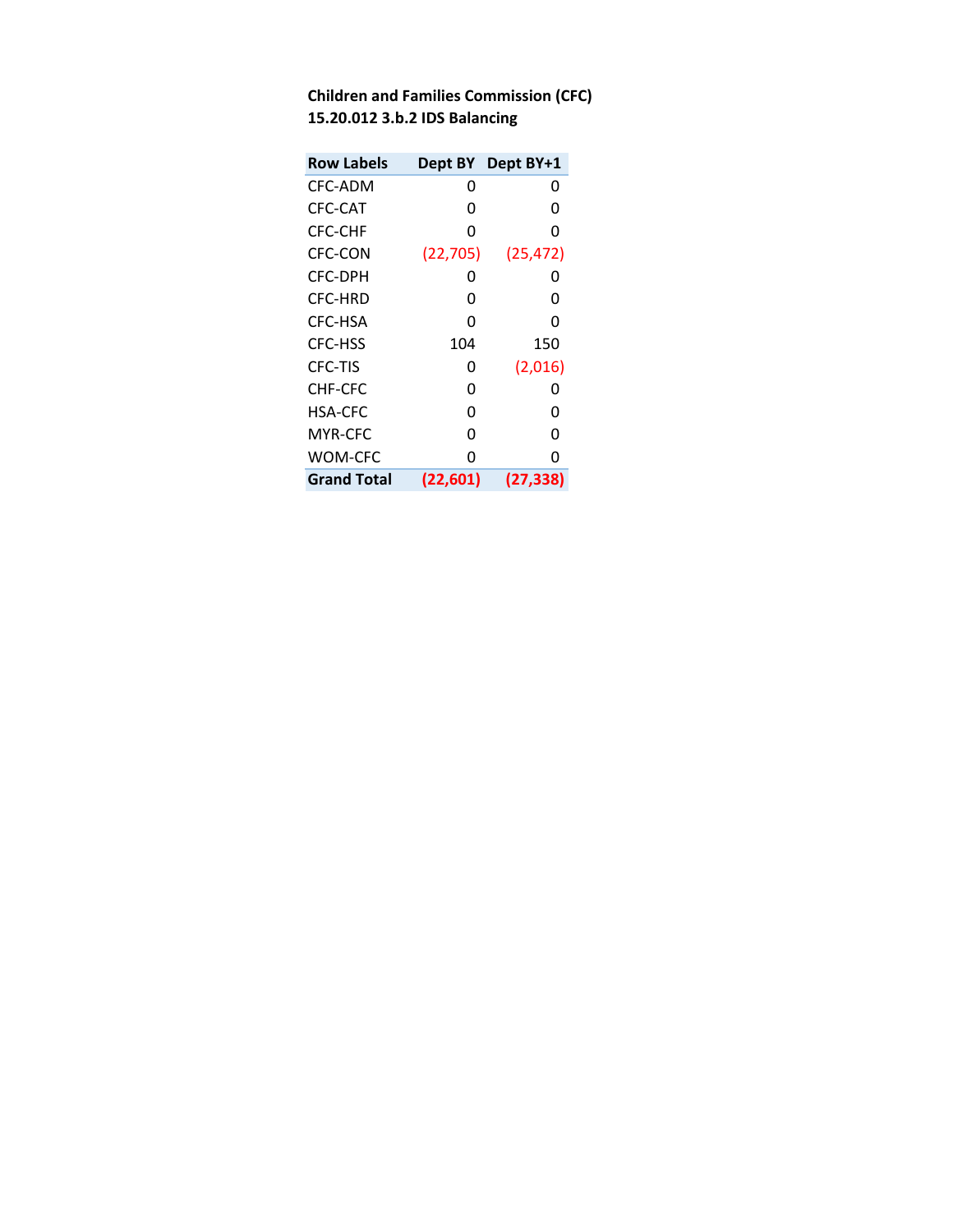| <b>Row Labels</b>  |           | Dept BY Dept BY+1 |
|--------------------|-----------|-------------------|
| CFC-ADM            | O         | 0                 |
| CFC-CAT            | O         | O                 |
| CFC-CHF            | O         | O                 |
| CFC-CON            | (22, 705) | (25, 472)         |
| CFC-DPH            | O         | O                 |
| CFC-HRD            | O         | O                 |
| CFC-HSA            | n         | O                 |
| CFC-HSS            | 104       | 150               |
| CFC-TIS            | O         | (2,016)           |
| CHF-CFC            | O         | O                 |
| HSA-CFC            | ŋ         | n                 |
| MYR-CFC            | n         | O                 |
| WOM-CFC            | n         | O                 |
| <b>Grand Total</b> | (22, 601) | (27, 338)         |

| <b>Children and Families Commission (CFC)</b> |
|-----------------------------------------------|
| 15.20.012 3.b.2 IDS Balancing                 |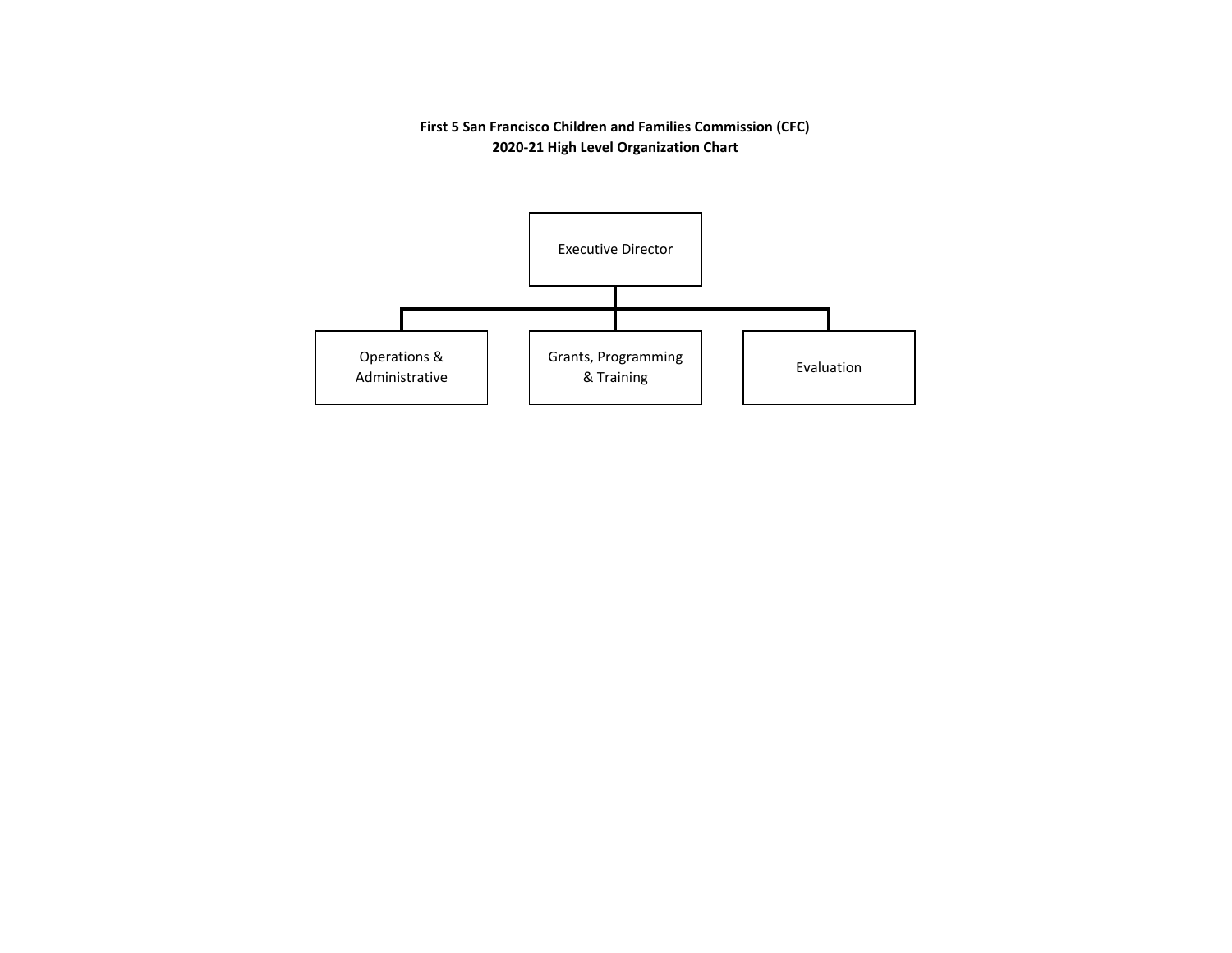**First 5 San Francisco Children and Families Commission (CFC) 2020‐21 High Level Organization Chart**

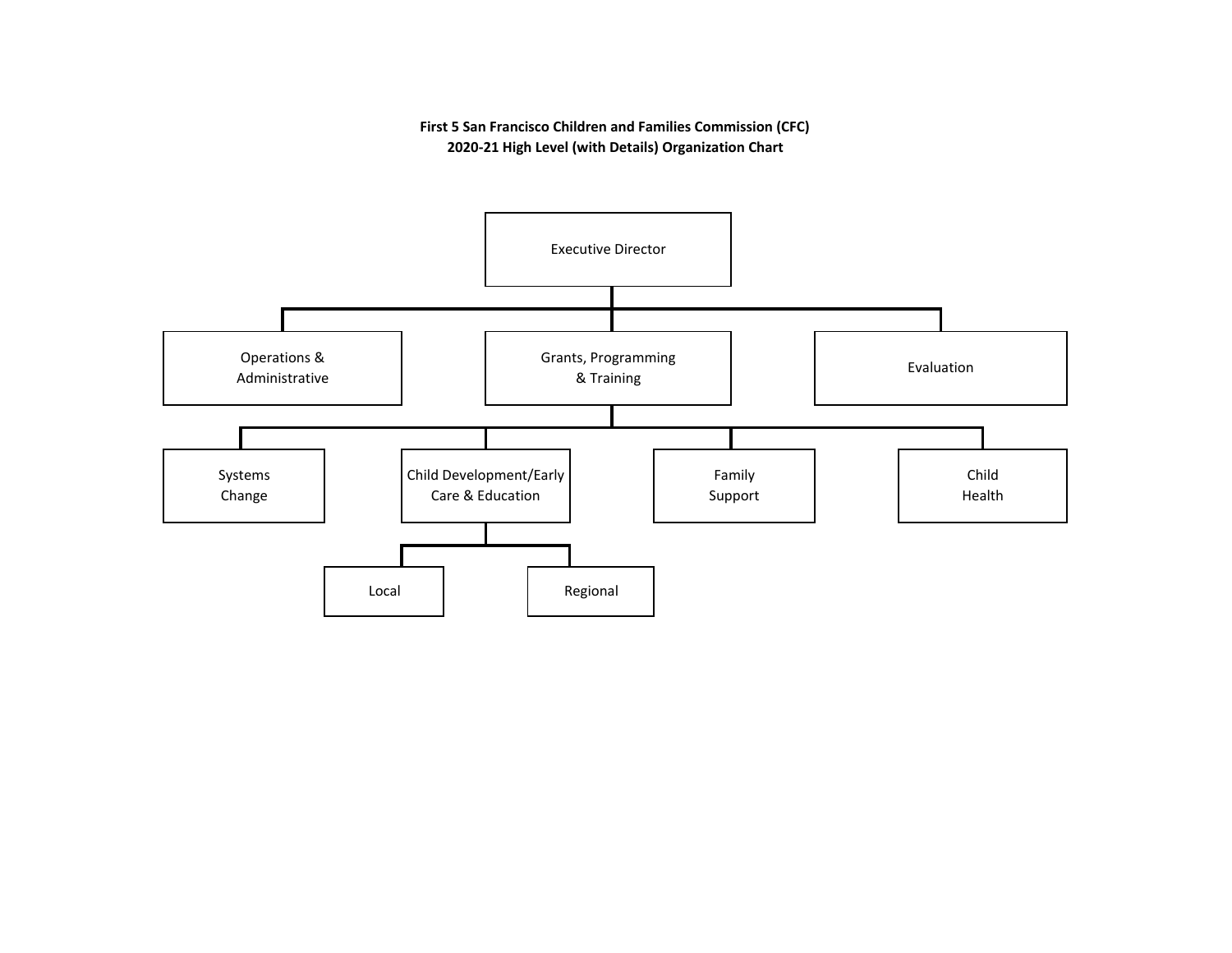**First 5 San Francisco Children and Families Commission (CFC) 2020‐21 High Level (with Details) Organization Chart**